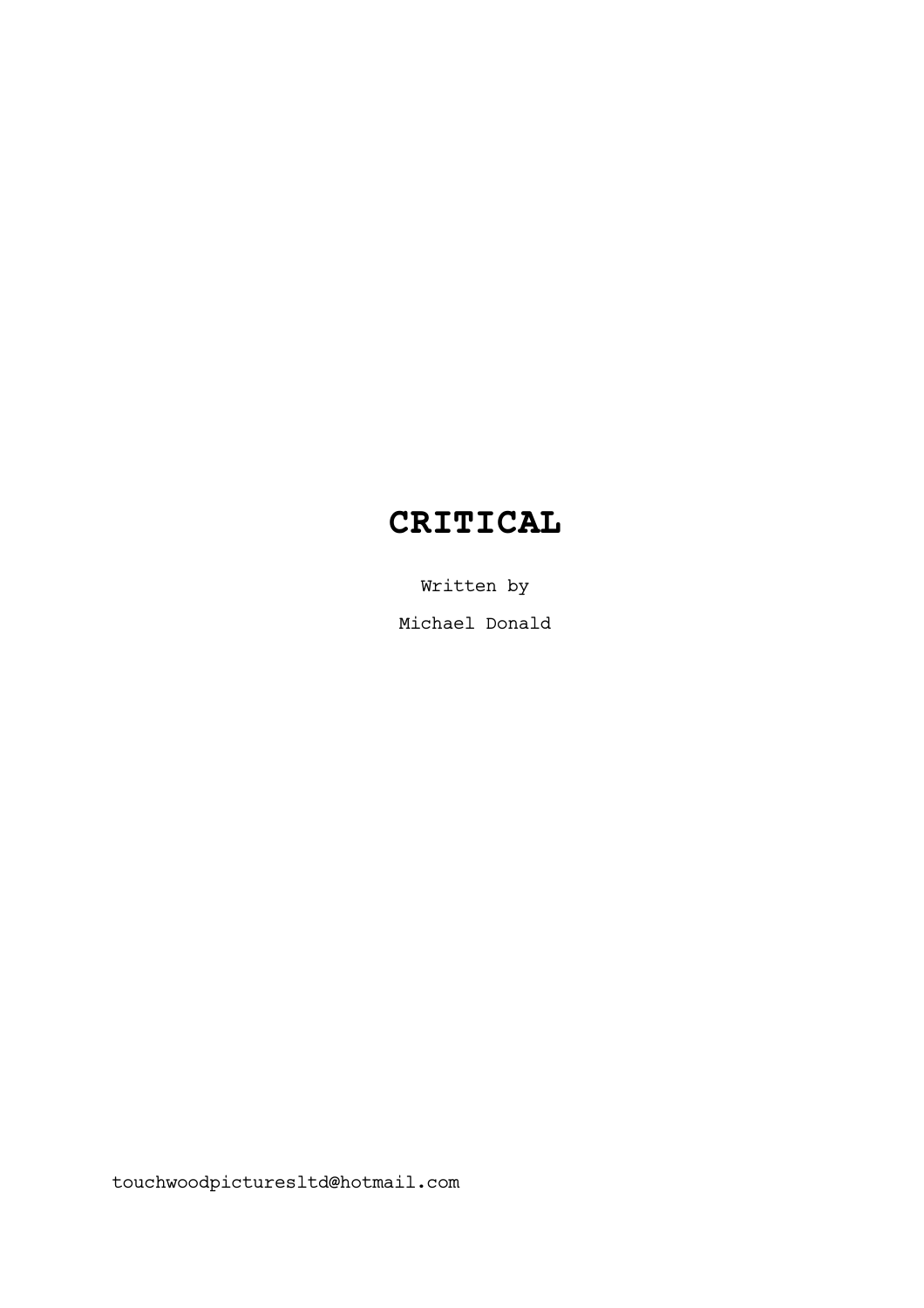# **CRITICAL**

Written by Michael Donald

touchwoodpicturesltd@hotmail.com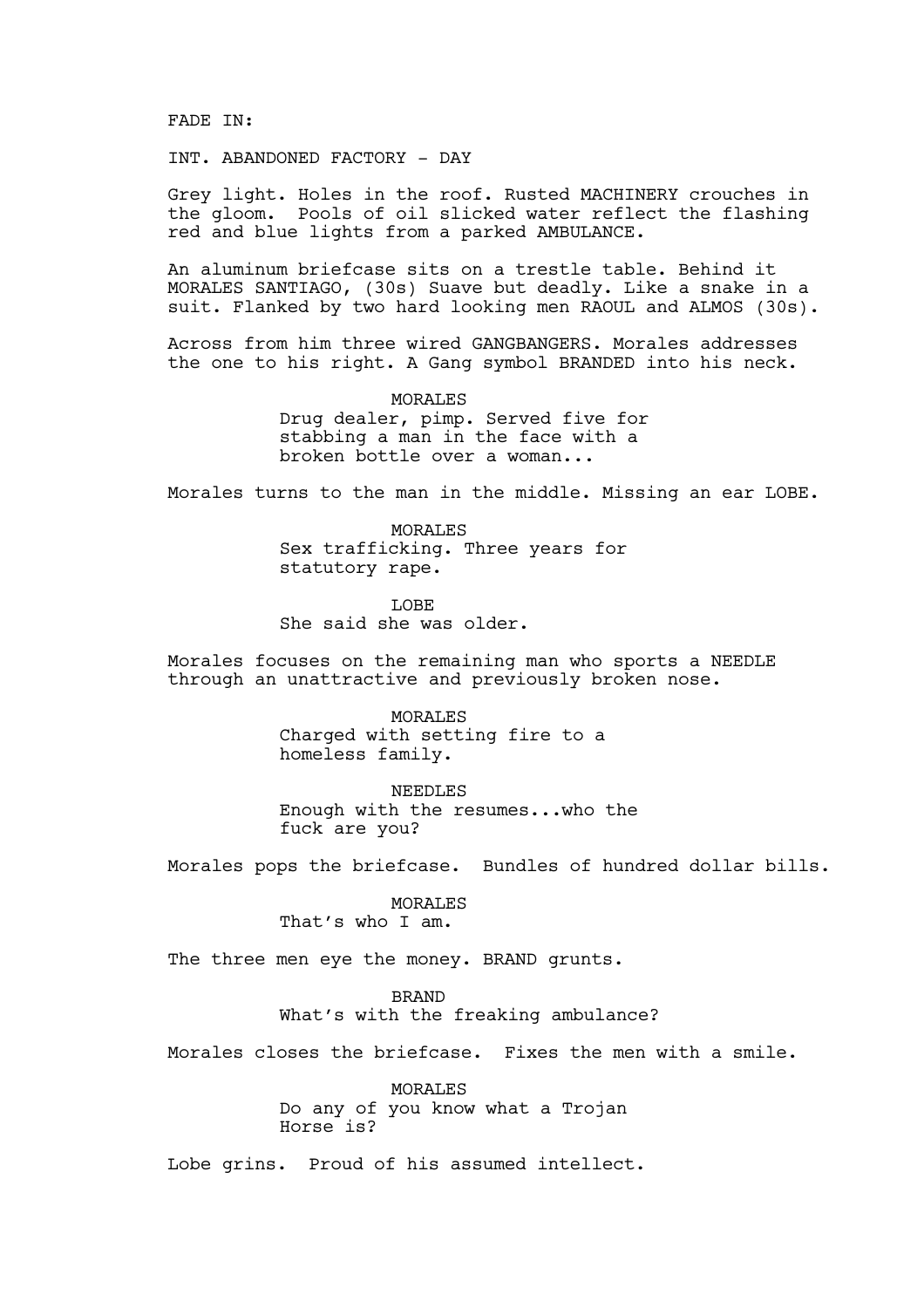FADE IN:

INT. ABANDONED FACTORY - DAY

Grey light. Holes in the roof. Rusted MACHINERY crouches in the gloom. Pools of oil slicked water reflect the flashing red and blue lights from a parked AMBULANCE.

An aluminum briefcase sits on a trestle table. Behind it MORALES SANTIAGO, (30s) Suave but deadly. Like a snake in a suit. Flanked by two hard looking men RAOUL and ALMOS (30s).

Across from him three wired GANGBANGERS. Morales addresses the one to his right. A Gang symbol BRANDED into his neck.

> MORALES Drug dealer, pimp. Served five for stabbing a man in the face with a broken bottle over a woman...

Morales turns to the man in the middle. Missing an ear LOBE.

MORALES Sex trafficking. Three years for statutory rape.

LOBE She said she was older.

Morales focuses on the remaining man who sports a NEEDLE through an unattractive and previously broken nose.

> MORALES Charged with setting fire to a homeless family.

NEEDLES Enough with the resumes...who the fuck are you?

Morales pops the briefcase. Bundles of hundred dollar bills.

MORALES That's who I am.

The three men eye the money. BRAND grunts.

BRAND

What's with the freaking ambulance?

Morales closes the briefcase. Fixes the men with a smile.

MORALES Do any of you know what a Trojan Horse is?

Lobe grins. Proud of his assumed intellect.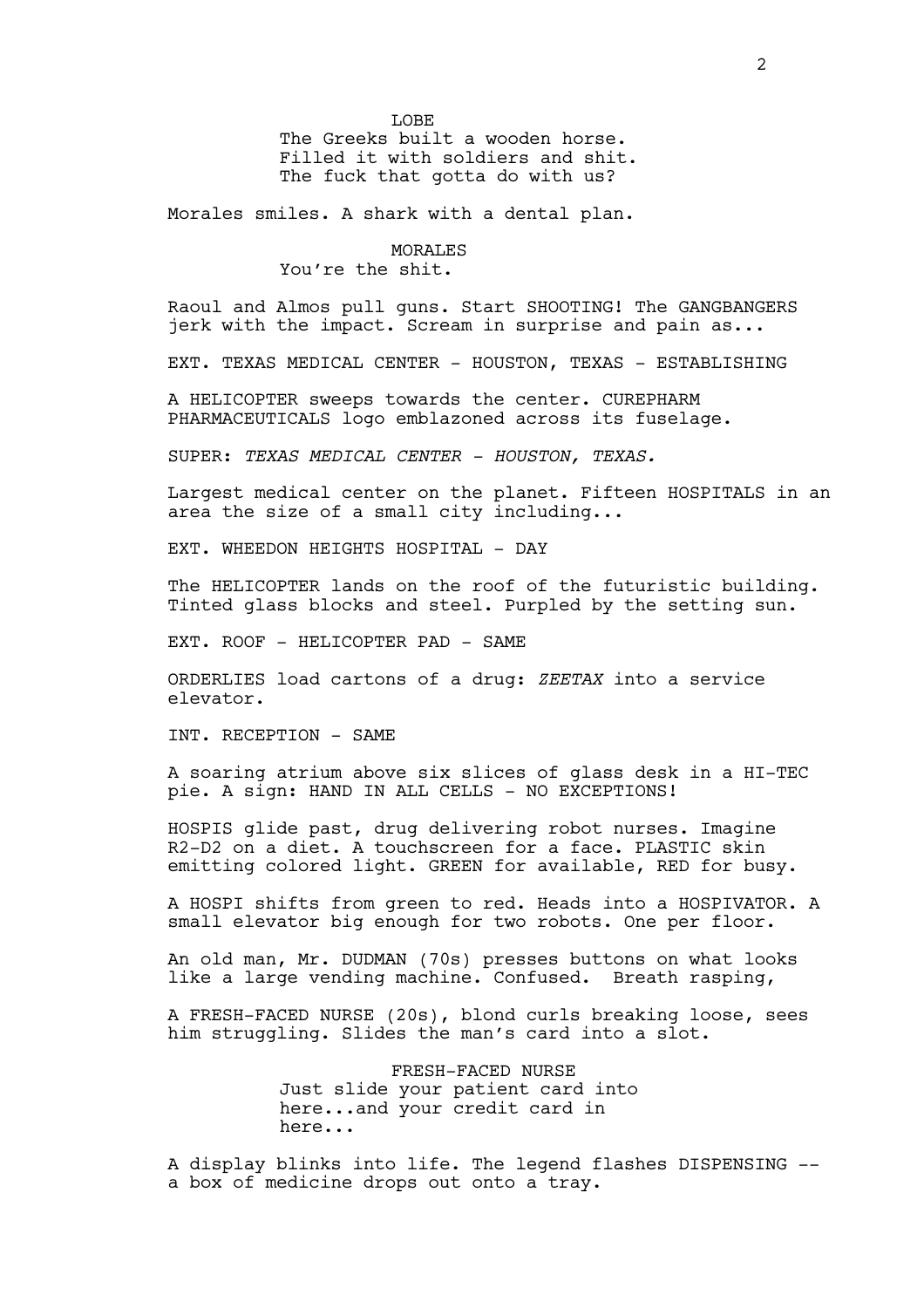The Greeks built a wooden horse. Filled it with soldiers and shit. The fuck that gotta do with us?

Morales smiles. A shark with a dental plan.

## **MORALES**

You're the shit.

Raoul and Almos pull guns. Start SHOOTING! The GANGBANGERS jerk with the impact. Scream in surprise and pain as...

EXT. TEXAS MEDICAL CENTER - HOUSTON, TEXAS - ESTABLISHING

A HELICOPTER sweeps towards the center. CUREPHARM PHARMACEUTICALS logo emblazoned across its fuselage.

SUPER: *TEXAS MEDICAL CENTER - HOUSTON, TEXAS.*

Largest medical center on the planet. Fifteen HOSPITALS in an area the size of a small city including...

EXT. WHEEDON HEIGHTS HOSPITAL - DAY

The HELICOPTER lands on the roof of the futuristic building. Tinted glass blocks and steel. Purpled by the setting sun.

EXT. ROOF - HELICOPTER PAD - SAME

ORDERLIES load cartons of a drug: *ZEETAX* into a service elevator.

INT. RECEPTION - SAME

A soaring atrium above six slices of glass desk in a HI-TEC pie. A sign: HAND IN ALL CELLS - NO EXCEPTIONS!

HOSPIS glide past, drug delivering robot nurses. Imagine R2-D2 on a diet. A touchscreen for a face. PLASTIC skin emitting colored light. GREEN for available, RED for busy.

A HOSPI shifts from green to red. Heads into a HOSPIVATOR. A small elevator big enough for two robots. One per floor.

An old man, Mr. DUDMAN (70s) presses buttons on what looks like a large vending machine. Confused. Breath rasping,

A FRESH-FACED NURSE (20s), blond curls breaking loose, sees him struggling. Slides the man's card into a slot.

> FRESH-FACED NURSE Just slide your patient card into here...and your credit card in here...

A display blinks into life. The legend flashes DISPENSING - a box of medicine drops out onto a tray.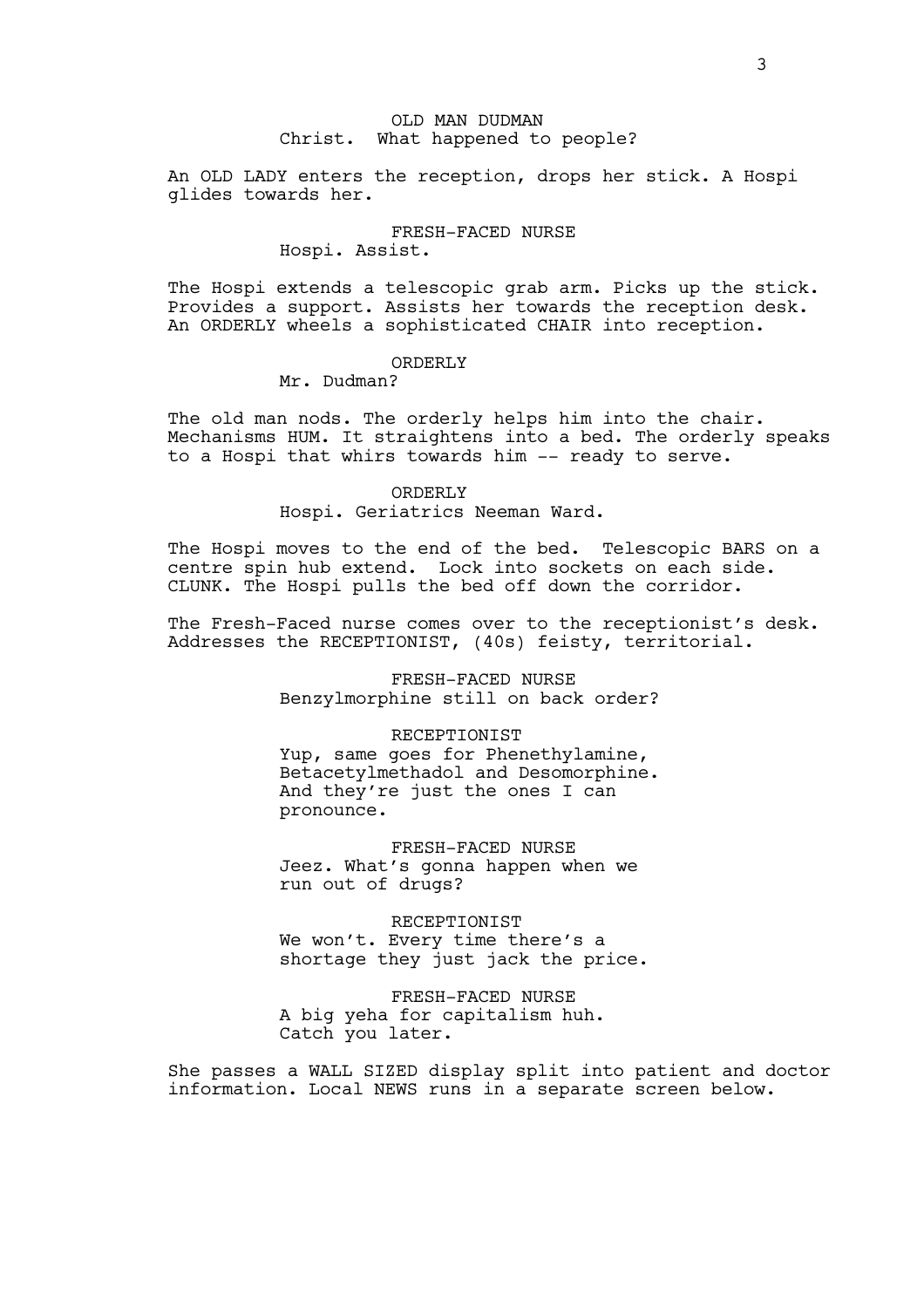## OLD MAN DUDMAN Christ. What happened to people?

An OLD LADY enters the reception, drops her stick. A Hospi glides towards her.

## FRESH-FACED NURSE

## Hospi. Assist.

The Hospi extends a telescopic grab arm. Picks up the stick. Provides a support. Assists her towards the reception desk. An ORDERLY wheels a sophisticated CHAIR into reception.

#### ORDERLY

Mr. Dudman?

The old man nods. The orderly helps him into the chair. Mechanisms HUM. It straightens into a bed. The orderly speaks to a Hospi that whirs towards him -- ready to serve.

> ORDERLY Hospi. Geriatrics Neeman Ward.

The Hospi moves to the end of the bed. Telescopic BARS on a centre spin hub extend. Lock into sockets on each side. CLUNK. The Hospi pulls the bed off down the corridor.

The Fresh-Faced nurse comes over to the receptionist's desk. Addresses the RECEPTIONIST, (40s) feisty, territorial.

> FRESH-FACED NURSE Benzylmorphine still on back order?

#### RECEPTIONIST

Yup, same goes for Phenethylamine, Betacetylmethadol and Desomorphine. And they're just the ones I can pronounce.

FRESH-FACED NURSE Jeez. What's gonna happen when we run out of drugs?

RECEPTIONIST We won't. Every time there's a shortage they just jack the price.

FRESH-FACED NURSE A big yeha for capitalism huh. Catch you later.

She passes a WALL SIZED display split into patient and doctor information. Local NEWS runs in a separate screen below.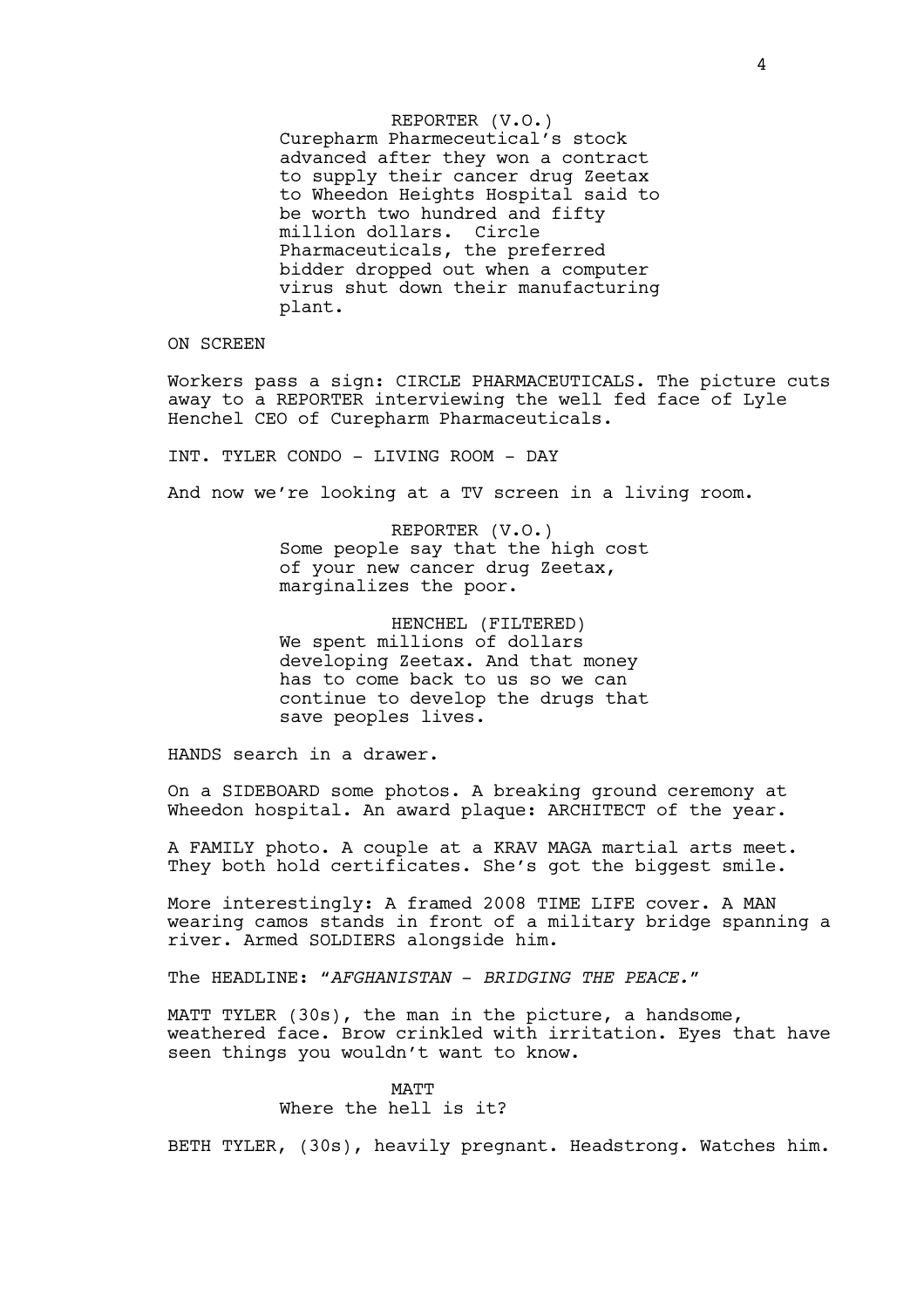REPORTER (V.O.) Curepharm Pharmeceutical's stock advanced after they won a contract to supply their cancer drug Zeetax to Wheedon Heights Hospital said to be worth two hundred and fifty million dollars. Circle Pharmaceuticals, the preferred bidder dropped out when a computer virus shut down their manufacturing plant.

ON SCREEN

Workers pass a sign: CIRCLE PHARMACEUTICALS. The picture cuts away to a REPORTER interviewing the well fed face of Lyle Henchel CEO of Curepharm Pharmaceuticals.

INT. TYLER CONDO - LIVING ROOM - DAY

And now we're looking at a TV screen in a living room.

REPORTER (V.O.) Some people say that the high cost of your new cancer drug Zeetax, marginalizes the poor.

HENCHEL (FILTERED) We spent millions of dollars developing Zeetax. And that money has to come back to us so we can continue to develop the drugs that save peoples lives.

HANDS search in a drawer.

On a SIDEBOARD some photos. A breaking ground ceremony at Wheedon hospital. An award plaque: ARCHITECT of the year.

A FAMILY photo. A couple at a KRAV MAGA martial arts meet. They both hold certificates. She's got the biggest smile.

More interestingly: A framed 2008 TIME LIFE cover. A MAN wearing camos stands in front of a military bridge spanning a river. Armed SOLDIERS alongside him.

The HEADLINE: "*AFGHANISTAN* - *BRIDGING THE PEACE."*

MATT TYLER (30s), the man in the picture, a handsome, weathered face. Brow crinkled with irritation. Eyes that have seen things you wouldn't want to know.

> **MATT** Where the hell is it?

BETH TYLER, (30s), heavily pregnant. Headstrong. Watches him.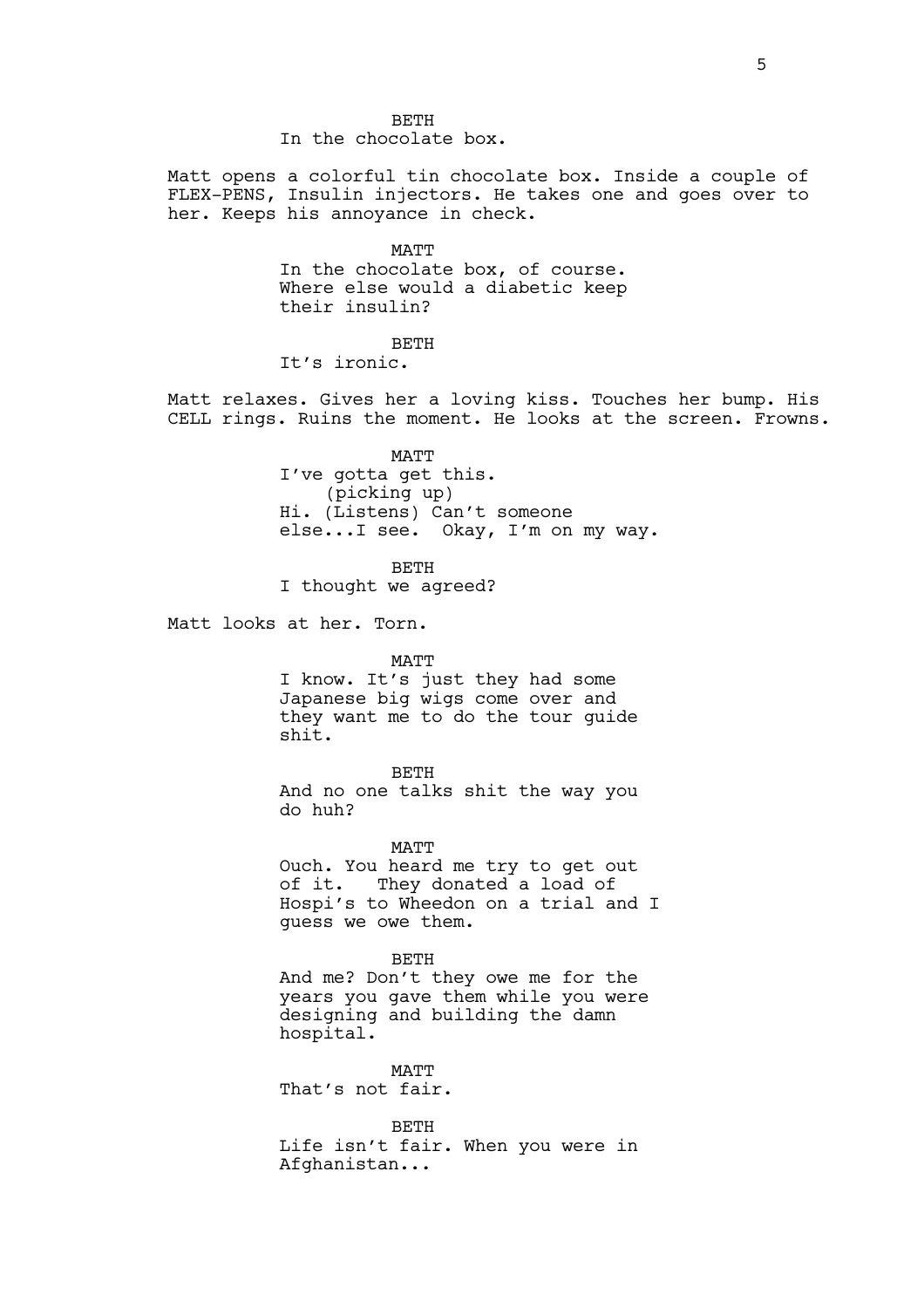BETH In the chocolate box.

Matt opens a colorful tin chocolate box. Inside a couple of FLEX-PENS, Insulin injectors. He takes one and goes over to her. Keeps his annoyance in check.

> **MATT** In the chocolate box, of course. Where else would a diabetic keep their insulin?

> > BETH

It's ironic.

Matt relaxes. Gives her a loving kiss. Touches her bump. His CELL rings. Ruins the moment. He looks at the screen. Frowns.

> MATT I've gotta get this. (picking up) Hi. (Listens) Can't someone else...I see. Okay, I'm on my way.

> > BETH

I thought we agreed?

Matt looks at her. Torn.

#### MATT

I know. It's just they had some Japanese big wigs come over and they want me to do the tour guide shit.

BETH And no one talks shit the way you do huh?

MATT

Ouch. You heard me try to get out of it. They donated a load of Hospi's to Wheedon on a trial and I guess we owe them.

BETH

And me? Don't they owe me for the years you gave them while you were designing and building the damn hospital.

**MATT** That's not fair.

BETH Life isn't fair. When you were in Afghanistan...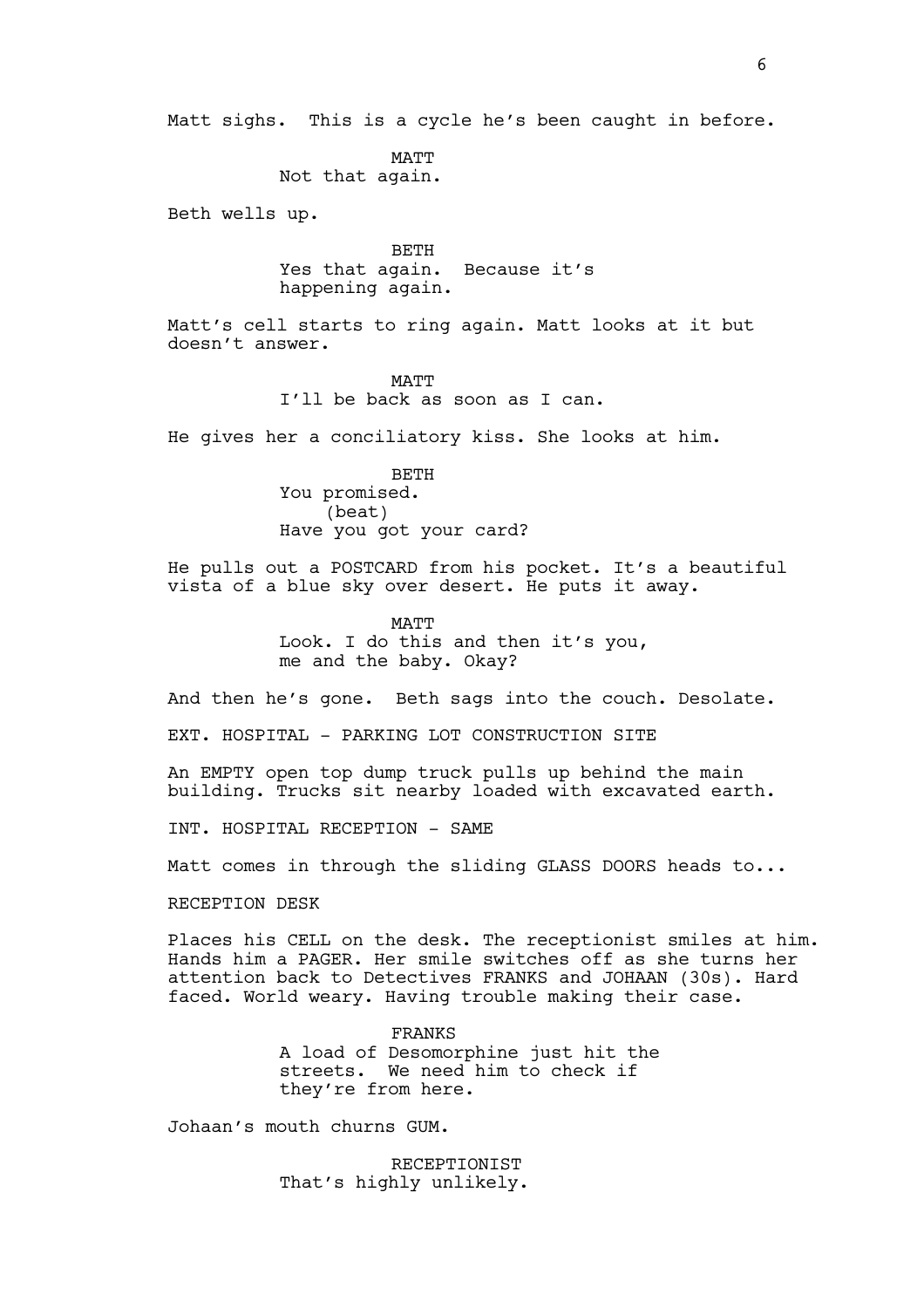Matt sighs. This is a cycle he's been caught in before.

MATT Not that again.

Beth wells up.

**BETH** Yes that again. Because it's happening again.

Matt's cell starts to ring again. Matt looks at it but doesn't answer.

> **MATT** I'll be back as soon as I can.

He gives her a conciliatory kiss. She looks at him.

BETH You promised. (beat) Have you got your card?

He pulls out a POSTCARD from his pocket. It's a beautiful vista of a blue sky over desert. He puts it away.

> **MATT** Look. I do this and then it's you, me and the baby. Okay?

And then he's gone. Beth sags into the couch. Desolate.

EXT. HOSPITAL - PARKING LOT CONSTRUCTION SITE

An EMPTY open top dump truck pulls up behind the main building. Trucks sit nearby loaded with excavated earth.

INT. HOSPITAL RECEPTION - SAME

Matt comes in through the sliding GLASS DOORS heads to...

RECEPTION DESK

Places his CELL on the desk. The receptionist smiles at him. Hands him a PAGER. Her smile switches off as she turns her attention back to Detectives FRANKS and JOHAAN (30s). Hard faced. World weary. Having trouble making their case.

> FRANKS A load of Desomorphine just hit the streets. We need him to check if they're from here.

Johaan's mouth churns GUM.

RECEPTIONIST That's highly unlikely.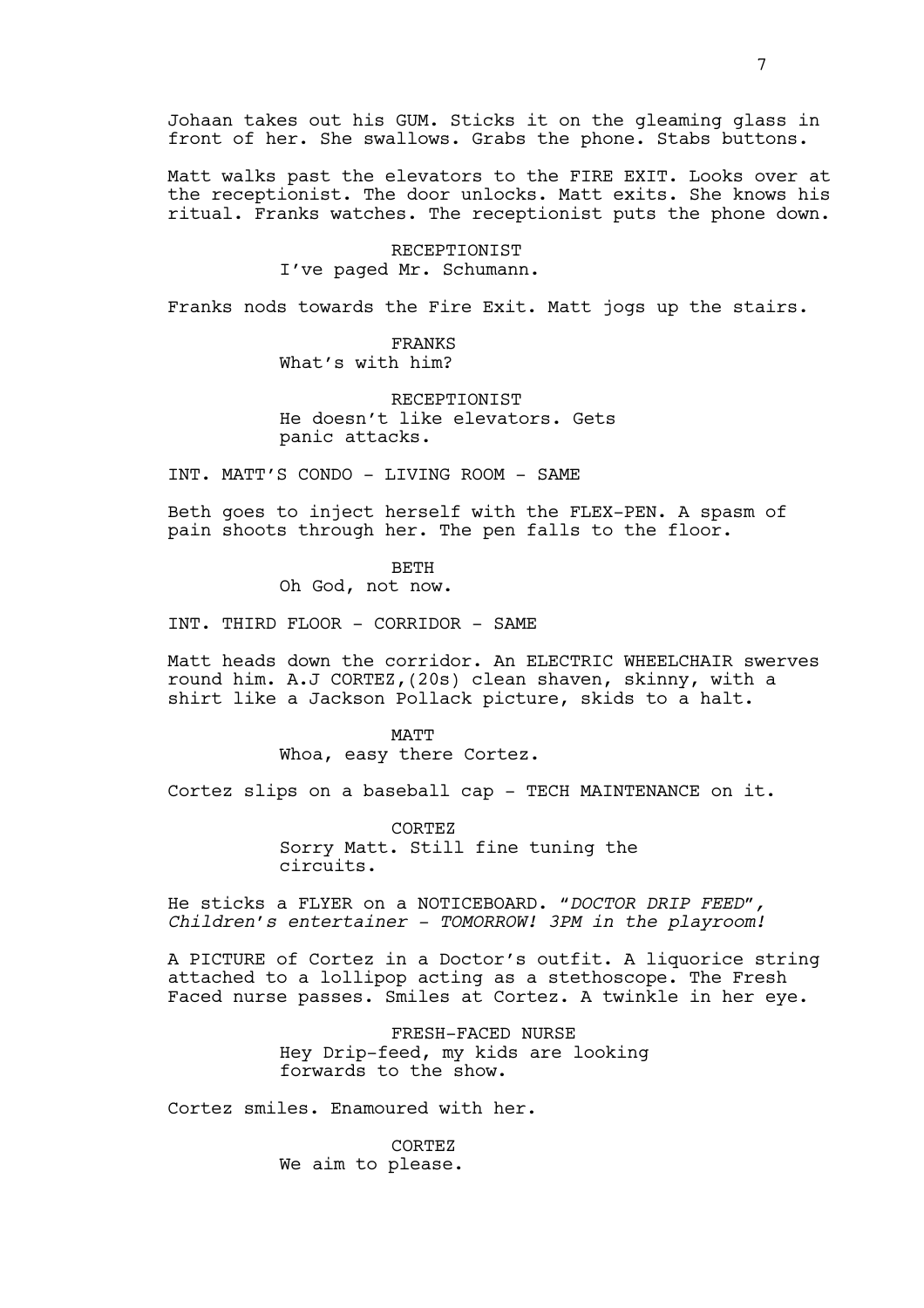Johaan takes out his GUM. Sticks it on the gleaming glass in front of her. She swallows. Grabs the phone. Stabs buttons.

Matt walks past the elevators to the FIRE EXIT. Looks over at the receptionist. The door unlocks. Matt exits. She knows his ritual. Franks watches. The receptionist puts the phone down.

> RECEPTIONIST I've paged Mr. Schumann.

Franks nods towards the Fire Exit. Matt jogs up the stairs.

FRANKS What's with him?

RECEPTIONIST He doesn't like elevators. Gets panic attacks.

INT. MATT'S CONDO - LIVING ROOM - SAME

Beth goes to inject herself with the FLEX-PEN. A spasm of pain shoots through her. The pen falls to the floor.

BETH

Oh God, not now.

INT. THIRD FLOOR - CORRIDOR - SAME

Matt heads down the corridor. An ELECTRIC WHEELCHAIR swerves round him. A.J CORTEZ,(20s) clean shaven, skinny, with a shirt like a Jackson Pollack picture, skids to a halt.

> MATT Whoa, easy there Cortez.

Cortez slips on a baseball cap - TECH MAINTENANCE on it.

CORTEZ Sorry Matt. Still fine tuning the circuits.

He sticks a FLYER on a NOTICEBOARD. *"DOCTOR DRIP FEED", Children's entertainer - TOMORROW! 3PM in the playroom!*

A PICTURE of Cortez in a Doctor's outfit. A liquorice string attached to a lollipop acting as a stethoscope. The Fresh Faced nurse passes. Smiles at Cortez. A twinkle in her eye.

> FRESH-FACED NURSE Hey Drip-feed, my kids are looking forwards to the show.

Cortez smiles. Enamoured with her.

CORTEZ We aim to please.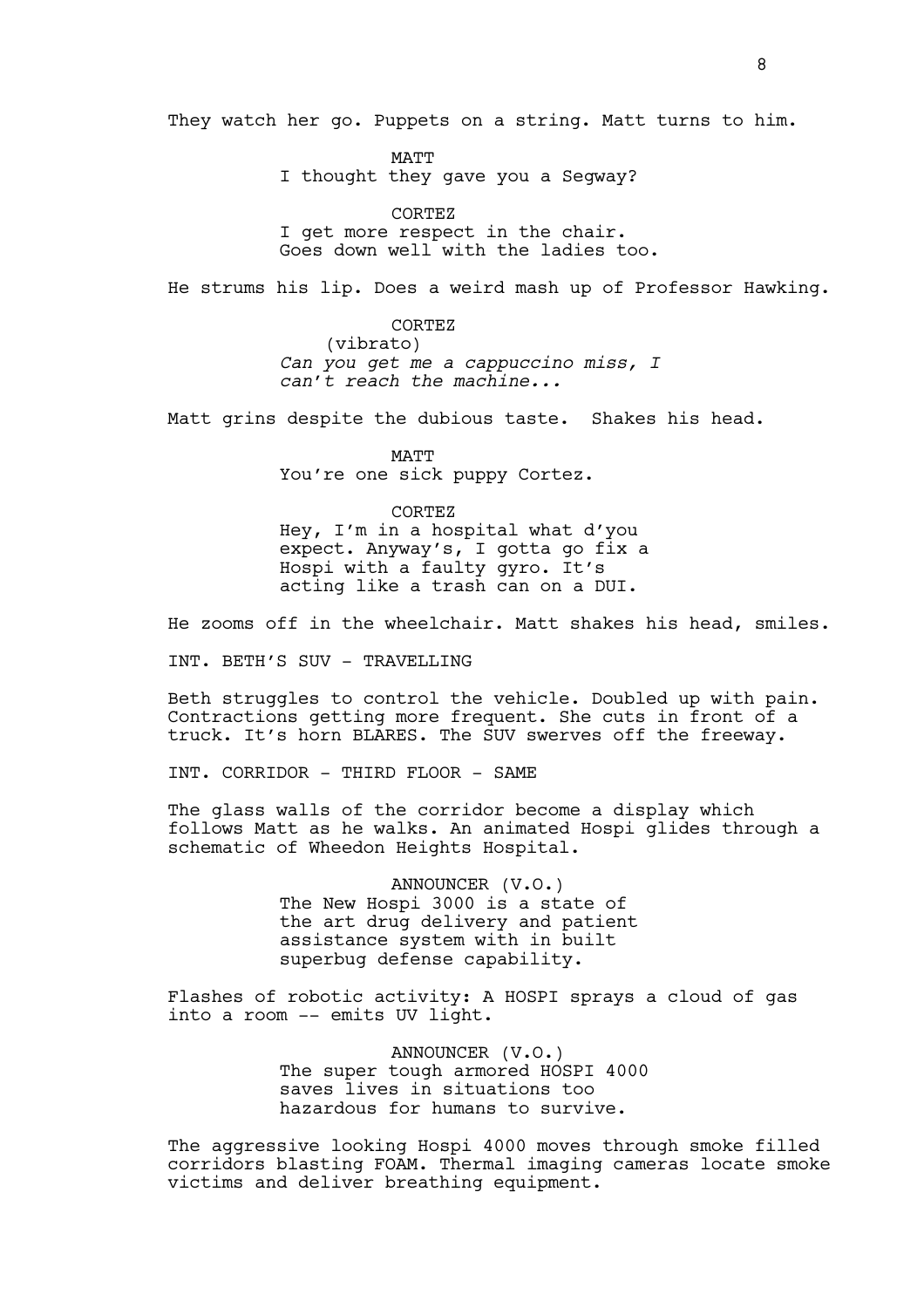They watch her go. Puppets on a string. Matt turns to him.

MATT I thought they gave you a Segway?

CORTEZ I get more respect in the chair. Goes down well with the ladies too.

He strums his lip. Does a weird mash up of Professor Hawking.

CORTEZ (vibrato) *Can you get me a cappuccino miss, I can't reach the machine...*

Matt grins despite the dubious taste. Shakes his head.

MATT You're one sick puppy Cortez.

CORTEZ Hey, I'm in a hospital what d'you expect. Anyway's, I gotta go fix a Hospi with a faulty gyro. It's acting like a trash can on a DUI.

He zooms off in the wheelchair. Matt shakes his head, smiles.

INT. BETH'S SUV - TRAVELLING

Beth struggles to control the vehicle. Doubled up with pain. Contractions getting more frequent. She cuts in front of a truck. It's horn BLARES. The SUV swerves off the freeway.

INT. CORRIDOR - THIRD FLOOR - SAME

The glass walls of the corridor become a display which follows Matt as he walks. An animated Hospi glides through a schematic of Wheedon Heights Hospital.

> ANNOUNCER (V.O.) The New Hospi 3000 is a state of the art drug delivery and patient assistance system with in built superbug defense capability.

Flashes of robotic activity: A HOSPI sprays a cloud of gas into a room -- emits UV light.

> ANNOUNCER (V.O.) The super tough armored HOSPI 4000 saves lives in situations too hazardous for humans to survive.

The aggressive looking Hospi 4000 moves through smoke filled corridors blasting FOAM. Thermal imaging cameras locate smoke victims and deliver breathing equipment.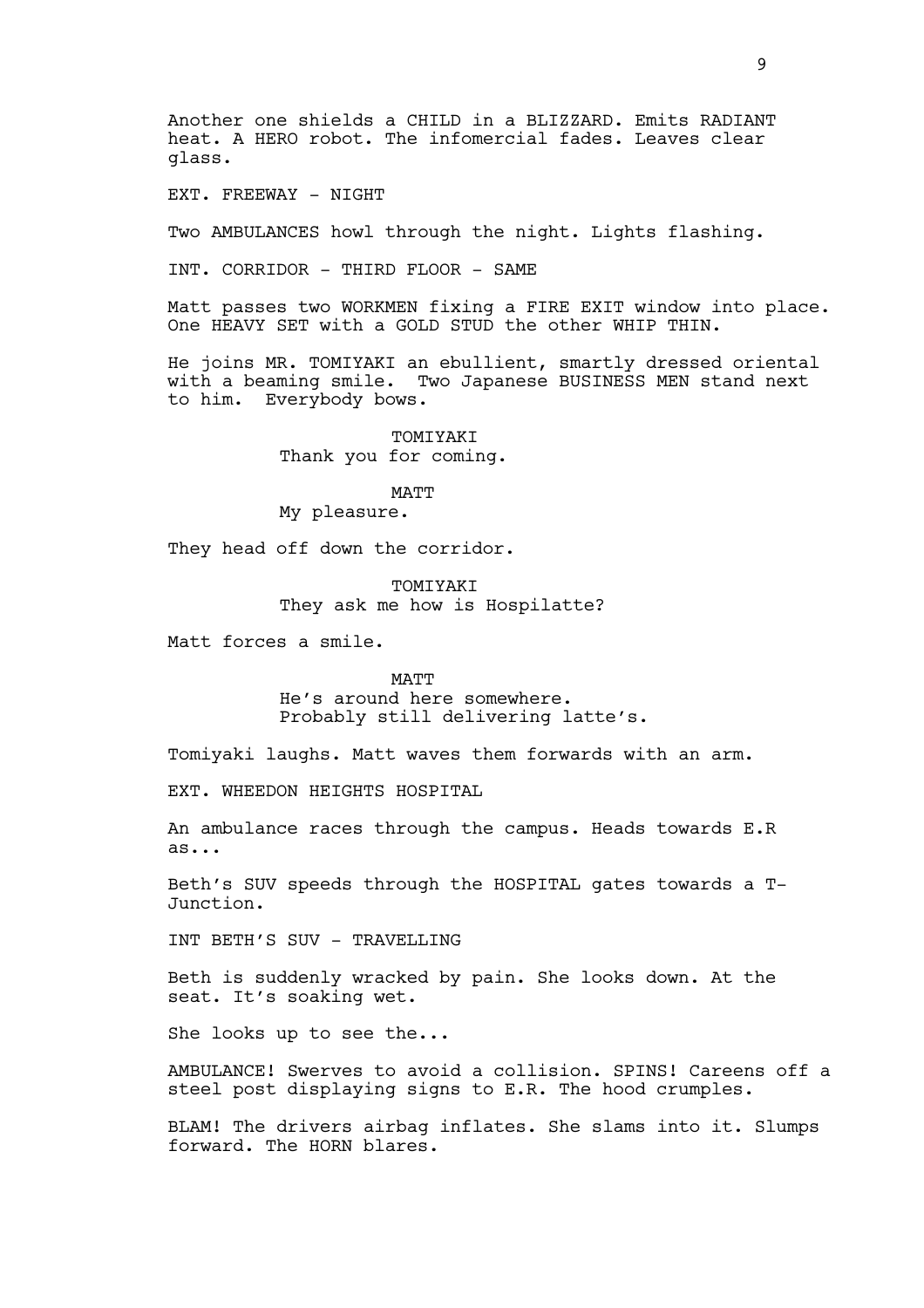Another one shields a CHILD in a BLIZZARD. Emits RADIANT heat. A HERO robot. The infomercial fades. Leaves clear glass.

EXT. FREEWAY - NIGHT

Two AMBULANCES howl through the night. Lights flashing.

INT. CORRIDOR - THIRD FLOOR - SAME

Matt passes two WORKMEN fixing a FIRE EXIT window into place. One HEAVY SET with a GOLD STUD the other WHIP THIN.

He joins MR. TOMIYAKI an ebullient, smartly dressed oriental with a beaming smile. Two Japanese BUSINESS MEN stand next to him. Everybody bows.

> TOMIYAKI Thank you for coming.

> > MATT

My pleasure.

They head off down the corridor.

TOMIYAKI They ask me how is Hospilatte?

Matt forces a smile.

**MATT** 

He's around here somewhere. Probably still delivering latte's.

Tomiyaki laughs. Matt waves them forwards with an arm.

EXT. WHEEDON HEIGHTS HOSPITAL

An ambulance races through the campus. Heads towards E.R as...

Beth's SUV speeds through the HOSPITAL gates towards a T-Junction.

INT BETH'S SUV - TRAVELLING

Beth is suddenly wracked by pain. She looks down. At the seat. It's soaking wet.

She looks up to see the...

AMBULANCE! Swerves to avoid a collision. SPINS! Careens off a steel post displaying signs to E.R. The hood crumples.

BLAM! The drivers airbag inflates. She slams into it. Slumps forward. The HORN blares.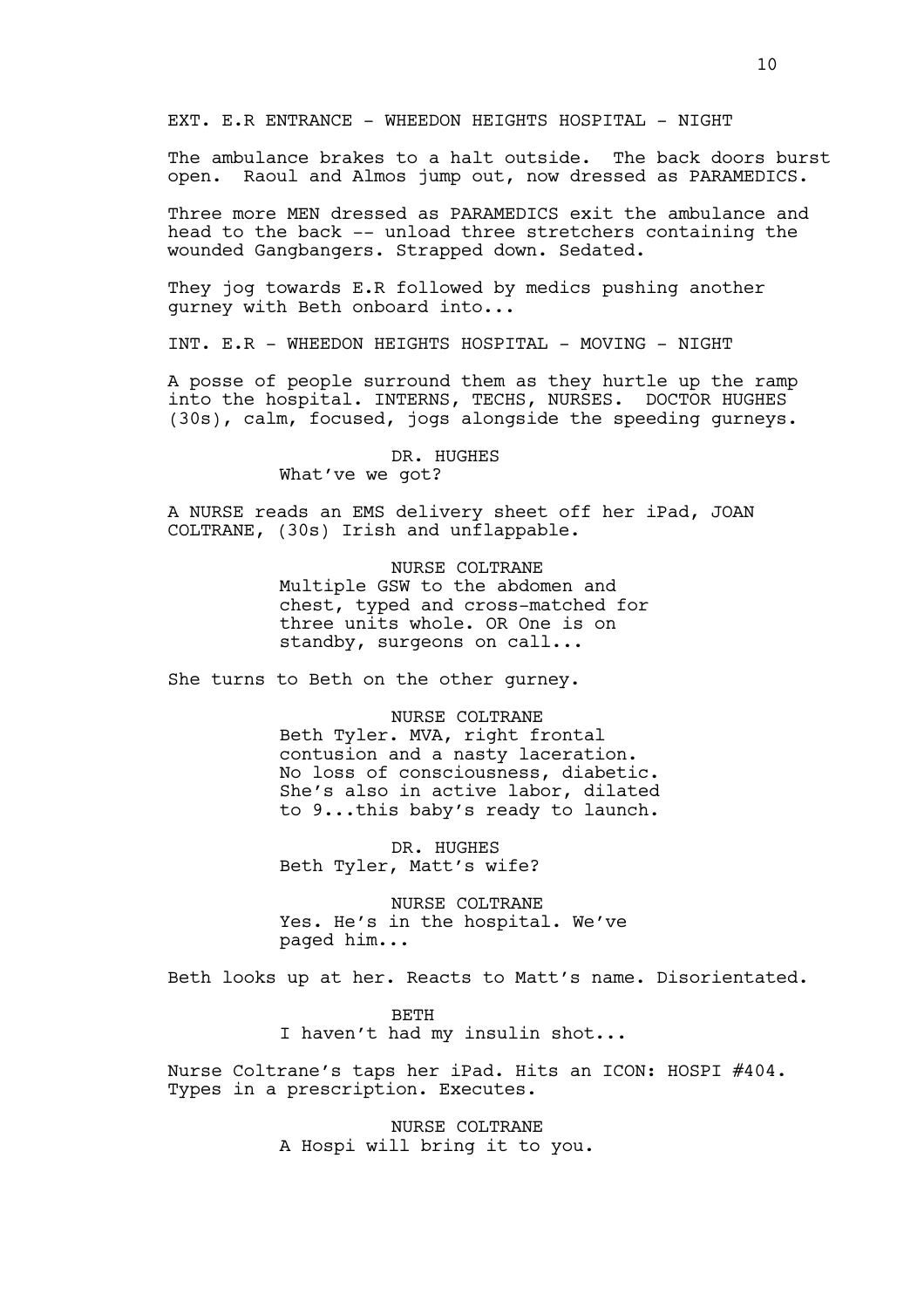EXT. E.R ENTRANCE - WHEEDON HEIGHTS HOSPITAL - NIGHT

The ambulance brakes to a halt outside. The back doors burst open. Raoul and Almos jump out, now dressed as PARAMEDICS.

Three more MEN dressed as PARAMEDICS exit the ambulance and head to the back -- unload three stretchers containing the wounded Gangbangers. Strapped down. Sedated.

They jog towards E.R followed by medics pushing another gurney with Beth onboard into...

INT. E.R - WHEEDON HEIGHTS HOSPITAL - MOVING - NIGHT

A posse of people surround them as they hurtle up the ramp into the hospital. INTERNS, TECHS, NURSES. DOCTOR HUGHES (30s), calm, focused, jogs alongside the speeding gurneys.

> DR. HUGHES What've we got?

A NURSE reads an EMS delivery sheet off her iPad, JOAN COLTRANE, (30s) Irish and unflappable.

> NURSE COLTRANE Multiple GSW to the abdomen and chest, typed and cross-matched for three units whole. OR One is on standby, surgeons on call...

She turns to Beth on the other gurney.

NURSE COLTRANE Beth Tyler. MVA, right frontal contusion and a nasty laceration. No loss of consciousness, diabetic. She's also in active labor, dilated to 9...this baby's ready to launch.

DR. HUGHES Beth Tyler, Matt's wife?

NURSE COLTRANE Yes. He's in the hospital. We've paged him...

Beth looks up at her. Reacts to Matt's name. Disorientated.

BETH I haven't had my insulin shot...

Nurse Coltrane's taps her iPad. Hits an ICON: HOSPI #404. Types in a prescription. Executes.

> NURSE COLTRANE A Hospi will bring it to you.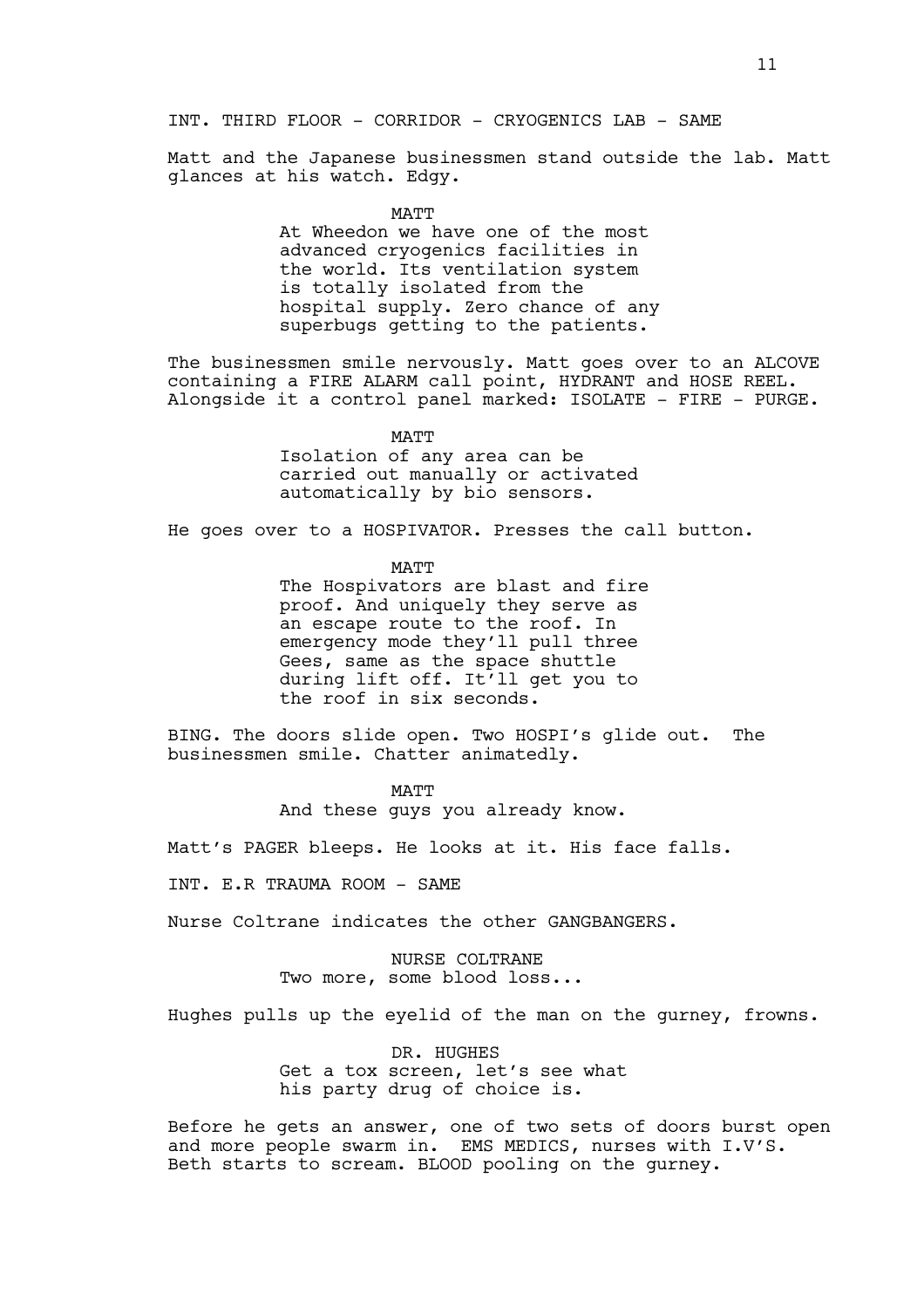## INT. THIRD FLOOR - CORRIDOR - CRYOGENICS LAB - SAME

Matt and the Japanese businessmen stand outside the lab. Matt glances at his watch. Edgy.

MATT

At Wheedon we have one of the most advanced cryogenics facilities in the world. Its ventilation system is totally isolated from the hospital supply. Zero chance of any superbugs getting to the patients.

The businessmen smile nervously. Matt goes over to an ALCOVE containing a FIRE ALARM call point, HYDRANT and HOSE REEL. Alongside it a control panel marked: ISOLATE - FIRE - PURGE.

MATT

Isolation of any area can be carried out manually or activated automatically by bio sensors.

He goes over to a HOSPIVATOR. Presses the call button.

MATT

The Hospivators are blast and fire proof. And uniquely they serve as an escape route to the roof. In emergency mode they'll pull three Gees, same as the space shuttle during lift off. It'll get you to the roof in six seconds.

BING. The doors slide open. Two HOSPI's glide out. The businessmen smile. Chatter animatedly.

> MATT And these guys you already know.

Matt's PAGER bleeps. He looks at it. His face falls.

INT. E.R TRAUMA ROOM - SAME

Nurse Coltrane indicates the other GANGBANGERS.

NURSE COLTRANE Two more, some blood loss...

Hughes pulls up the eyelid of the man on the gurney, frowns.

DR. HUGHES Get a tox screen, let's see what his party drug of choice is.

Before he gets an answer, one of two sets of doors burst open and more people swarm in. EMS MEDICS, nurses with I.V'S. Beth starts to scream. BLOOD pooling on the gurney.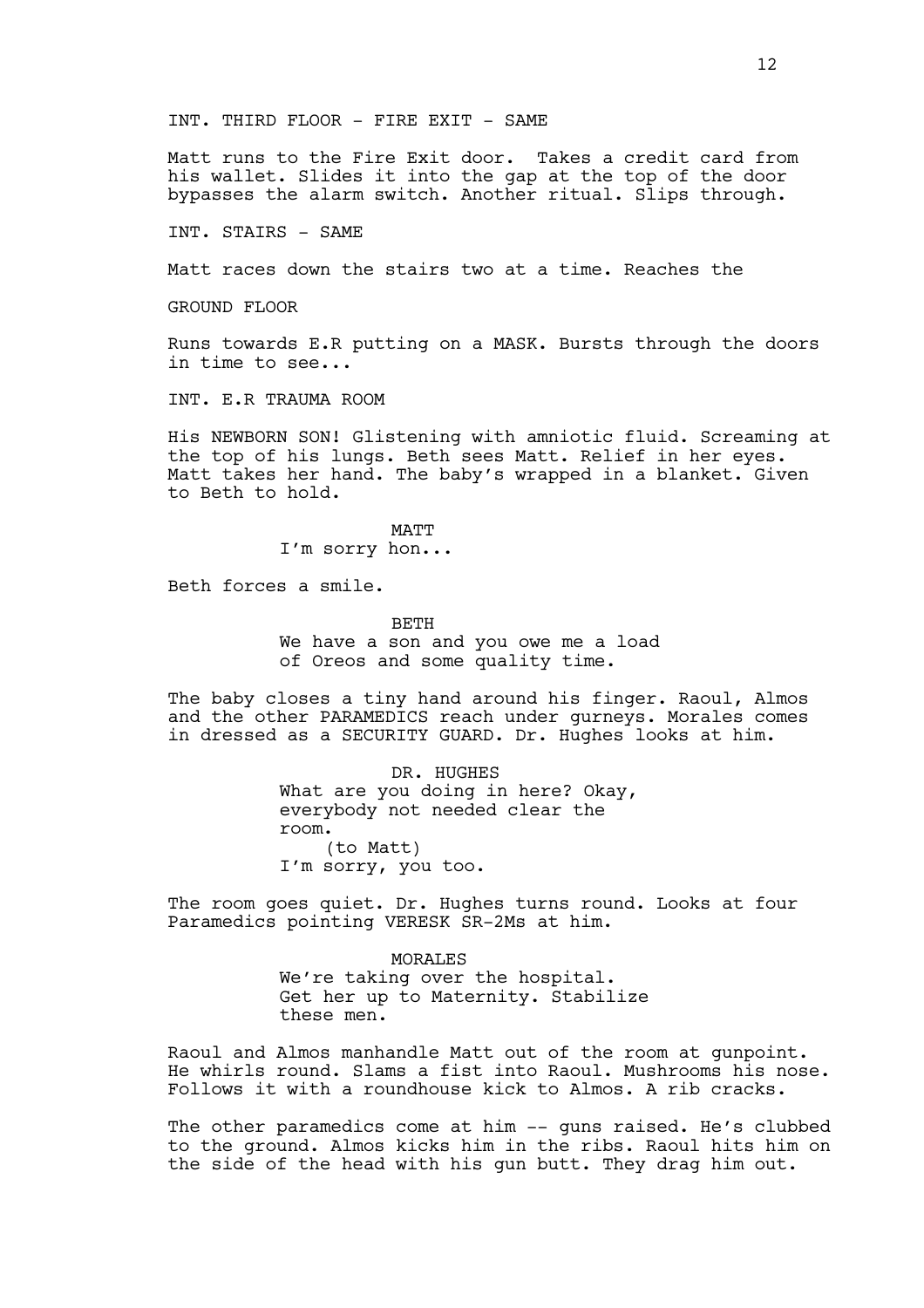INT. THIRD FLOOR - FIRE EXIT - SAME

Matt runs to the Fire Exit door. Takes a credit card from his wallet. Slides it into the gap at the top of the door bypasses the alarm switch. Another ritual. Slips through.

INT. STAIRS - SAME

Matt races down the stairs two at a time. Reaches the

GROUND FLOOR

Runs towards E.R putting on a MASK. Bursts through the doors in time to see...

INT. E.R TRAUMA ROOM

His NEWBORN SON! Glistening with amniotic fluid. Screaming at the top of his lungs. Beth sees Matt. Relief in her eyes. Matt takes her hand. The baby's wrapped in a blanket. Given to Beth to hold.

> MATT I'm sorry hon...

Beth forces a smile.

**BETH** 

We have a son and you owe me a load of Oreos and some quality time.

The baby closes a tiny hand around his finger. Raoul, Almos and the other PARAMEDICS reach under gurneys. Morales comes in dressed as a SECURITY GUARD. Dr. Hughes looks at him.

> DR. HUGHES What are you doing in here? Okay, everybody not needed clear the room. (to Matt) I'm sorry, you too.

The room goes quiet. Dr. Hughes turns round. Looks at four Paramedics pointing VERESK SR-2Ms at him.

> MORALES We're taking over the hospital. Get her up to Maternity. Stabilize these men.

Raoul and Almos manhandle Matt out of the room at gunpoint. He whirls round. Slams a fist into Raoul. Mushrooms his nose. Follows it with a roundhouse kick to Almos. A rib cracks.

The other paramedics come at him -- quns raised. He's clubbed to the ground. Almos kicks him in the ribs. Raoul hits him on the side of the head with his gun butt. They drag him out.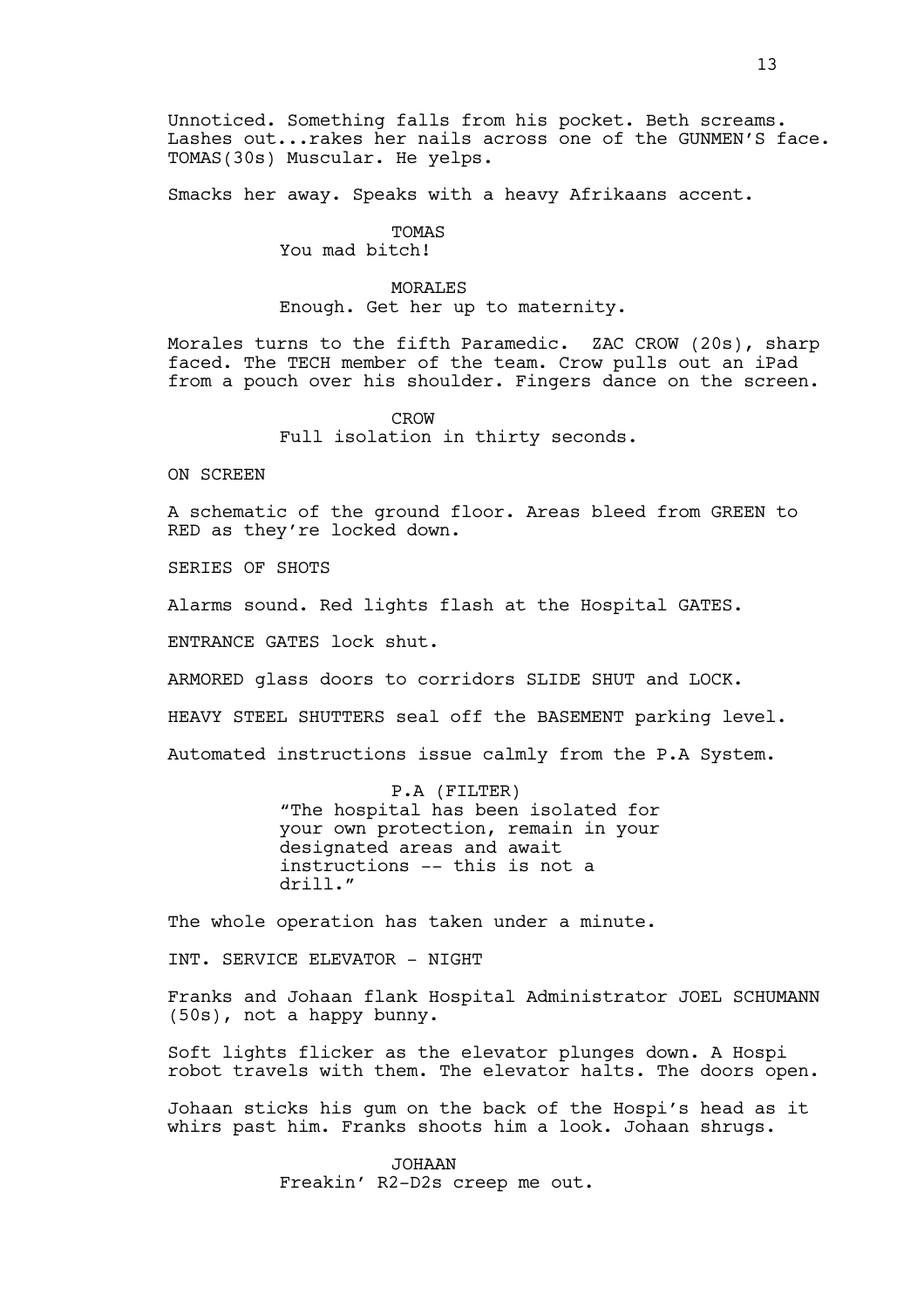Unnoticed. Something falls from his pocket. Beth screams. Lashes out...rakes her nails across one of the GUNMEN'S face. TOMAS(30s) Muscular. He yelps.

Smacks her away. Speaks with a heavy Afrikaans accent.

## TOMAS

You mad bitch!

## MORALES

Enough. Get her up to maternity.

Morales turns to the fifth Paramedic. ZAC CROW (20s), sharp faced. The TECH member of the team. Crow pulls out an iPad from a pouch over his shoulder. Fingers dance on the screen.

> CROW Full isolation in thirty seconds.

ON SCREEN

A schematic of the ground floor. Areas bleed from GREEN to RED as they're locked down.

SERIES OF SHOTS

Alarms sound. Red lights flash at the Hospital GATES.

ENTRANCE GATES lock shut.

ARMORED glass doors to corridors SLIDE SHUT and LOCK.

HEAVY STEEL SHUTTERS seal off the BASEMENT parking level.

Automated instructions issue calmly from the P.A System.

P.A (FILTER) "The hospital has been isolated for

your own protection, remain in your designated areas and await instructions -- this is not a drill."

The whole operation has taken under a minute.

INT. SERVICE ELEVATOR - NIGHT

Franks and Johaan flank Hospital Administrator JOEL SCHUMANN (50s), not a happy bunny.

Soft lights flicker as the elevator plunges down. A Hospi robot travels with them. The elevator halts. The doors open.

Johaan sticks his gum on the back of the Hospi's head as it whirs past him. Franks shoots him a look. Johaan shrugs.

> JOHAAN Freakin' R2-D2s creep me out.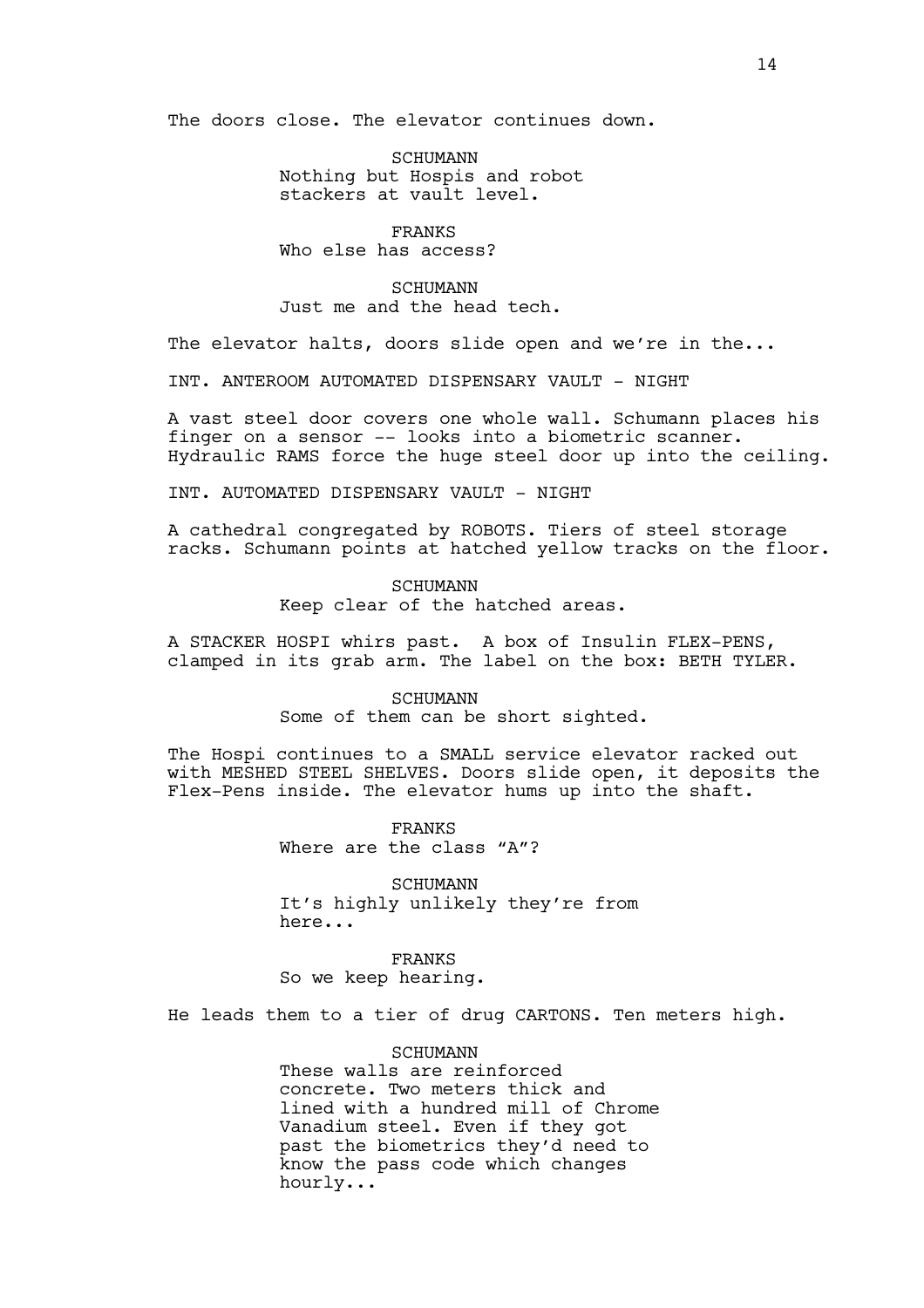The doors close. The elevator continues down.

SCHUMANN Nothing but Hospis and robot stackers at vault level.

FRANKS Who else has access?

## **SCHUMANN**

Just me and the head tech.

The elevator halts, doors slide open and we're in the...

INT. ANTEROOM AUTOMATED DISPENSARY VAULT - NIGHT

A vast steel door covers one whole wall. Schumann places his finger on a sensor -- looks into a biometric scanner. Hydraulic RAMS force the huge steel door up into the ceiling.

INT. AUTOMATED DISPENSARY VAULT - NIGHT

A cathedral congregated by ROBOTS. Tiers of steel storage racks. Schumann points at hatched yellow tracks on the floor.

> SCHUMANN Keep clear of the hatched areas.

A STACKER HOSPI whirs past. A box of Insulin FLEX-PENS, clamped in its grab arm. The label on the box: BETH TYLER.

> SCHUMANN Some of them can be short sighted.

The Hospi continues to a SMALL service elevator racked out with MESHED STEEL SHELVES. Doors slide open, it deposits the Flex-Pens inside. The elevator hums up into the shaft.

> FRANKS Where are the class "A"?

SCHUMANN It's highly unlikely they're from here...

FRANKS So we keep hearing.

He leads them to a tier of drug CARTONS. Ten meters high.

**SCHUMANN** 

These walls are reinforced concrete. Two meters thick and lined with a hundred mill of Chrome Vanadium steel. Even if they got past the biometrics they'd need to know the pass code which changes hourly...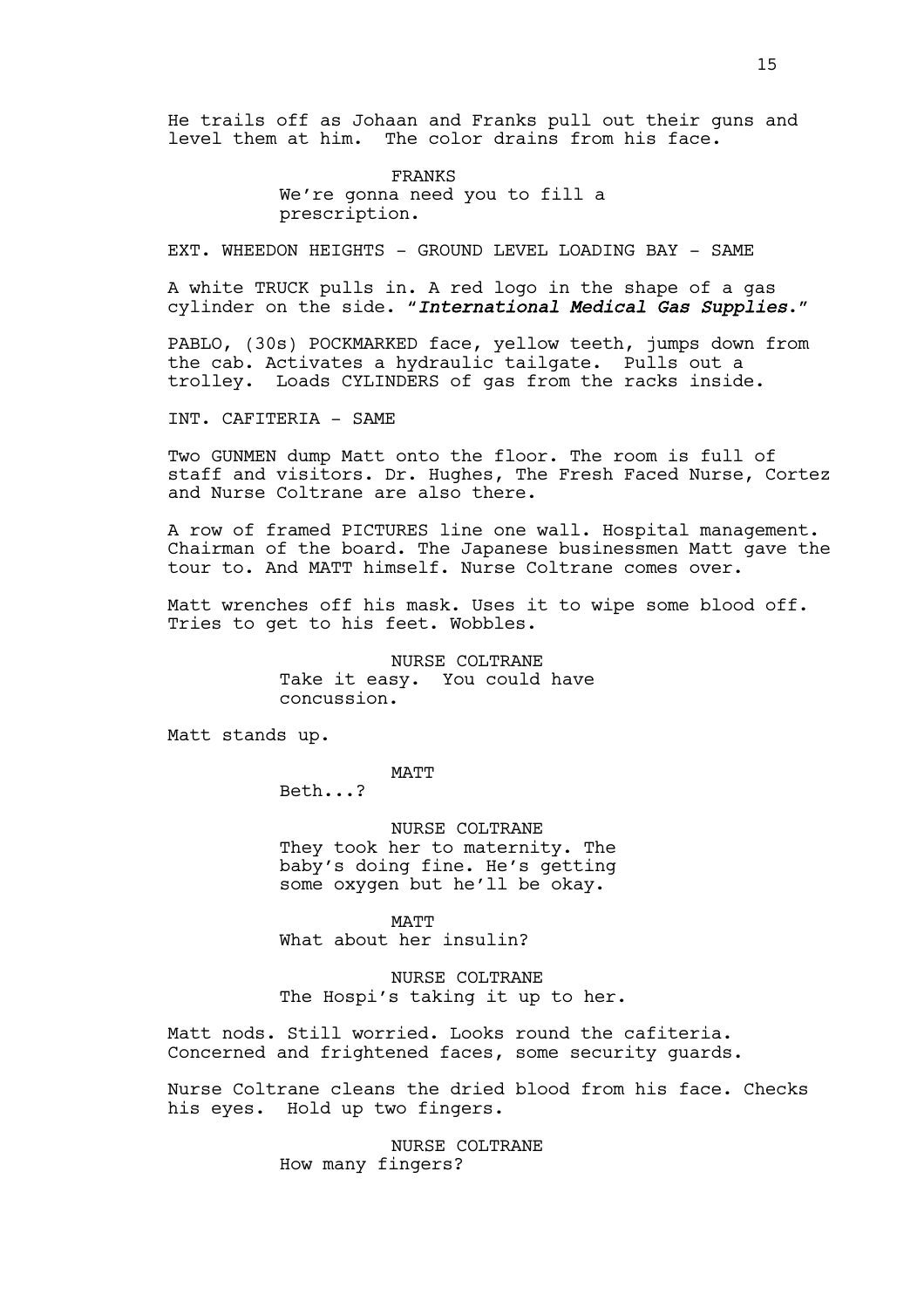He trails off as Johaan and Franks pull out their guns and level them at him. The color drains from his face.

> FRANKS We're gonna need you to fill a prescription.

EXT. WHEEDON HEIGHTS - GROUND LEVEL LOADING BAY - SAME

A white TRUCK pulls in. A red logo in the shape of a gas cylinder on the side. "*International Medical Gas Supplies*."

PABLO, (30s) POCKMARKED face, yellow teeth, jumps down from the cab. Activates a hydraulic tailgate. Pulls out a trolley. Loads CYLINDERS of gas from the racks inside.

INT. CAFITERIA - SAME

Two GUNMEN dump Matt onto the floor. The room is full of staff and visitors. Dr. Hughes, The Fresh Faced Nurse, Cortez and Nurse Coltrane are also there.

A row of framed PICTURES line one wall. Hospital management. Chairman of the board. The Japanese businessmen Matt gave the tour to. And MATT himself. Nurse Coltrane comes over.

Matt wrenches off his mask. Uses it to wipe some blood off. Tries to get to his feet. Wobbles.

> NURSE COLTRANE Take it easy. You could have concussion.

Matt stands up.

MATT

Beth...?

NURSE COLTRANE They took her to maternity. The baby's doing fine. He's getting some oxygen but he'll be okay.

MATT What about her insulin?

NURSE COLTRANE The Hospi's taking it up to her.

Matt nods. Still worried. Looks round the cafiteria. Concerned and frightened faces, some security guards.

Nurse Coltrane cleans the dried blood from his face. Checks his eyes. Hold up two fingers.

> NURSE COLTRANE How many fingers?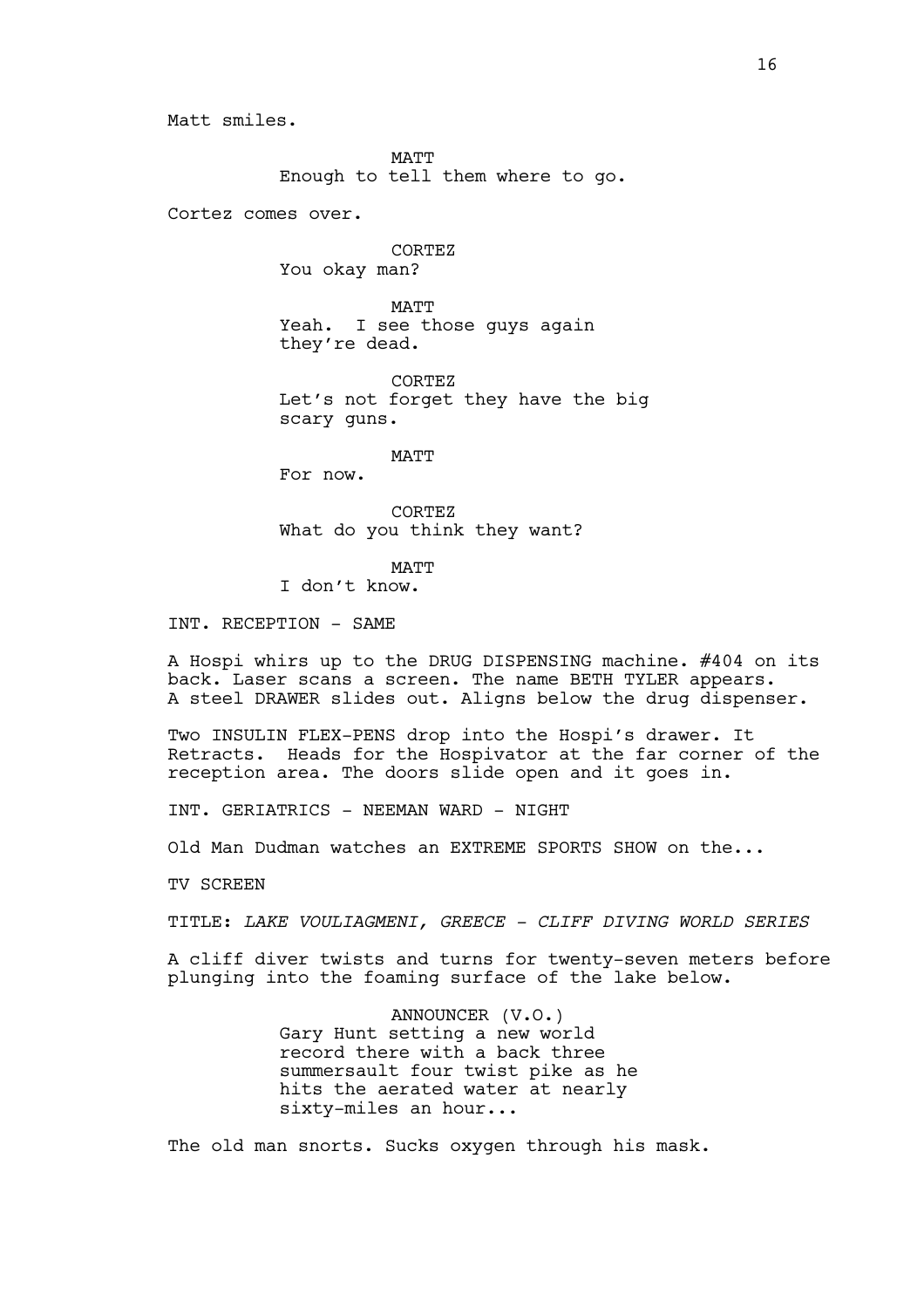Matt smiles.

MATT Enough to tell them where to go.

Cortez comes over.

CORTEZ You okay man?

MATT Yeah. I see those guys again they're dead.

CORTEZ Let's not forget they have the big scary guns.

MATT

For now.

CORTEZ What do you think they want?

MATT

I don't know.

INT. RECEPTION - SAME

A Hospi whirs up to the DRUG DISPENSING machine. #404 on its back. Laser scans a screen. The name BETH TYLER appears. A steel DRAWER slides out. Aligns below the drug dispenser.

Two INSULIN FLEX-PENS drop into the Hospi's drawer. It Retracts. Heads for the Hospivator at the far corner of the reception area. The doors slide open and it goes in.

INT. GERIATRICS - NEEMAN WARD - NIGHT

Old Man Dudman watches an EXTREME SPORTS SHOW on the...

TV SCREEN

TITLE: *LAKE VOULIAGMENI, GREECE - CLIFF DIVING WORLD SERIES*

A cliff diver twists and turns for twenty-seven meters before plunging into the foaming surface of the lake below.

> ANNOUNCER (V.O.) Gary Hunt setting a new world record there with a back three summersault four twist pike as he hits the aerated water at nearly sixty-miles an hour...

The old man snorts. Sucks oxygen through his mask.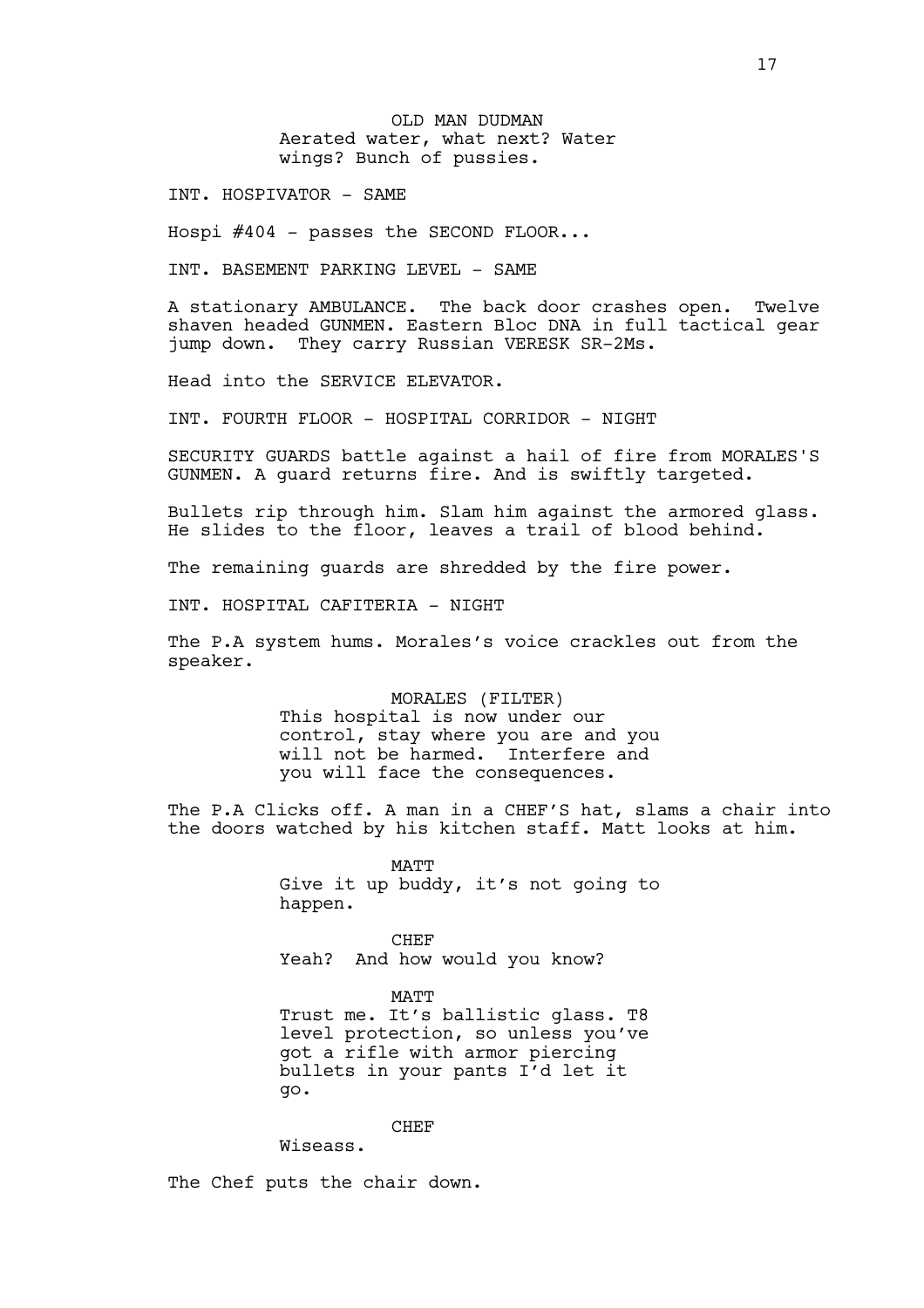OLD MAN DUDMAN Aerated water, what next? Water wings? Bunch of pussies.

INT. HOSPIVATOR - SAME

Hospi #404 - passes the SECOND FLOOR...

INT. BASEMENT PARKING LEVEL - SAME

A stationary AMBULANCE. The back door crashes open. Twelve shaven headed GUNMEN. Eastern Bloc DNA in full tactical gear jump down. They carry Russian VERESK SR-2Ms.

Head into the SERVICE ELEVATOR.

INT. FOURTH FLOOR - HOSPITAL CORRIDOR - NIGHT

SECURITY GUARDS battle against a hail of fire from MORALES'S GUNMEN. A guard returns fire. And is swiftly targeted.

Bullets rip through him. Slam him against the armored glass. He slides to the floor, leaves a trail of blood behind.

The remaining quards are shredded by the fire power.

INT. HOSPITAL CAFITERIA - NIGHT

The P.A system hums. Morales's voice crackles out from the speaker.

> MORALES (FILTER) This hospital is now under our control, stay where you are and you will not be harmed. Interfere and you will face the consequences.

The P.A Clicks off. A man in a CHEF'S hat, slams a chair into the doors watched by his kitchen staff. Matt looks at him.

> MATT Give it up buddy, it's not going to happen.

CHEF Yeah? And how would you know?

MATT Trust me. It's ballistic glass. T8 level protection, so unless you've got a rifle with armor piercing bullets in your pants I'd let it go.

**CHEF** 

Wiseass.

The Chef puts the chair down.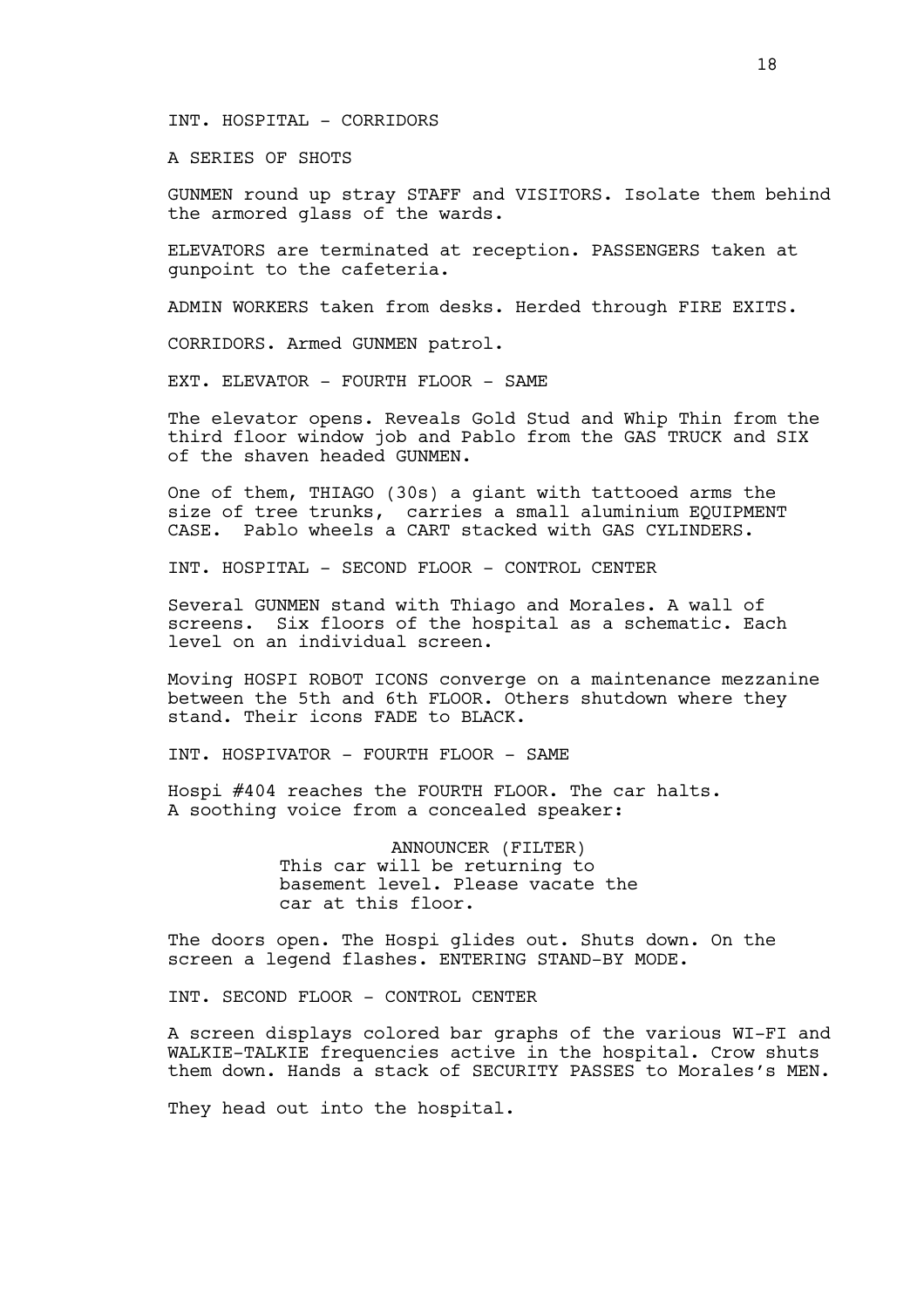### INT. HOSPITAL - CORRIDORS

A SERIES OF SHOTS

GUNMEN round up stray STAFF and VISITORS. Isolate them behind the armored glass of the wards.

ELEVATORS are terminated at reception. PASSENGERS taken at gunpoint to the cafeteria.

ADMIN WORKERS taken from desks. Herded through FIRE EXITS.

CORRIDORS. Armed GUNMEN patrol.

EXT. ELEVATOR - FOURTH FLOOR - SAME

The elevator opens. Reveals Gold Stud and Whip Thin from the third floor window job and Pablo from the GAS TRUCK and SIX of the shaven headed GUNMEN.

One of them, THIAGO (30s) a giant with tattooed arms the size of tree trunks, carries a small aluminium EQUIPMENT CASE. Pablo wheels a CART stacked with GAS CYLINDERS.

INT. HOSPITAL - SECOND FLOOR - CONTROL CENTER

Several GUNMEN stand with Thiago and Morales. A wall of screens. Six floors of the hospital as a schematic. Each level on an individual screen.

Moving HOSPI ROBOT ICONS converge on a maintenance mezzanine between the 5th and 6th FLOOR. Others shutdown where they stand. Their icons FADE to BLACK.

INT. HOSPIVATOR - FOURTH FLOOR - SAME

Hospi #404 reaches the FOURTH FLOOR. The car halts. A soothing voice from a concealed speaker:

> ANNOUNCER (FILTER) This car will be returning to basement level. Please vacate the car at this floor.

The doors open. The Hospi glides out. Shuts down. On the screen a legend flashes. ENTERING STAND-BY MODE.

INT. SECOND FLOOR - CONTROL CENTER

A screen displays colored bar graphs of the various WI-FI and WALKIE-TALKIE frequencies active in the hospital. Crow shuts them down. Hands a stack of SECURITY PASSES to Morales's MEN.

They head out into the hospital.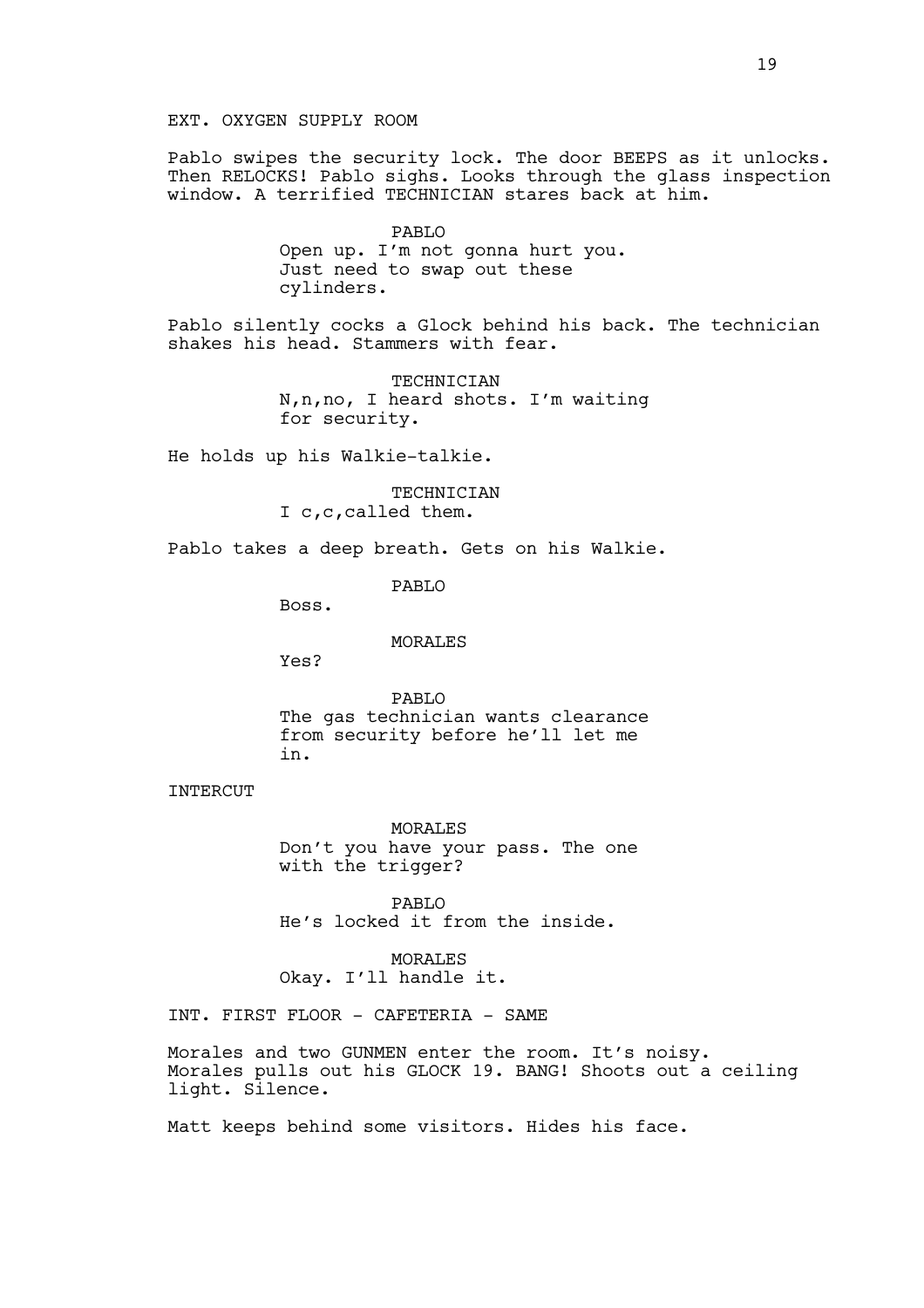Pablo swipes the security lock. The door BEEPS as it unlocks. Then RELOCKS! Pablo sighs. Looks through the glass inspection window. A terrified TECHNICIAN stares back at him.

> PABLO Open up. I'm not gonna hurt you. Just need to swap out these cylinders.

Pablo silently cocks a Glock behind his back. The technician shakes his head. Stammers with fear.

> TECHNICIAN N,n,no, I heard shots. I'm waiting for security.

He holds up his Walkie-talkie.

TECHNICIAN I c,c,called them.

Pablo takes a deep breath. Gets on his Walkie.

PABLO

Boss.

MORALES

Yes?

PABLO The gas technician wants clearance from security before he'll let me in.

INTERCUT

MORALES Don't you have your pass. The one with the trigger?

PABLO He's locked it from the inside.

MORALES Okay. I'll handle it.

INT. FIRST FLOOR - CAFETERIA - SAME

Morales and two GUNMEN enter the room. It's noisy. Morales pulls out his GLOCK 19. BANG! Shoots out a ceiling light. Silence.

Matt keeps behind some visitors. Hides his face.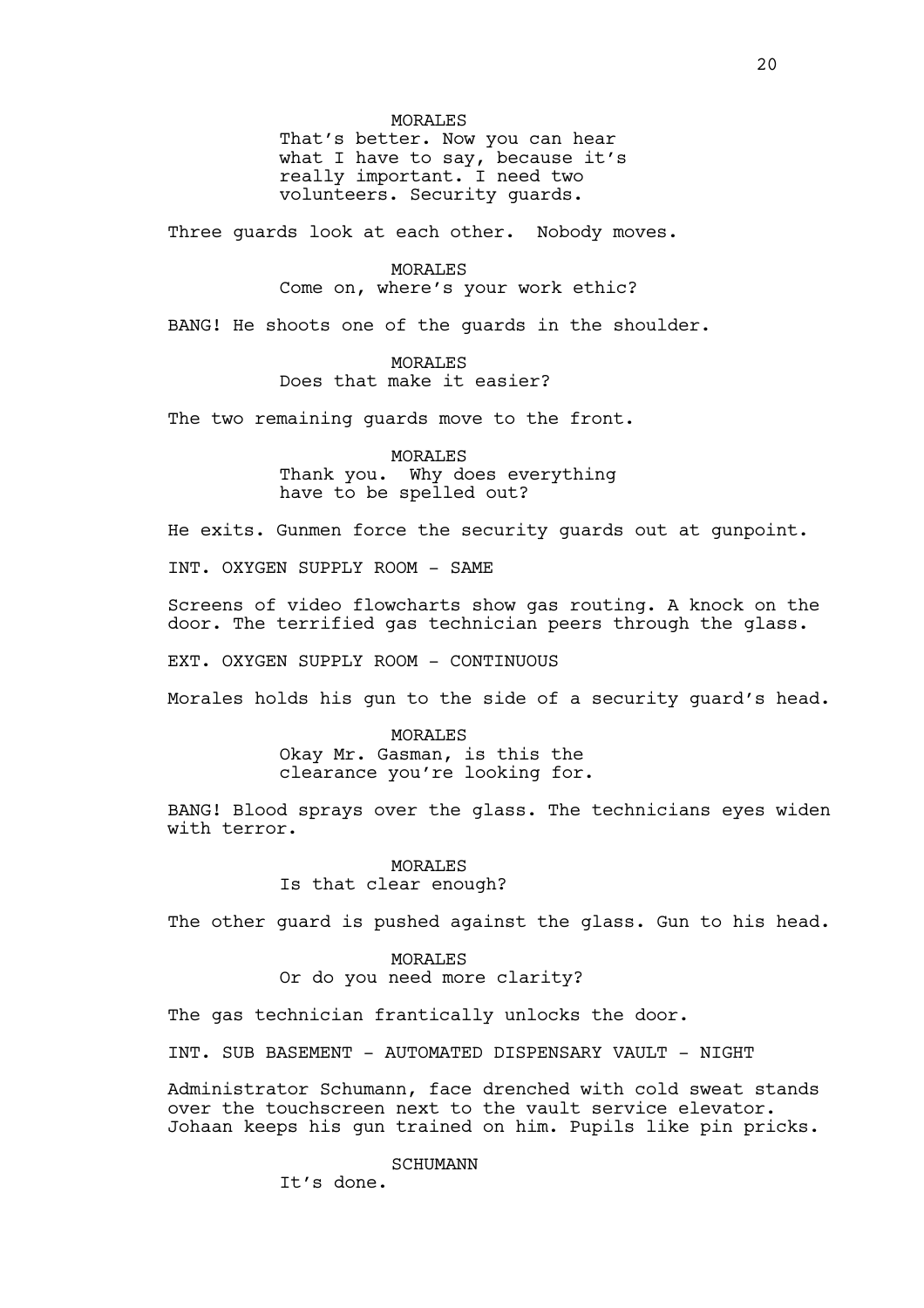MORALES That's better. Now you can hear what I have to say, because it's really important. I need two volunteers. Security guards.

Three guards look at each other. Nobody moves.

MORALES Come on, where's your work ethic?

BANG! He shoots one of the guards in the shoulder.

MORALES Does that make it easier?

The two remaining quards move to the front.

MORALES Thank you. Why does everything have to be spelled out?

He exits. Gunmen force the security guards out at gunpoint.

INT. OXYGEN SUPPLY ROOM - SAME

Screens of video flowcharts show gas routing. A knock on the door. The terrified gas technician peers through the glass.

EXT. OXYGEN SUPPLY ROOM - CONTINUOUS

Morales holds his gun to the side of a security guard's head.

MORALES Okay Mr. Gasman, is this the clearance you're looking for.

BANG! Blood sprays over the glass. The technicians eyes widen with terror.

> MORALES Is that clear enough?

The other quard is pushed against the glass. Gun to his head.

MORALES Or do you need more clarity?

The gas technician frantically unlocks the door.

INT. SUB BASEMENT - AUTOMATED DISPENSARY VAULT - NIGHT

Administrator Schumann, face drenched with cold sweat stands over the touchscreen next to the vault service elevator. Johaan keeps his gun trained on him. Pupils like pin pricks.

SCHUMANN

It's done.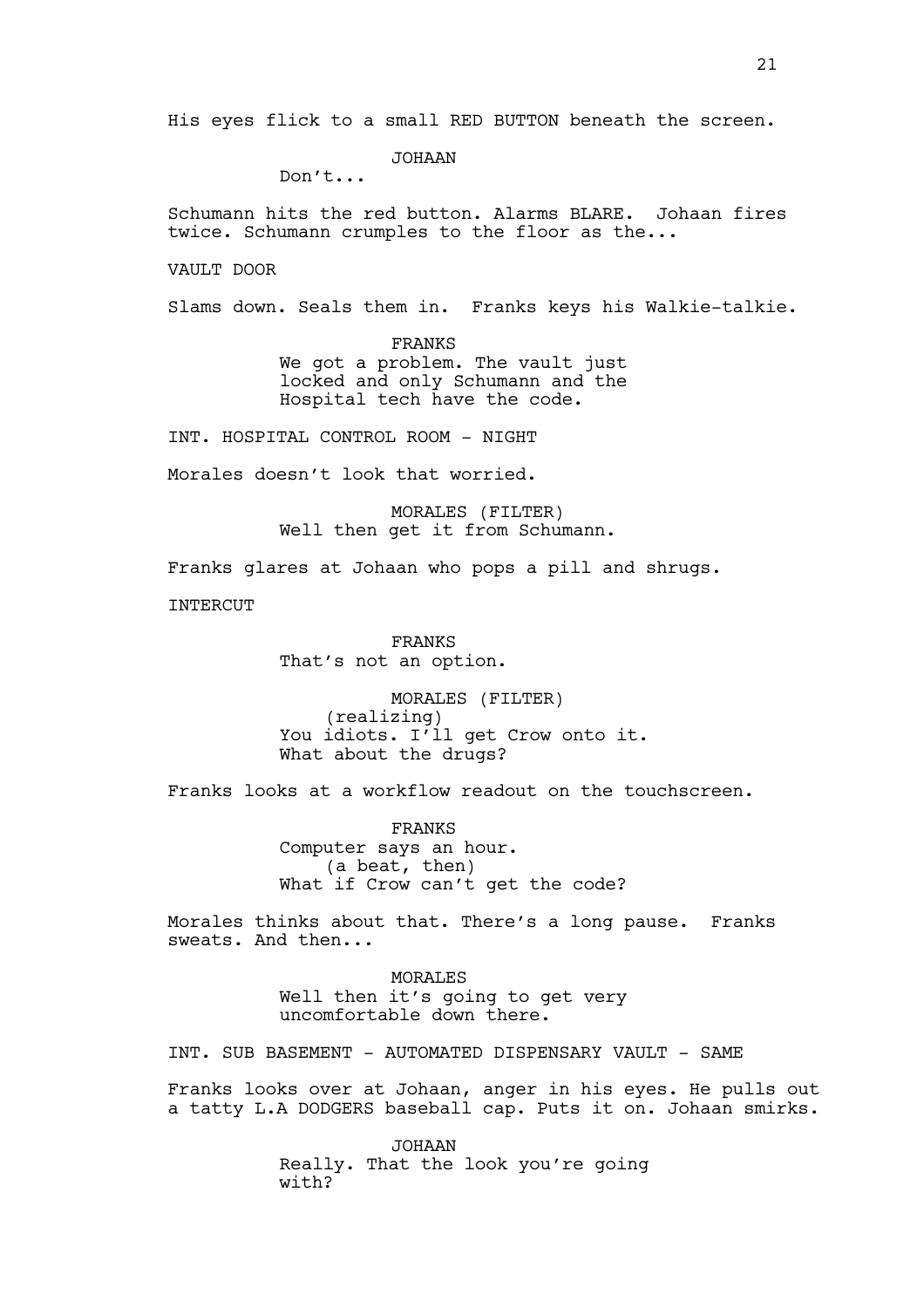JOHAAN

Don't...

Schumann hits the red button. Alarms BLARE. Johaan fires twice. Schumann crumples to the floor as the...

VAULT DOOR

Slams down. Seals them in. Franks keys his Walkie-talkie.

FRANKS We got a problem. The vault just locked and only Schumann and the Hospital tech have the code.

INT. HOSPITAL CONTROL ROOM - NIGHT

Morales doesn't look that worried.

MORALES (FILTER) Well then get it from Schumann.

Franks glares at Johaan who pops a pill and shrugs.

INTERCUT

FRANKS That's not an option.

MORALES (FILTER) (realizing) You idiots. I'll get Crow onto it. What about the drugs?

Franks looks at a workflow readout on the touchscreen.

FRANKS Computer says an hour. (a beat, then) What if Crow can't get the code?

Morales thinks about that. There's a long pause. Franks sweats. And then...

> **MORALES** Well then it's going to get very uncomfortable down there.

INT. SUB BASEMENT - AUTOMATED DISPENSARY VAULT - SAME

Franks looks over at Johaan, anger in his eyes. He pulls out a tatty L.A DODGERS baseball cap. Puts it on. Johaan smirks.

> JOHAAN Really. That the look you're going with?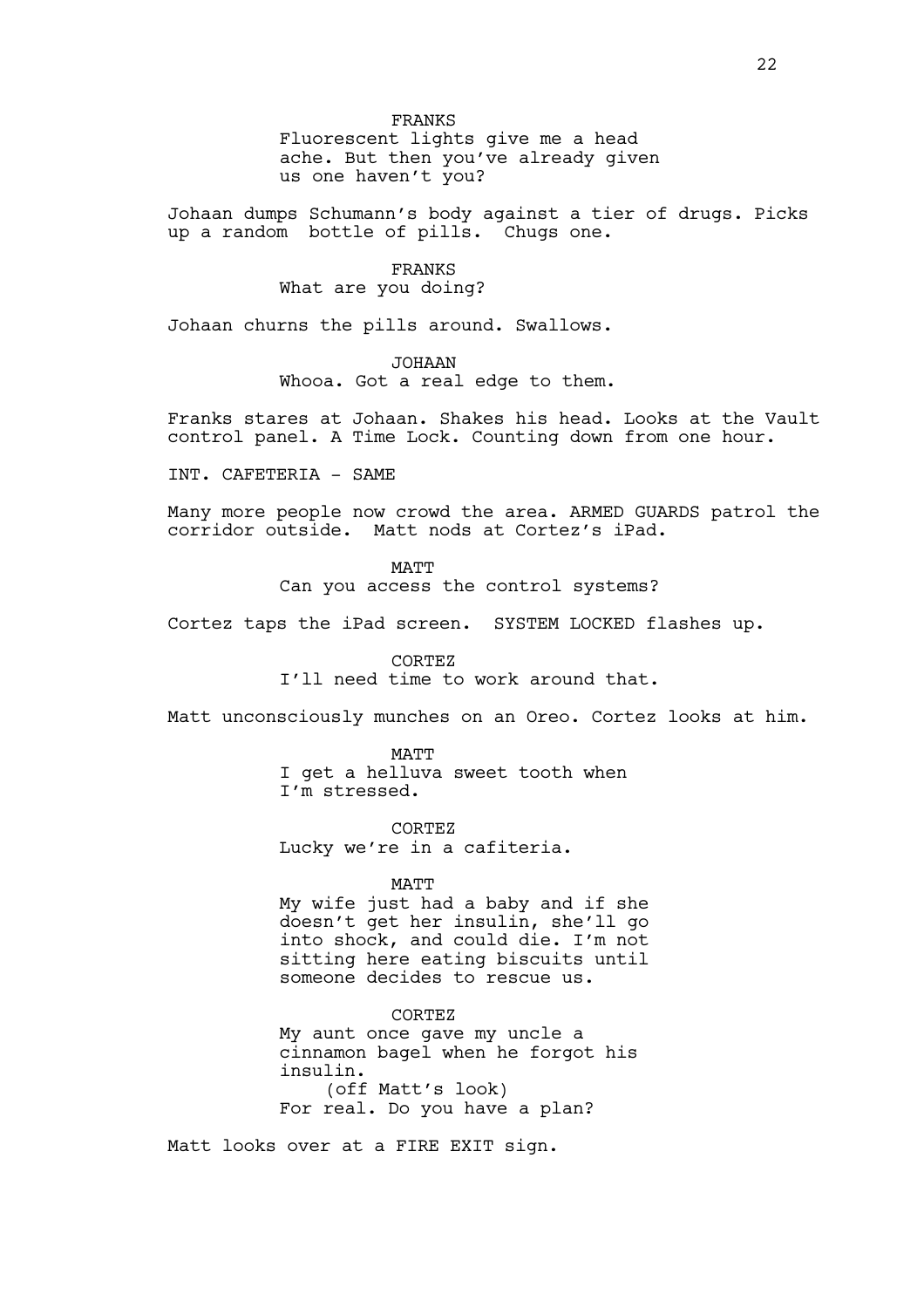FRANKS Fluorescent lights give me a head ache. But then you've already given us one haven't you?

Johaan dumps Schumann's body against a tier of drugs. Picks up a random bottle of pills. Chugs one.

> FRANKS What are you doing?

Johaan churns the pills around. Swallows.

JOHAAN Whooa. Got a real edge to them.

Franks stares at Johaan. Shakes his head. Looks at the Vault control panel. A Time Lock. Counting down from one hour.

INT. CAFETERIA - SAME

Many more people now crowd the area. ARMED GUARDS patrol the corridor outside. Matt nods at Cortez's iPad.

MATT

Can you access the control systems?

Cortez taps the iPad screen. SYSTEM LOCKED flashes up.

CORTEZ

I'll need time to work around that.

Matt unconsciously munches on an Oreo. Cortez looks at him.

MATT I get a helluva sweet tooth when I'm stressed.

CORTEZ Lucky we're in a cafiteria.

#### MATT

My wife just had a baby and if she doesn't get her insulin, she'll go into shock, and could die. I'm not sitting here eating biscuits until someone decides to rescue us.

CORTEZ My aunt once gave my uncle a cinnamon bagel when he forgot his insulin. (off Matt's look) For real. Do you have a plan?

Matt looks over at a FIRE EXIT sign.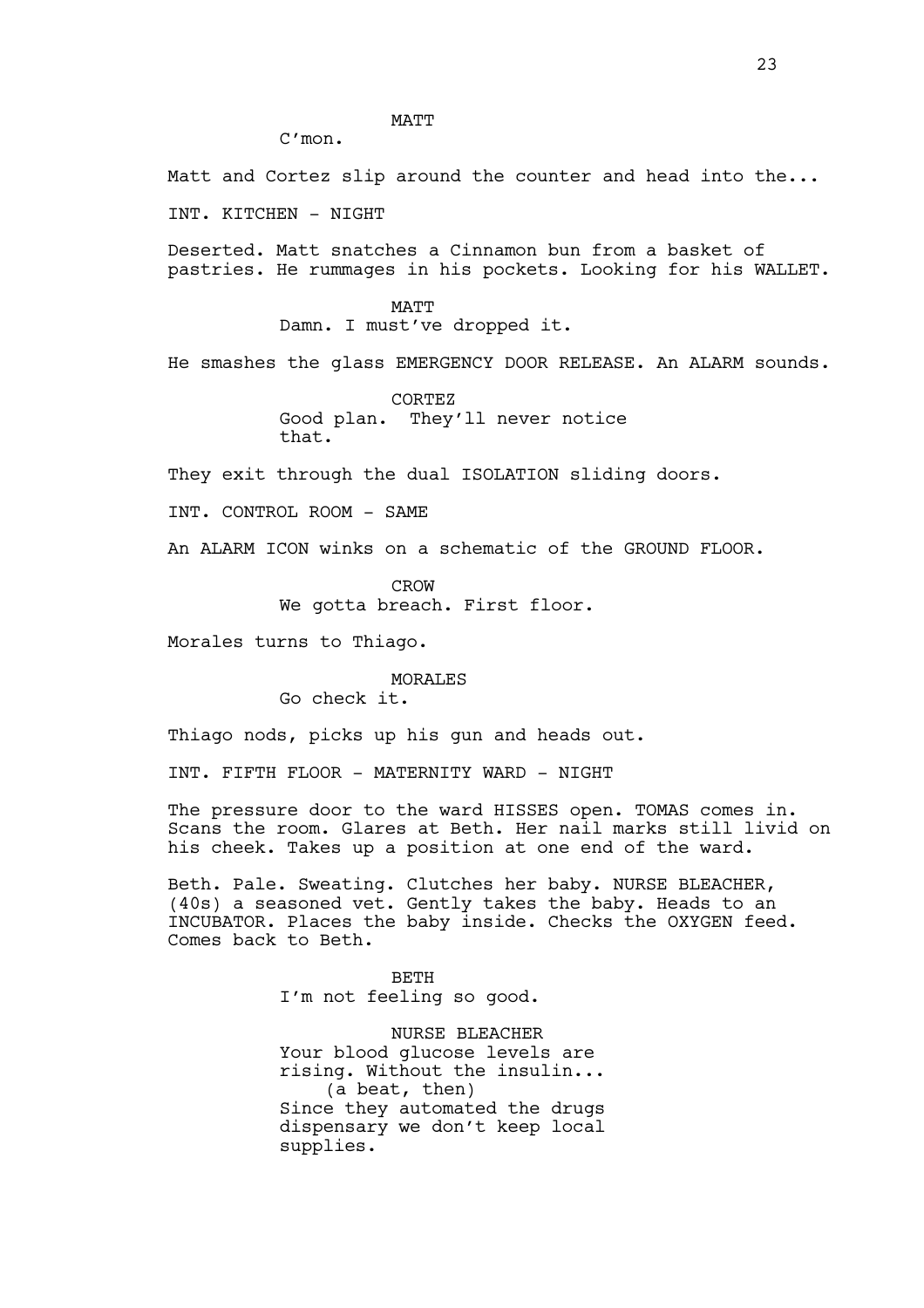MATT

Matt and Cortez slip around the counter and head into the...

INT. KITCHEN - NIGHT

C'mon.

Deserted. Matt snatches a Cinnamon bun from a basket of pastries. He rummages in his pockets. Looking for his WALLET.

> MATT Damn. I must've dropped it.

He smashes the glass EMERGENCY DOOR RELEASE. An ALARM sounds.

CORTEZ Good plan. They'll never notice that.

They exit through the dual ISOLATION sliding doors.

INT. CONTROL ROOM - SAME

An ALARM ICON winks on a schematic of the GROUND FLOOR.

CROW We gotta breach. First floor.

Morales turns to Thiago.

MORALES

Go check it.

Thiago nods, picks up his gun and heads out.

INT. FIFTH FLOOR - MATERNITY WARD - NIGHT

The pressure door to the ward HISSES open. TOMAS comes in. Scans the room. Glares at Beth. Her nail marks still livid on his cheek. Takes up a position at one end of the ward.

Beth. Pale. Sweating. Clutches her baby. NURSE BLEACHER, (40s) a seasoned vet. Gently takes the baby. Heads to an INCUBATOR. Places the baby inside. Checks the OXYGEN feed. Comes back to Beth.

> BETH I'm not feeling so good.

NURSE BLEACHER Your blood glucose levels are rising. Without the insulin... (a beat, then) Since they automated the drugs dispensary we don't keep local supplies.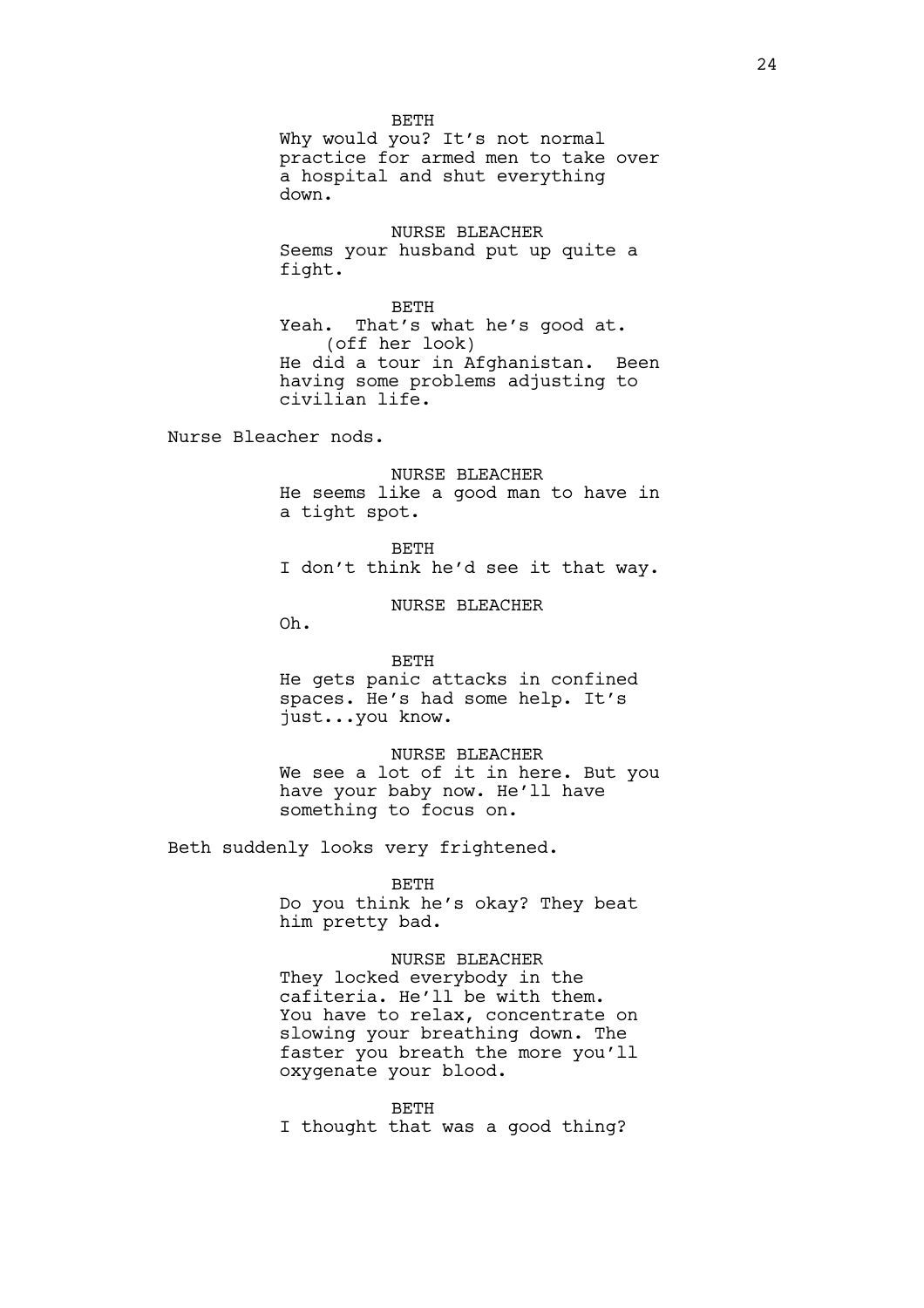BETH Why would you? It's not normal practice for armed men to take over a hospital and shut everything down.

NURSE BLEACHER Seems your husband put up quite a fight.

BETH Yeah. That's what he's good at. (off her look) He did a tour in Afghanistan. Been having some problems adjusting to civilian life.

Nurse Bleacher nods.

NURSE BLEACHER He seems like a good man to have in a tight spot.

BETH I don't think he'd see it that way.

NURSE BLEACHER

Oh.

BETH He gets panic attacks in confined spaces. He's had some help. It's just...you know.

NURSE BLEACHER We see a lot of it in here. But you have your baby now. He'll have something to focus on.

Beth suddenly looks very frightened.

BETH

Do you think he's okay? They beat him pretty bad.

NURSE BLEACHER They locked everybody in the cafiteria. He'll be with them. You have to relax, concentrate on slowing your breathing down. The faster you breath the more you'll oxygenate your blood.

BETH I thought that was a good thing?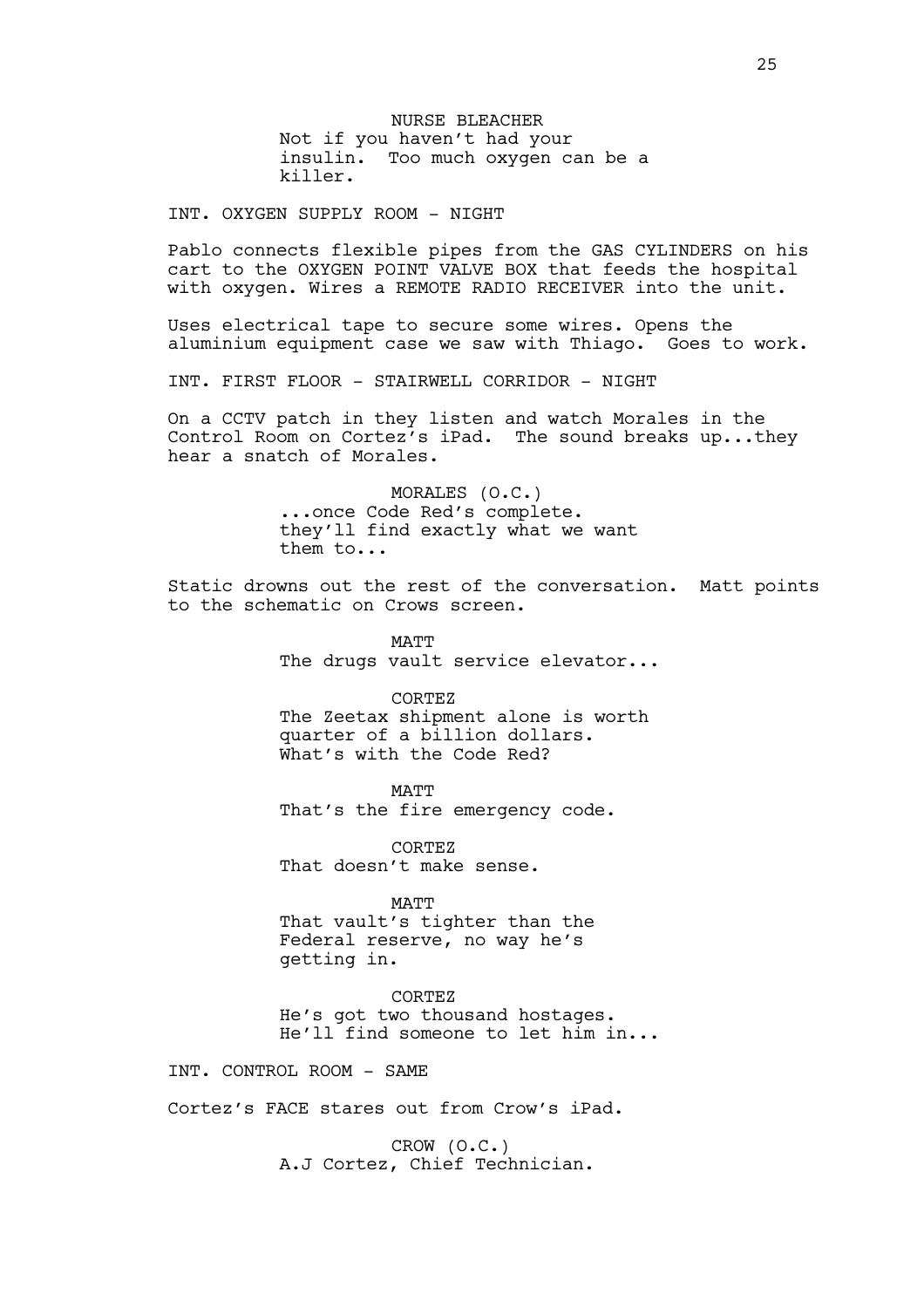NURSE BLEACHER Not if you haven't had your insulin. Too much oxygen can be a killer.

INT. OXYGEN SUPPLY ROOM - NIGHT

Pablo connects flexible pipes from the GAS CYLINDERS on his cart to the OXYGEN POINT VALVE BOX that feeds the hospital with oxygen. Wires a REMOTE RADIO RECEIVER into the unit.

Uses electrical tape to secure some wires. Opens the aluminium equipment case we saw with Thiago. Goes to work.

INT. FIRST FLOOR - STAIRWELL CORRIDOR - NIGHT

On a CCTV patch in they listen and watch Morales in the Control Room on Cortez's iPad. The sound breaks up...they hear a snatch of Morales.

> MORALES (O.C.) ...once Code Red's complete. they'll find exactly what we want them to...

Static drowns out the rest of the conversation. Matt points to the schematic on Crows screen.

> MATT The drugs vault service elevator...

CORTEZ The Zeetax shipment alone is worth quarter of a billion dollars. What's with the Code Red?

**MATT** 

That's the fire emergency code.

CORTEZ That doesn't make sense.

MATT

That vault's tighter than the Federal reserve, no way he's getting in.

CORTEZ He's got two thousand hostages. He'll find someone to let him in...

INT. CONTROL ROOM - SAME

Cortez's FACE stares out from Crow's iPad.

CROW (O.C.) A.J Cortez, Chief Technician.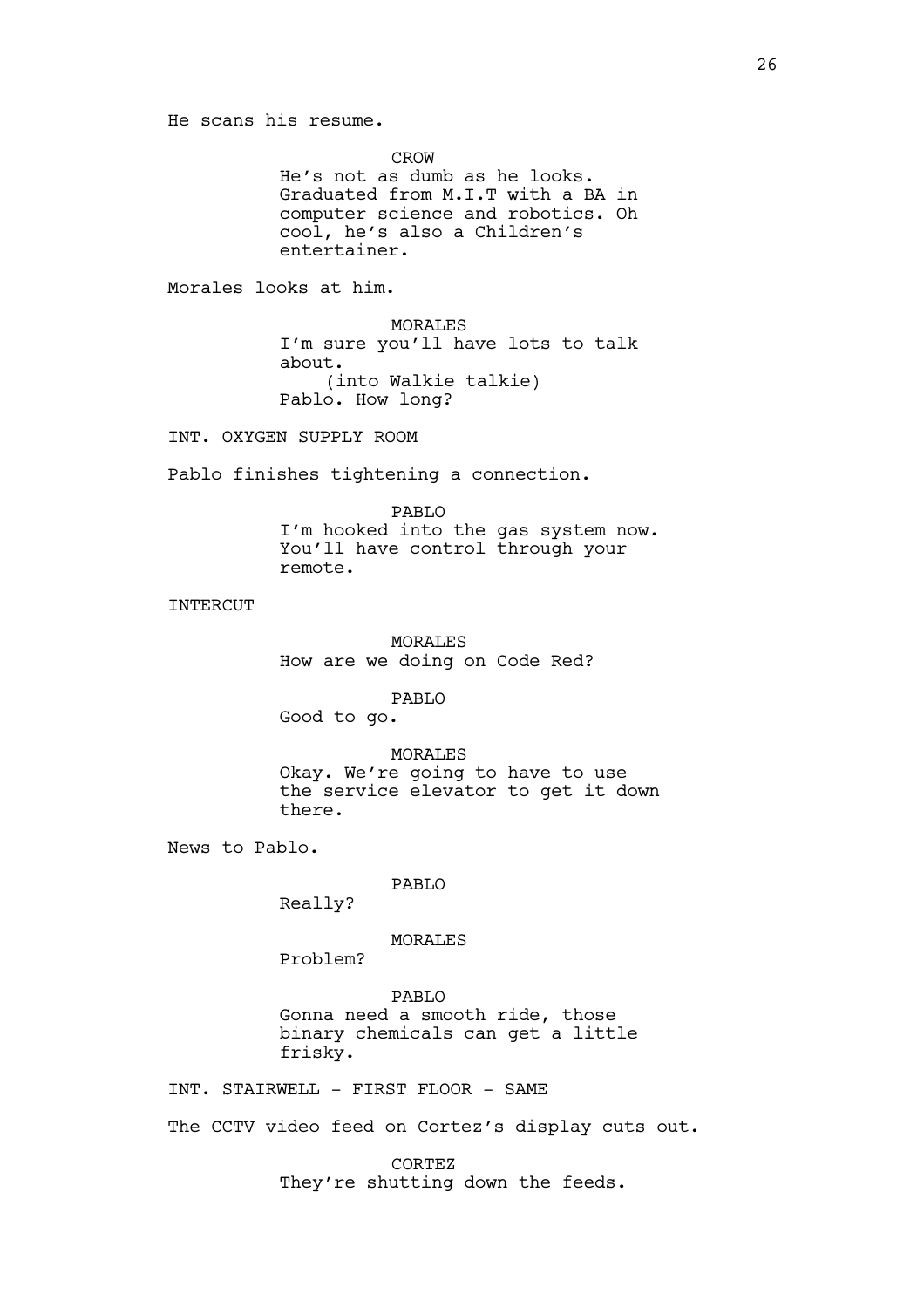He scans his resume.

CROW

He's not as dumb as he looks. Graduated from M.I.T with a BA in computer science and robotics. Oh cool, he's also a Children's entertainer.

Morales looks at him.

MORALES I'm sure you'll have lots to talk about. (into Walkie talkie) Pablo. How long?

INT. OXYGEN SUPPLY ROOM

Pablo finishes tightening a connection.

PABLO

I'm hooked into the gas system now. You'll have control through your remote.

INTERCUT

MORALES How are we doing on Code Red?

PABLO

Good to go.

MORALES Okay. We're going to have to use the service elevator to get it down there.

News to Pablo.

## PABLO

Really?

MORALES

Problem?

PABLO Gonna need a smooth ride, those binary chemicals can get a little frisky.

INT. STAIRWELL - FIRST FLOOR - SAME

The CCTV video feed on Cortez's display cuts out.

CORTEZ They're shutting down the feeds.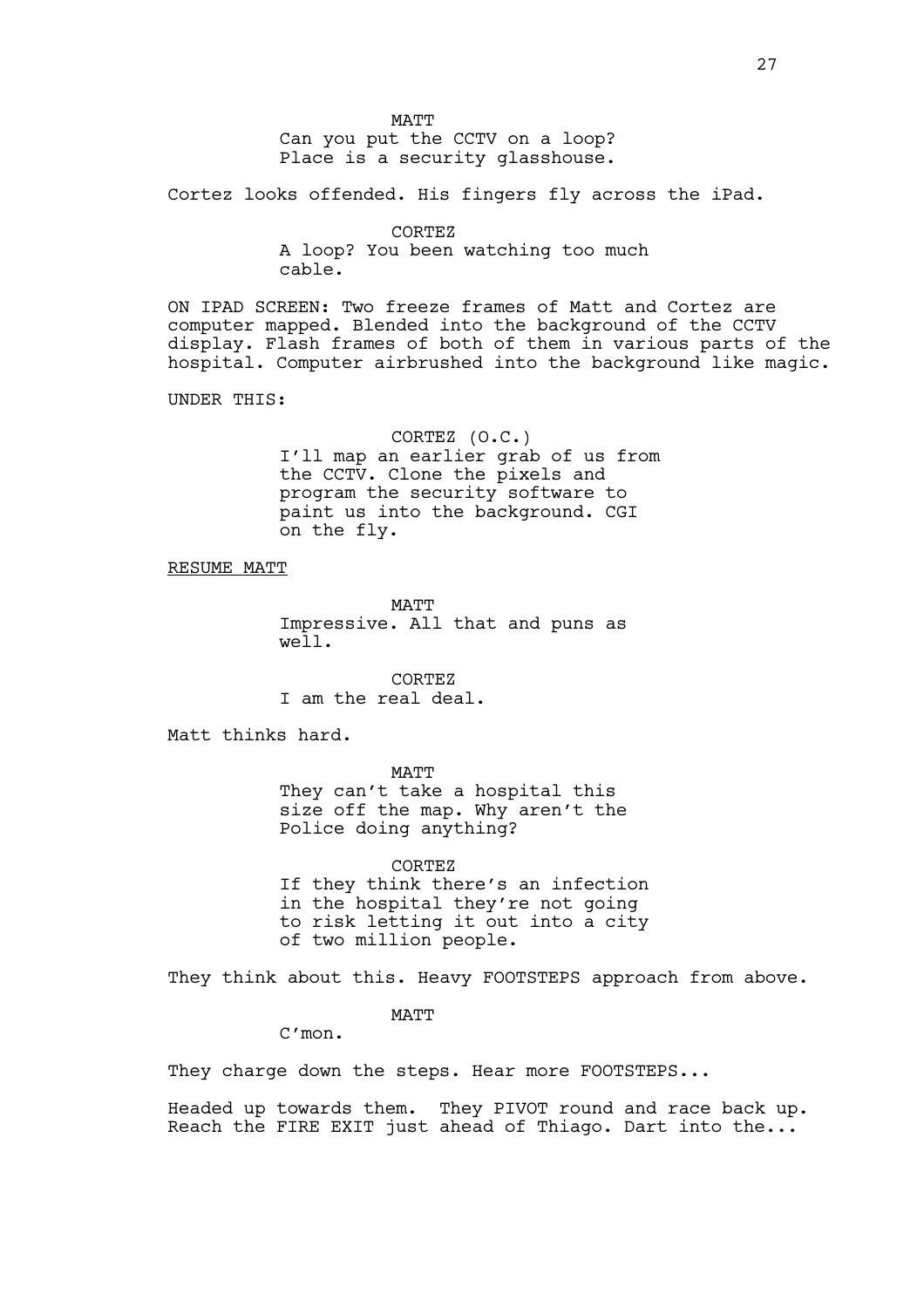MATT Can you put the CCTV on a loop? Place is a security glasshouse.

Cortez looks offended. His fingers fly across the iPad.

CORTEZ A loop? You been watching too much cable.

ON IPAD SCREEN: Two freeze frames of Matt and Cortez are computer mapped. Blended into the background of the CCTV display. Flash frames of both of them in various parts of the hospital. Computer airbrushed into the background like magic.

UNDER THIS:

CORTEZ (O.C.) I'll map an earlier grab of us from the CCTV. Clone the pixels and program the security software to paint us into the background. CGI on the fly.

RESUME MATT

MATT Impressive. All that and puns as well.

CORTEZ I am the real deal.

Matt thinks hard.

MATT

They can't take a hospital this size off the map. Why aren't the Police doing anything?

CORTEZ If they think there's an infection in the hospital they're not going to risk letting it out into a city of two million people.

They think about this. Heavy FOOTSTEPS approach from above.

MATT

C'mon.

They charge down the steps. Hear more FOOTSTEPS...

Headed up towards them. They PIVOT round and race back up. Reach the FIRE EXIT just ahead of Thiago. Dart into the...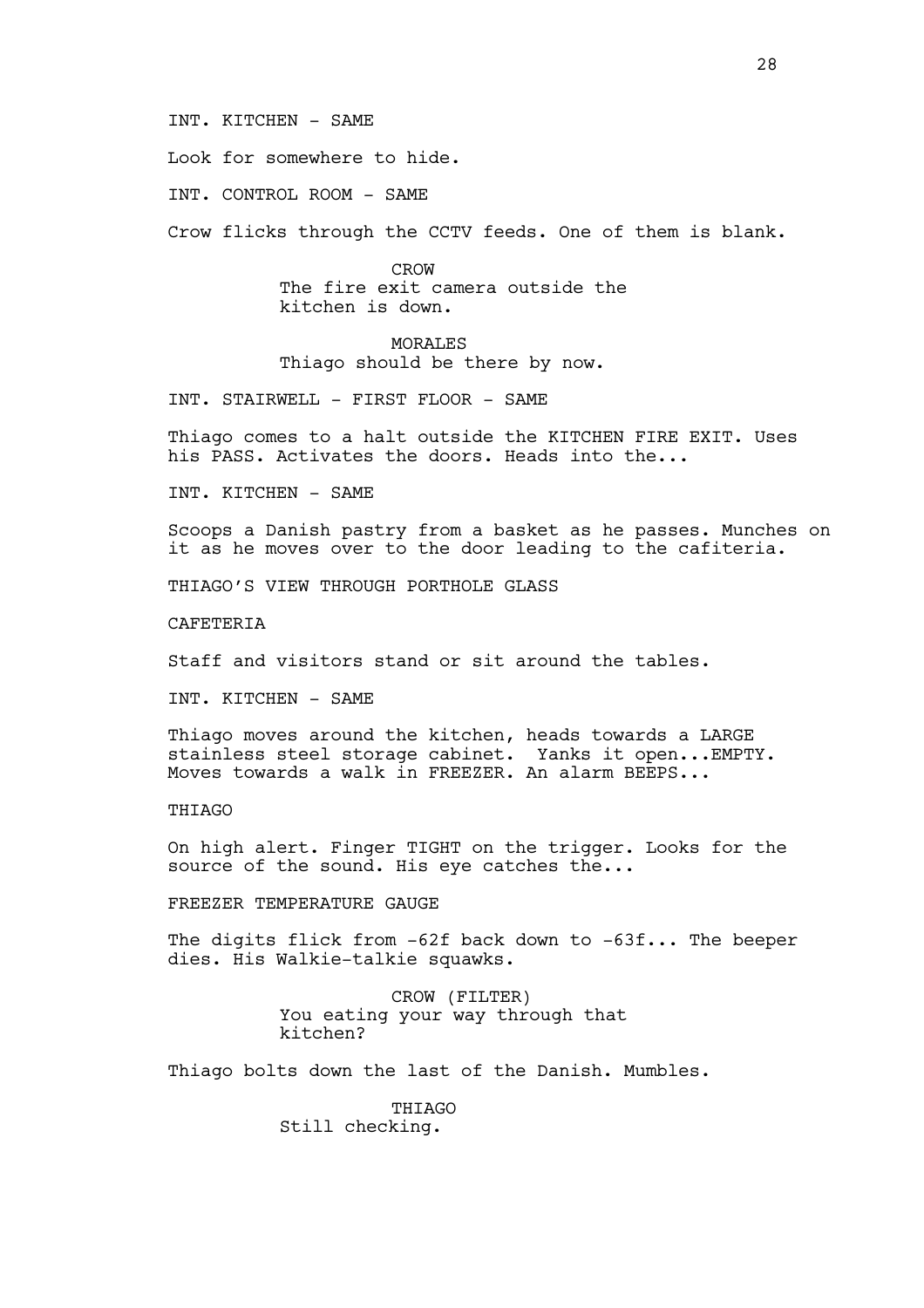#### INT. KITCHEN - SAME

Look for somewhere to hide.

INT. CONTROL ROOM - SAME

Crow flicks through the CCTV feeds. One of them is blank.

CROW The fire exit camera outside the kitchen is down.

MORALES Thiago should be there by now.

INT. STAIRWELL - FIRST FLOOR - SAME

Thiago comes to a halt outside the KITCHEN FIRE EXIT. Uses his PASS. Activates the doors. Heads into the...

INT. KITCHEN - SAME

Scoops a Danish pastry from a basket as he passes. Munches on it as he moves over to the door leading to the cafiteria.

THIAGO'S VIEW THROUGH PORTHOLE GLASS

**CAFETERIA** 

Staff and visitors stand or sit around the tables.

INT. KITCHEN - SAME

Thiago moves around the kitchen, heads towards a LARGE stainless steel storage cabinet. Yanks it open...EMPTY. Moves towards a walk in FREEZER. An alarm BEEPS...

#### THIAGO

On high alert. Finger TIGHT on the trigger. Looks for the source of the sound. His eye catches the...

FREEZER TEMPERATURE GAUGE

The digits flick from -62f back down to -63f... The beeper dies. His Walkie-talkie squawks.

> CROW (FILTER) You eating your way through that kitchen?

Thiago bolts down the last of the Danish. Mumbles.

**THIAGO** Still checking.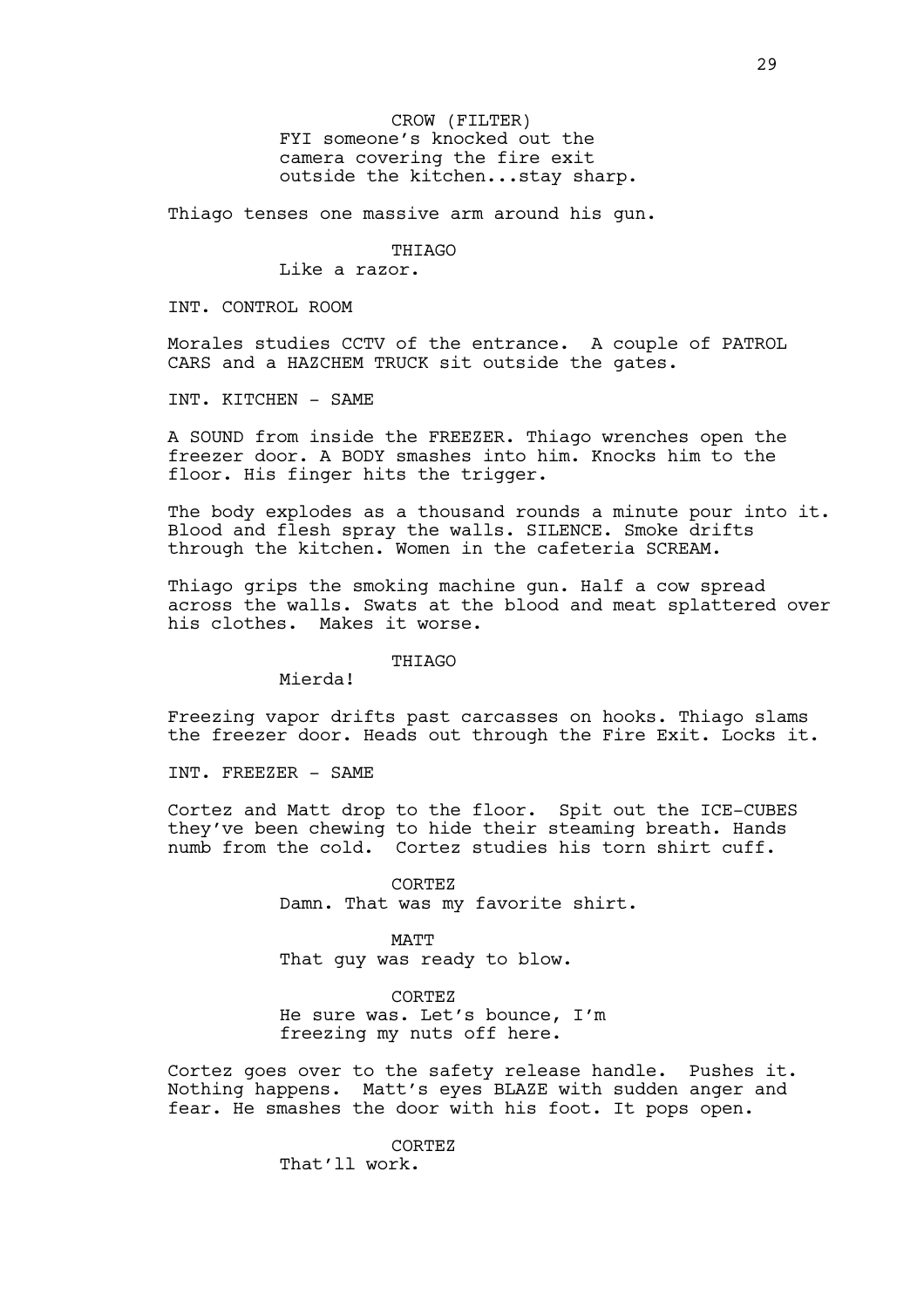CROW (FILTER) FYI someone's knocked out the camera covering the fire exit outside the kitchen...stay sharp.

Thiago tenses one massive arm around his gun.

**THIAGO** 

Like a razor.

INT. CONTROL ROOM

Morales studies CCTV of the entrance. A couple of PATROL CARS and a HAZCHEM TRUCK sit outside the gates.

INT. KITCHEN - SAME

A SOUND from inside the FREEZER. Thiago wrenches open the freezer door. A BODY smashes into him. Knocks him to the floor. His finger hits the trigger.

The body explodes as a thousand rounds a minute pour into it. Blood and flesh spray the walls. SILENCE. Smoke drifts through the kitchen. Women in the cafeteria SCREAM.

Thiago grips the smoking machine gun. Half a cow spread across the walls. Swats at the blood and meat splattered over his clothes. Makes it worse.

## THIAGO

Mierda!

Freezing vapor drifts past carcasses on hooks. Thiago slams the freezer door. Heads out through the Fire Exit. Locks it.

INT. FREEZER - SAME

Cortez and Matt drop to the floor. Spit out the ICE-CUBES they've been chewing to hide their steaming breath. Hands numb from the cold. Cortez studies his torn shirt cuff.

> CORTEZ Damn. That was my favorite shirt.

MATT That guy was ready to blow.

CORTEZ He sure was. Let's bounce, I'm freezing my nuts off here.

Cortez goes over to the safety release handle. Pushes it. Nothing happens. Matt's eyes BLAZE with sudden anger and fear. He smashes the door with his foot. It pops open.

> CORTEZ That'll work.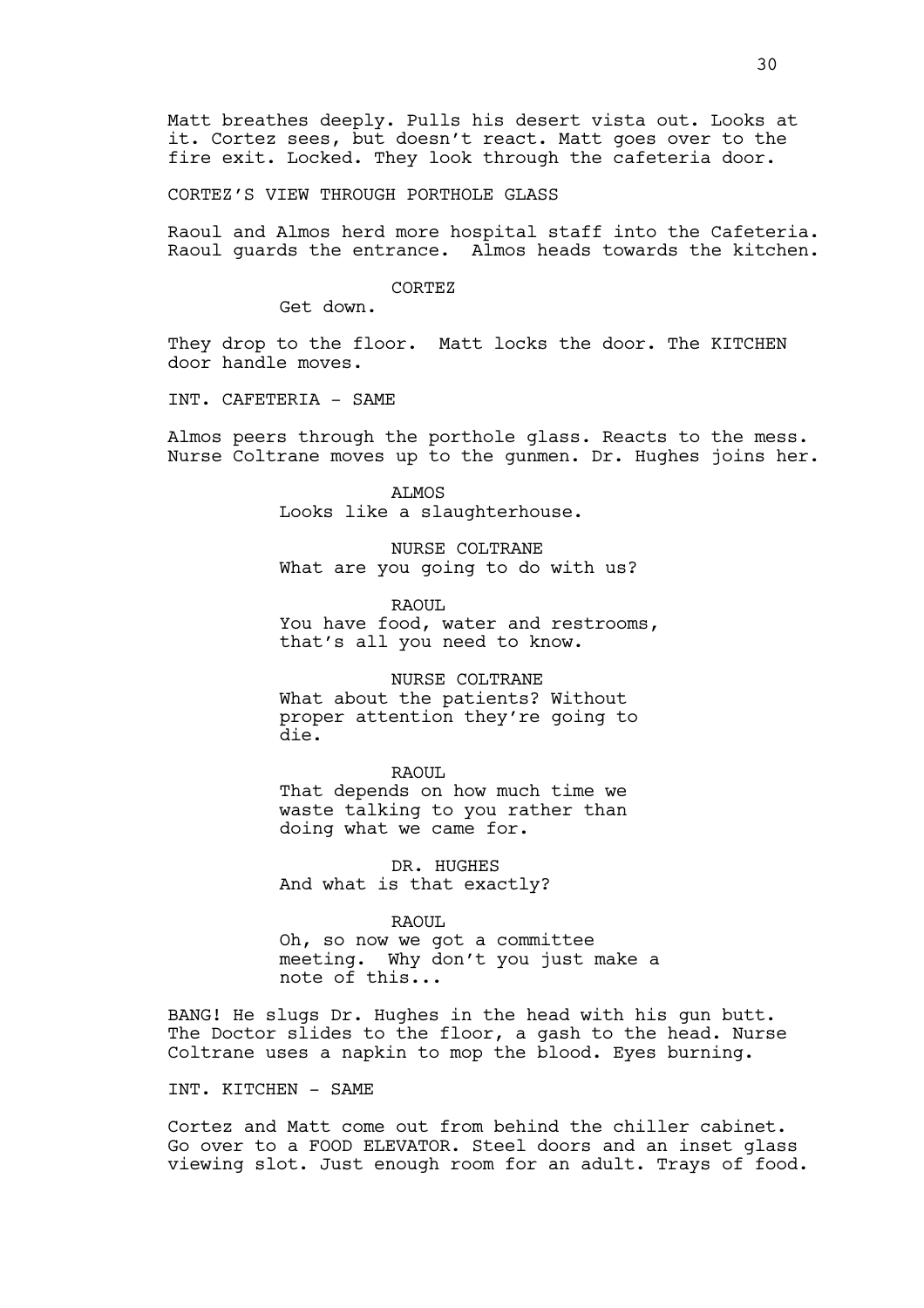Matt breathes deeply. Pulls his desert vista out. Looks at it. Cortez sees, but doesn't react. Matt goes over to the fire exit. Locked. They look through the cafeteria door.

CORTEZ'S VIEW THROUGH PORTHOLE GLASS

Raoul and Almos herd more hospital staff into the Cafeteria. Raoul guards the entrance. Almos heads towards the kitchen.

#### CORTEZ

Get down.

They drop to the floor. Matt locks the door. The KITCHEN door handle moves.

INT. CAFETERIA - SAME

Almos peers through the porthole glass. Reacts to the mess. Nurse Coltrane moves up to the gunmen. Dr. Hughes joins her.

> ALMOS Looks like a slaughterhouse.

NURSE COLTRANE What are you going to do with us?

RAOUL You have food, water and restrooms, that's all you need to know.

NURSE COLTRANE

What about the patients? Without proper attention they're going to die.

RAOUL That depends on how much time we waste talking to you rather than doing what we came for.

DR. HUGHES And what is that exactly?

RAOUL

Oh, so now we got a committee meeting. Why don't you just make a note of this...

BANG! He slugs Dr. Hughes in the head with his gun butt. The Doctor slides to the floor, a gash to the head. Nurse Coltrane uses a napkin to mop the blood. Eyes burning.

#### INT. KITCHEN - SAME

Cortez and Matt come out from behind the chiller cabinet. Go over to a FOOD ELEVATOR. Steel doors and an inset glass viewing slot. Just enough room for an adult. Trays of food.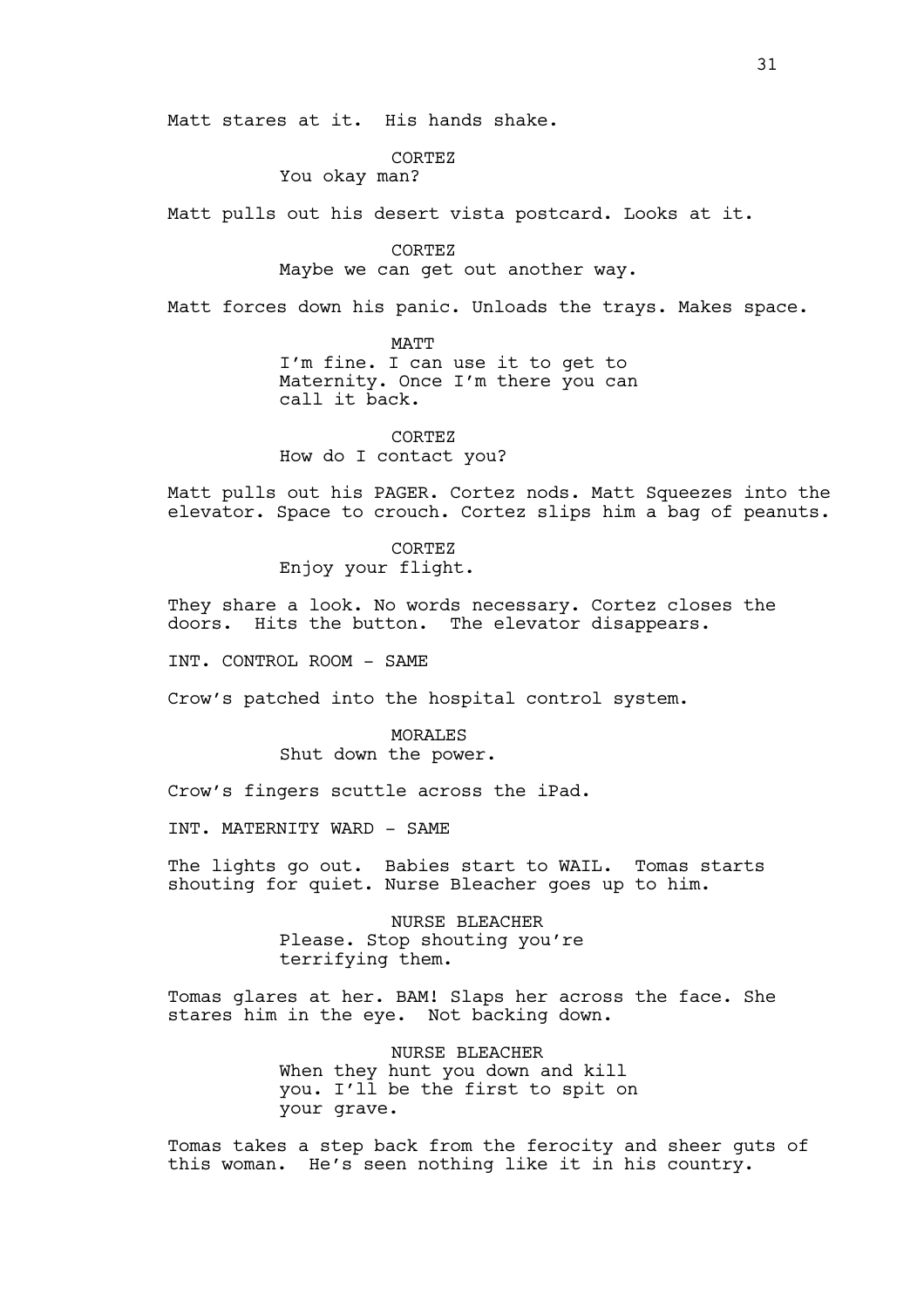Matt stares at it. His hands shake.

CORTEZ

You okay man?

Matt pulls out his desert vista postcard. Looks at it.

CORTEZ Maybe we can get out another way.

Matt forces down his panic. Unloads the trays. Makes space.

MATT I'm fine. I can use it to get to Maternity. Once I'm there you can call it back.

CORTEZ How do I contact you?

Matt pulls out his PAGER. Cortez nods. Matt Squeezes into the elevator. Space to crouch. Cortez slips him a bag of peanuts.

> CORTEZ Enjoy your flight.

They share a look. No words necessary. Cortez closes the doors. Hits the button. The elevator disappears.

INT. CONTROL ROOM - SAME

Crow's patched into the hospital control system.

MORALES Shut down the power.

Crow's fingers scuttle across the iPad.

INT. MATERNITY WARD - SAME

The lights go out. Babies start to WAIL. Tomas starts shouting for quiet. Nurse Bleacher goes up to him.

> NURSE BLEACHER Please. Stop shouting you're terrifying them.

Tomas glares at her. BAM! Slaps her across the face. She stares him in the eye. Not backing down.

> NURSE BLEACHER When they hunt you down and kill you. I'll be the first to spit on your grave.

Tomas takes a step back from the ferocity and sheer guts of this woman. He's seen nothing like it in his country.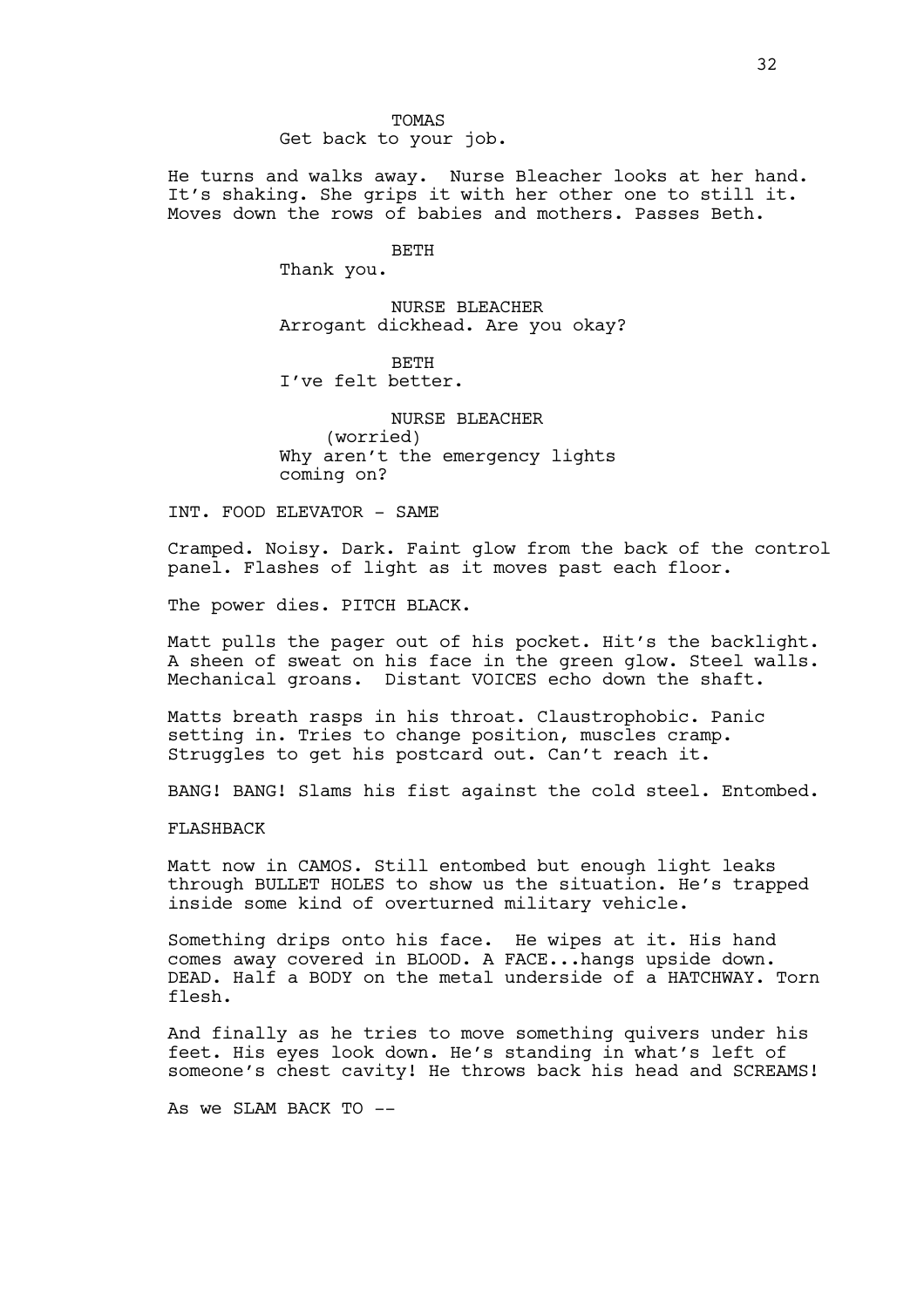Get back to your job.

He turns and walks away. Nurse Bleacher looks at her hand. It's shaking. She grips it with her other one to still it. Moves down the rows of babies and mothers. Passes Beth.

#### BETH

Thank you.

NURSE BLEACHER Arrogant dickhead. Are you okay?

BETH I've felt better.

NURSE BLEACHER (worried) Why aren't the emergency lights coming on?

INT. FOOD ELEVATOR - SAME

Cramped. Noisy. Dark. Faint glow from the back of the control panel. Flashes of light as it moves past each floor.

The power dies. PITCH BLACK.

Matt pulls the pager out of his pocket. Hit's the backlight. A sheen of sweat on his face in the green glow. Steel walls. Mechanical groans. Distant VOICES echo down the shaft.

Matts breath rasps in his throat. Claustrophobic. Panic setting in. Tries to change position, muscles cramp. Struggles to get his postcard out. Can't reach it.

BANG! BANG! Slams his fist against the cold steel. Entombed.

FLASHBACK

Matt now in CAMOS. Still entombed but enough light leaks through BULLET HOLES to show us the situation. He's trapped inside some kind of overturned military vehicle.

Something drips onto his face. He wipes at it. His hand comes away covered in BLOOD. A FACE...hangs upside down. DEAD. Half a BODY on the metal underside of a HATCHWAY. Torn flesh.

And finally as he tries to move something quivers under his feet. His eyes look down. He's standing in what's left of someone's chest cavity! He throws back his head and SCREAMS!

As we SLAM BACK  $TO$   $--$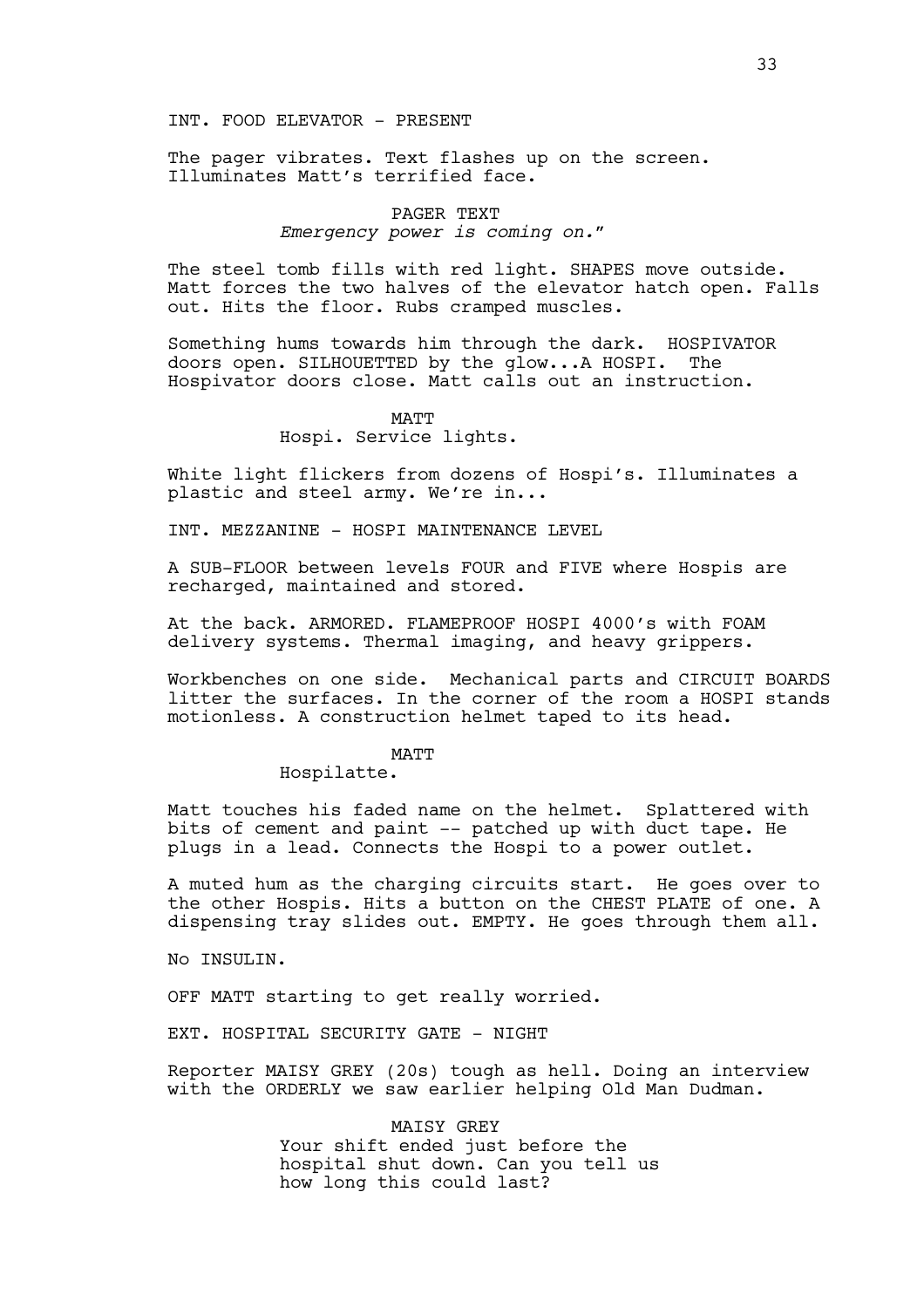#### INT. FOOD ELEVATOR - PRESENT

The pager vibrates. Text flashes up on the screen. Illuminates Matt's terrified face.

## PAGER TEXT *Emergency power is coming on."*

The steel tomb fills with red light. SHAPES move outside. Matt forces the two halves of the elevator hatch open. Falls out. Hits the floor. Rubs cramped muscles.

Something hums towards him through the dark. HOSPIVATOR doors open. SILHOUETTED by the glow...A HOSPI. The Hospivator doors close. Matt calls out an instruction.

## MATT Hospi. Service lights.

White light flickers from dozens of Hospi's. Illuminates a plastic and steel army. We're in...

INT. MEZZANINE - HOSPI MAINTENANCE LEVEL

A SUB-FLOOR between levels FOUR and FIVE where Hospis are recharged, maintained and stored.

At the back. ARMORED. FLAMEPROOF HOSPI 4000's with FOAM delivery systems. Thermal imaging, and heavy grippers.

Workbenches on one side. Mechanical parts and CIRCUIT BOARDS litter the surfaces. In the corner of the room a HOSPI stands motionless. A construction helmet taped to its head.

#### MATT

# Hospilatte.

Matt touches his faded name on the helmet. Splattered with bits of cement and paint -- patched up with duct tape. He plugs in a lead. Connects the Hospi to a power outlet.

A muted hum as the charging circuits start. He goes over to the other Hospis. Hits a button on the CHEST PLATE of one. A dispensing tray slides out. EMPTY. He goes through them all.

No INSULIN.

OFF MATT starting to get really worried.

EXT. HOSPITAL SECURITY GATE - NIGHT

Reporter MAISY GREY (20s) tough as hell. Doing an interview with the ORDERLY we saw earlier helping Old Man Dudman.

> MAISY GREY Your shift ended just before the hospital shut down. Can you tell us how long this could last?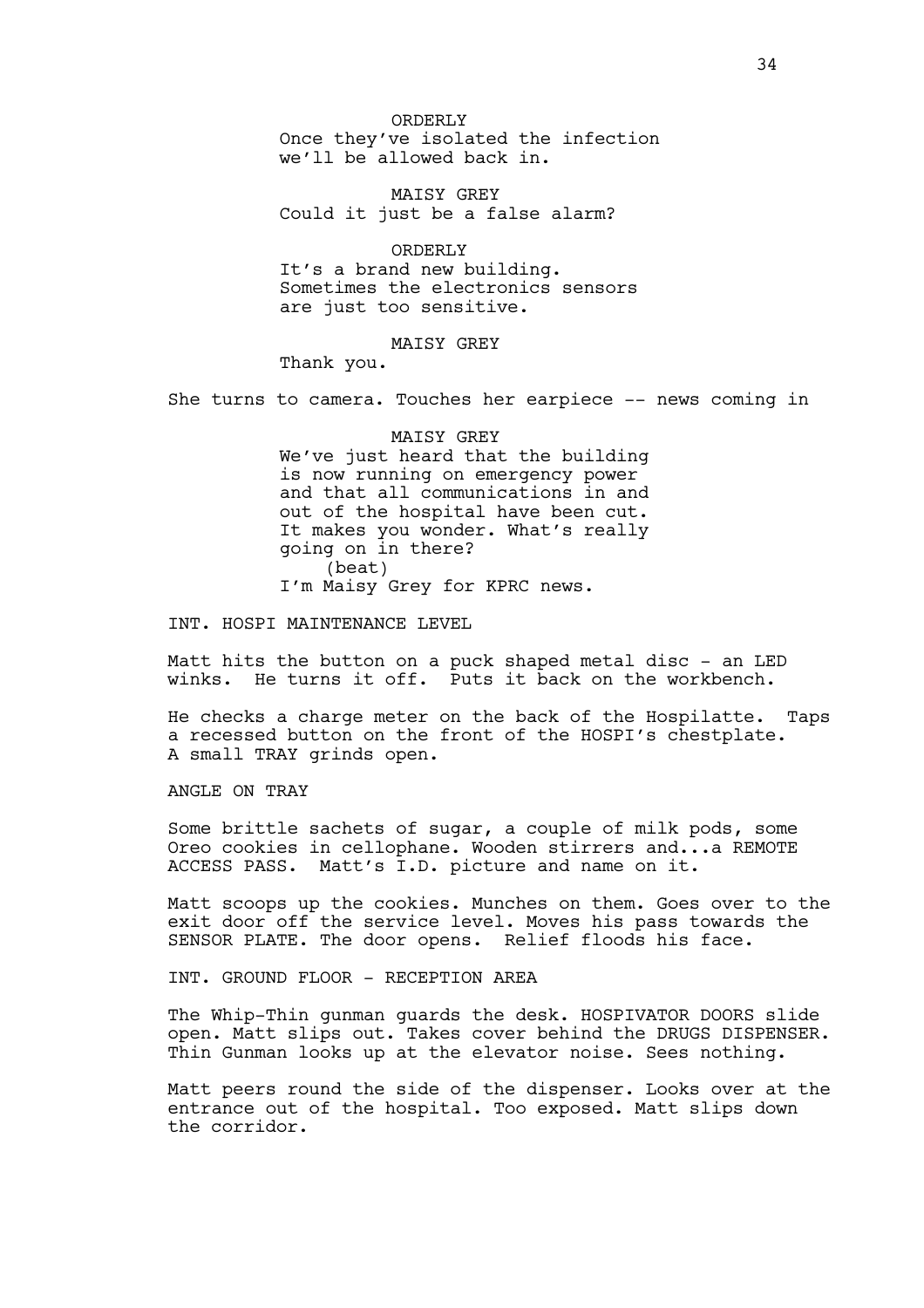ORDERLY Once they've isolated the infection we'll be allowed back in.

MAISY GREY Could it just be a false alarm?

ORDERLY It's a brand new building. Sometimes the electronics sensors are just too sensitive.

MAISY GREY

Thank you.

She turns to camera. Touches her earpiece -- news coming in

MAISY GREY We've just heard that the building is now running on emergency power and that all communications in and out of the hospital have been cut. It makes you wonder. What's really going on in there? (beat) I'm Maisy Grey for KPRC news.

INT. HOSPI MAINTENANCE LEVEL

Matt hits the button on a puck shaped metal disc - an LED winks. He turns it off. Puts it back on the workbench.

He checks a charge meter on the back of the Hospilatte. Taps a recessed button on the front of the HOSPI's chestplate. A small TRAY grinds open.

ANGLE ON TRAY

Some brittle sachets of sugar, a couple of milk pods, some Oreo cookies in cellophane. Wooden stirrers and...a REMOTE ACCESS PASS. Matt's I.D. picture and name on it.

Matt scoops up the cookies. Munches on them. Goes over to the exit door off the service level. Moves his pass towards the SENSOR PLATE. The door opens. Relief floods his face.

INT. GROUND FLOOR - RECEPTION AREA

The Whip-Thin gunman guards the desk. HOSPIVATOR DOORS slide open. Matt slips out. Takes cover behind the DRUGS DISPENSER. Thin Gunman looks up at the elevator noise. Sees nothing.

Matt peers round the side of the dispenser. Looks over at the entrance out of the hospital. Too exposed. Matt slips down the corridor.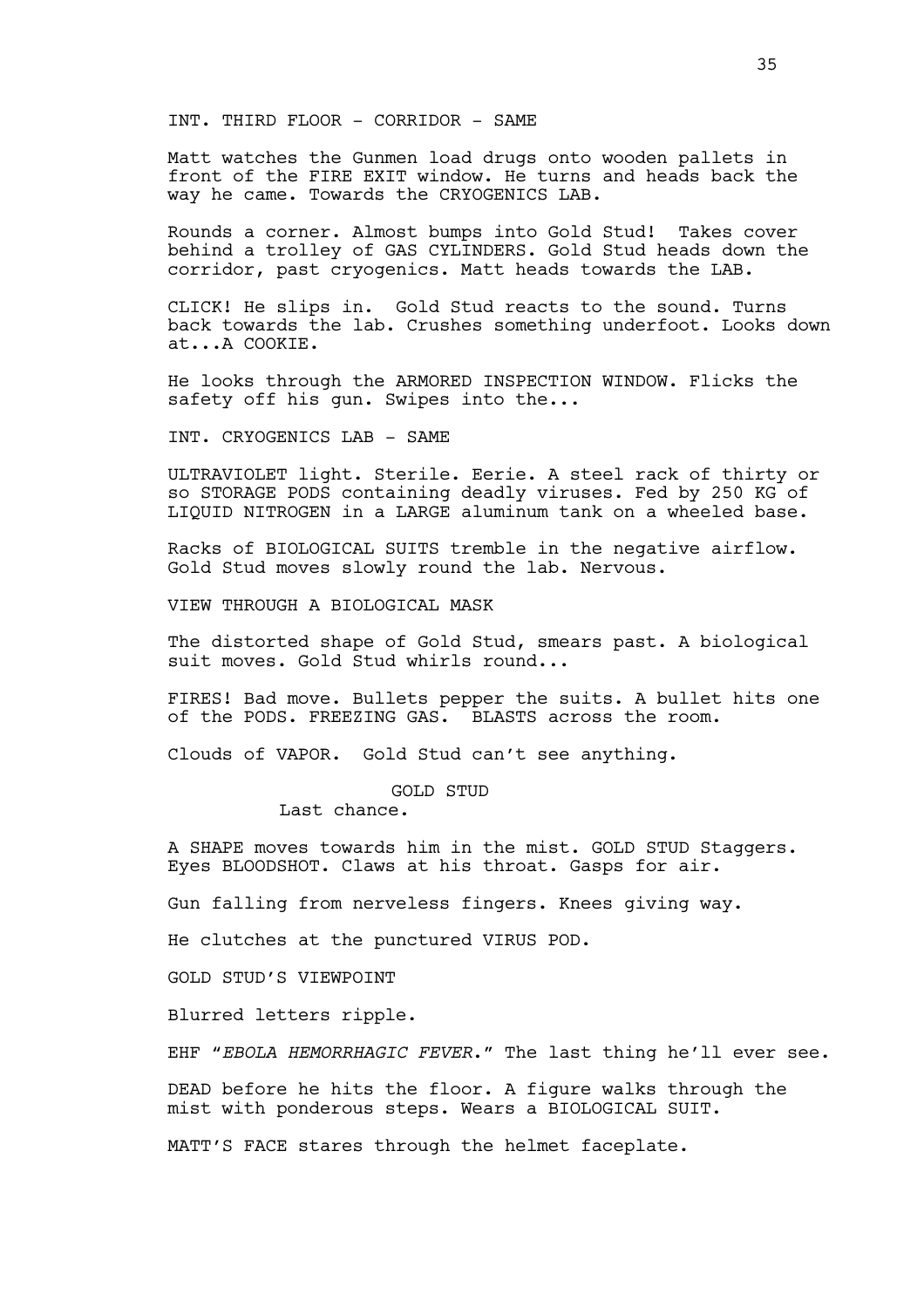INT. THIRD FLOOR - CORRIDOR - SAME

Matt watches the Gunmen load drugs onto wooden pallets in front of the FIRE EXIT window. He turns and heads back the way he came. Towards the CRYOGENICS LAB.

Rounds a corner. Almost bumps into Gold Stud! Takes cover behind a trolley of GAS CYLINDERS. Gold Stud heads down the corridor, past cryogenics. Matt heads towards the LAB.

CLICK! He slips in. Gold Stud reacts to the sound. Turns back towards the lab. Crushes something underfoot. Looks down at...A COOKIE.

He looks through the ARMORED INSPECTION WINDOW. Flicks the safety off his gun. Swipes into the...

INT. CRYOGENICS LAB - SAME

ULTRAVIOLET light. Sterile. Eerie. A steel rack of thirty or so STORAGE PODS containing deadly viruses. Fed by 250 KG of LIQUID NITROGEN in a LARGE aluminum tank on a wheeled base.

Racks of BIOLOGICAL SUITS tremble in the negative airflow. Gold Stud moves slowly round the lab. Nervous.

VIEW THROUGH A BIOLOGICAL MASK

The distorted shape of Gold Stud, smears past. A biological suit moves. Gold Stud whirls round...

FIRES! Bad move. Bullets pepper the suits. A bullet hits one of the PODS. FREEZING GAS. BLASTS across the room.

Clouds of VAPOR. Gold Stud can't see anything.

GOLD STUD

Last chance.

A SHAPE moves towards him in the mist. GOLD STUD Staggers. Eyes BLOODSHOT. Claws at his throat. Gasps for air.

Gun falling from nerveless fingers. Knees giving way.

He clutches at the punctured VIRUS POD.

GOLD STUD'S VIEWPOINT

Blurred letters ripple.

EHF "*EBOLA HEMORRHAGIC FEVER*." The last thing he'll ever see.

DEAD before he hits the floor. A figure walks through the mist with ponderous steps. Wears a BIOLOGICAL SUIT.

MATT'S FACE stares through the helmet faceplate.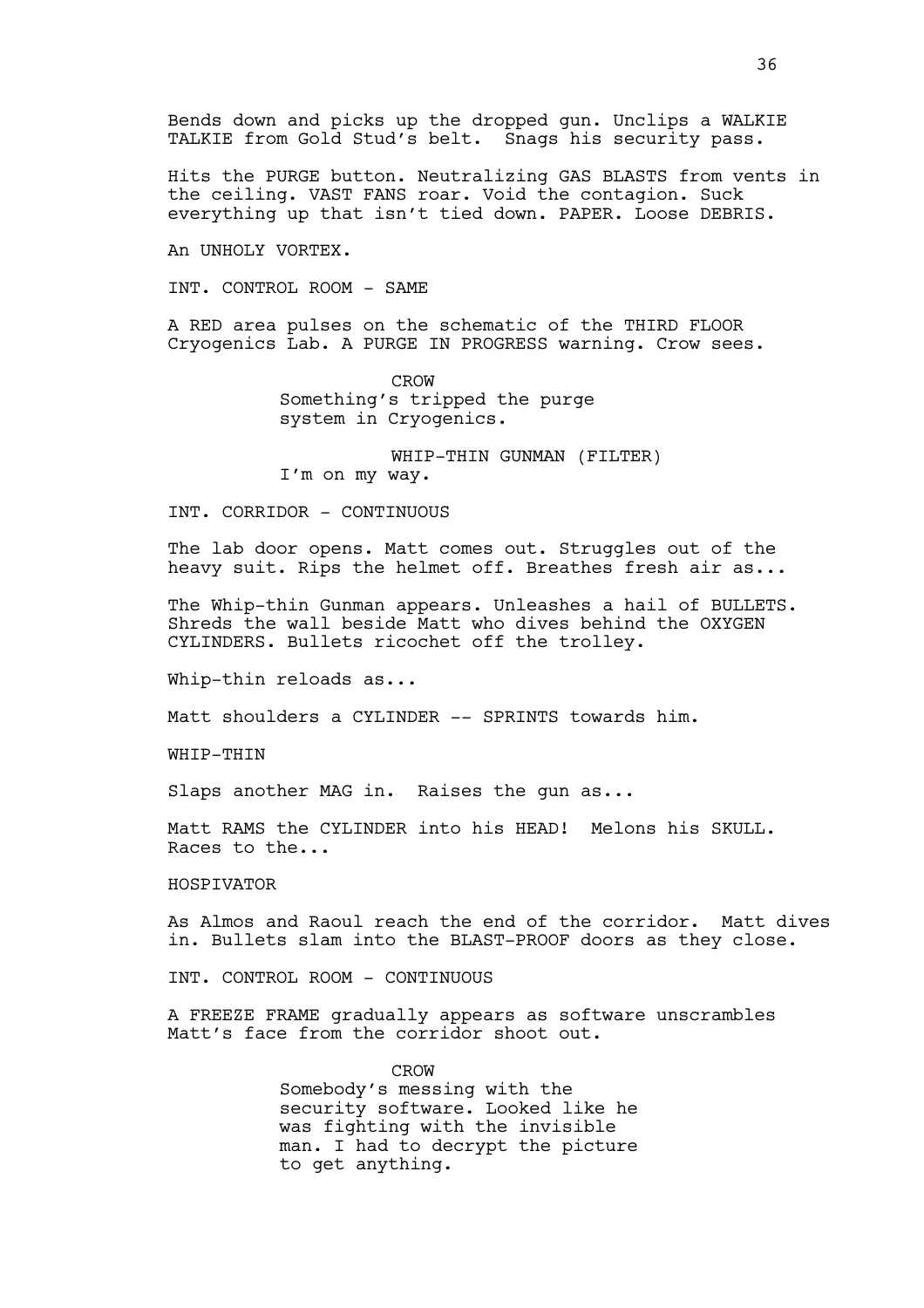Bends down and picks up the dropped gun. Unclips a WALKIE TALKIE from Gold Stud's belt. Snags his security pass.

Hits the PURGE button. Neutralizing GAS BLASTS from vents in the ceiling. VAST FANS roar. Void the contagion. Suck everything up that isn't tied down. PAPER. Loose DEBRIS.

An UNHOLY VORTEX.

INT. CONTROL ROOM - SAME

A RED area pulses on the schematic of the THIRD FLOOR Cryogenics Lab. A PURGE IN PROGRESS warning. Crow sees.

> CROW Something's tripped the purge system in Cryogenics.

WHIP-THIN GUNMAN (FILTER) I'm on my way.

INT. CORRIDOR - CONTINUOUS

The lab door opens. Matt comes out. Struggles out of the heavy suit. Rips the helmet off. Breathes fresh air as...

The Whip-thin Gunman appears. Unleashes a hail of BULLETS. Shreds the wall beside Matt who dives behind the OXYGEN CYLINDERS. Bullets ricochet off the trolley.

Whip-thin reloads as...

Matt shoulders a CYLINDER -- SPRINTS towards him.

WHIP-THIN

Slaps another MAG in. Raises the gun as...

Matt RAMS the CYLINDER into his HEAD! Melons his SKULL. Races to the...

# HOSPIVATOR

As Almos and Raoul reach the end of the corridor. Matt dives in. Bullets slam into the BLAST-PROOF doors as they close.

INT. CONTROL ROOM - CONTINUOUS

A FREEZE FRAME gradually appears as software unscrambles Matt's face from the corridor shoot out.

> CROW Somebody's messing with the security software. Looked like he was fighting with the invisible man. I had to decrypt the picture to get anything.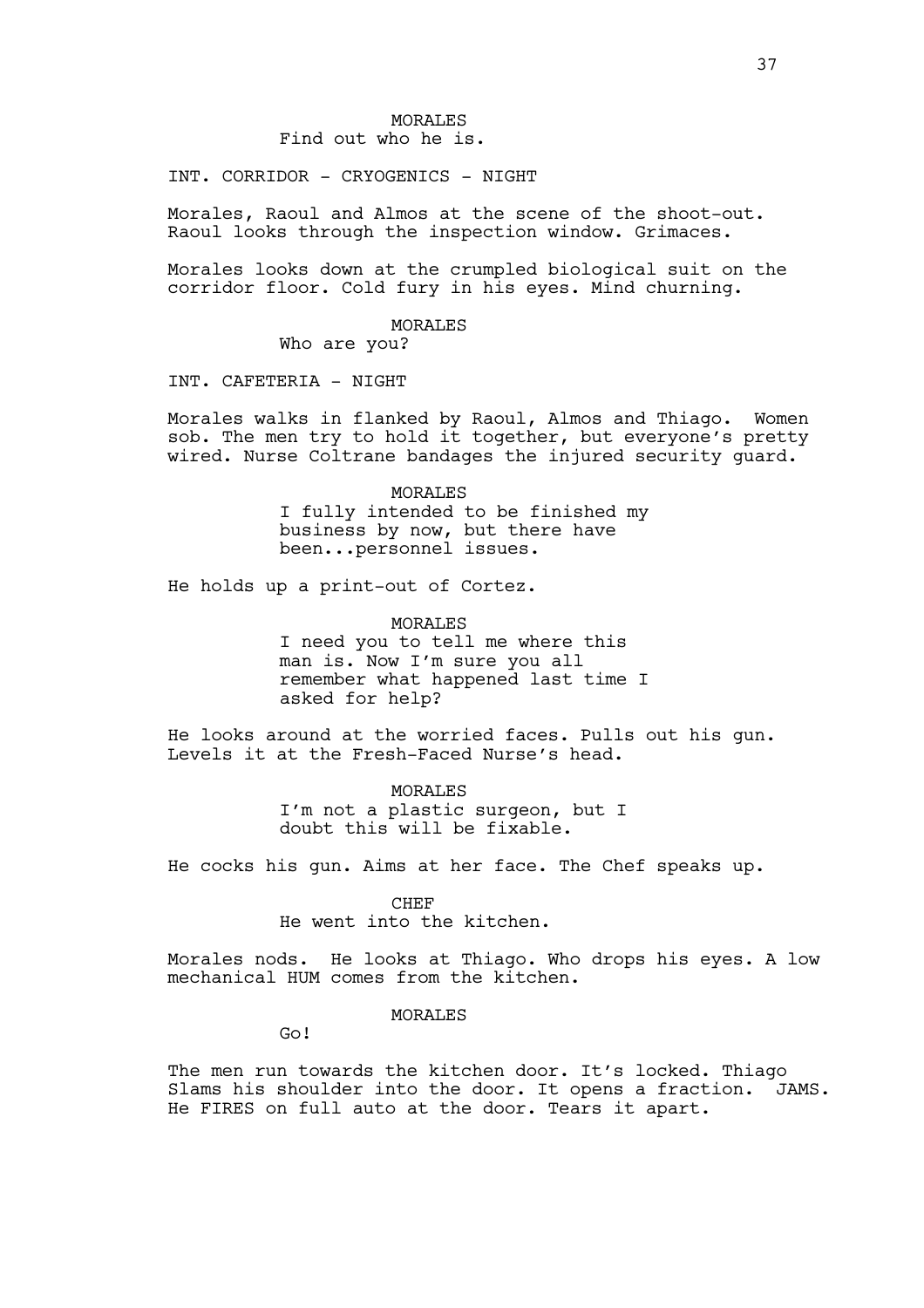INT. CORRIDOR - CRYOGENICS - NIGHT

Morales, Raoul and Almos at the scene of the shoot-out. Raoul looks through the inspection window. Grimaces.

Morales looks down at the crumpled biological suit on the corridor floor. Cold fury in his eyes. Mind churning.

MORALES

Who are you?

INT. CAFETERIA - NIGHT

Morales walks in flanked by Raoul, Almos and Thiago. Women sob. The men try to hold it together, but everyone's pretty wired. Nurse Coltrane bandages the injured security guard.

> MORALES I fully intended to be finished my business by now, but there have been...personnel issues.

He holds up a print-out of Cortez.

MORALES I need you to tell me where this man is. Now I'm sure you all remember what happened last time I asked for help?

He looks around at the worried faces. Pulls out his gun. Levels it at the Fresh-Faced Nurse's head.

> MORALES I'm not a plastic surgeon, but I doubt this will be fixable.

He cocks his gun. Aims at her face. The Chef speaks up.

CHEF

He went into the kitchen.

Morales nods. He looks at Thiago. Who drops his eyes. A low mechanical HUM comes from the kitchen.

MORALES

Go!

The men run towards the kitchen door. It's locked. Thiago Slams his shoulder into the door. It opens a fraction. JAMS. He FIRES on full auto at the door. Tears it apart.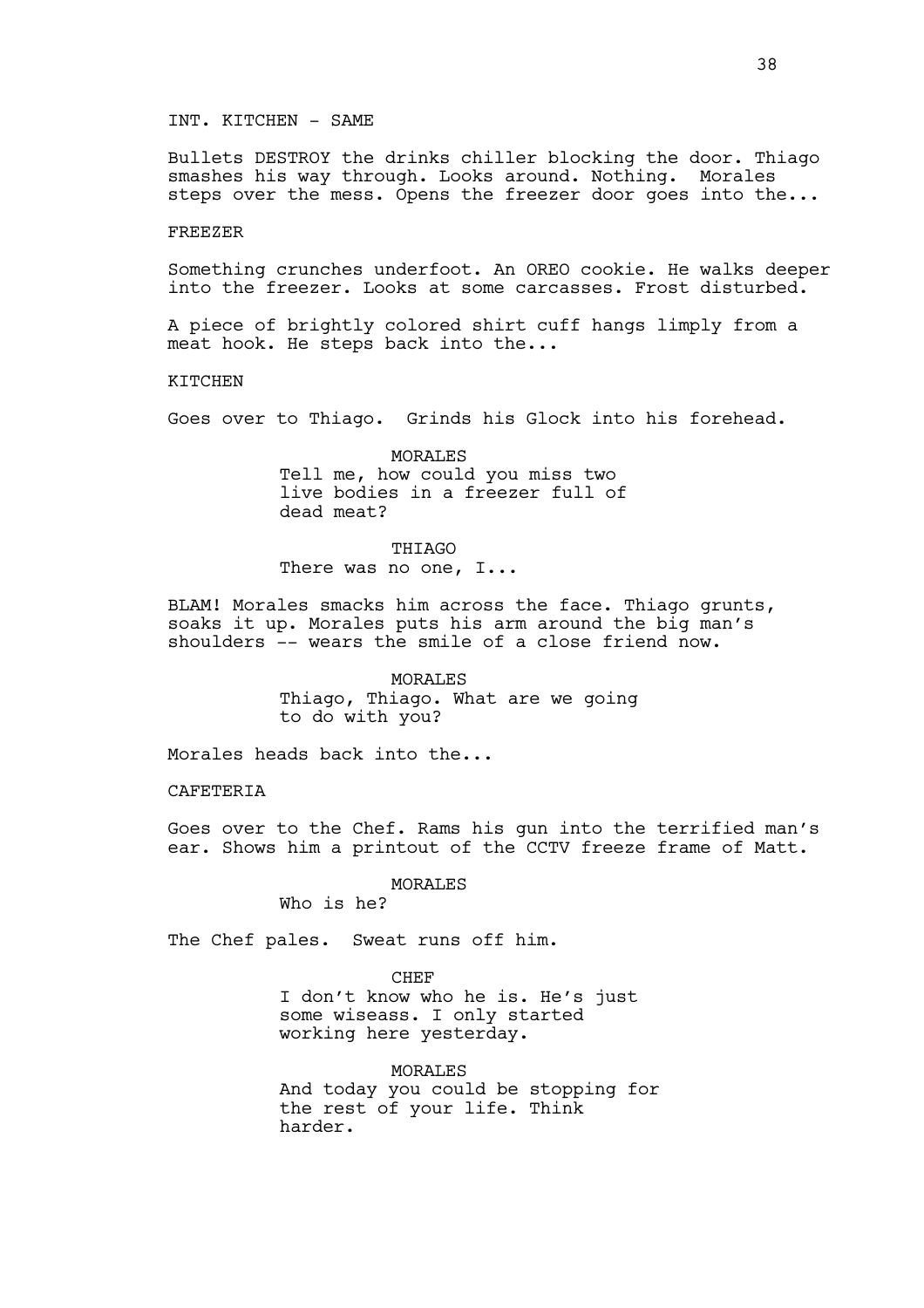### INT. KITCHEN - SAME

Bullets DESTROY the drinks chiller blocking the door. Thiago smashes his way through. Looks around. Nothing. Morales steps over the mess. Opens the freezer door goes into the...

### FREEZER

Something crunches underfoot. An OREO cookie. He walks deeper into the freezer. Looks at some carcasses. Frost disturbed.

A piece of brightly colored shirt cuff hangs limply from a meat hook. He steps back into the...

#### KITCHEN

Goes over to Thiago. Grinds his Glock into his forehead.

MORALES Tell me, how could you miss two live bodies in a freezer full of dead meat?

THIAGO There was no one, I...

BLAM! Morales smacks him across the face. Thiago grunts, soaks it up. Morales puts his arm around the big man's shoulders -- wears the smile of a close friend now.

> MORALES Thiago, Thiago. What are we going to do with you?

Morales heads back into the...

CAFETERIA

Goes over to the Chef. Rams his gun into the terrified man's ear. Shows him a printout of the CCTV freeze frame of Matt.

MORALES

Who is he?

The Chef pales. Sweat runs off him.

**CHEF** I don't know who he is. He's just some wiseass. I only started working here yesterday.

MORALES And today you could be stopping for the rest of your life. Think harder.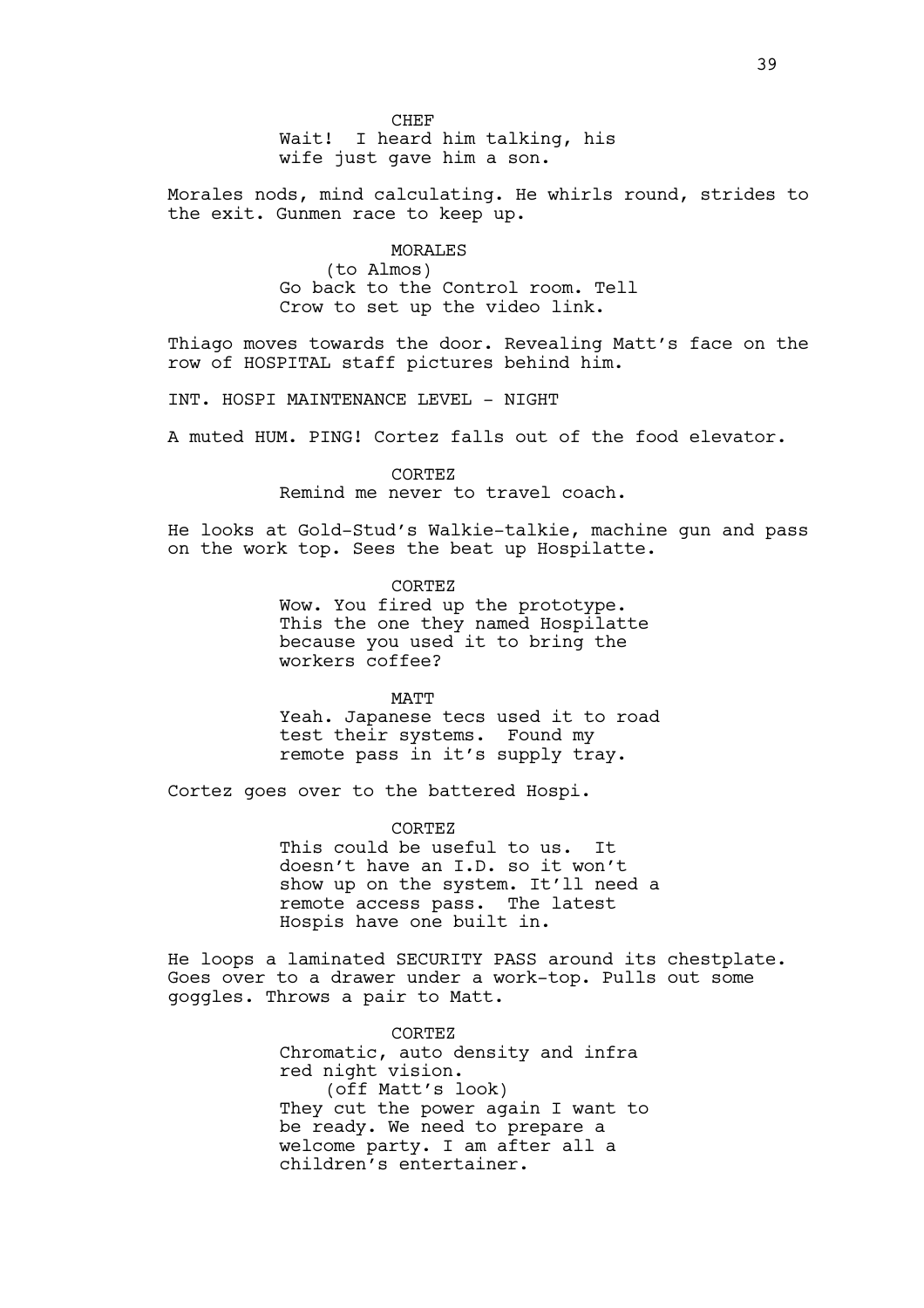Wait! I heard him talking, his wife just gave him a son.

Morales nods, mind calculating. He whirls round, strides to the exit. Gunmen race to keep up.

# MORALES

(to Almos) Go back to the Control room. Tell Crow to set up the video link.

Thiago moves towards the door. Revealing Matt's face on the row of HOSPITAL staff pictures behind him.

INT. HOSPI MAINTENANCE LEVEL - NIGHT

A muted HUM. PING! Cortez falls out of the food elevator.

CORTEZ Remind me never to travel coach.

He looks at Gold-Stud's Walkie-talkie, machine gun and pass on the work top. Sees the beat up Hospilatte.

> CORTEZ Wow. You fired up the prototype. This the one they named Hospilatte because you used it to bring the workers coffee?

MATT Yeah. Japanese tecs used it to road test their systems. Found my remote pass in it's supply tray.

Cortez goes over to the battered Hospi.

CORTEZ This could be useful to us. It doesn't have an I.D. so it won't show up on the system. It'll need a remote access pass. The latest Hospis have one built in.

He loops a laminated SECURITY PASS around its chestplate. Goes over to a drawer under a work-top. Pulls out some goggles. Throws a pair to Matt.

> CORTEZ Chromatic, auto density and infra red night vision. (off Matt's look) They cut the power again I want to be ready. We need to prepare a welcome party. I am after all a children's entertainer.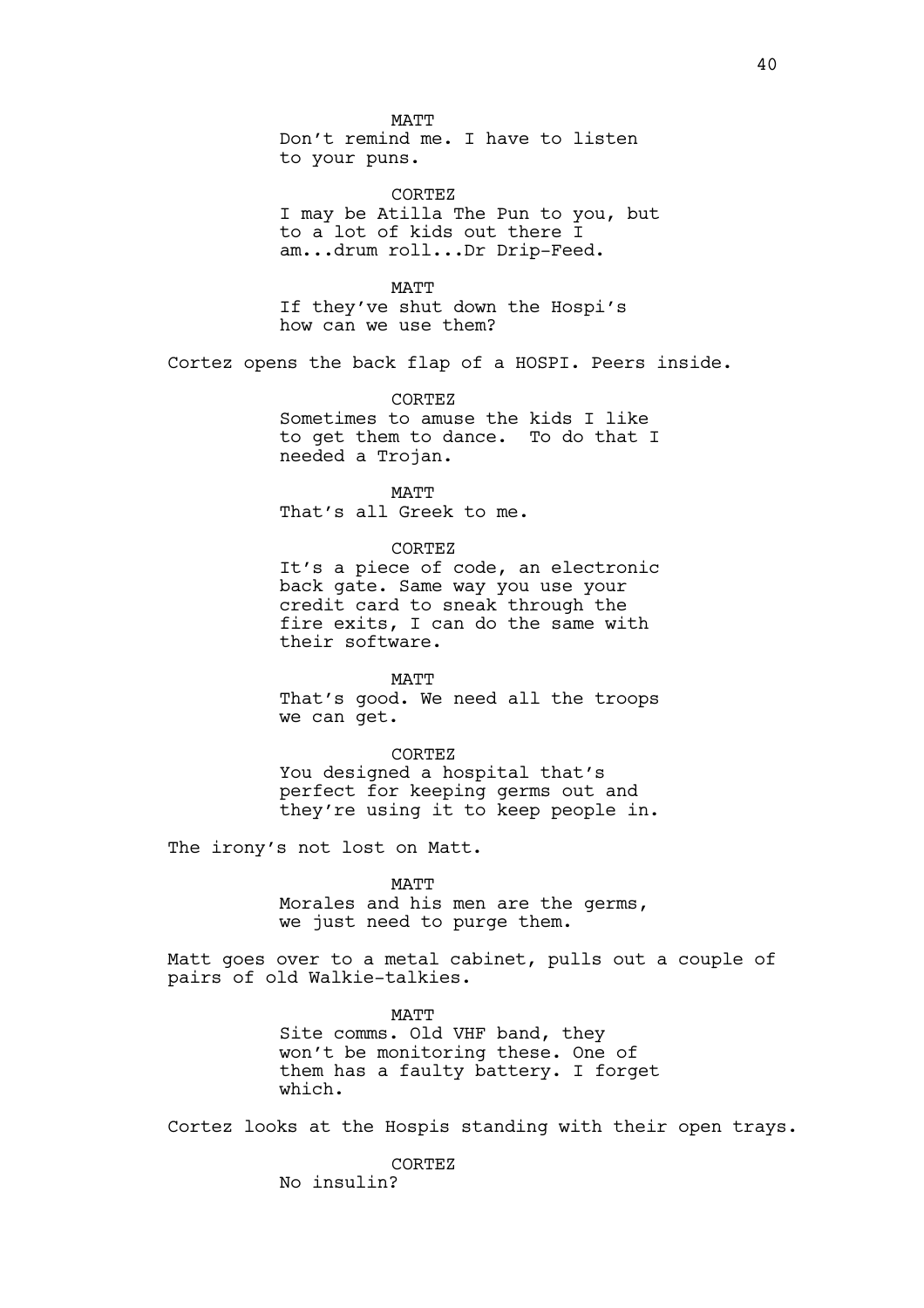MATT Don't remind me. I have to listen to your puns.

CORTEZ I may be Atilla The Pun to you, but to a lot of kids out there I am...drum roll...Dr Drip-Feed.

MATT If they've shut down the Hospi's how can we use them?

Cortez opens the back flap of a HOSPI. Peers inside.

**CORTEZ** Sometimes to amuse the kids I like to get them to dance. To do that I needed a Trojan.

MATT That's all Greek to me.

CORTEZ It's a piece of code, an electronic back gate. Same way you use your credit card to sneak through the fire exits, I can do the same with their software.

MATT That's good. We need all the troops we can get.

CORTEZ You designed a hospital that's perfect for keeping germs out and they're using it to keep people in.

The irony's not lost on Matt.

MATT

Morales and his men are the germs, we just need to purge them.

Matt goes over to a metal cabinet, pulls out a couple of pairs of old Walkie-talkies.

> MATT Site comms. Old VHF band, they won't be monitoring these. One of them has a faulty battery. I forget which.

Cortez looks at the Hospis standing with their open trays.

CORTEZ No insulin?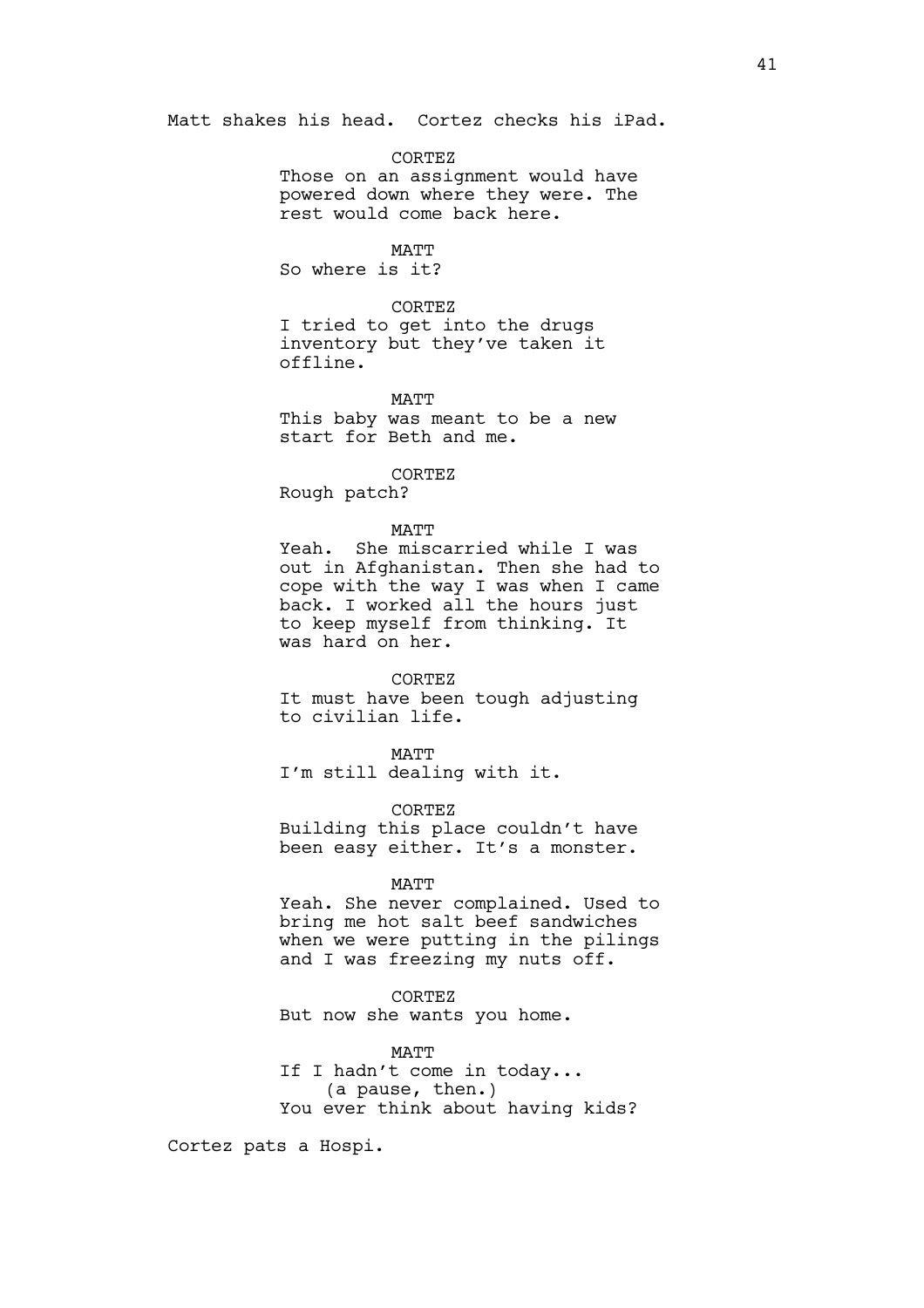Matt shakes his head. Cortez checks his iPad.

# CORTEZ

Those on an assignment would have powered down where they were. The rest would come back here.

# **MATT**

So where is it?

### CORTEZ

I tried to get into the drugs inventory but they've taken it offline.

## MATT

This baby was meant to be a new start for Beth and me.

#### CORTEZ

Rough patch?

# MATT

Yeah. She miscarried while I was out in Afghanistan. Then she had to cope with the way I was when I came back. I worked all the hours just to keep myself from thinking. It was hard on her.

#### CORTEZ

It must have been tough adjusting to civilian life.

## MATT

I'm still dealing with it.

# CORTEZ

Building this place couldn't have been easy either. It's a monster.

#### MATT

Yeah. She never complained. Used to bring me hot salt beef sandwiches when we were putting in the pilings and I was freezing my nuts off.

# CORTEZ

But now she wants you home.

# MATT

If I hadn't come in today... (a pause, then.) You ever think about having kids?

Cortez pats a Hospi.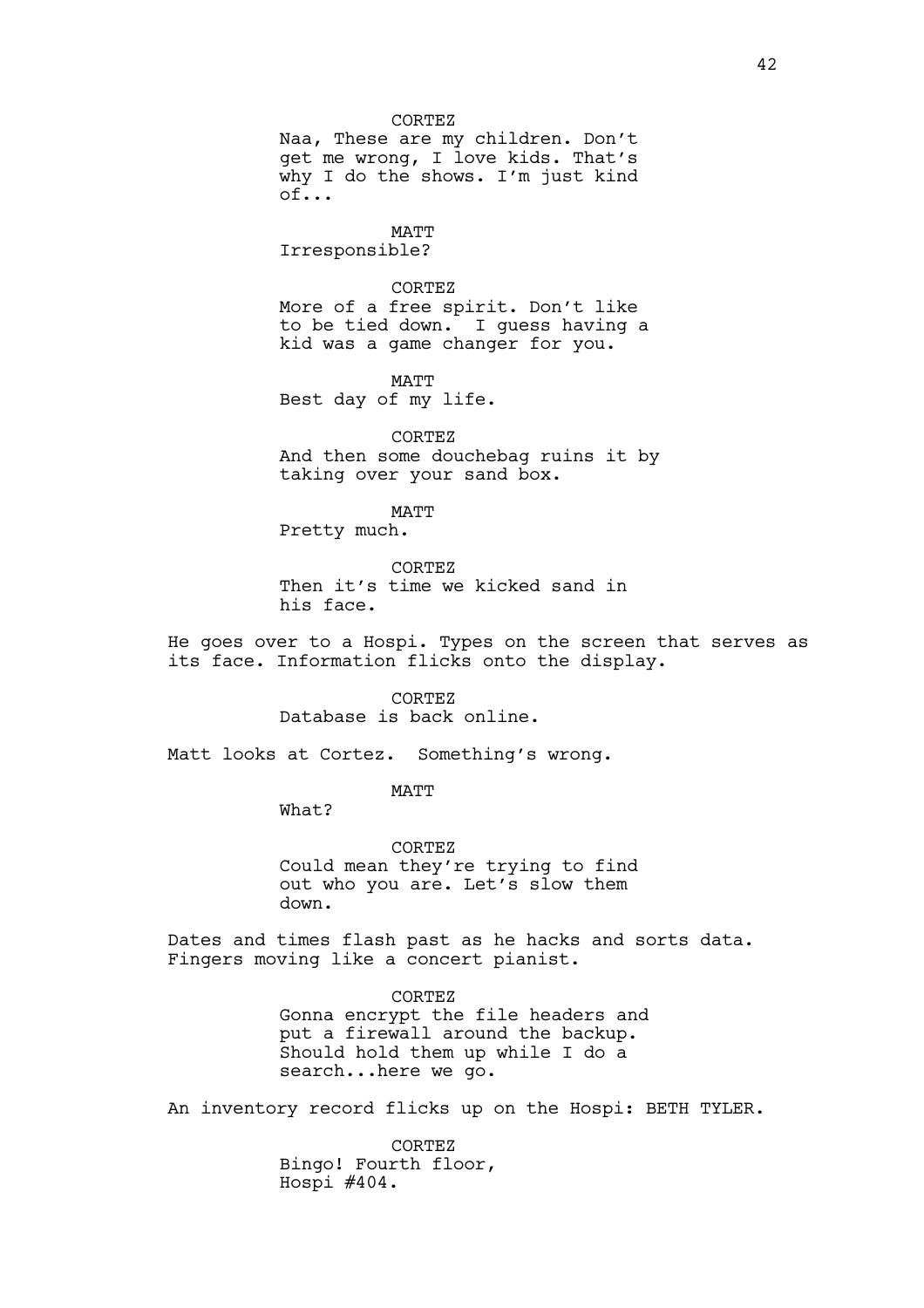CORTEZ Naa, These are my children. Don't get me wrong, I love kids. That's why I do the shows. I'm just kind of...

MATT Irresponsible?

CORTEZ More of a free spirit. Don't like to be tied down. I guess having a kid was a game changer for you.

MATT Best day of my life.

CORTEZ And then some douchebag ruins it by taking over your sand box.

MATT Pretty much.

CORTEZ Then it's time we kicked sand in his face.

He goes over to a Hospi. Types on the screen that serves as its face. Information flicks onto the display.

> CORTEZ Database is back online.

Matt looks at Cortez. Something's wrong.

MATT

What?

CORTEZ Could mean they're trying to find out who you are. Let's slow them down.

Dates and times flash past as he hacks and sorts data. Fingers moving like a concert pianist.

> CORTEZ Gonna encrypt the file headers and put a firewall around the backup. Should hold them up while I do a search...here we go.

An inventory record flicks up on the Hospi: BETH TYLER.

CORTEZ Bingo! Fourth floor, Hospi #404.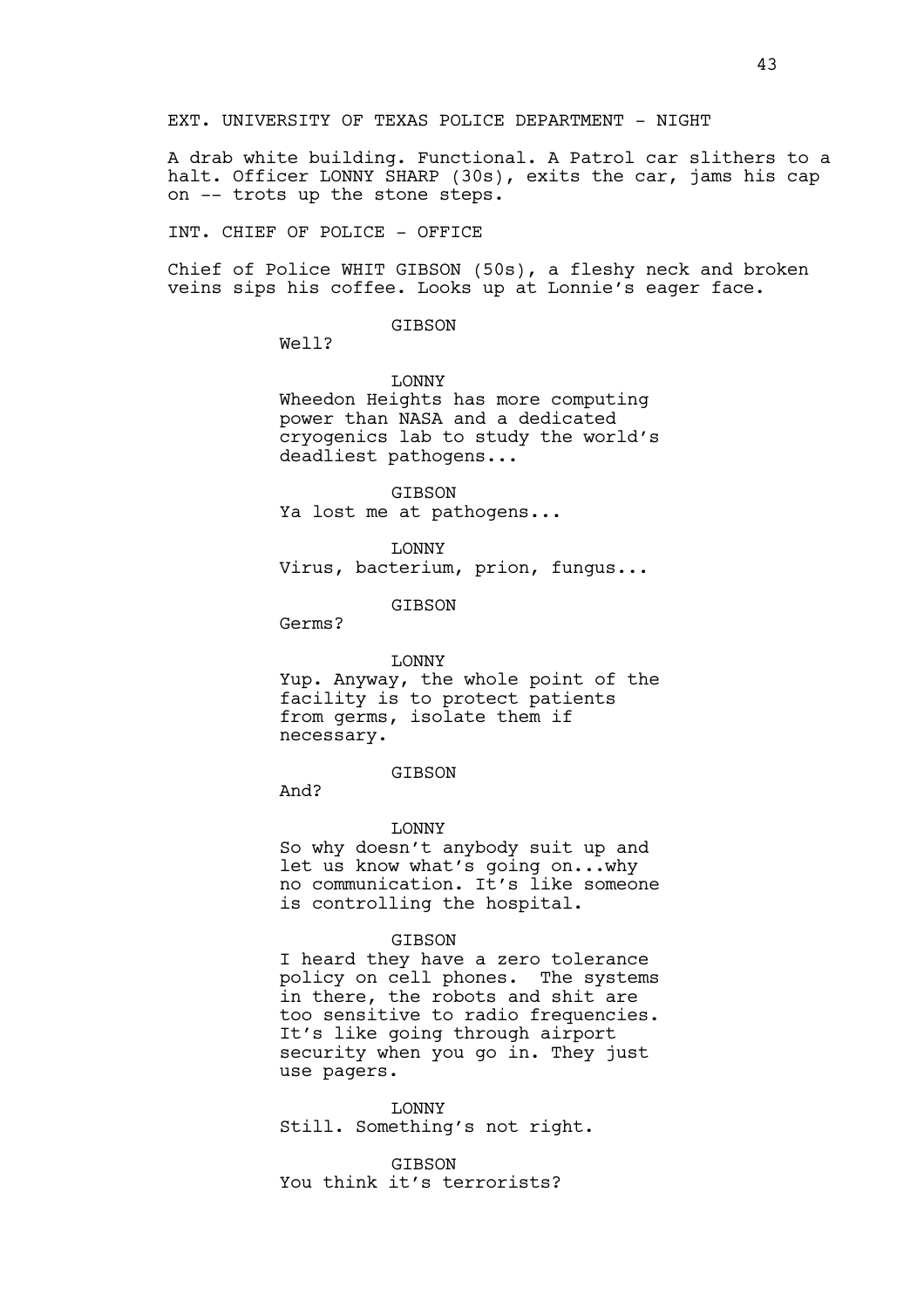A drab white building. Functional. A Patrol car slithers to a halt. Officer LONNY SHARP (30s), exits the car, jams his cap on -- trots up the stone steps.

INT. CHIEF OF POLICE - OFFICE

Chief of Police WHIT GIBSON (50s), a fleshy neck and broken veins sips his coffee. Looks up at Lonnie's eager face.

GIBSON

Well?

LONNY Wheedon Heights has more computing power than NASA and a dedicated cryogenics lab to study the world's deadliest pathogens...

GIBSON Ya lost me at pathogens...

LONNY Virus, bacterium, prion, fungus...

GIBSON

Germs?

#### LONNY

Yup. Anyway, the whole point of the facility is to protect patients from germs, isolate them if necessary.

# GIBSON

And?

#### LONNY

So why doesn't anybody suit up and let us know what's going on...why no communication. It's like someone is controlling the hospital.

#### GIBSON

I heard they have a zero tolerance policy on cell phones. The systems in there, the robots and shit are too sensitive to radio frequencies. It's like going through airport security when you go in. They just use pagers.

LONNY Still. Something's not right.

GIBSON You think it's terrorists?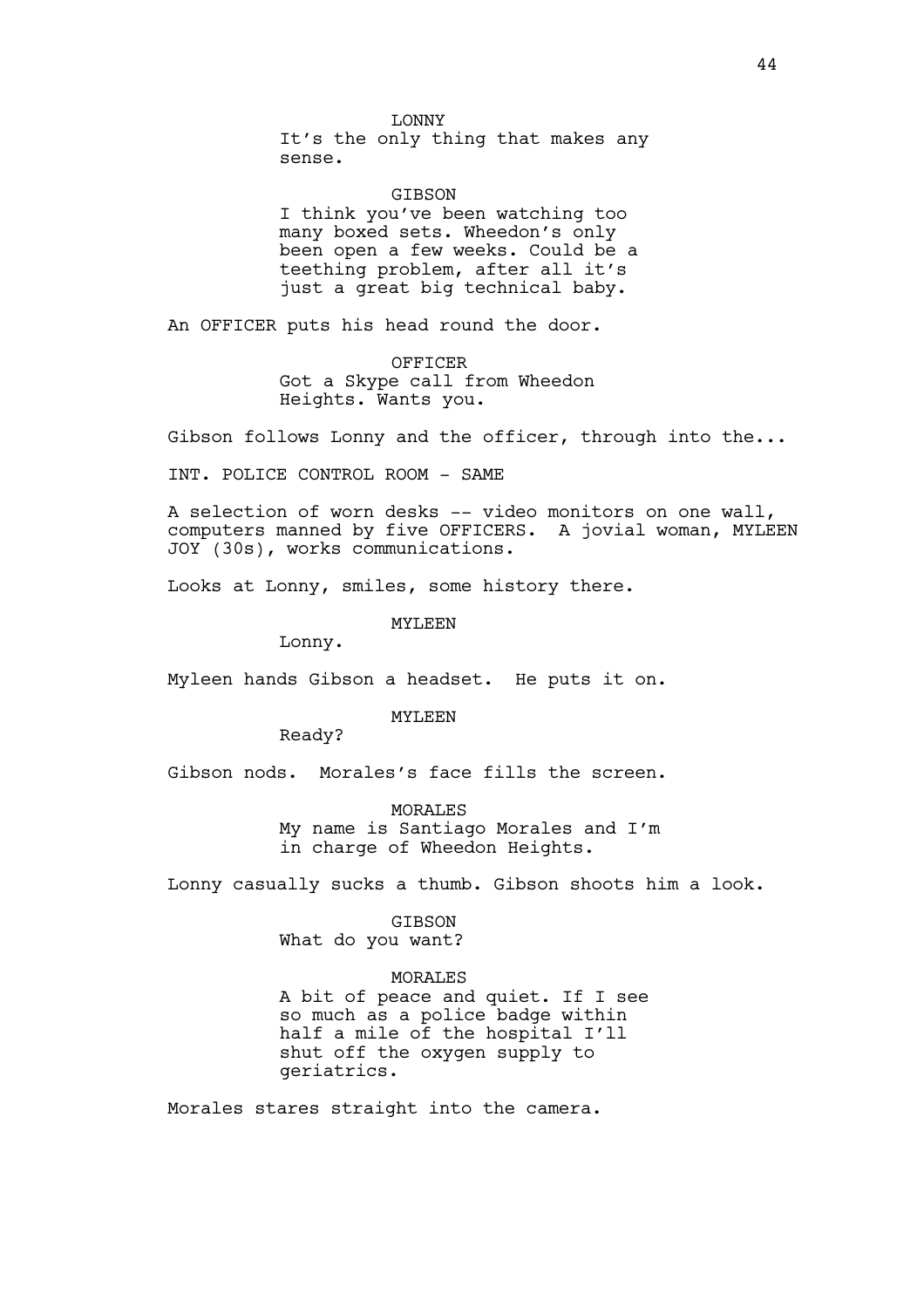LONNY It's the only thing that makes any sense.

GIBSON I think you've been watching too many boxed sets. Wheedon's only been open a few weeks. Could be a teething problem, after all it's just a great big technical baby.

An OFFICER puts his head round the door.

OFFICER Got a Skype call from Wheedon Heights. Wants you.

Gibson follows Lonny and the officer, through into the...

INT. POLICE CONTROL ROOM - SAME

A selection of worn desks -- video monitors on one wall, computers manned by five OFFICERS. A jovial woman, MYLEEN JOY (30s), works communications.

Looks at Lonny, smiles, some history there.

MYLEEN

Lonny.

Myleen hands Gibson a headset. He puts it on.

MYLEEN

Ready?

Gibson nods. Morales's face fills the screen.

MORALES My name is Santiago Morales and I'm in charge of Wheedon Heights.

Lonny casually sucks a thumb. Gibson shoots him a look.

GIBSON What do you want?

# MORALES

A bit of peace and quiet. If I see so much as a police badge within half a mile of the hospital I'll shut off the oxygen supply to geriatrics.

Morales stares straight into the camera.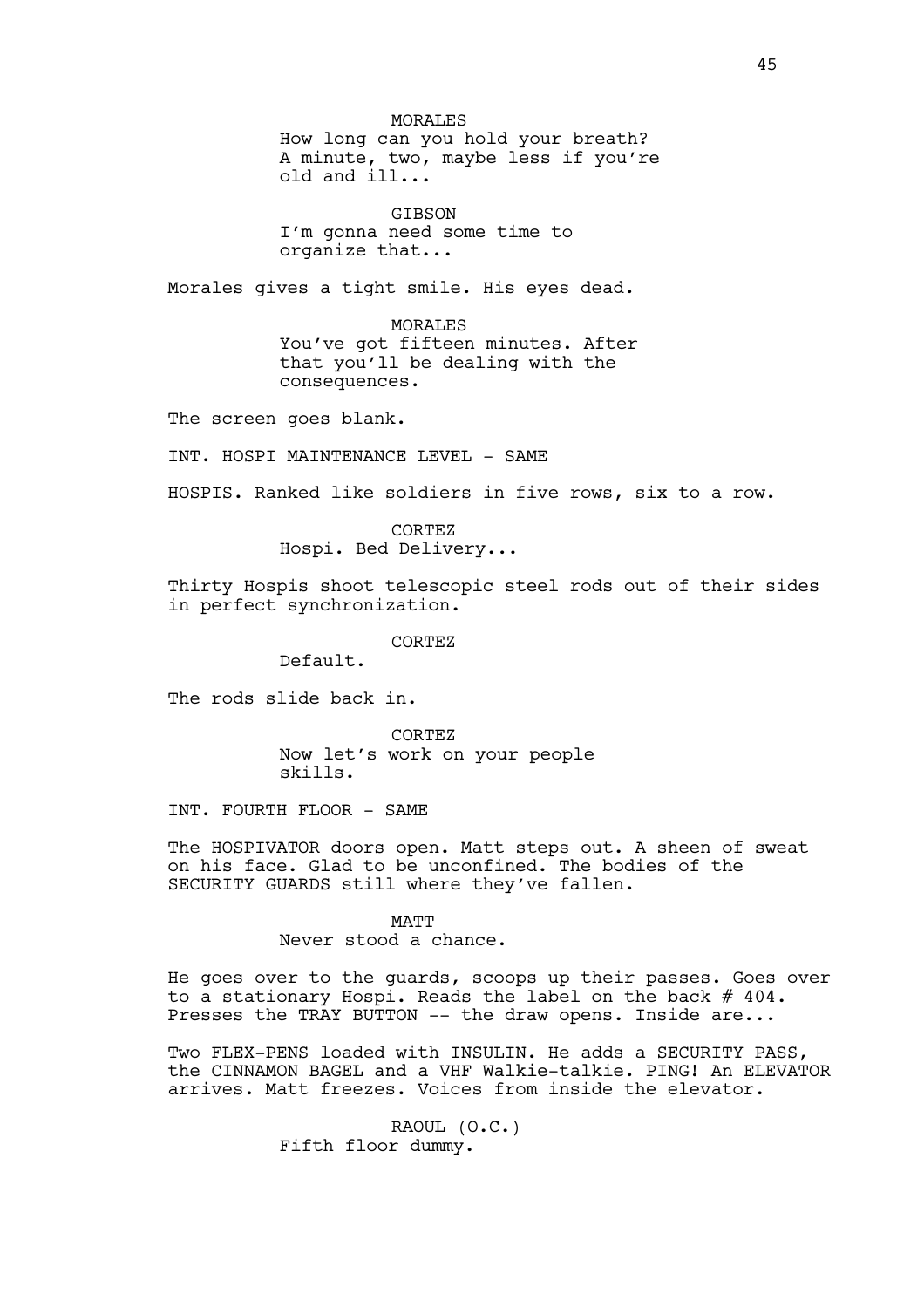MORALES How long can you hold your breath? A minute, two, maybe less if you're old and ill...

GIBSON I'm gonna need some time to organize that...

Morales gives a tight smile. His eyes dead.

MORALES You've got fifteen minutes. After that you'll be dealing with the consequences.

The screen goes blank.

INT. HOSPI MAINTENANCE LEVEL - SAME

HOSPIS. Ranked like soldiers in five rows, six to a row.

CORTEZ Hospi. Bed Delivery...

Thirty Hospis shoot telescopic steel rods out of their sides in perfect synchronization.

CORTEZ

Default.

The rods slide back in.

CORTEZ Now let's work on your people skills.

INT. FOURTH FLOOR - SAME

The HOSPIVATOR doors open. Matt steps out. A sheen of sweat on his face. Glad to be unconfined. The bodies of the SECURITY GUARDS still where they've fallen.

MATT

Never stood a chance.

He goes over to the guards, scoops up their passes. Goes over to a stationary Hospi. Reads the label on the back # 404. Presses the TRAY BUTTON -- the draw opens. Inside are...

Two FLEX-PENS loaded with INSULIN. He adds a SECURITY PASS, the CINNAMON BAGEL and a VHF Walkie-talkie. PING! An ELEVATOR arrives. Matt freezes. Voices from inside the elevator.

> RAOUL (O.C.) Fifth floor dummy.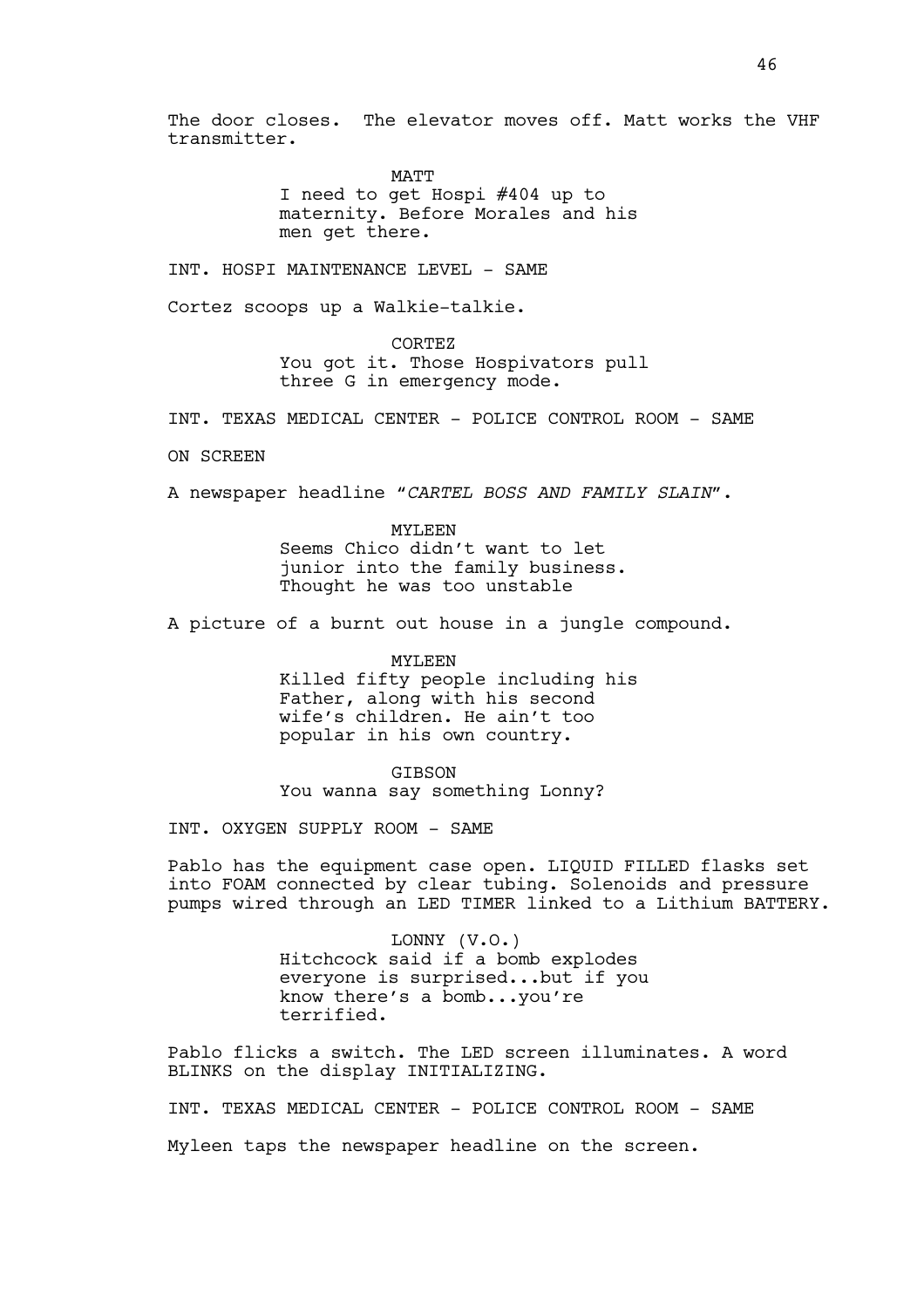The door closes. The elevator moves off. Matt works the VHF transmitter.

> MATT I need to get Hospi #404 up to maternity. Before Morales and his men get there.

INT. HOSPI MAINTENANCE LEVEL - SAME

Cortez scoops up a Walkie-talkie.

CORTEZ You got it. Those Hospivators pull three G in emergency mode.

INT. TEXAS MEDICAL CENTER - POLICE CONTROL ROOM - SAME

ON SCREEN

A newspaper headline *"CARTEL BOSS AND FAMILY SLAIN"*.

MYLEEN Seems Chico didn't want to let junior into the family business. Thought he was too unstable

A picture of a burnt out house in a jungle compound.

MYLEEN Killed fifty people including his Father, along with his second wife's children. He ain't too popular in his own country.

GIBSON You wanna say something Lonny?

INT. OXYGEN SUPPLY ROOM - SAME

Pablo has the equipment case open. LIQUID FILLED flasks set into FOAM connected by clear tubing. Solenoids and pressure pumps wired through an LED TIMER linked to a Lithium BATTERY.

> LONNY (V.O.) Hitchcock said if a bomb explodes everyone is surprised...but if you know there's a bomb...you're terrified.

Pablo flicks a switch. The LED screen illuminates. A word BLINKS on the display INITIALIZING.

INT. TEXAS MEDICAL CENTER - POLICE CONTROL ROOM - SAME

Myleen taps the newspaper headline on the screen.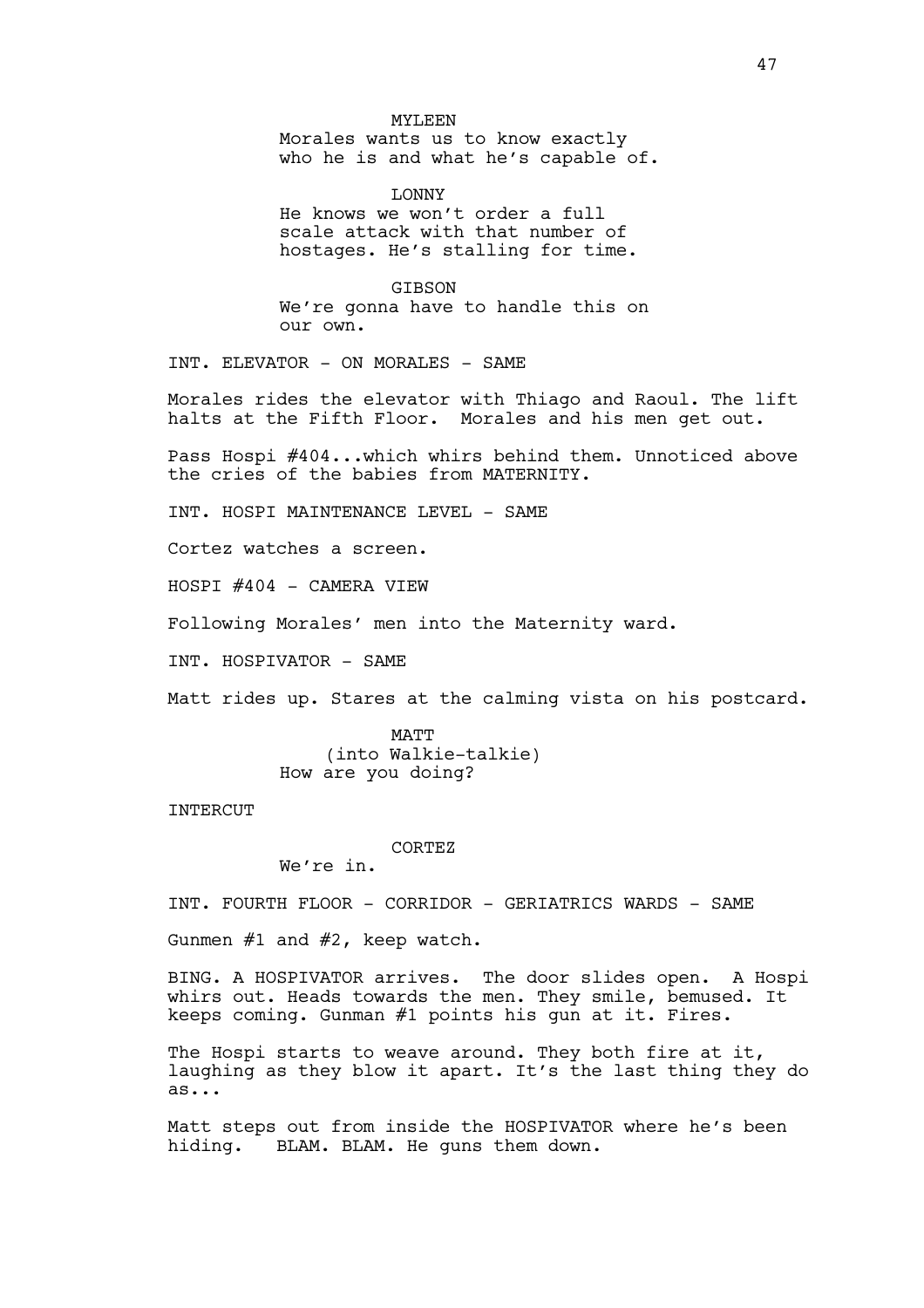#### MYLEEN

Morales wants us to know exactly who he is and what he's capable of.

LONNY He knows we won't order a full scale attack with that number of hostages. He's stalling for time.

GIBSON We're gonna have to handle this on our own.

INT. ELEVATOR - ON MORALES - SAME

Morales rides the elevator with Thiago and Raoul. The lift halts at the Fifth Floor. Morales and his men get out.

Pass Hospi #404...which whirs behind them. Unnoticed above the cries of the babies from MATERNITY.

INT. HOSPI MAINTENANCE LEVEL - SAME

Cortez watches a screen.

HOSPI #404 - CAMERA VIEW

Following Morales' men into the Maternity ward.

INT. HOSPIVATOR - SAME

Matt rides up. Stares at the calming vista on his postcard.

MATT (into Walkie-talkie) How are you doing?

INTERCUT

CORTEZ

We're in.

INT. FOURTH FLOOR - CORRIDOR - GERIATRICS WARDS - SAME

Gunmen #1 and #2, keep watch.

BING. A HOSPIVATOR arrives. The door slides open. A Hospi whirs out. Heads towards the men. They smile, bemused. It keeps coming. Gunman #1 points his gun at it. Fires.

The Hospi starts to weave around. They both fire at it, laughing as they blow it apart. It's the last thing they do as...

Matt steps out from inside the HOSPIVATOR where he's been hiding. BLAM. BLAM. He guns them down.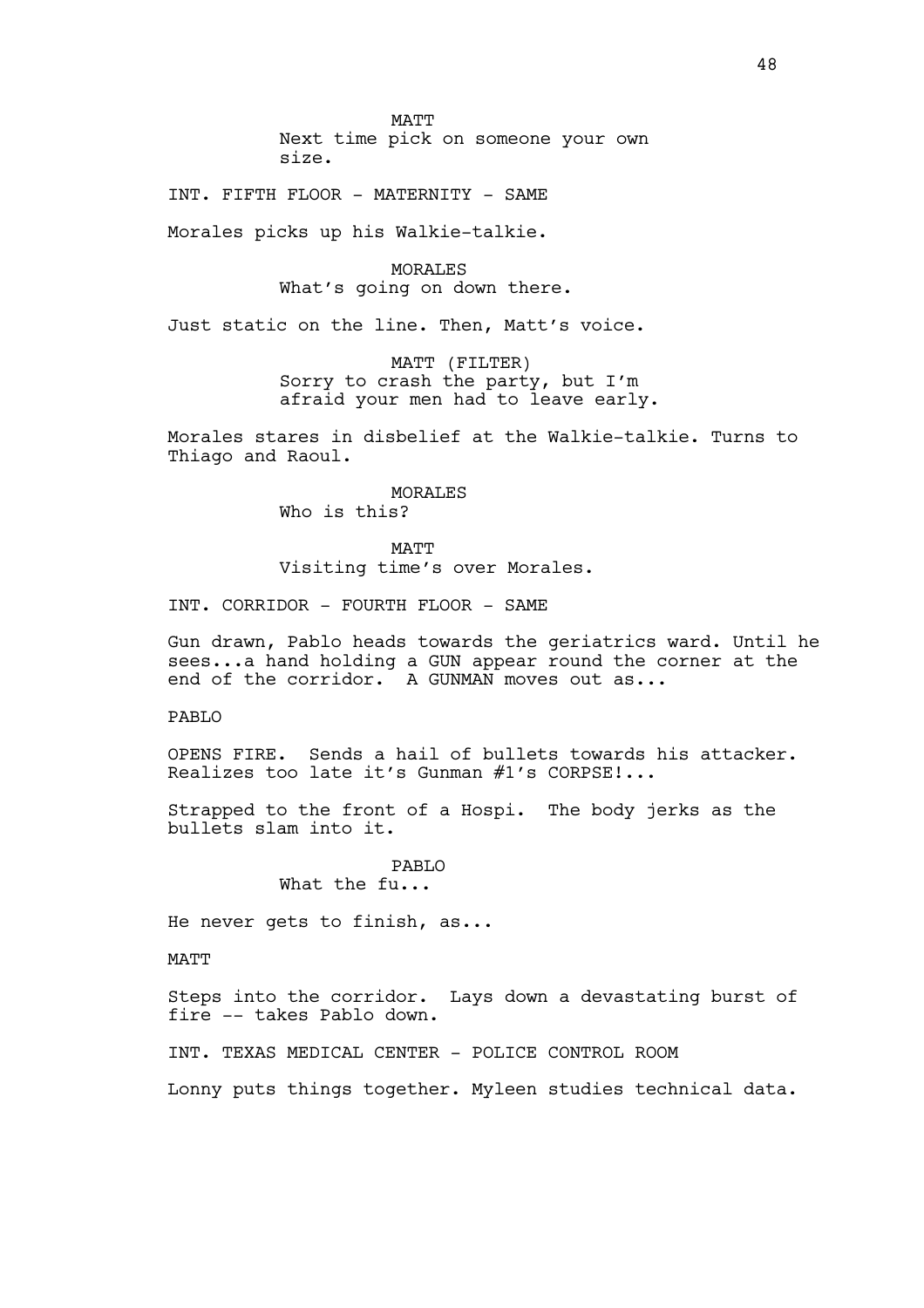MATT Next time pick on someone your own size.

INT. FIFTH FLOOR - MATERNITY - SAME

Morales picks up his Walkie-talkie.

MORALES What's going on down there.

Just static on the line. Then, Matt's voice.

MATT (FILTER) Sorry to crash the party, but I'm afraid your men had to leave early.

Morales stares in disbelief at the Walkie-talkie. Turns to Thiago and Raoul.

> MORALES Who is this?

MATT Visiting time's over Morales.

INT. CORRIDOR - FOURTH FLOOR - SAME

Gun drawn, Pablo heads towards the geriatrics ward. Until he sees...a hand holding a GUN appear round the corner at the end of the corridor. A GUNMAN moves out as...

PABLO

OPENS FIRE. Sends a hail of bullets towards his attacker. Realizes too late it's Gunman #1's CORPSE!...

Strapped to the front of a Hospi. The body jerks as the bullets slam into it.

> PABLO What the fu...

He never gets to finish, as...

MATT

Steps into the corridor. Lays down a devastating burst of fire -- takes Pablo down.

INT. TEXAS MEDICAL CENTER - POLICE CONTROL ROOM

Lonny puts things together. Myleen studies technical data.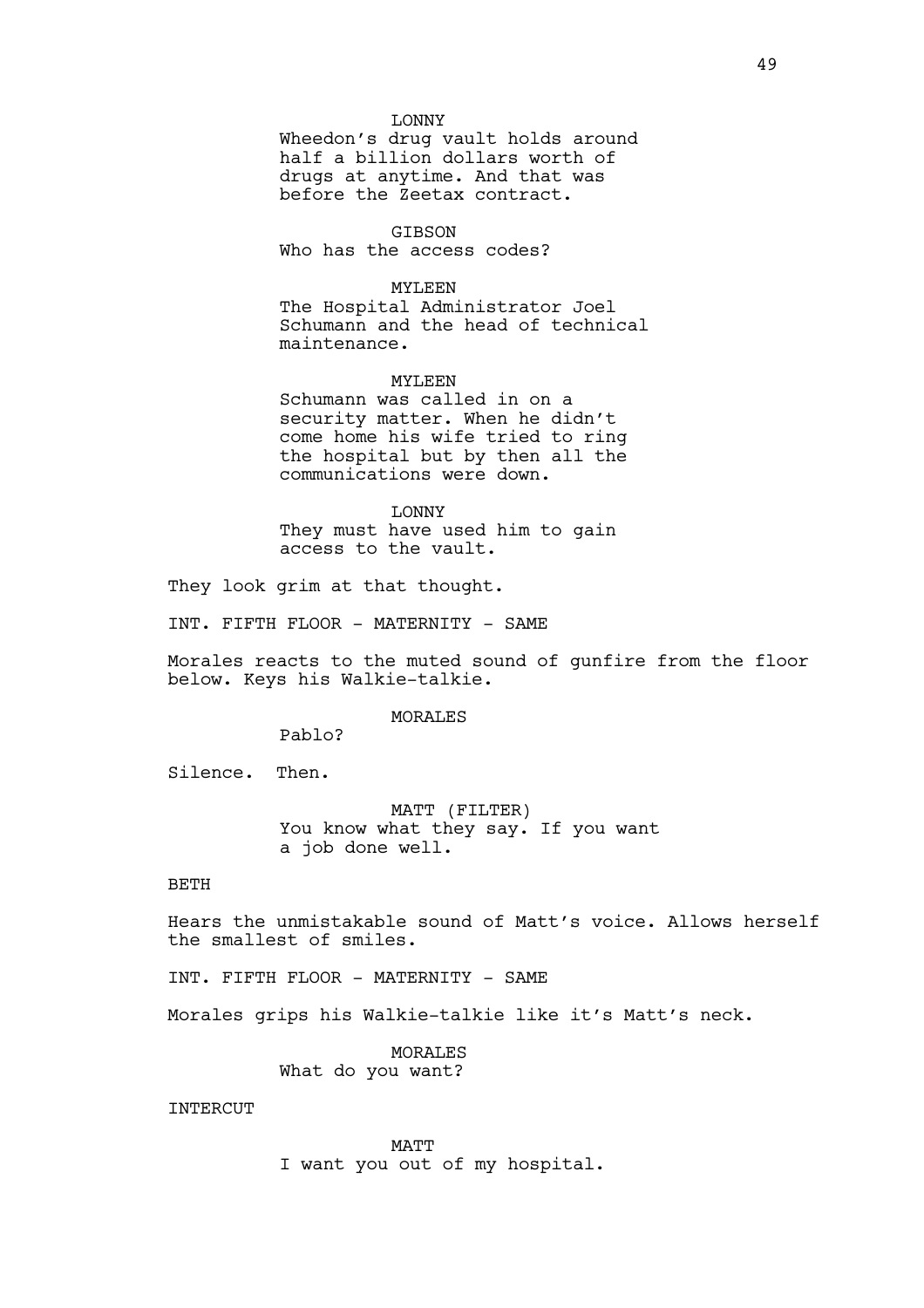#### LONNY

Wheedon's drug vault holds around half a billion dollars worth of drugs at anytime. And that was before the Zeetax contract.

# GIBSON

Who has the access codes?

# MYLEEN

The Hospital Administrator Joel Schumann and the head of technical maintenance.

# MYLEEN

Schumann was called in on a security matter. When he didn't come home his wife tried to ring the hospital but by then all the communications were down.

LONNY They must have used him to gain access to the vault.

They look grim at that thought.

INT. FIFTH FLOOR - MATERNITY - SAME

Morales reacts to the muted sound of gunfire from the floor below. Keys his Walkie-talkie.

#### MORALES

Pablo?

Silence. Then.

MATT (FILTER) You know what they say. If you want a job done well.

# BETH

Hears the unmistakable sound of Matt's voice. Allows herself the smallest of smiles.

INT. FIFTH FLOOR - MATERNITY - SAME

Morales grips his Walkie-talkie like it's Matt's neck.

MORALES What do you want?

**INTERCUT** 

MATT I want you out of my hospital.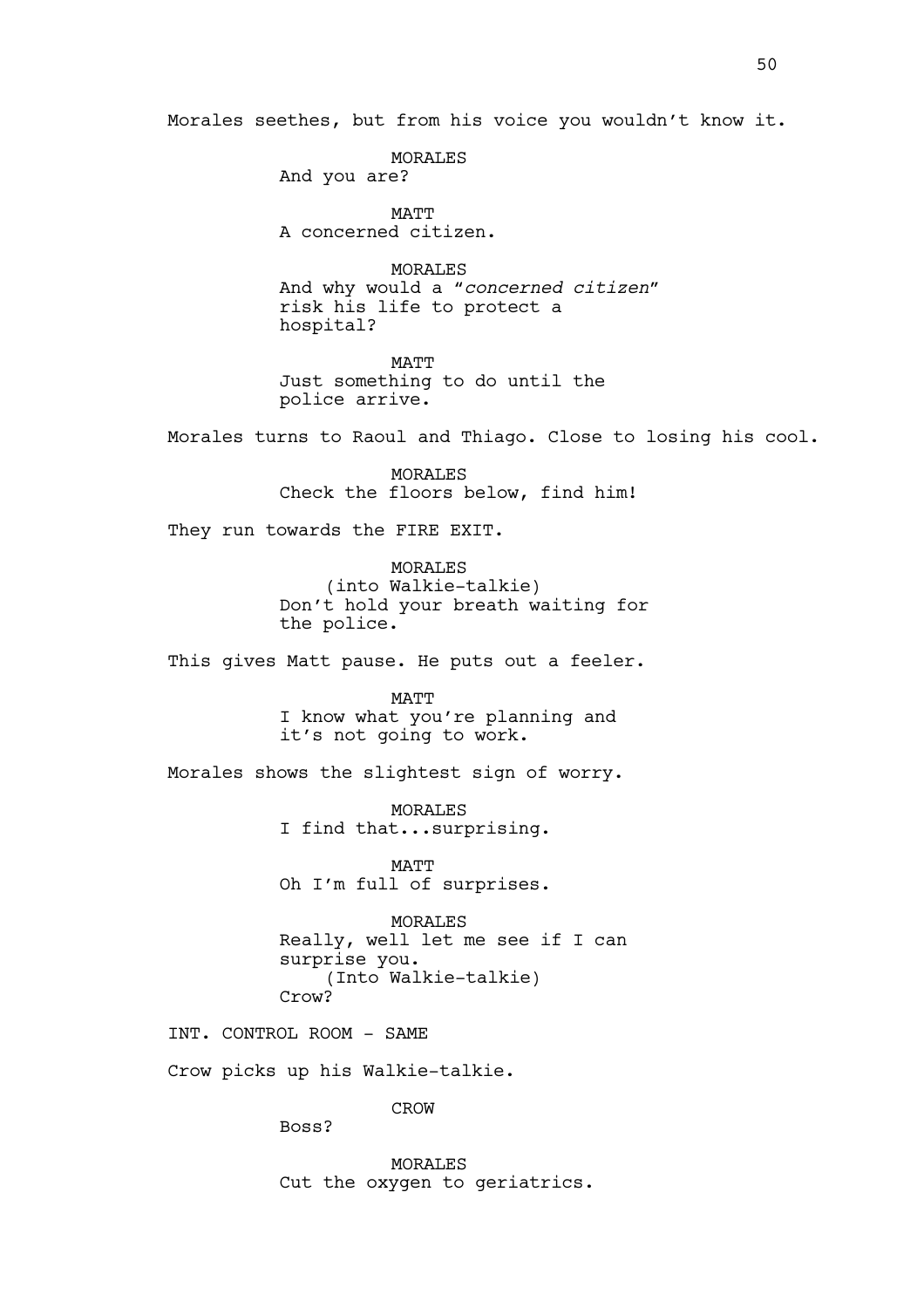Morales seethes, but from his voice you wouldn't know it.

MORALES

And you are?

MATT A concerned citizen.

MORALES And why would a "*concerned citizen"*  risk his life to protect a hospital?

MATT Just something to do until the police arrive.

Morales turns to Raoul and Thiago. Close to losing his cool.

MORALES Check the floors below, find him!

They run towards the FIRE EXIT.

MORALES (into Walkie-talkie) Don't hold your breath waiting for the police.

This gives Matt pause. He puts out a feeler.

MATT I know what you're planning and it's not going to work.

Morales shows the slightest sign of worry.

MORALES I find that...surprising.

MATT Oh I'm full of surprises.

MORALES Really, well let me see if I can surprise you. (Into Walkie-talkie) Crow?

INT. CONTROL ROOM - SAME

Crow picks up his Walkie-talkie.

CROW

Boss?

MORALES Cut the oxygen to geriatrics.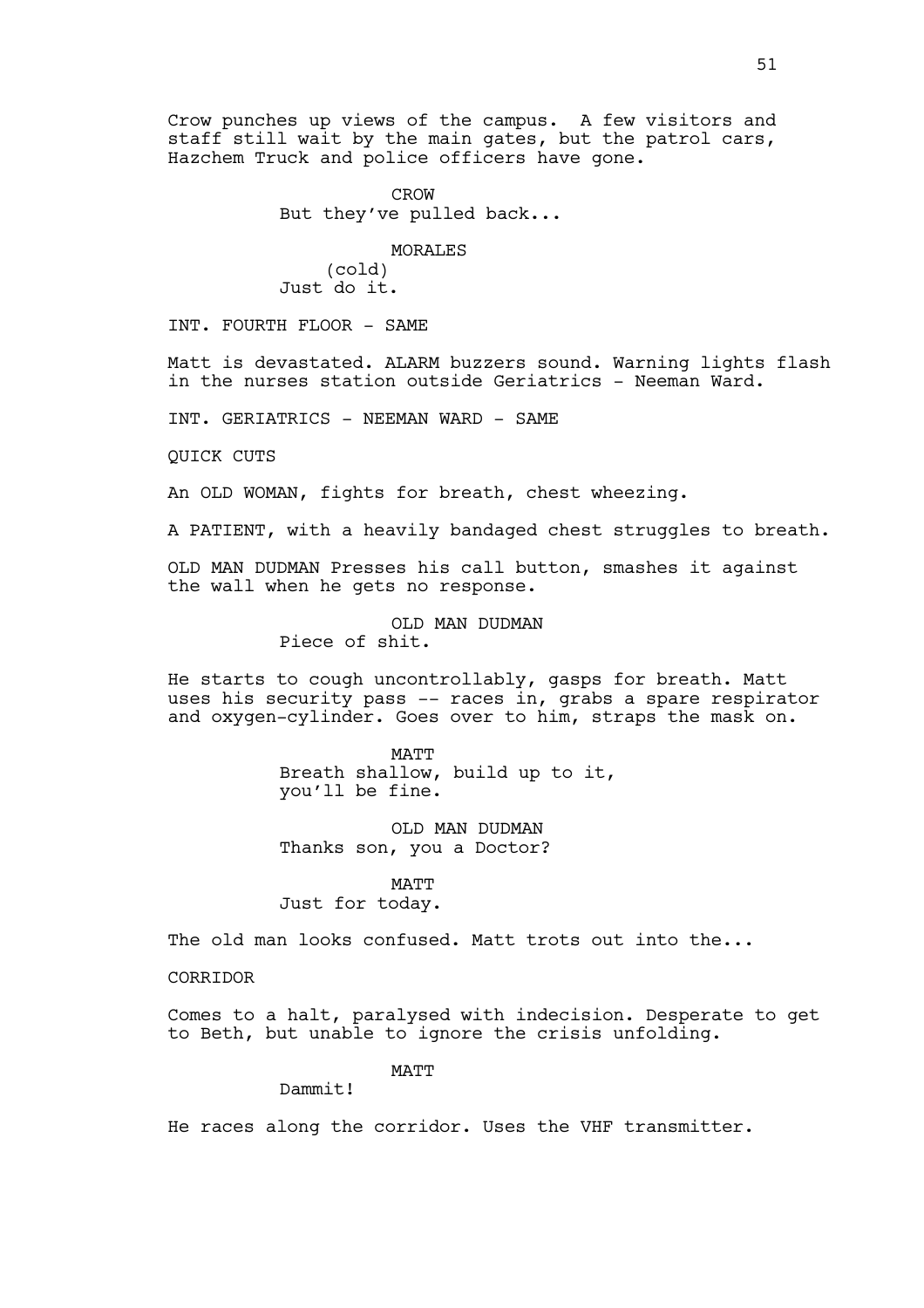Crow punches up views of the campus. A few visitors and staff still wait by the main gates, but the patrol cars, Hazchem Truck and police officers have gone.

> CROW But they've pulled back...

# MORALES

(cold) Just do it.

INT. FOURTH FLOOR - SAME

Matt is devastated. ALARM buzzers sound. Warning lights flash in the nurses station outside Geriatrics - Neeman Ward.

INT. GERIATRICS - NEEMAN WARD - SAME

QUICK CUTS

An OLD WOMAN, fights for breath, chest wheezing.

A PATIENT, with a heavily bandaged chest struggles to breath.

OLD MAN DUDMAN Presses his call button, smashes it against the wall when he gets no response.

> OLD MAN DUDMAN Piece of shit.

He starts to cough uncontrollably, gasps for breath. Matt uses his security pass -- races in, grabs a spare respirator and oxygen-cylinder. Goes over to him, straps the mask on.

> MATT Breath shallow, build up to it, you'll be fine.

OLD MAN DUDMAN Thanks son, you a Doctor?

MATT Just for today.

The old man looks confused. Matt trots out into the...

**CORRIDOR** 

Comes to a halt, paralysed with indecision. Desperate to get to Beth, but unable to ignore the crisis unfolding.

**MATT** 

Dammit!

He races along the corridor. Uses the VHF transmitter.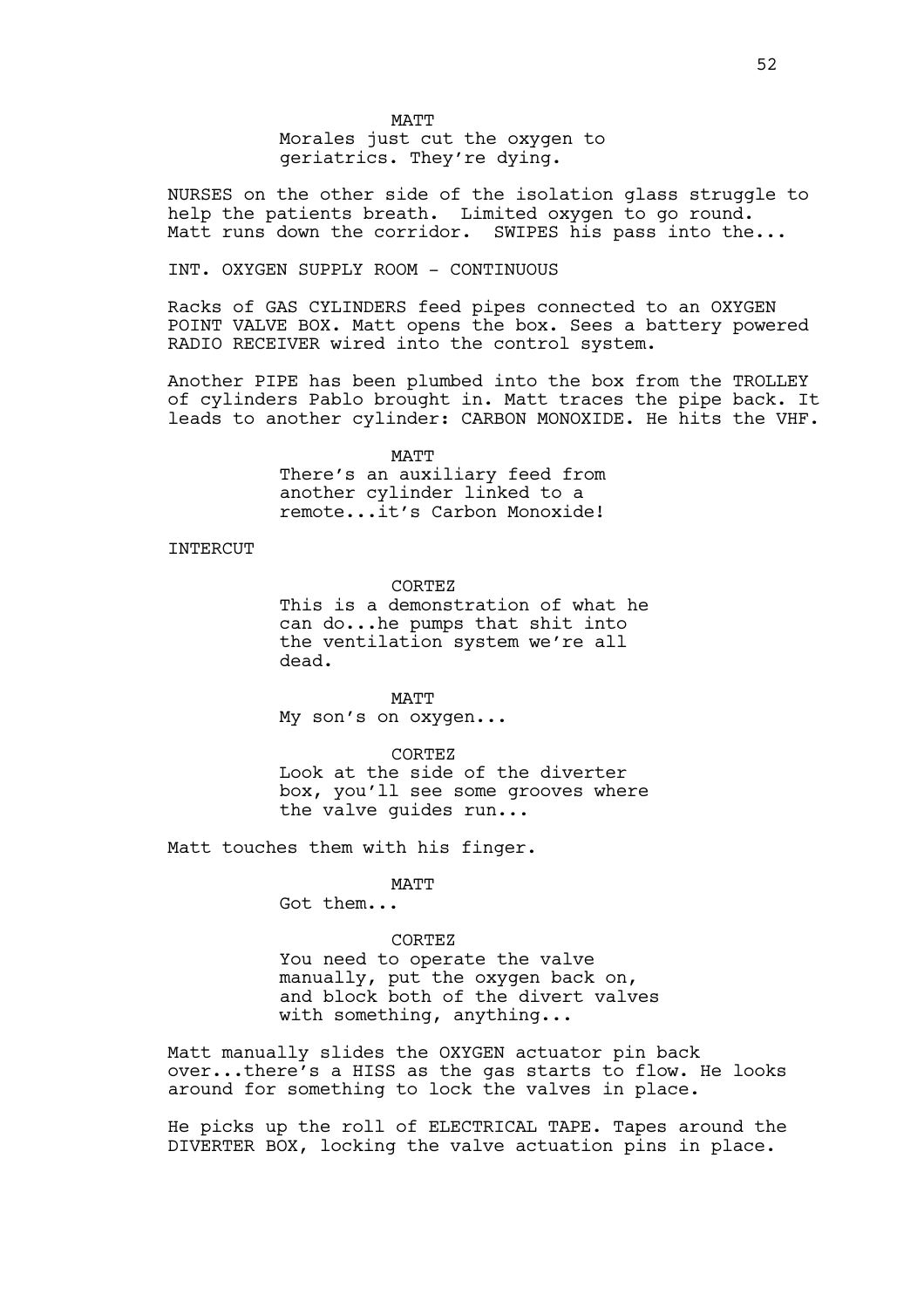Morales just cut the oxygen to geriatrics. They're dying.

NURSES on the other side of the isolation glass struggle to help the patients breath. Limited oxygen to go round. Matt runs down the corridor. SWIPES his pass into the...

INT. OXYGEN SUPPLY ROOM - CONTINUOUS

Racks of GAS CYLINDERS feed pipes connected to an OXYGEN POINT VALVE BOX. Matt opens the box. Sees a battery powered RADIO RECEIVER wired into the control system.

Another PIPE has been plumbed into the box from the TROLLEY of cylinders Pablo brought in. Matt traces the pipe back. It leads to another cylinder: CARBON MONOXIDE. He hits the VHF.

> MATT There's an auxiliary feed from another cylinder linked to a remote...it's Carbon Monoxide!

## INTERCUT

CORTEZ

This is a demonstration of what he can do...he pumps that shit into the ventilation system we're all dead.

MATT My son's on oxygen...

CORTEZ Look at the side of the diverter box, you'll see some grooves where the valve guides run...

Matt touches them with his finger.

MATT

Got them...

# CORTEZ

You need to operate the valve manually, put the oxygen back on, and block both of the divert valves with something, anything...

Matt manually slides the OXYGEN actuator pin back over...there's a HISS as the gas starts to flow. He looks around for something to lock the valves in place.

He picks up the roll of ELECTRICAL TAPE. Tapes around the DIVERTER BOX, locking the valve actuation pins in place.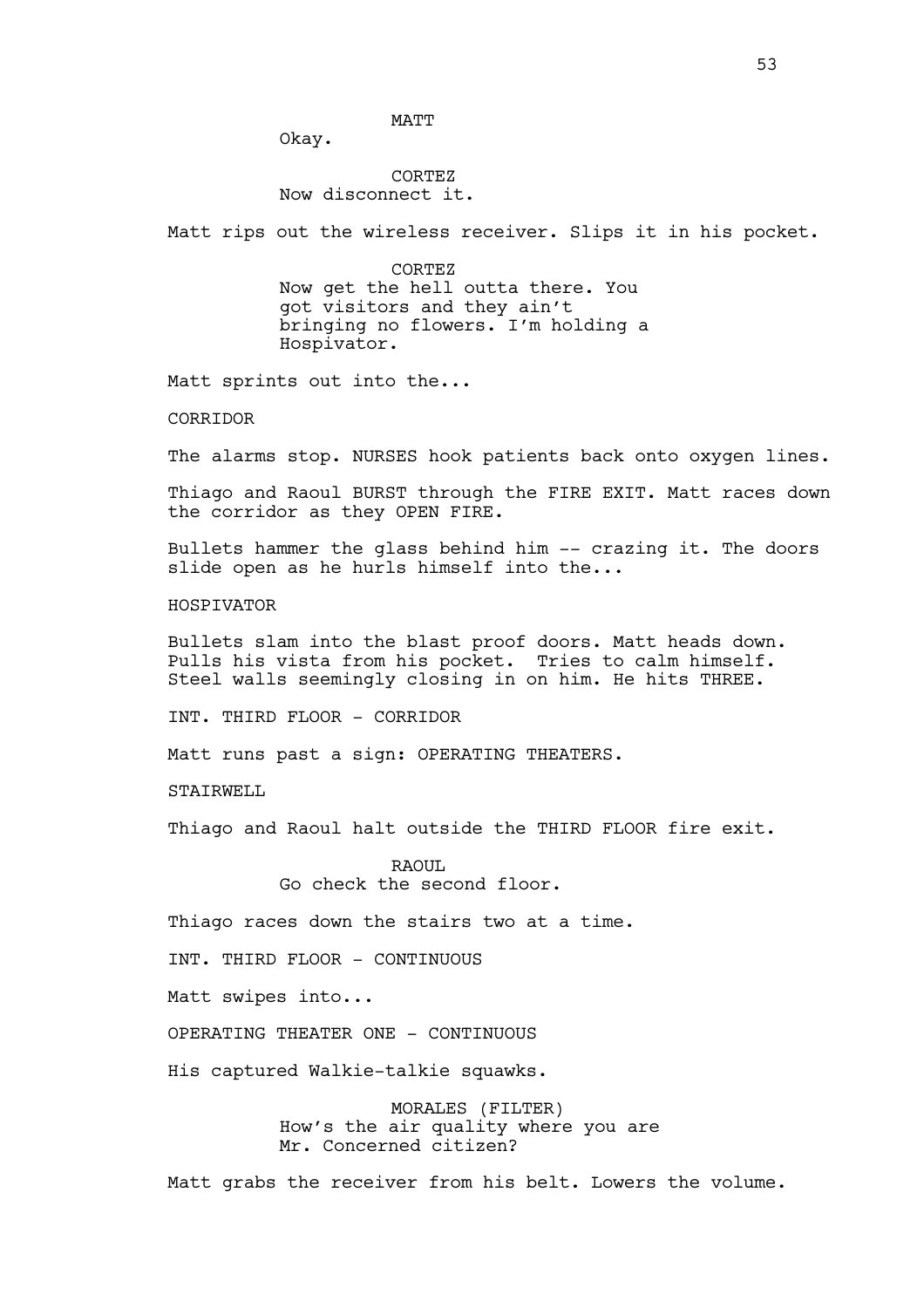Okay.

# CORTEZ Now disconnect it.

Matt rips out the wireless receiver. Slips it in his pocket.

CORTEZ Now get the hell outta there. You got visitors and they ain't bringing no flowers. I'm holding a Hospivator.

Matt sprints out into the...

CORRIDOR

The alarms stop. NURSES hook patients back onto oxygen lines.

Thiago and Raoul BURST through the FIRE EXIT. Matt races down the corridor as they OPEN FIRE.

Bullets hammer the glass behind him  $-$  crazing it. The doors slide open as he hurls himself into the...

HOSPIVATOR

Bullets slam into the blast proof doors. Matt heads down. Pulls his vista from his pocket. Tries to calm himself. Steel walls seemingly closing in on him. He hits THREE.

INT. THIRD FLOOR - CORRIDOR

Matt runs past a sign: OPERATING THEATERS.

STAIRWELL

Thiago and Raoul halt outside the THIRD FLOOR fire exit.

RAOUL. Go check the second floor.

Thiago races down the stairs two at a time.

INT. THIRD FLOOR - CONTINUOUS

Matt swipes into...

OPERATING THEATER ONE - CONTINUOUS

His captured Walkie-talkie squawks.

MORALES (FILTER) How's the air quality where you are Mr. Concerned citizen?

Matt grabs the receiver from his belt. Lowers the volume.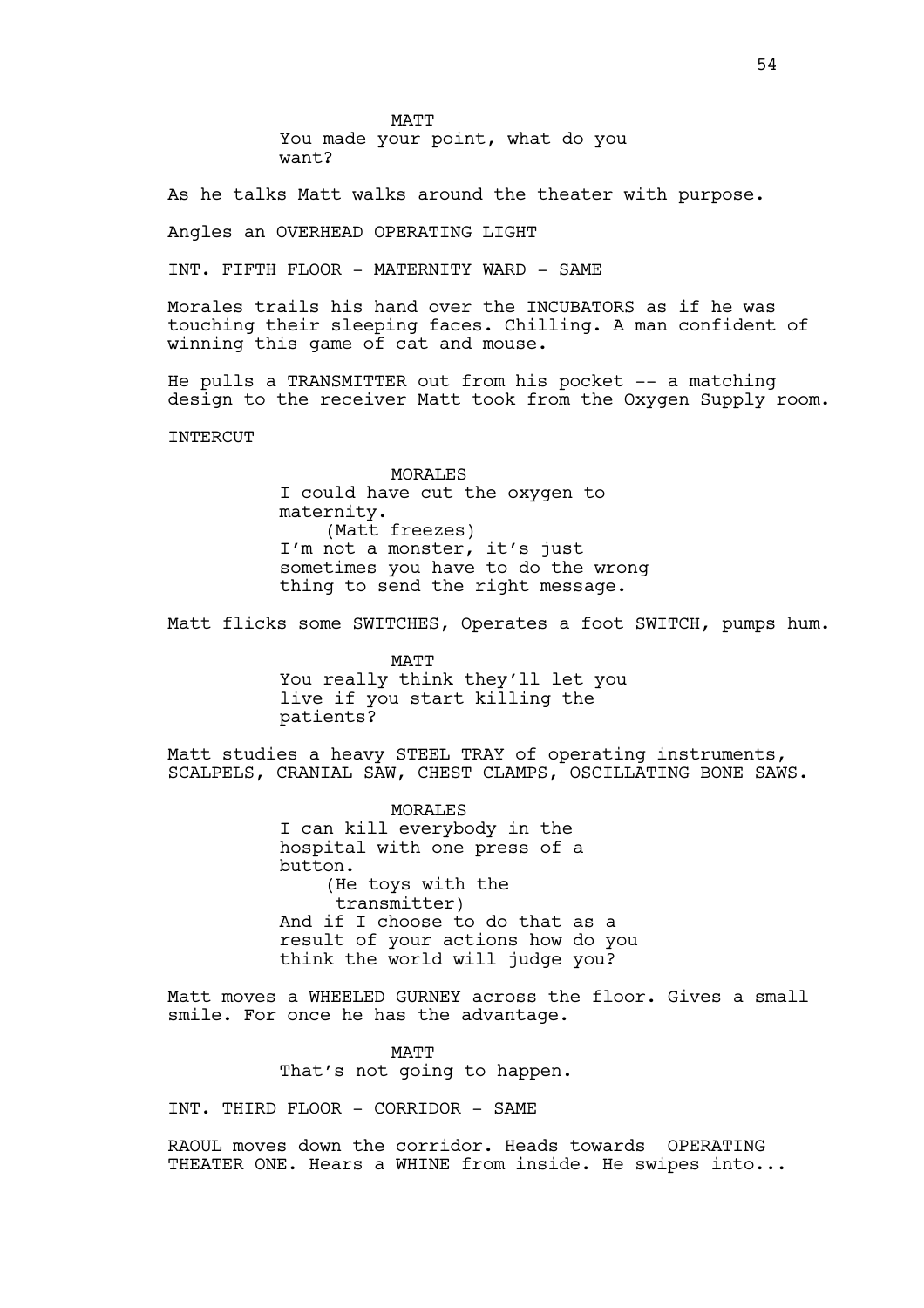MATT You made your point, what do you want?

As he talks Matt walks around the theater with purpose.

Angles an OVERHEAD OPERATING LIGHT

INT. FIFTH FLOOR - MATERNITY WARD - SAME

Morales trails his hand over the INCUBATORS as if he was touching their sleeping faces. Chilling. A man confident of winning this game of cat and mouse.

He pulls a TRANSMITTER out from his pocket -- a matching design to the receiver Matt took from the Oxygen Supply room.

**INTERCUT** 

MORALES I could have cut the oxygen to maternity. (Matt freezes) I'm not a monster, it's just sometimes you have to do the wrong thing to send the right message.

Matt flicks some SWITCHES, Operates a foot SWITCH, pumps hum.

MATT You really think they'll let you live if you start killing the patients?

Matt studies a heavy STEEL TRAY of operating instruments, SCALPELS, CRANIAL SAW, CHEST CLAMPS, OSCILLATING BONE SAWS.

> MORALES I can kill everybody in the hospital with one press of a button. (He toys with the transmitter) And if I choose to do that as a result of your actions how do you think the world will judge you?

Matt moves a WHEELED GURNEY across the floor. Gives a small smile. For once he has the advantage.

> **MATT** That's not going to happen.

INT. THIRD FLOOR - CORRIDOR - SAME

RAOUL moves down the corridor. Heads towards OPERATING THEATER ONE. Hears a WHINE from inside. He swipes into...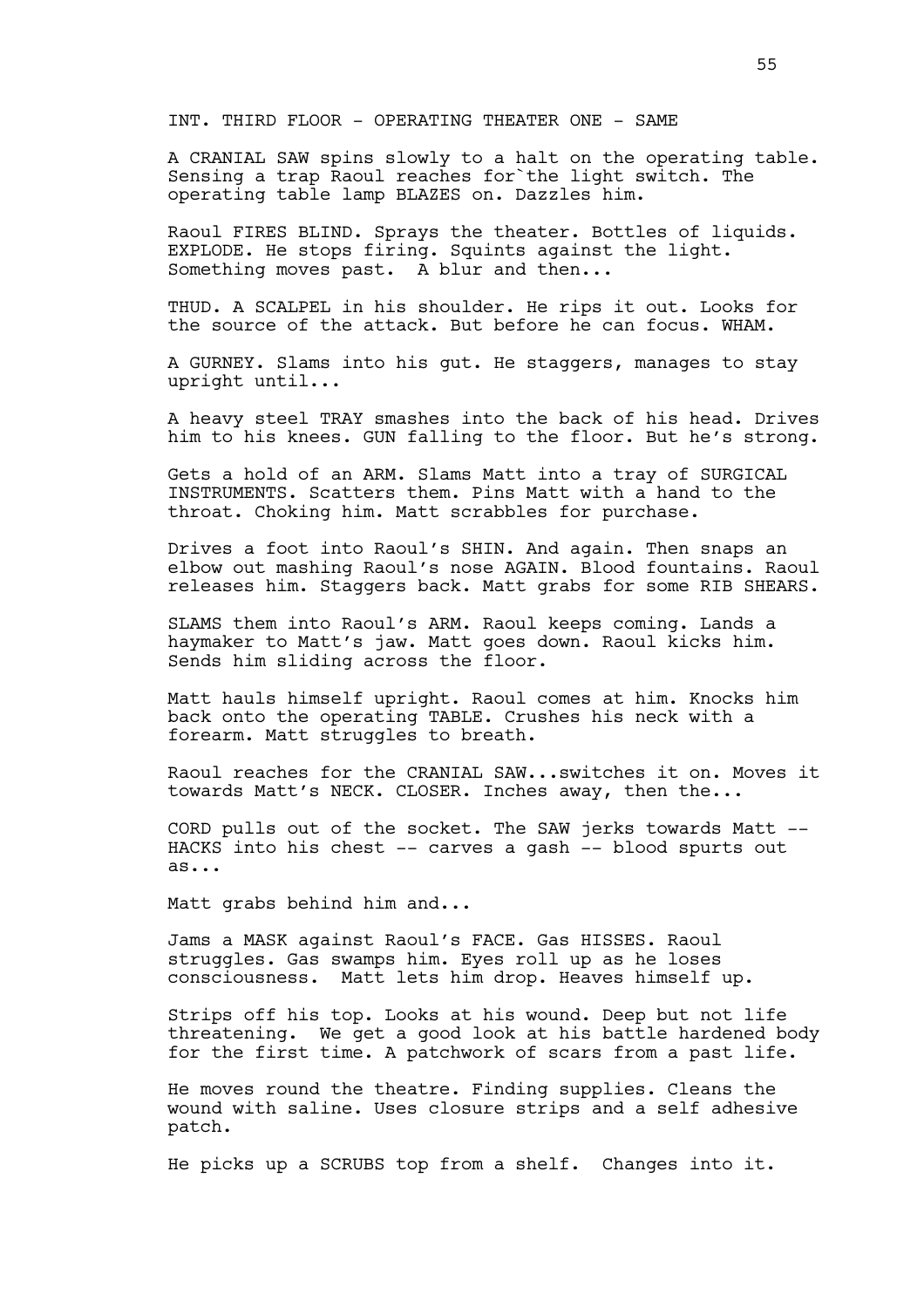INT. THIRD FLOOR - OPERATING THEATER ONE - SAME

A CRANIAL SAW spins slowly to a halt on the operating table. Sensing a trap Raoul reaches for`the light switch. The operating table lamp BLAZES on. Dazzles him.

Raoul FIRES BLIND. Sprays the theater. Bottles of liquids. EXPLODE. He stops firing. Squints against the light. Something moves past. A blur and then...

THUD. A SCALPEL in his shoulder. He rips it out. Looks for the source of the attack. But before he can focus. WHAM.

A GURNEY. Slams into his gut. He staggers, manages to stay upright until...

A heavy steel TRAY smashes into the back of his head. Drives him to his knees. GUN falling to the floor. But he's strong.

Gets a hold of an ARM. Slams Matt into a tray of SURGICAL INSTRUMENTS. Scatters them. Pins Matt with a hand to the throat. Choking him. Matt scrabbles for purchase.

Drives a foot into Raoul's SHIN. And again. Then snaps an elbow out mashing Raoul's nose AGAIN. Blood fountains. Raoul releases him. Staggers back. Matt grabs for some RIB SHEARS.

SLAMS them into Raoul's ARM. Raoul keeps coming. Lands a haymaker to Matt's jaw. Matt goes down. Raoul kicks him. Sends him sliding across the floor.

Matt hauls himself upright. Raoul comes at him. Knocks him back onto the operating TABLE. Crushes his neck with a forearm. Matt struggles to breath.

Raoul reaches for the CRANIAL SAW...switches it on. Moves it towards Matt's NECK. CLOSER. Inches away, then the...

CORD pulls out of the socket. The SAW jerks towards Matt -- HACKS into his chest -- carves a gash -- blood spurts out as...

Matt grabs behind him and...

Jams a MASK against Raoul's FACE. Gas HISSES. Raoul struggles. Gas swamps him. Eyes roll up as he loses consciousness. Matt lets him drop. Heaves himself up.

Strips off his top. Looks at his wound. Deep but not life threatening. We get a good look at his battle hardened body for the first time. A patchwork of scars from a past life.

He moves round the theatre. Finding supplies. Cleans the wound with saline. Uses closure strips and a self adhesive patch.

He picks up a SCRUBS top from a shelf. Changes into it.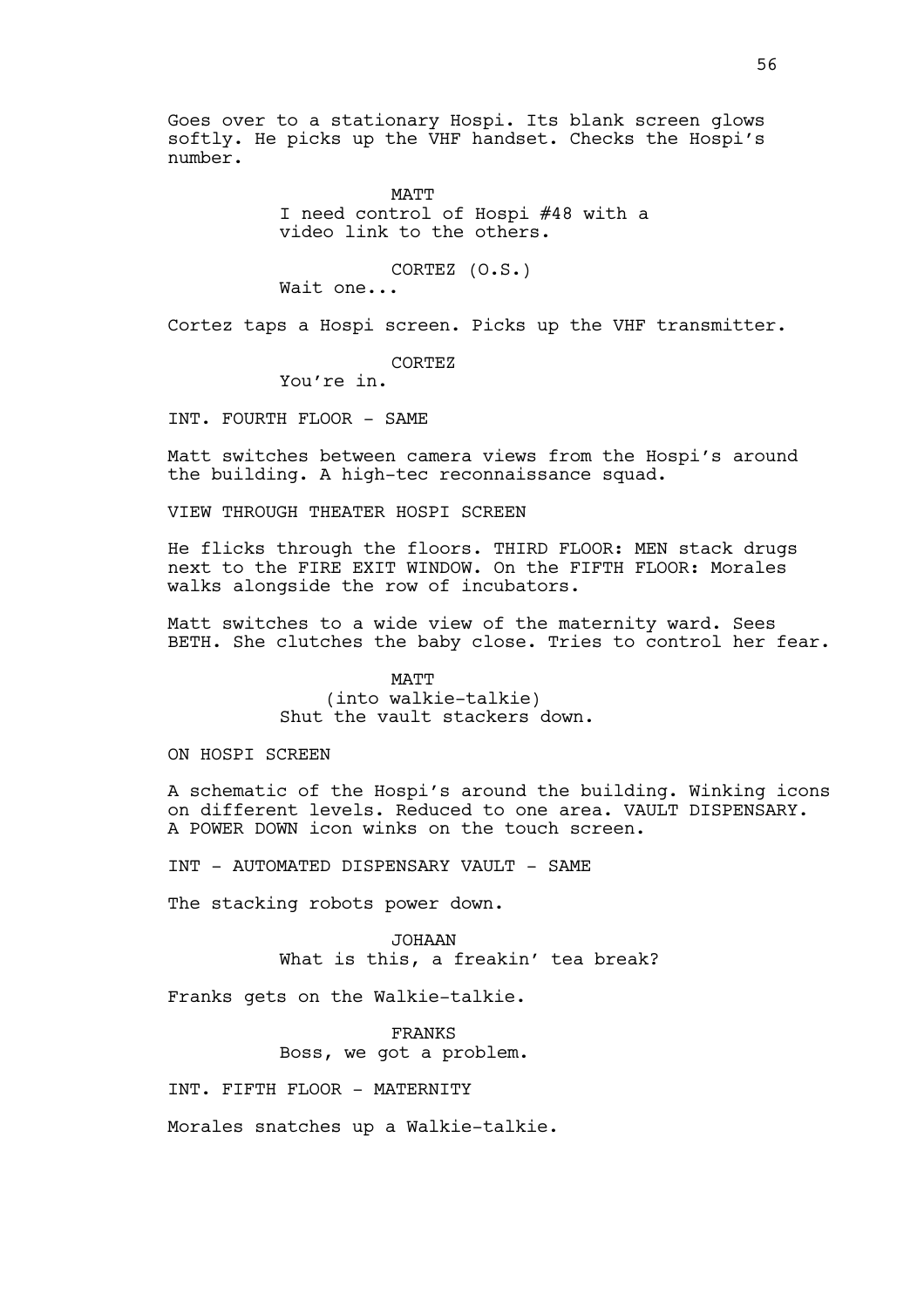Goes over to a stationary Hospi. Its blank screen glows softly. He picks up the VHF handset. Checks the Hospi's number.

> MATT I need control of Hospi #48 with a video link to the others.

CORTEZ (O.S.)

Wait one...

Cortez taps a Hospi screen. Picks up the VHF transmitter.

CORTEZ

You're in.

INT. FOURTH FLOOR - SAME

Matt switches between camera views from the Hospi's around the building. A high-tec reconnaissance squad.

VIEW THROUGH THEATER HOSPI SCREEN

He flicks through the floors. THIRD FLOOR: MEN stack drugs next to the FIRE EXIT WINDOW. On the FIFTH FLOOR: Morales walks alongside the row of incubators.

Matt switches to a wide view of the maternity ward. Sees BETH. She clutches the baby close. Tries to control her fear.

> MATT (into walkie-talkie) Shut the vault stackers down.

ON HOSPI SCREEN

A schematic of the Hospi's around the building. Winking icons on different levels. Reduced to one area. VAULT DISPENSARY. A POWER DOWN icon winks on the touch screen.

INT - AUTOMATED DISPENSARY VAULT - SAME

The stacking robots power down.

JOHAAN What is this, a freakin' tea break?

Franks gets on the Walkie-talkie.

FRANKS Boss, we got a problem.

INT. FIFTH FLOOR - MATERNITY

Morales snatches up a Walkie-talkie.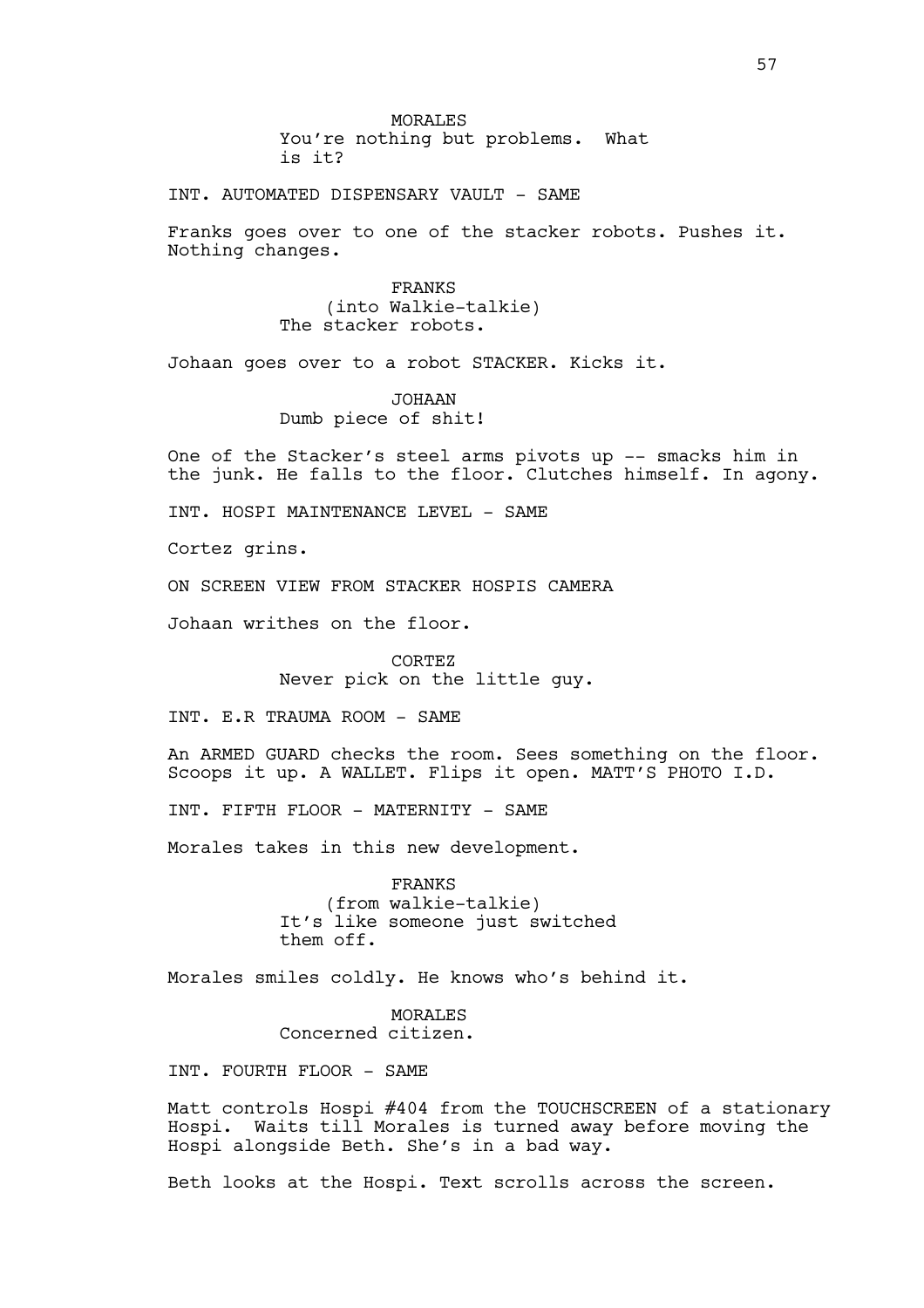MORALES You're nothing but problems. What is it?

INT. AUTOMATED DISPENSARY VAULT - SAME

Franks goes over to one of the stacker robots. Pushes it. Nothing changes.

> FRANKS (into Walkie-talkie) The stacker robots.

Johaan goes over to a robot STACKER. Kicks it.

JOHAAN Dumb piece of shit!

One of the Stacker's steel arms pivots up -- smacks him in the junk. He falls to the floor. Clutches himself. In agony.

INT. HOSPI MAINTENANCE LEVEL - SAME

Cortez grins.

ON SCREEN VIEW FROM STACKER HOSPIS CAMERA

Johaan writhes on the floor.

CORTEZ Never pick on the little guy.

INT. E.R TRAUMA ROOM - SAME

An ARMED GUARD checks the room. Sees something on the floor. Scoops it up. A WALLET. Flips it open. MATT'S PHOTO I.D.

INT. FIFTH FLOOR - MATERNITY - SAME

Morales takes in this new development.

FRANKS (from walkie-talkie) It's like someone just switched them off.

Morales smiles coldly. He knows who's behind it.

MORALES Concerned citizen.

INT. FOURTH FLOOR - SAME

Matt controls Hospi #404 from the TOUCHSCREEN of a stationary Hospi. Waits till Morales is turned away before moving the Hospi alongside Beth. She's in a bad way.

Beth looks at the Hospi. Text scrolls across the screen.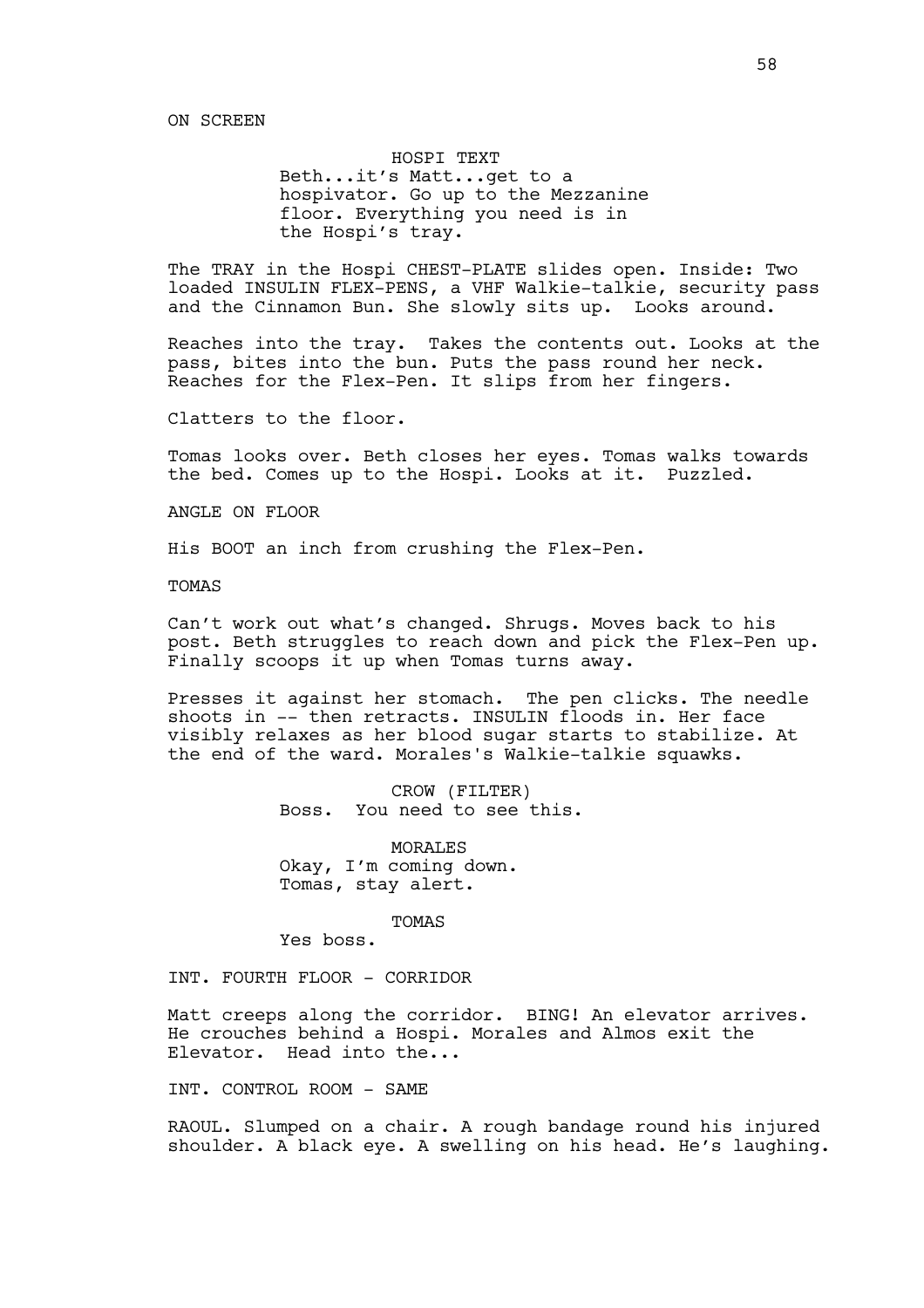### HOSPI TEXT

Beth...it's Matt...get to a hospivator. Go up to the Mezzanine floor. Everything you need is in the Hospi's tray.

The TRAY in the Hospi CHEST-PLATE slides open. Inside: Two loaded INSULIN FLEX-PENS, a VHF Walkie-talkie, security pass and the Cinnamon Bun. She slowly sits up. Looks around.

Reaches into the tray. Takes the contents out. Looks at the pass, bites into the bun. Puts the pass round her neck. Reaches for the Flex-Pen. It slips from her fingers.

Clatters to the floor.

Tomas looks over. Beth closes her eyes. Tomas walks towards the bed. Comes up to the Hospi. Looks at it. Puzzled.

ANGLE ON FLOOR

His BOOT an inch from crushing the Flex-Pen.

TOMAS

Can't work out what's changed. Shrugs. Moves back to his post. Beth struggles to reach down and pick the Flex-Pen up. Finally scoops it up when Tomas turns away.

Presses it against her stomach. The pen clicks. The needle shoots in -- then retracts. INSULIN floods in. Her face visibly relaxes as her blood sugar starts to stabilize. At the end of the ward. Morales's Walkie-talkie squawks.

> CROW (FILTER) Boss. You need to see this.

MORALES Okay, I'm coming down. Tomas, stay alert.

TOMAS

Yes boss.

INT. FOURTH FLOOR - CORRIDOR

Matt creeps along the corridor. BING! An elevator arrives. He crouches behind a Hospi. Morales and Almos exit the Elevator. Head into the...

INT. CONTROL ROOM - SAME

RAOUL. Slumped on a chair. A rough bandage round his injured shoulder. A black eye. A swelling on his head. He's laughing.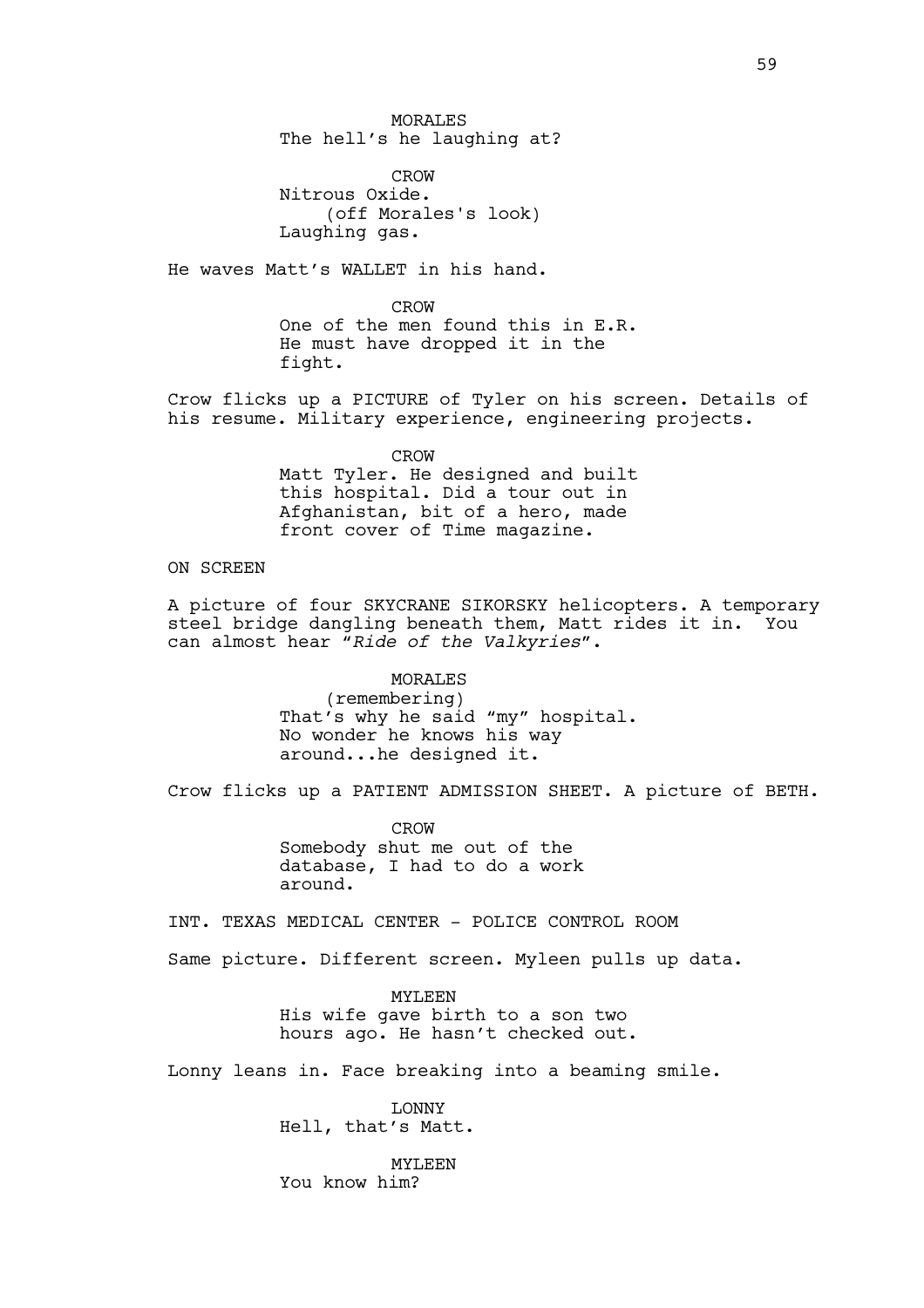MORALES The hell's he laughing at?

CROW Nitrous Oxide. (off Morales's look) Laughing gas.

He waves Matt's WALLET in his hand.

CROW One of the men found this in E.R. He must have dropped it in the fight.

Crow flicks up a PICTURE of Tyler on his screen. Details of his resume. Military experience, engineering projects.

> CROW Matt Tyler. He designed and built this hospital. Did a tour out in Afghanistan, bit of a hero, made front cover of Time magazine.

# ON SCREEN

A picture of four SKYCRANE SIKORSKY helicopters. A temporary steel bridge dangling beneath them, Matt rides it in. You can almost hear *"Ride of the Valkyries"*.

> MORALES (remembering) That's why he said "my" hospital. No wonder he knows his way around...he designed it.

Crow flicks up a PATIENT ADMISSION SHEET. A picture of BETH.

CROW Somebody shut me out of the database, I had to do a work around.

INT. TEXAS MEDICAL CENTER - POLICE CONTROL ROOM

Same picture. Different screen. Myleen pulls up data.

MYLEEN His wife gave birth to a son two hours ago. He hasn't checked out.

Lonny leans in. Face breaking into a beaming smile.

LONNY Hell, that's Matt.

MYLEEN You know him?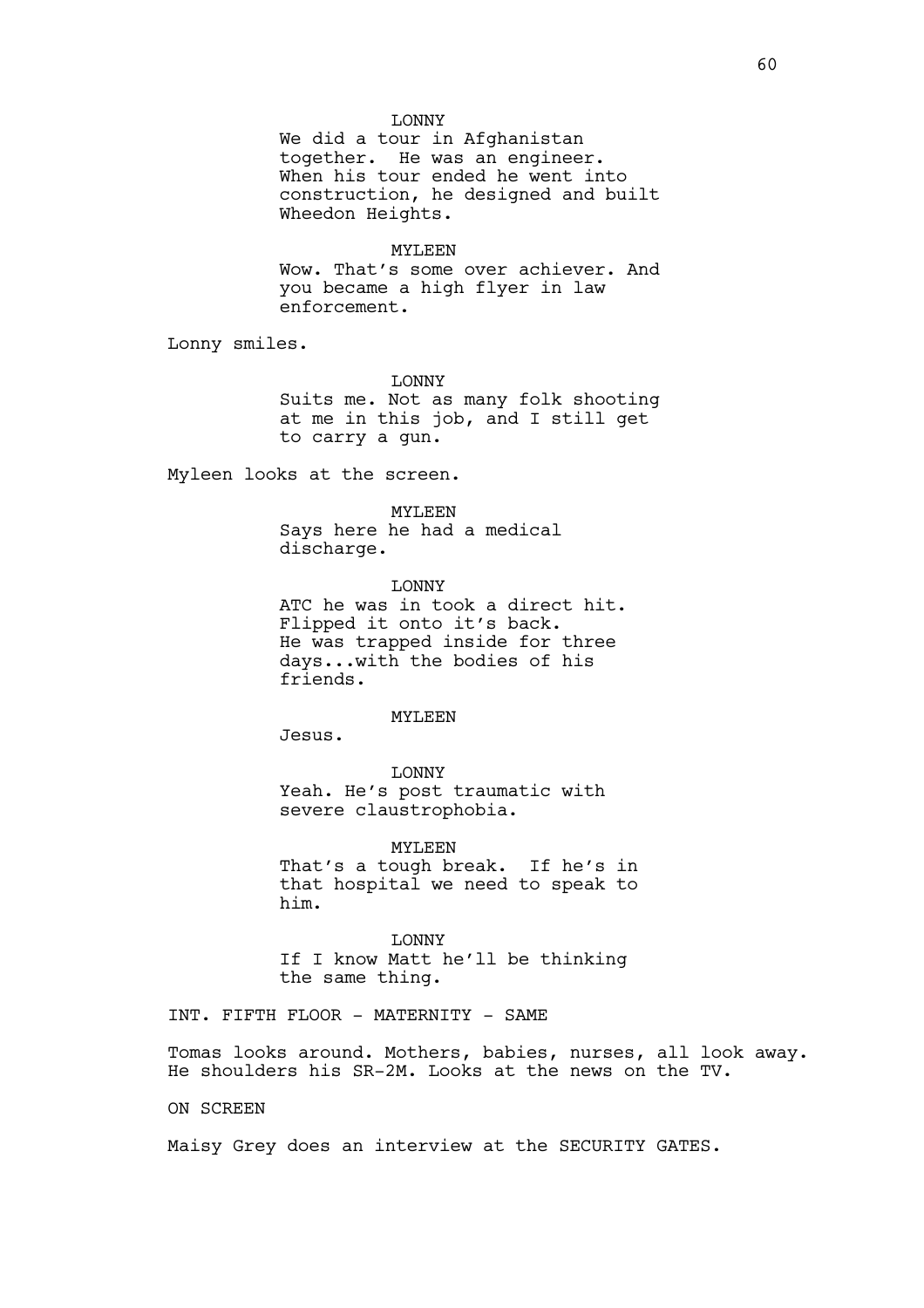### LONNY

We did a tour in Afghanistan together. He was an engineer. When his tour ended he went into construction, he designed and built Wheedon Heights.

# MYLEEN

Wow. That's some over achiever. And you became a high flyer in law enforcement.

Lonny smiles.

LONNY

Suits me. Not as many folk shooting at me in this job, and I still get to carry a gun.

Myleen looks at the screen.

#### MYLEEN

Says here he had a medical discharge.

LONNY ATC he was in took a direct hit. Flipped it onto it's back. He was trapped inside for three days...with the bodies of his friends.

#### MYLEEN

Jesus.

LONNY Yeah. He's post traumatic with severe claustrophobia.

MYLEEN That's a tough break. If he's in that hospital we need to speak to him.

LONNY If I know Matt he'll be thinking the same thing.

INT. FIFTH FLOOR - MATERNITY - SAME

Tomas looks around. Mothers, babies, nurses, all look away. He shoulders his SR-2M. Looks at the news on the TV.

ON SCREEN

Maisy Grey does an interview at the SECURITY GATES.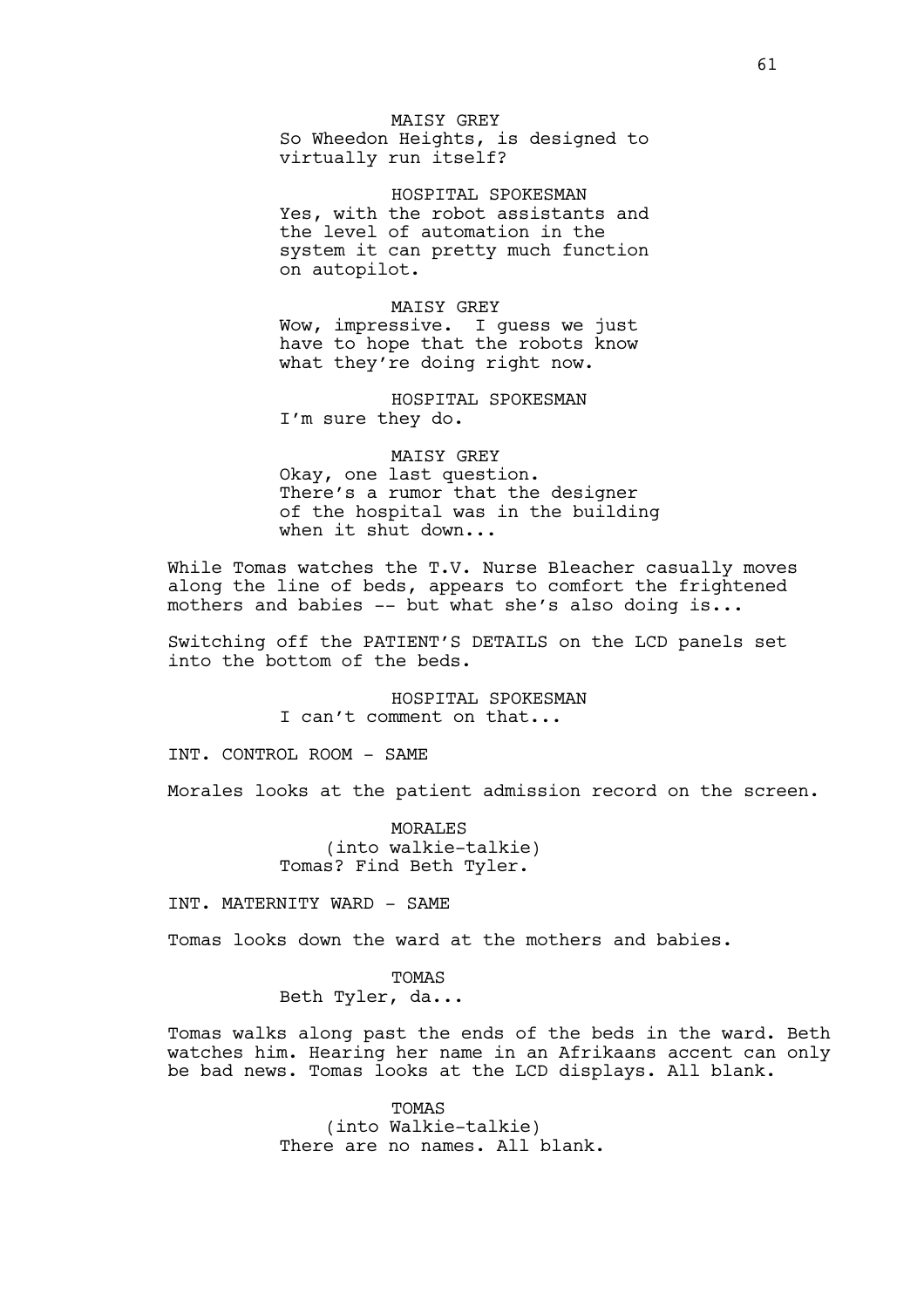MAISY GREY So Wheedon Heights, is designed to virtually run itself?

HOSPITAL SPOKESMAN Yes, with the robot assistants and the level of automation in the system it can pretty much function on autopilot.

MAISY GREY Wow, impressive. I guess we just have to hope that the robots know what they're doing right now.

HOSPITAL SPOKESMAN I'm sure they do.

MAISY GREY Okay, one last question. There's a rumor that the designer of the hospital was in the building when it shut down...

While Tomas watches the T.V. Nurse Bleacher casually moves along the line of beds, appears to comfort the frightened mothers and babies -- but what she's also doing is...

Switching off the PATIENT'S DETAILS on the LCD panels set into the bottom of the beds.

> HOSPITAL SPOKESMAN I can't comment on that...

INT. CONTROL ROOM - SAME

Morales looks at the patient admission record on the screen.

MORALES (into walkie-talkie) Tomas? Find Beth Tyler.

INT. MATERNITY WARD - SAME

Tomas looks down the ward at the mothers and babies.

**TOMAS** Beth Tyler, da...

Tomas walks along past the ends of the beds in the ward. Beth watches him. Hearing her name in an Afrikaans accent can only be bad news. Tomas looks at the LCD displays. All blank.

> TOMAS (into Walkie-talkie) There are no names. All blank.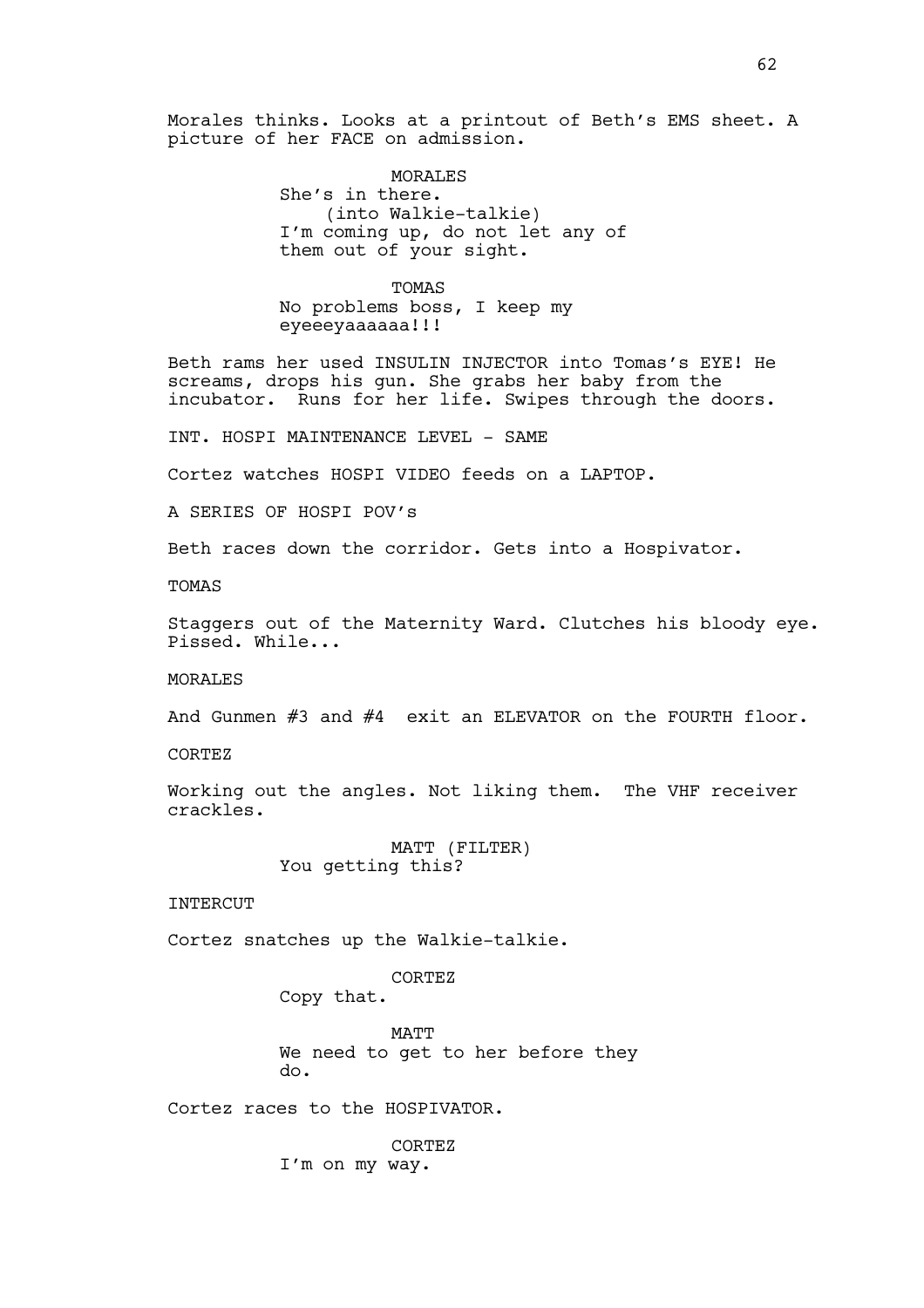Morales thinks. Looks at a printout of Beth's EMS sheet. A picture of her FACE on admission.

> MORALES She's in there. (into Walkie-talkie) I'm coming up, do not let any of them out of your sight.

TOMAS No problems boss, I keep my eyeeeyaaaaaa!!!

Beth rams her used INSULIN INJECTOR into Tomas's EYE! He screams, drops his gun. She grabs her baby from the incubator. Runs for her life. Swipes through the doors.

INT. HOSPI MAINTENANCE LEVEL - SAME

Cortez watches HOSPI VIDEO feeds on a LAPTOP.

A SERIES OF HOSPI POV's

Beth races down the corridor. Gets into a Hospivator.

TOMAS

Staggers out of the Maternity Ward. Clutches his bloody eye. Pissed. While...

MORALES

And Gunmen #3 and #4 exit an ELEVATOR on the FOURTH floor.

CORTEZ

Working out the angles. Not liking them. The VHF receiver crackles.

> MATT (FILTER) You getting this?

INTERCUT

Cortez snatches up the Walkie-talkie.

CORTEZ

Copy that.

**MATT** We need to get to her before they do.

Cortez races to the HOSPIVATOR.

CORTEZ I'm on my way.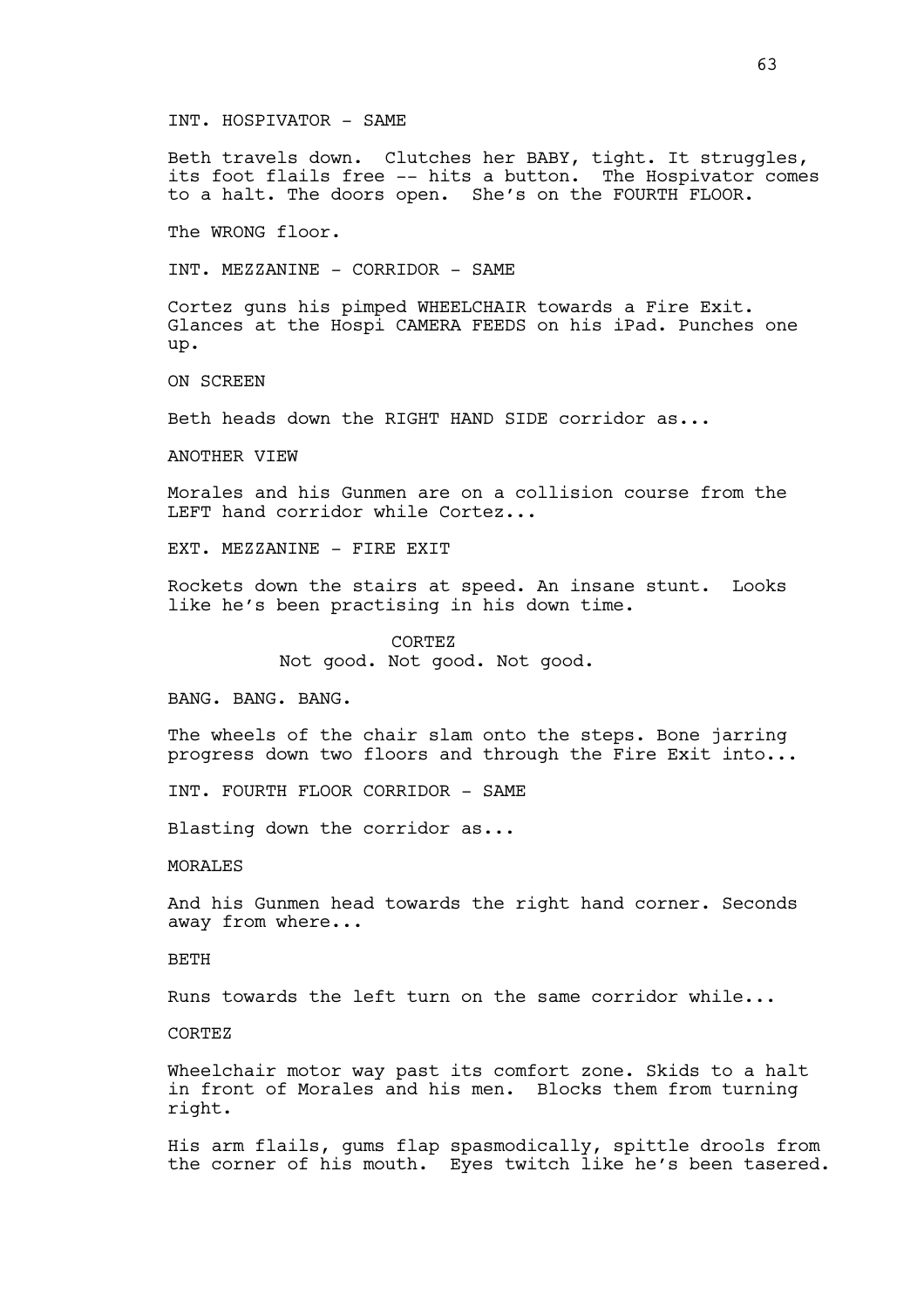# INT. HOSPIVATOR - SAME

Beth travels down. Clutches her BABY, tight. It struggles, its foot flails free -- hits a button. The Hospivator comes to a halt. The doors open. She's on the FOURTH FLOOR.

The WRONG floor.

INT. MEZZANINE - CORRIDOR - SAME

Cortez guns his pimped WHEELCHAIR towards a Fire Exit. Glances at the Hospi CAMERA FEEDS on his iPad. Punches one up.

ON SCREEN

Beth heads down the RIGHT HAND SIDE corridor as...

ANOTHER VIEW

Morales and his Gunmen are on a collision course from the LEFT hand corridor while Cortez...

EXT. MEZZANINE - FIRE EXIT

Rockets down the stairs at speed. An insane stunt. Looks like he's been practising in his down time.

> CORTEZ Not good. Not good. Not good.

BANG. BANG. BANG.

The wheels of the chair slam onto the steps. Bone jarring progress down two floors and through the Fire Exit into...

INT. FOURTH FLOOR CORRIDOR - SAME

Blasting down the corridor as...

MORALES

And his Gunmen head towards the right hand corner. Seconds away from where...

BETH

Runs towards the left turn on the same corridor while...

CORTEZ

Wheelchair motor way past its comfort zone. Skids to a halt in front of Morales and his men. Blocks them from turning right.

His arm flails, gums flap spasmodically, spittle drools from the corner of his mouth. Eyes twitch like he's been tasered.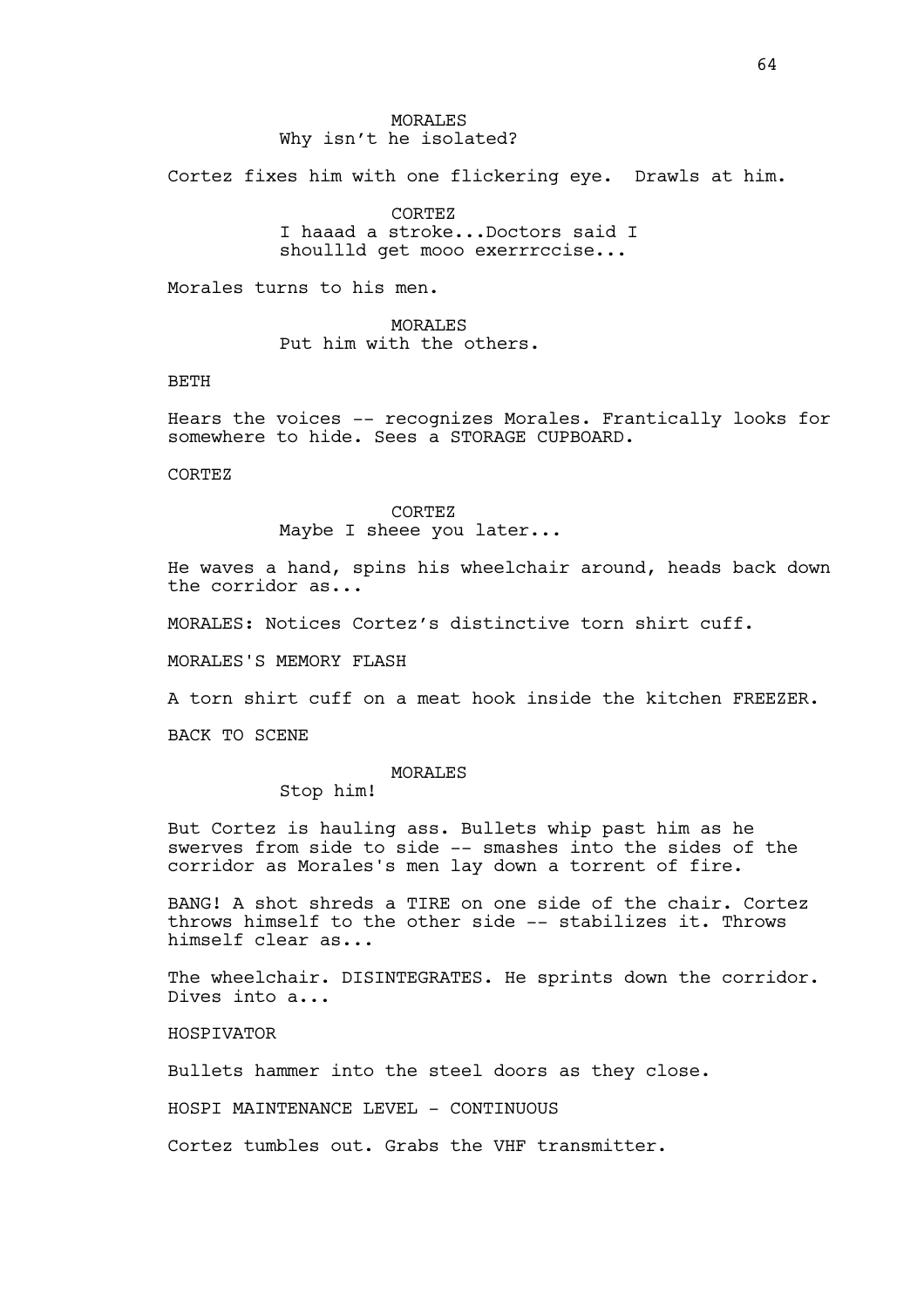# MORALES Why isn't he isolated?

Cortez fixes him with one flickering eye. Drawls at him.

CORTEZ I haaad a stroke...Doctors said I shoullld get mooo exerrrccise...

Morales turns to his men.

MORALES Put him with the others.

# BETH

Hears the voices -- recognizes Morales. Frantically looks for somewhere to hide. Sees a STORAGE CUPBOARD.

CORTEZ

#### CORTEZ

Maybe I sheee you later...

He waves a hand, spins his wheelchair around, heads back down the corridor as...

MORALES: Notices Cortez's distinctive torn shirt cuff.

MORALES'S MEMORY FLASH

A torn shirt cuff on a meat hook inside the kitchen FREEZER.

BACK TO SCENE

# MORALES

Stop him!

But Cortez is hauling ass. Bullets whip past him as he swerves from side to side -- smashes into the sides of the corridor as Morales's men lay down a torrent of fire.

BANG! A shot shreds a TIRE on one side of the chair. Cortez throws himself to the other side -- stabilizes it. Throws himself clear as...

The wheelchair. DISINTEGRATES. He sprints down the corridor. Dives into a...

HOSPIVATOR

Bullets hammer into the steel doors as they close.

HOSPI MAINTENANCE LEVEL - CONTINUOUS

Cortez tumbles out. Grabs the VHF transmitter.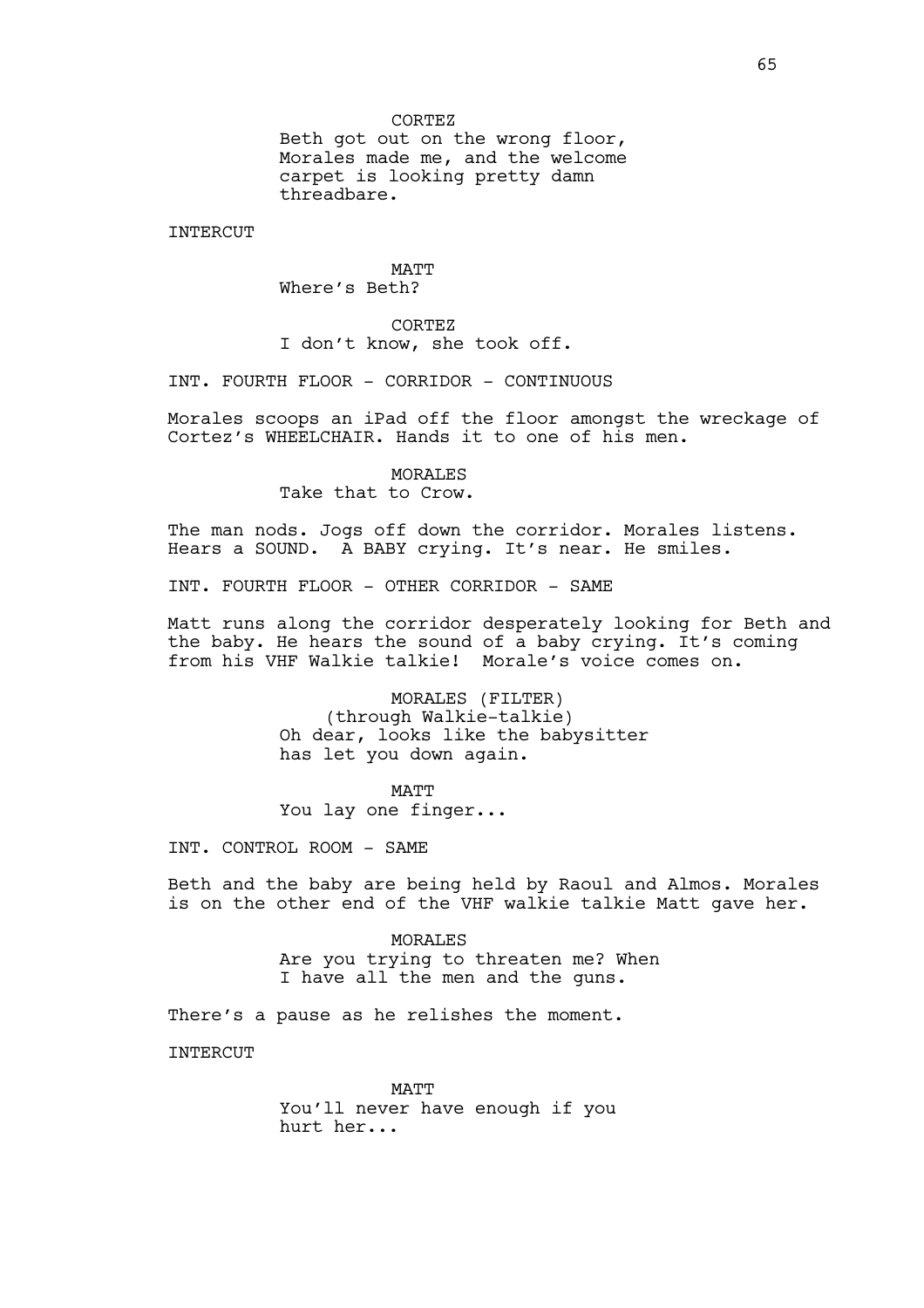Beth got out on the wrong floor, Morales made me, and the welcome carpet is looking pretty damn threadbare.

INTERCUT

**MATT** Where's Beth?

CORTEZ I don't know, she took off.

INT. FOURTH FLOOR - CORRIDOR - CONTINUOUS

Morales scoops an iPad off the floor amongst the wreckage of Cortez's WHEELCHAIR. Hands it to one of his men.

> MORALES Take that to Crow.

The man nods. Jogs off down the corridor. Morales listens. Hears a SOUND. A BABY crying. It's near. He smiles.

INT. FOURTH FLOOR - OTHER CORRIDOR - SAME

Matt runs along the corridor desperately looking for Beth and the baby. He hears the sound of a baby crying. It's coming from his VHF Walkie talkie! Morale's voice comes on.

> MORALES (FILTER) (through Walkie-talkie) Oh dear, looks like the babysitter has let you down again.

MATT You lay one finger...

INT. CONTROL ROOM - SAME

Beth and the baby are being held by Raoul and Almos. Morales is on the other end of the VHF walkie talkie Matt gave her.

> MORALES Are you trying to threaten me? When I have all the men and the guns.

There's a pause as he relishes the moment.

**INTERCUT** 

**MATT** 

You'll never have enough if you hurt her...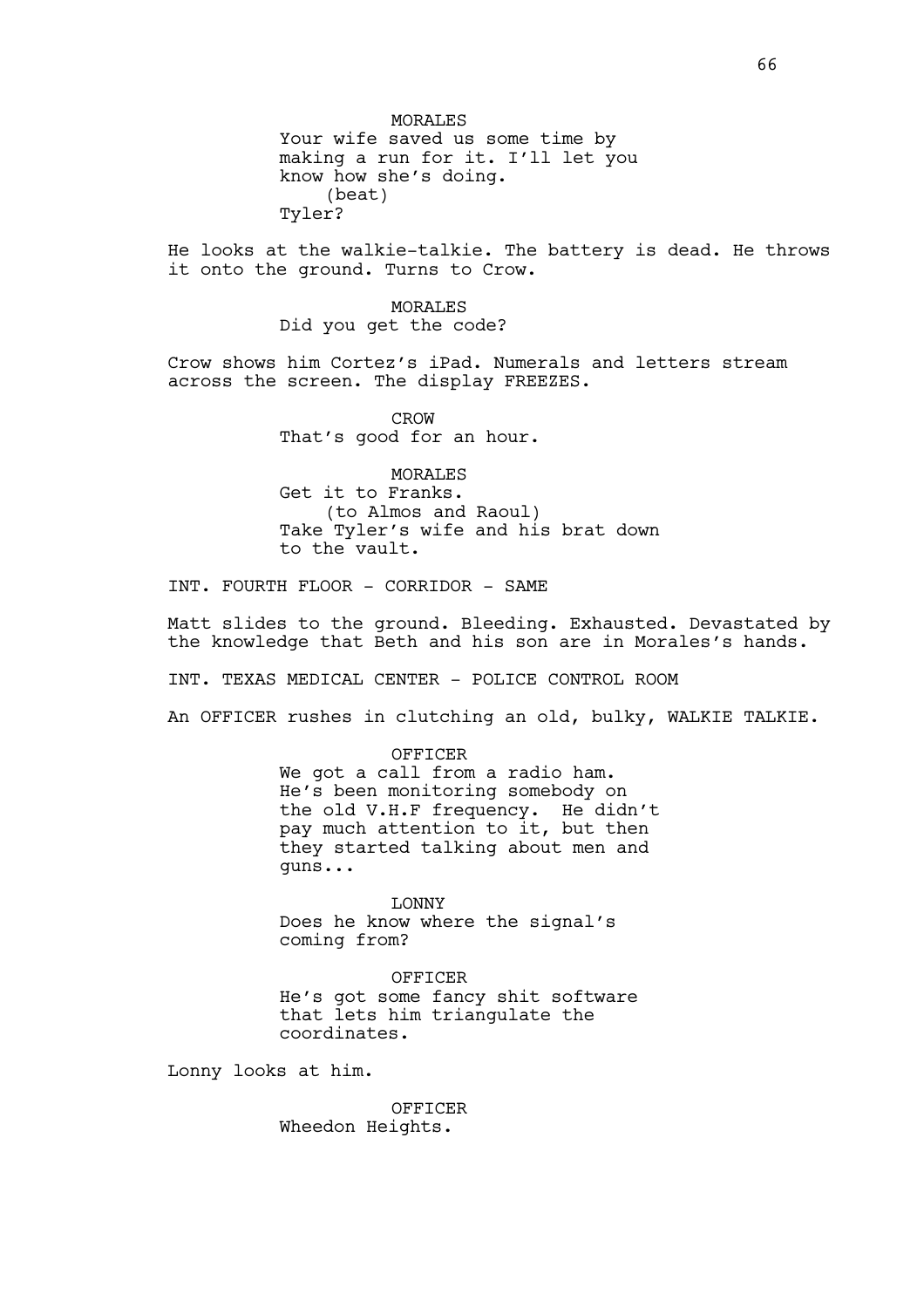MORALES Your wife saved us some time by making a run for it. I'll let you know how she's doing. (beat) Tyler?

He looks at the walkie-talkie. The battery is dead. He throws it onto the ground. Turns to Crow.

> MORALES Did you get the code?

Crow shows him Cortez's iPad. Numerals and letters stream across the screen. The display FREEZES.

> CROW That's good for an hour.

MORALES Get it to Franks. (to Almos and Raoul) Take Tyler's wife and his brat down to the vault.

INT. FOURTH FLOOR - CORRIDOR - SAME

Matt slides to the ground. Bleeding. Exhausted. Devastated by the knowledge that Beth and his son are in Morales's hands.

INT. TEXAS MEDICAL CENTER - POLICE CONTROL ROOM

An OFFICER rushes in clutching an old, bulky, WALKIE TALKIE.

OFFICER We got a call from a radio ham. He's been monitoring somebody on the old V.H.F frequency. He didn't pay much attention to it, but then they started talking about men and guns...

LONNY Does he know where the signal's coming from?

OFFICER He's got some fancy shit software that lets him triangulate the coordinates.

Lonny looks at him.

**OFFICER** Wheedon Heights.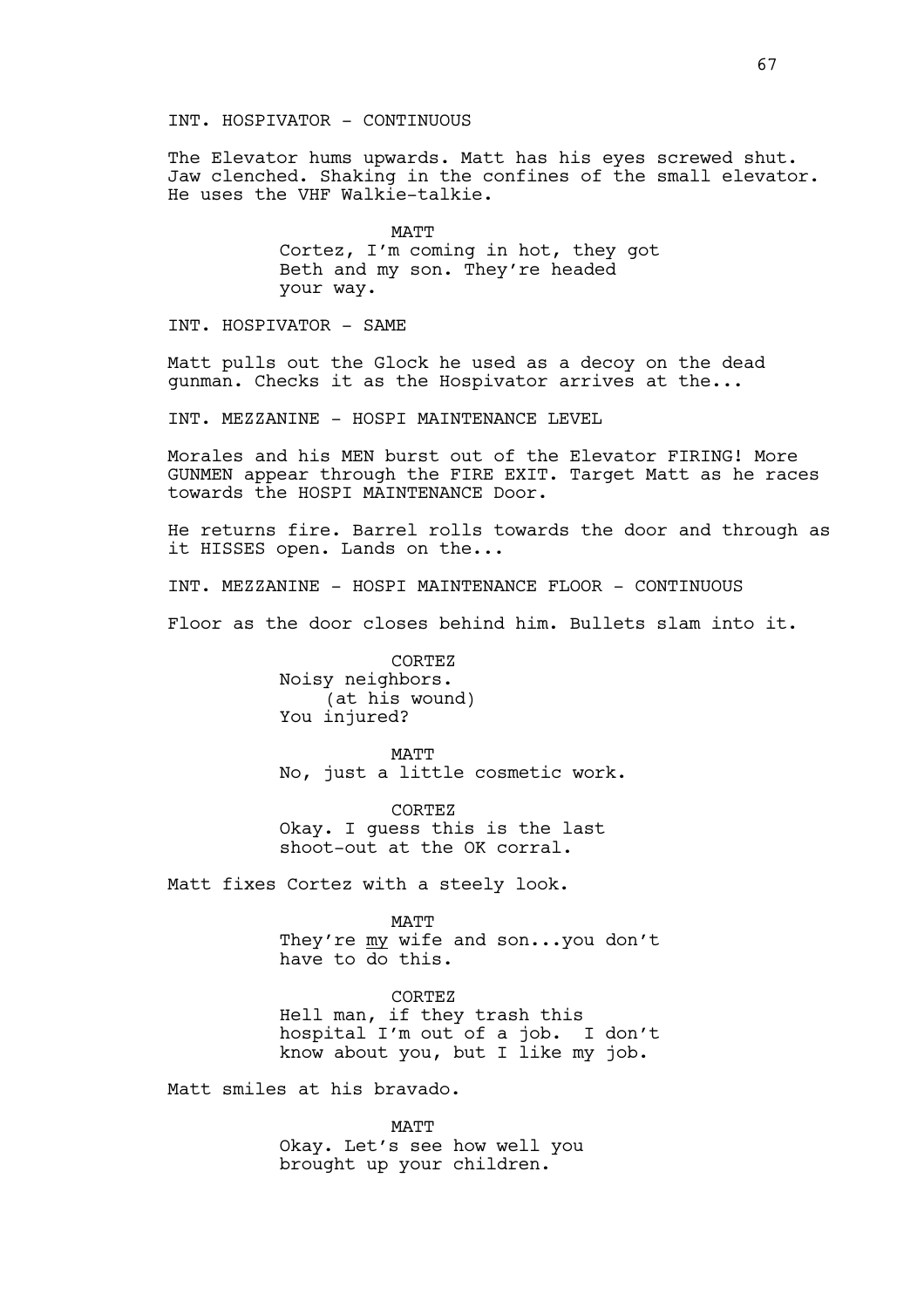INT. HOSPIVATOR - CONTINUOUS

The Elevator hums upwards. Matt has his eyes screwed shut. Jaw clenched. Shaking in the confines of the small elevator. He uses the VHF Walkie-talkie.

> MATT Cortez, I'm coming in hot, they got Beth and my son. They're headed your way.

INT. HOSPIVATOR - SAME

Matt pulls out the Glock he used as a decoy on the dead gunman. Checks it as the Hospivator arrives at the...

INT. MEZZANINE - HOSPI MAINTENANCE LEVEL

Morales and his MEN burst out of the Elevator FIRING! More GUNMEN appear through the FIRE EXIT. Target Matt as he races towards the HOSPI MAINTENANCE Door.

He returns fire. Barrel rolls towards the door and through as it HISSES open. Lands on the...

INT. MEZZANINE - HOSPI MAINTENANCE FLOOR - CONTINUOUS

Floor as the door closes behind him. Bullets slam into it.

CORTEZ Noisy neighbors. (at his wound) You injured?

MATT No, just a little cosmetic work.

CORTEZ Okay. I guess this is the last shoot-out at the OK corral.

Matt fixes Cortez with a steely look.

MATT They're my wife and son...you don't have to do this.

CORTEZ Hell man, if they trash this hospital I'm out of a job. I don't know about you, but I like my job.

Matt smiles at his bravado.

MATT Okay. Let's see how well you brought up your children.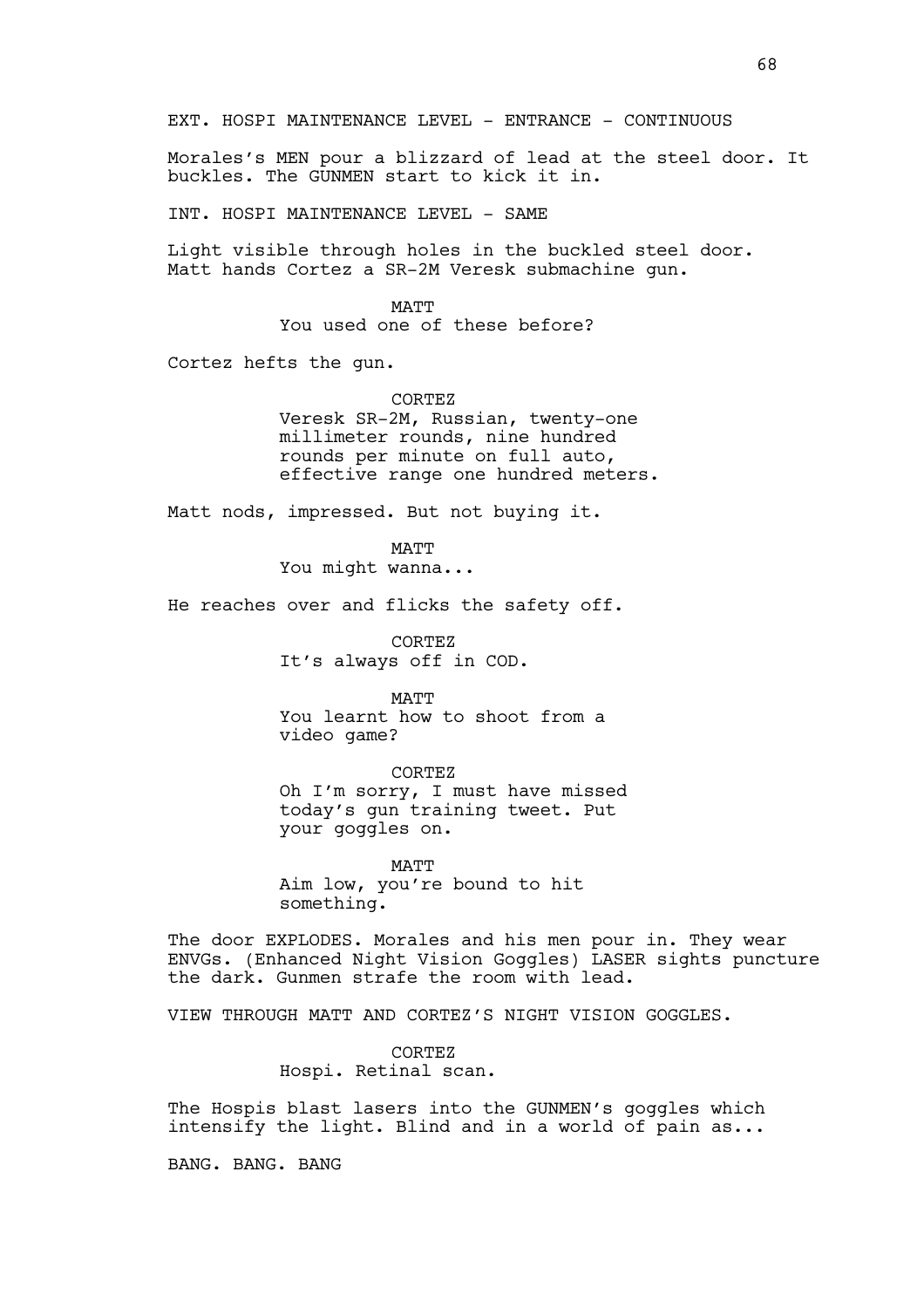EXT. HOSPI MAINTENANCE LEVEL - ENTRANCE - CONTINUOUS

Morales's MEN pour a blizzard of lead at the steel door. It buckles. The GUNMEN start to kick it in.

INT. HOSPI MAINTENANCE LEVEL - SAME

Light visible through holes in the buckled steel door. Matt hands Cortez a SR-2M Veresk submachine gun.

> **MATT** You used one of these before?

Cortez hefts the gun.

CORTEZ

Veresk SR-2M, Russian, twenty-one millimeter rounds, nine hundred rounds per minute on full auto, effective range one hundred meters.

Matt nods, impressed. But not buying it.

MATT You might wanna...

He reaches over and flicks the safety off.

CORTEZ It's always off in COD.

MATT You learnt how to shoot from a video game?

CORTEZ Oh I'm sorry, I must have missed today's gun training tweet. Put your goggles on.

MATT Aim low, you're bound to hit something.

The door EXPLODES. Morales and his men pour in. They wear ENVGs. (Enhanced Night Vision Goggles) LASER sights puncture the dark. Gunmen strafe the room with lead.

VIEW THROUGH MATT AND CORTEZ'S NIGHT VISION GOGGLES.

CORTEZ Hospi. Retinal scan.

The Hospis blast lasers into the GUNMEN's goggles which intensify the light. Blind and in a world of pain as...

BANG. BANG. BANG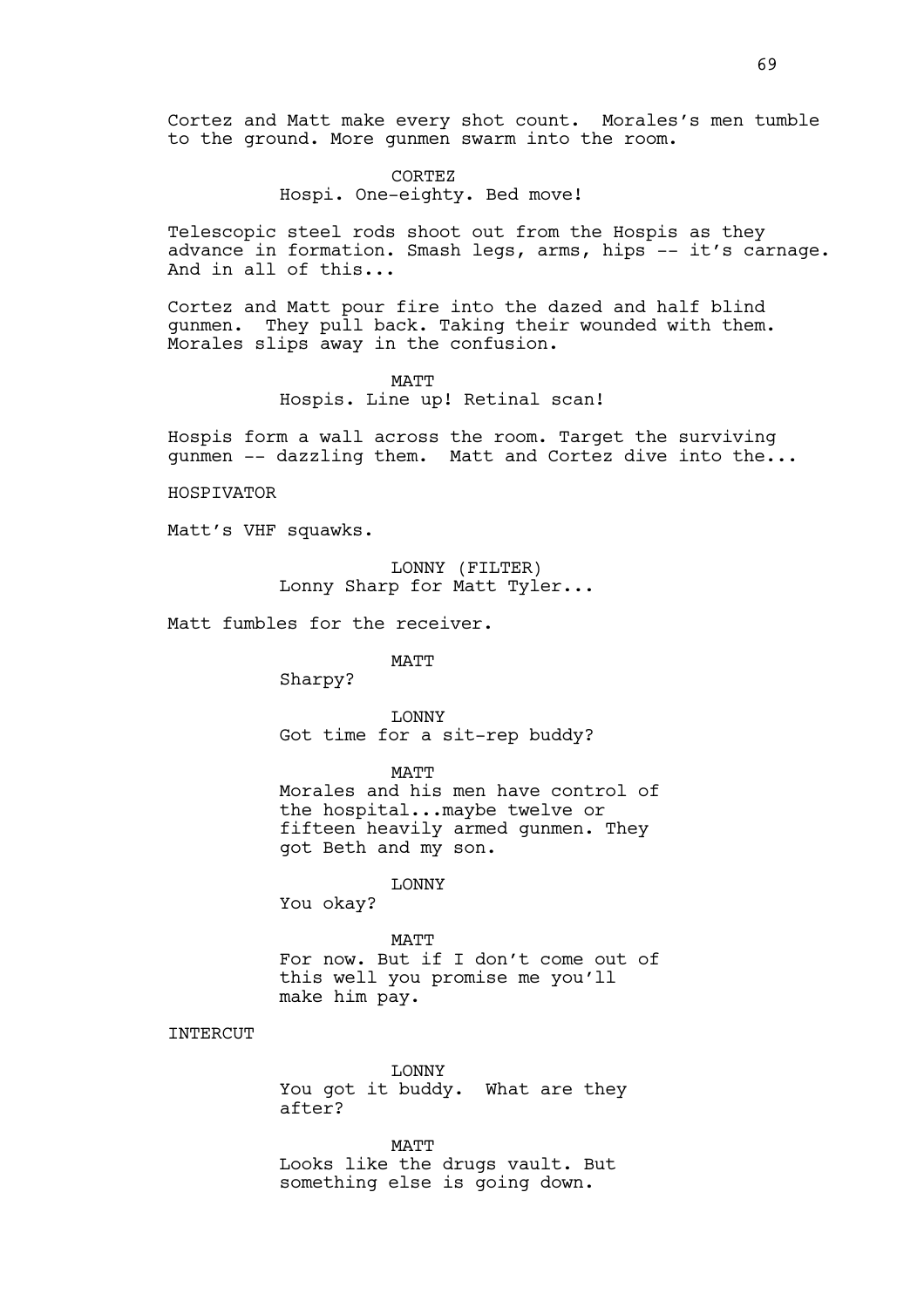Cortez and Matt make every shot count. Morales's men tumble to the ground. More gunmen swarm into the room.

> CORTEZ Hospi. One-eighty. Bed move!

Telescopic steel rods shoot out from the Hospis as they advance in formation. Smash legs, arms, hips -- it's carnage. And in all of this...

Cortez and Matt pour fire into the dazed and half blind gunmen. They pull back. Taking their wounded with them. Morales slips away in the confusion.

MATT

Hospis. Line up! Retinal scan!

Hospis form a wall across the room. Target the surviving gunmen -- dazzling them. Matt and Cortez dive into the...

HOSPIVATOR

Matt's VHF squawks.

LONNY (FILTER) Lonny Sharp for Matt Tyler...

Matt fumbles for the receiver.

MATT

Sharpy?

LONNY Got time for a sit-rep buddy?

MATT

Morales and his men have control of the hospital...maybe twelve or fifteen heavily armed gunmen. They got Beth and my son.

LONNY

You okay?

MATT

For now. But if I don't come out of this well you promise me you'll make him pay.

# **INTERCUT**

LONNY You got it buddy. What are they after?

**MATT** Looks like the drugs vault. But something else is going down.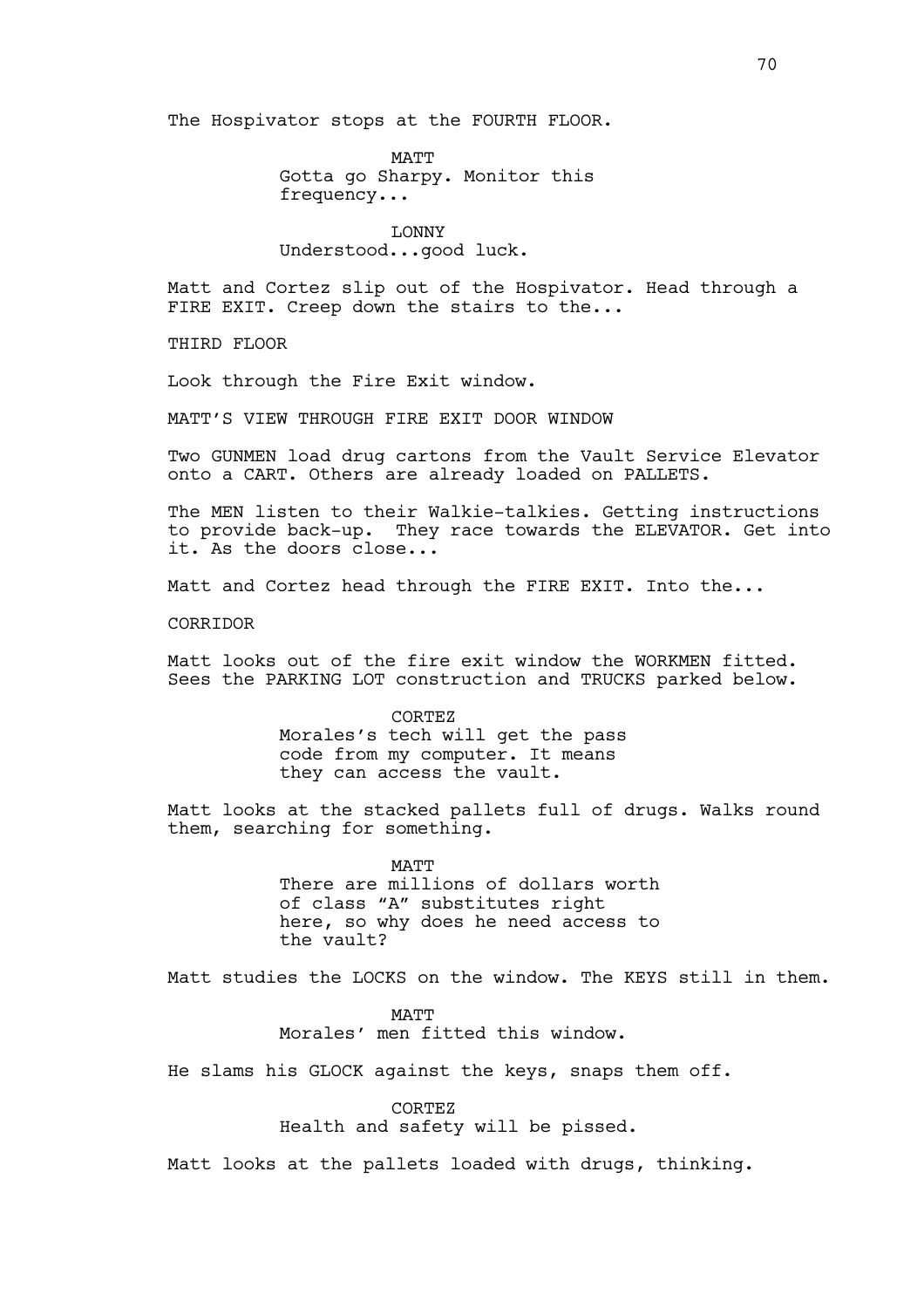The Hospivator stops at the FOURTH FLOOR.

MATT Gotta go Sharpy. Monitor this frequency...

LONNY Understood...good luck.

Matt and Cortez slip out of the Hospivator. Head through a FIRE EXIT. Creep down the stairs to the...

THIRD FLOOR

Look through the Fire Exit window.

MATT'S VIEW THROUGH FIRE EXIT DOOR WINDOW

Two GUNMEN load drug cartons from the Vault Service Elevator onto a CART. Others are already loaded on PALLETS.

The MEN listen to their Walkie-talkies. Getting instructions to provide back-up. They race towards the ELEVATOR. Get into it. As the doors close...

Matt and Cortez head through the FIRE EXIT. Into the...

CORRIDOR

Matt looks out of the fire exit window the WORKMEN fitted. Sees the PARKING LOT construction and TRUCKS parked below.

> CORTEZ Morales's tech will get the pass code from my computer. It means they can access the vault.

Matt looks at the stacked pallets full of drugs. Walks round them, searching for something.

> MATT There are millions of dollars worth of class "A" substitutes right here, so why does he need access to the vault?

Matt studies the LOCKS on the window. The KEYS still in them.

MATT Morales' men fitted this window.

He slams his GLOCK against the keys, snaps them off.

CORTEZ Health and safety will be pissed.

Matt looks at the pallets loaded with drugs, thinking.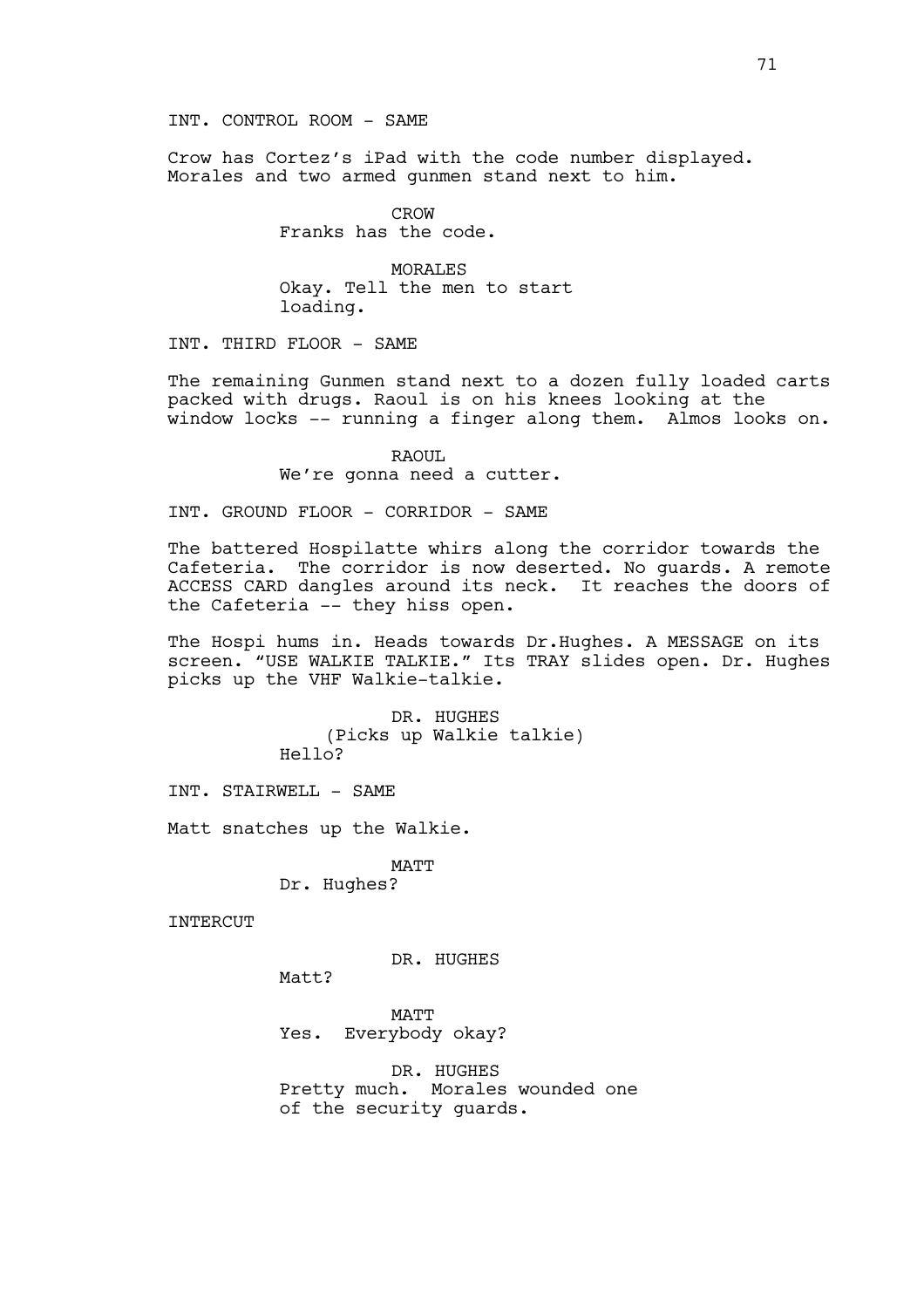INT. CONTROL ROOM - SAME

Crow has Cortez's iPad with the code number displayed. Morales and two armed gunmen stand next to him.

> CROW Franks has the code.

MORALES Okay. Tell the men to start loading.

INT. THIRD FLOOR - SAME

The remaining Gunmen stand next to a dozen fully loaded carts packed with drugs. Raoul is on his knees looking at the window locks -- running a finger along them. Almos looks on.

> RAOUL We're gonna need a cutter.

INT. GROUND FLOOR - CORRIDOR - SAME

The battered Hospilatte whirs along the corridor towards the Cafeteria. The corridor is now deserted. No guards. A remote ACCESS CARD dangles around its neck. It reaches the doors of the Cafeteria -- they hiss open.

The Hospi hums in. Heads towards Dr.Hughes. A MESSAGE on its screen. "USE WALKIE TALKIE." Its TRAY slides open. Dr. Hughes picks up the VHF Walkie-talkie.

> DR. HUGHES (Picks up Walkie talkie) Hello?

INT. STAIRWELL - SAME

Matt snatches up the Walkie.

MATT Dr. Hughes?

INTERCUT

DR. HUGHES

Matt?

MATT Yes. Everybody okay?

DR. HUGHES Pretty much. Morales wounded one of the security guards.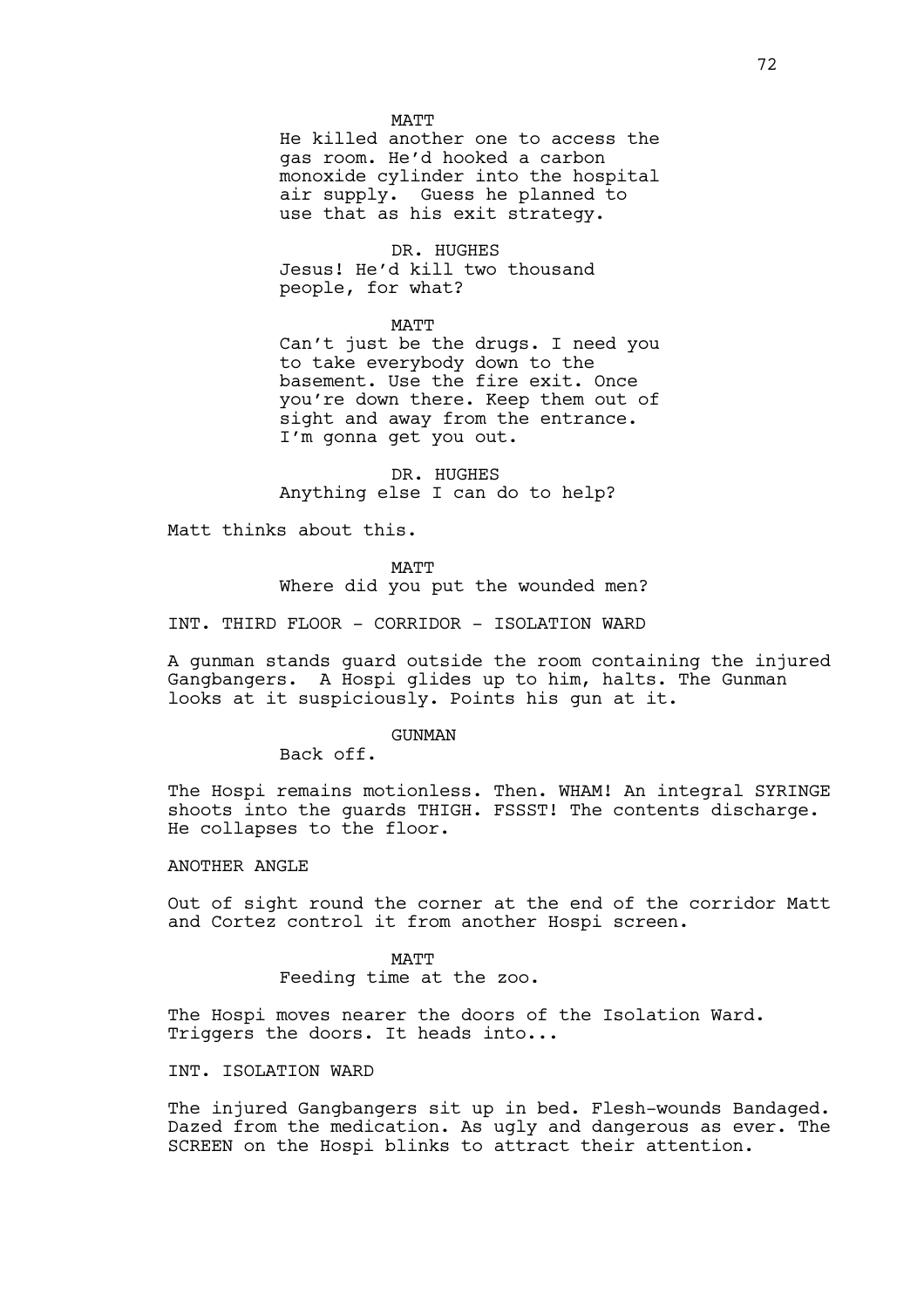### MATT

He killed another one to access the gas room. He'd hooked a carbon monoxide cylinder into the hospital air supply. Guess he planned to use that as his exit strategy.

DR. HUGHES

Jesus! He'd kill two thousand people, for what?

MATT

Can't just be the drugs. I need you to take everybody down to the basement. Use the fire exit. Once you're down there. Keep them out of sight and away from the entrance. I'm gonna get you out.

DR. HUGHES Anything else I can do to help?

Matt thinks about this.

MATT Where did you put the wounded men?

INT. THIRD FLOOR - CORRIDOR - ISOLATION WARD

A gunman stands guard outside the room containing the injured Gangbangers. A Hospi glides up to him, halts. The Gunman looks at it suspiciously. Points his gun at it.

GUNMAN

Back off.

The Hospi remains motionless. Then. WHAM! An integral SYRINGE shoots into the guards THIGH. FSSST! The contents discharge. He collapses to the floor.

# ANOTHER ANGLE

Out of sight round the corner at the end of the corridor Matt and Cortez control it from another Hospi screen.

> MATT Feeding time at the zoo.

The Hospi moves nearer the doors of the Isolation Ward. Triggers the doors. It heads into...

# INT. ISOLATION WARD

The injured Gangbangers sit up in bed. Flesh-wounds Bandaged. Dazed from the medication. As ugly and dangerous as ever. The SCREEN on the Hospi blinks to attract their attention.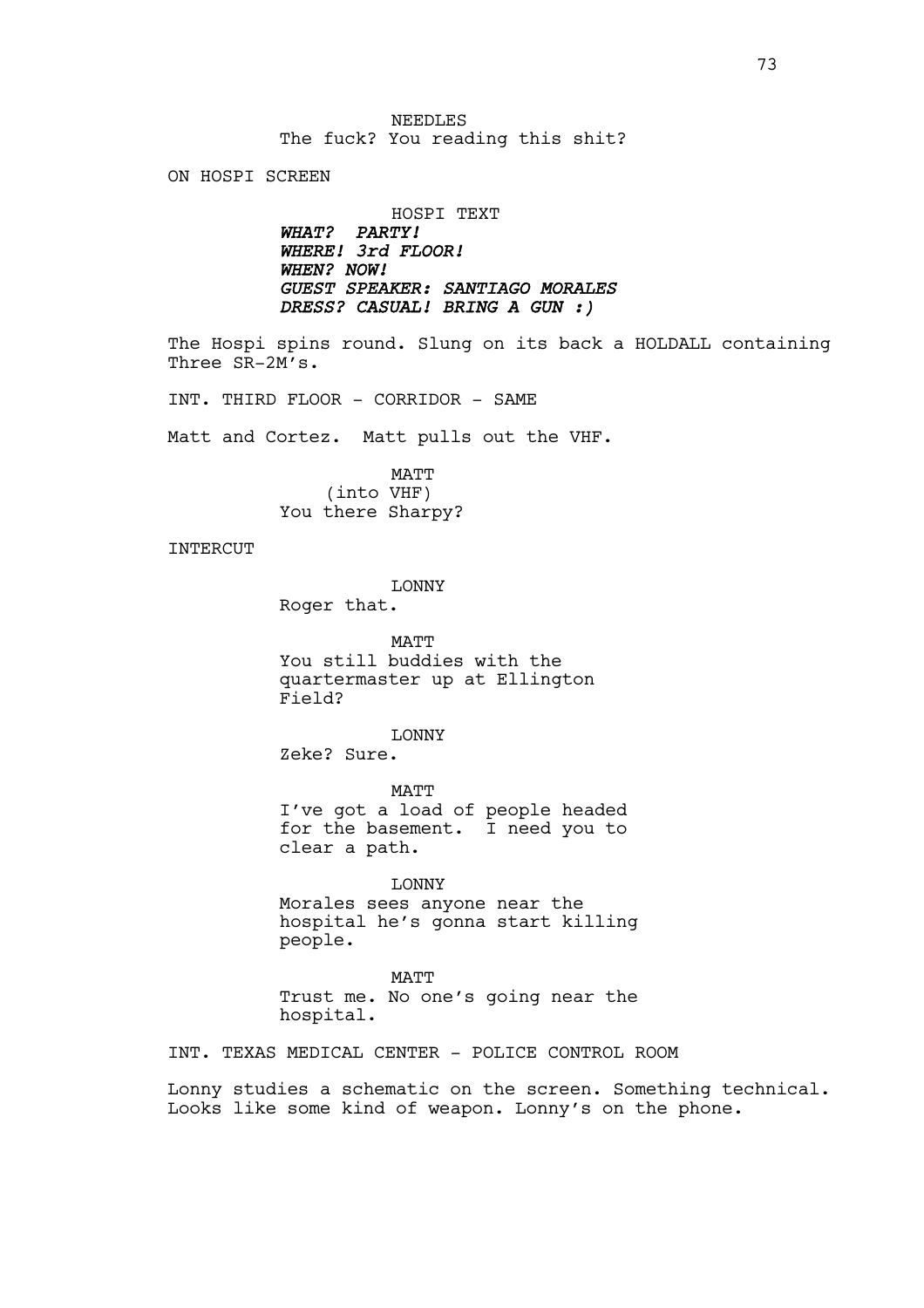ON HOSPI SCREEN

HOSPI TEXT *WHAT? PARTY! WHERE! 3rd FLOOR! WHEN? NOW! GUEST SPEAKER: SANTIAGO MORALES DRESS? CASUAL! BRING A GUN :)*

The Hospi spins round. Slung on its back a HOLDALL containing Three SR-2M's.

INT. THIRD FLOOR - CORRIDOR - SAME

Matt and Cortez. Matt pulls out the VHF.

MATT (into VHF) You there Sharpy?

INTERCUT

LONNY

Roger that.

**MATT** You still buddies with the quartermaster up at Ellington Field?

LONNY Zeke? Sure.

MATT I've got a load of people headed for the basement. I need you to clear a path.

LONNY Morales sees anyone near the hospital he's gonna start killing people.

**MATT** Trust me. No one's going near the hospital.

INT. TEXAS MEDICAL CENTER - POLICE CONTROL ROOM

Lonny studies a schematic on the screen. Something technical. Looks like some kind of weapon. Lonny's on the phone.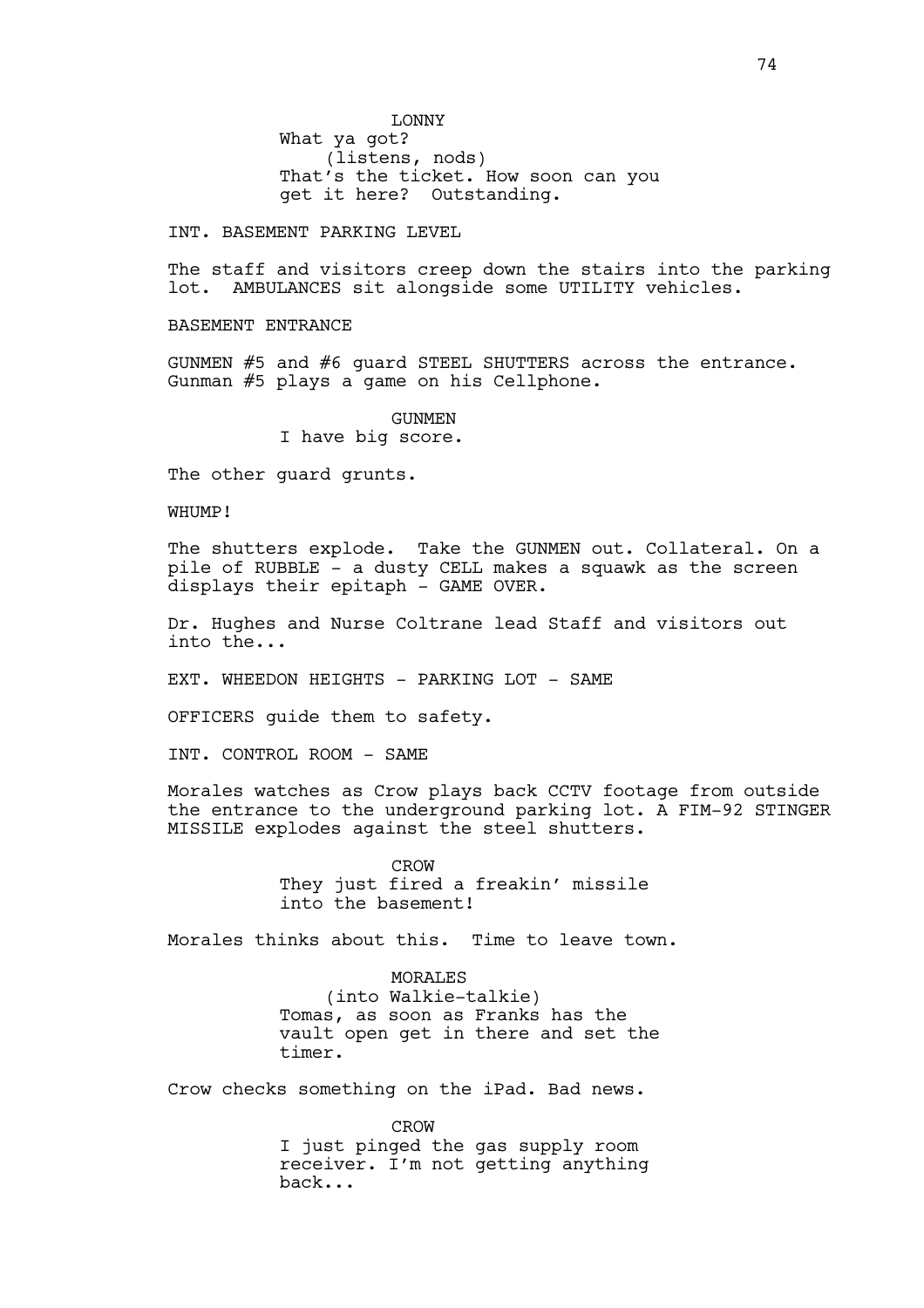LONNY What ya got? (listens, nods) That's the ticket. How soon can you get it here? Outstanding.

INT. BASEMENT PARKING LEVEL

The staff and visitors creep down the stairs into the parking lot. AMBULANCES sit alongside some UTILITY vehicles.

BASEMENT ENTRANCE

GUNMEN #5 and #6 guard STEEL SHUTTERS across the entrance. Gunman #5 plays a game on his Cellphone.

> GUNMEN I have big score.

The other guard grunts.

WHUMP!

The shutters explode. Take the GUNMEN out. Collateral. On a pile of RUBBLE - a dusty CELL makes a squawk as the screen displays their epitaph - GAME OVER.

Dr. Hughes and Nurse Coltrane lead Staff and visitors out into the...

EXT. WHEEDON HEIGHTS - PARKING LOT - SAME

OFFICERS guide them to safety.

INT. CONTROL ROOM - SAME

Morales watches as Crow plays back CCTV footage from outside the entrance to the underground parking lot. A FIM-92 STINGER MISSILE explodes against the steel shutters.

> CROW They just fired a freakin' missile into the basement!

Morales thinks about this. Time to leave town.

**MORALES** (into Walkie-talkie) Tomas, as soon as Franks has the vault open get in there and set the timer.

Crow checks something on the iPad. Bad news.

CROW I just pinged the gas supply room receiver. I'm not getting anything back...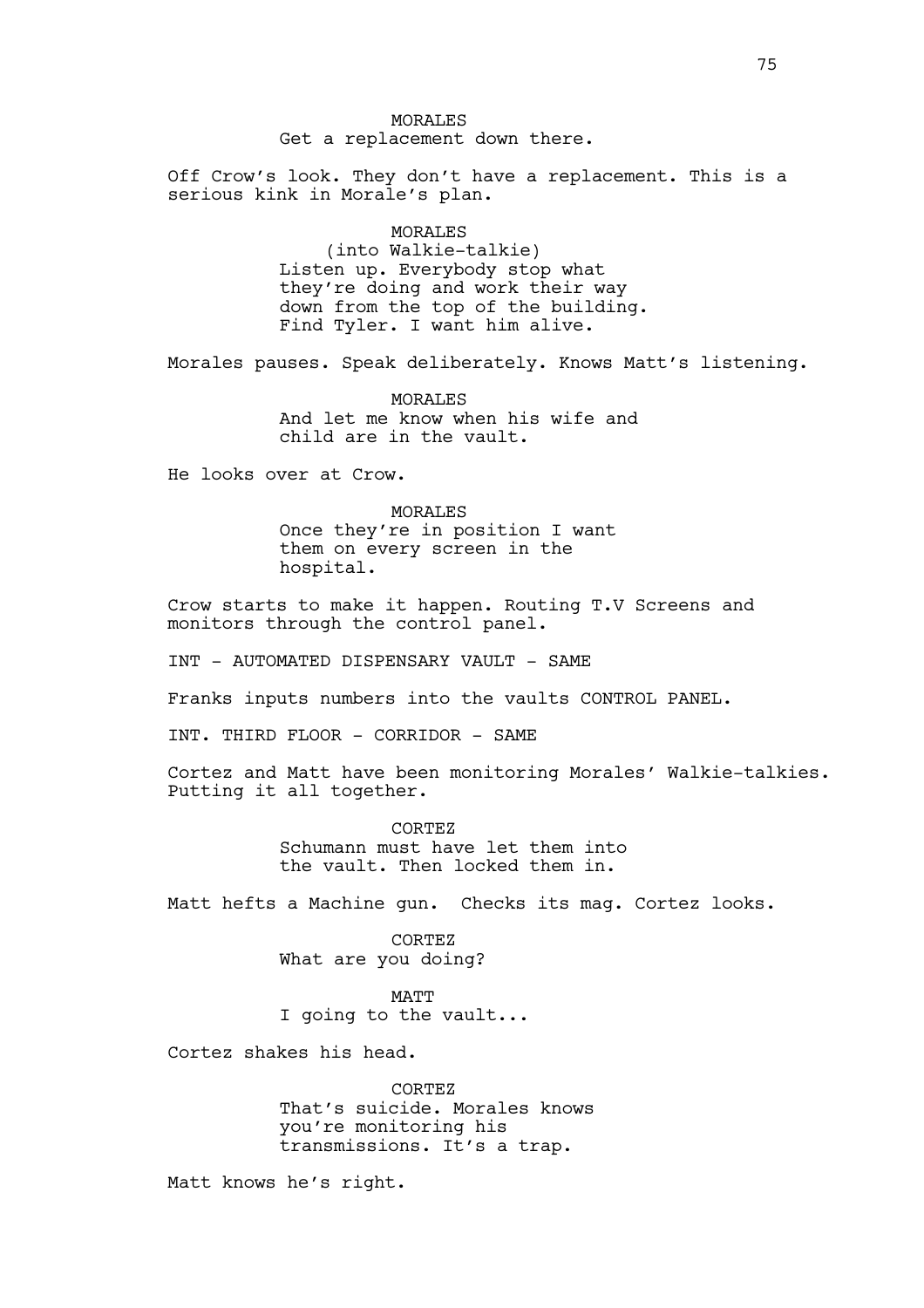MORALES Get a replacement down there.

Off Crow's look. They don't have a replacement. This is a serious kink in Morale's plan.

> MORALES (into Walkie-talkie) Listen up. Everybody stop what they're doing and work their way down from the top of the building. Find Tyler. I want him alive.

Morales pauses. Speak deliberately. Knows Matt's listening.

MORALES And let me know when his wife and child are in the vault.

He looks over at Crow.

MORALES Once they're in position I want them on every screen in the hospital.

Crow starts to make it happen. Routing T.V Screens and monitors through the control panel.

INT - AUTOMATED DISPENSARY VAULT - SAME

Franks inputs numbers into the vaults CONTROL PANEL.

INT. THIRD FLOOR - CORRIDOR - SAME

Cortez and Matt have been monitoring Morales' Walkie-talkies. Putting it all together.

> CORTEZ Schumann must have let them into the vault. Then locked them in.

Matt hefts a Machine gun. Checks its mag. Cortez looks.

CORTEZ What are you doing?

**MATT** I going to the vault...

Cortez shakes his head.

CORTEZ That's suicide. Morales knows you're monitoring his transmissions. It's a trap.

Matt knows he's right.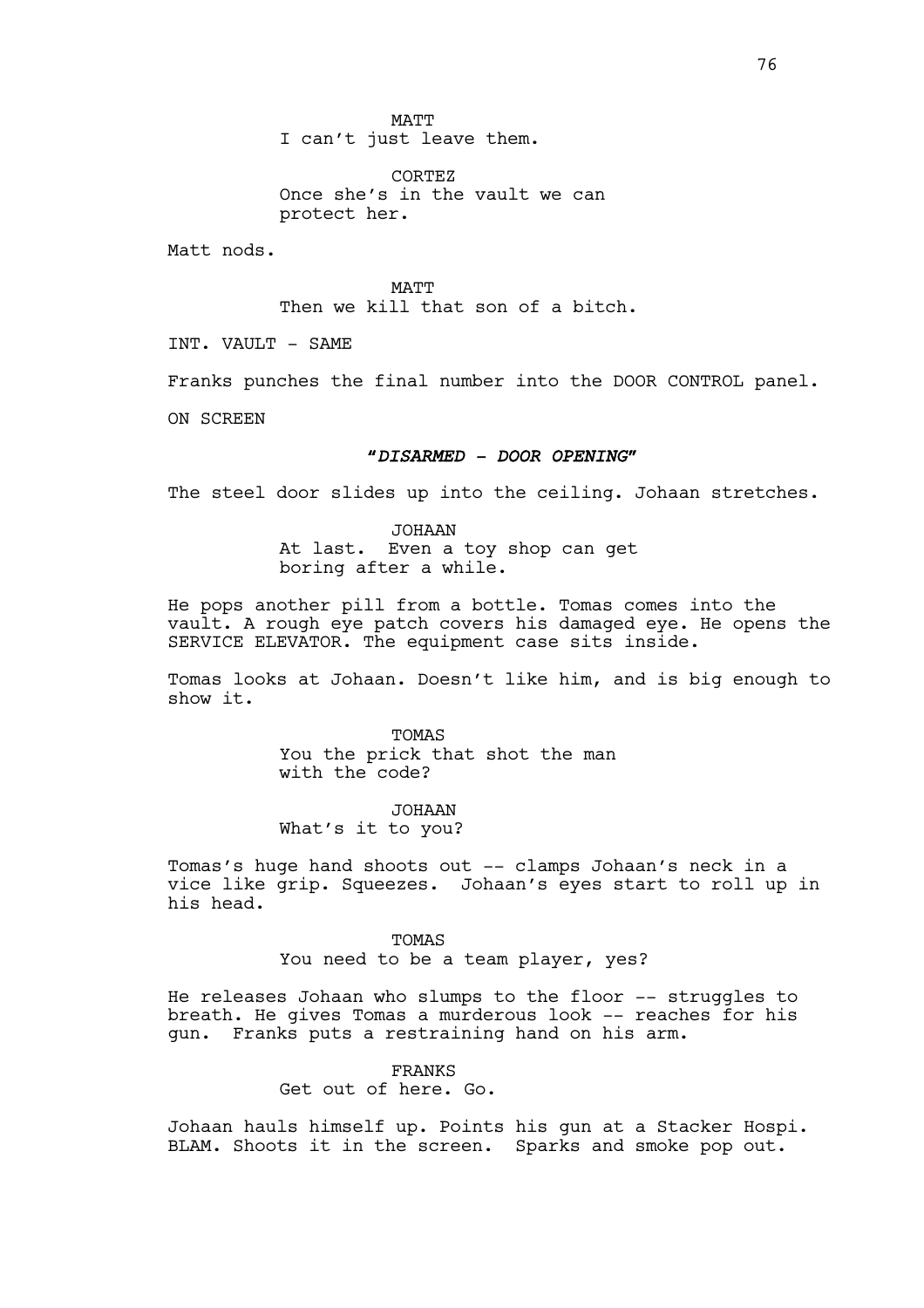MATT I can't just leave them.

CORTEZ Once she's in the vault we can protect her.

Matt nods.

MATT Then we kill that son of a bitch.

INT. VAULT - SAME

Franks punches the final number into the DOOR CONTROL panel.

ON SCREEN

# *"DISARMED - DOOR OPENING"*

The steel door slides up into the ceiling. Johaan stretches.

JOHAAN At last. Even a toy shop can get boring after a while.

He pops another pill from a bottle. Tomas comes into the vault. A rough eye patch covers his damaged eye. He opens the SERVICE ELEVATOR. The equipment case sits inside.

Tomas looks at Johaan. Doesn't like him, and is big enough to show it.

> TOMAS You the prick that shot the man with the code?

JOHAAN What's it to you?

Tomas's huge hand shoots out -- clamps Johaan's neck in a vice like grip. Squeezes. Johaan's eyes start to roll up in his head.

> TOMAS You need to be a team player, yes?

He releases Johaan who slumps to the floor -- struggles to breath. He gives Tomas a murderous look -- reaches for his gun. Franks puts a restraining hand on his arm.

FRANKS

Get out of here. Go.

Johaan hauls himself up. Points his gun at a Stacker Hospi. BLAM. Shoots it in the screen. Sparks and smoke pop out.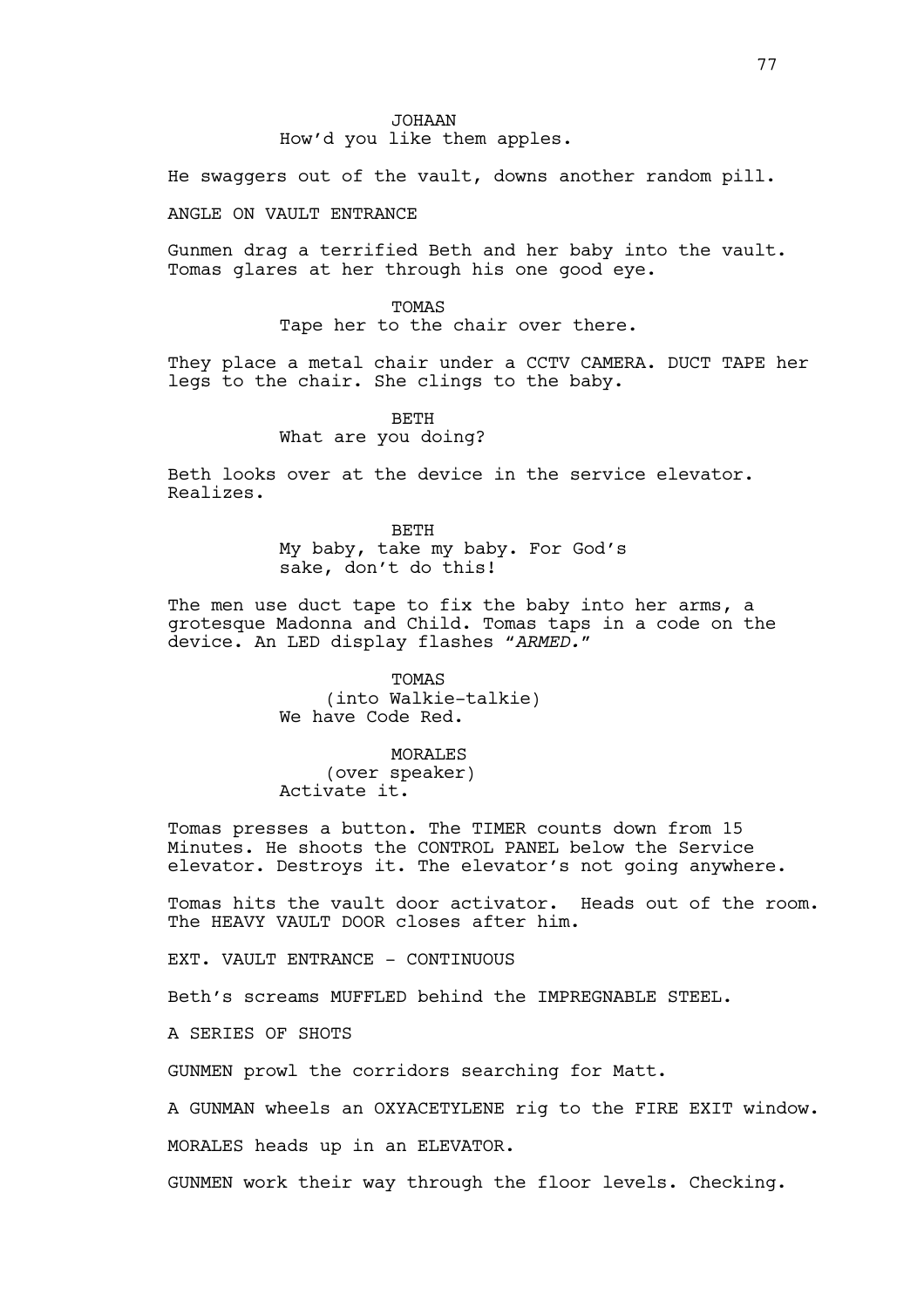He swaggers out of the vault, downs another random pill.

# ANGLE ON VAULT ENTRANCE

Gunmen drag a terrified Beth and her baby into the vault. Tomas glares at her through his one good eye.

> TOMAS Tape her to the chair over there.

They place a metal chair under a CCTV CAMERA. DUCT TAPE her legs to the chair. She clings to the baby.

> BETH What are you doing?

Beth looks over at the device in the service elevator. Realizes.

> BETH My baby, take my baby. For God's sake, don't do this!

The men use duct tape to fix the baby into her arms, a grotesque Madonna and Child. Tomas taps in a code on the device. An LED display flashes *"ARMED."*

> TOMAS (into Walkie-talkie) We have Code Red.

# MORALES

(over speaker) Activate it.

Tomas presses a button. The TIMER counts down from 15 Minutes. He shoots the CONTROL PANEL below the Service elevator. Destroys it. The elevator's not going anywhere.

Tomas hits the vault door activator. Heads out of the room. The HEAVY VAULT DOOR closes after him.

EXT. VAULT ENTRANCE - CONTINUOUS

Beth's screams MUFFLED behind the IMPREGNABLE STEEL.

A SERIES OF SHOTS

GUNMEN prowl the corridors searching for Matt.

A GUNMAN wheels an OXYACETYLENE rig to the FIRE EXIT window.

MORALES heads up in an ELEVATOR.

GUNMEN work their way through the floor levels. Checking.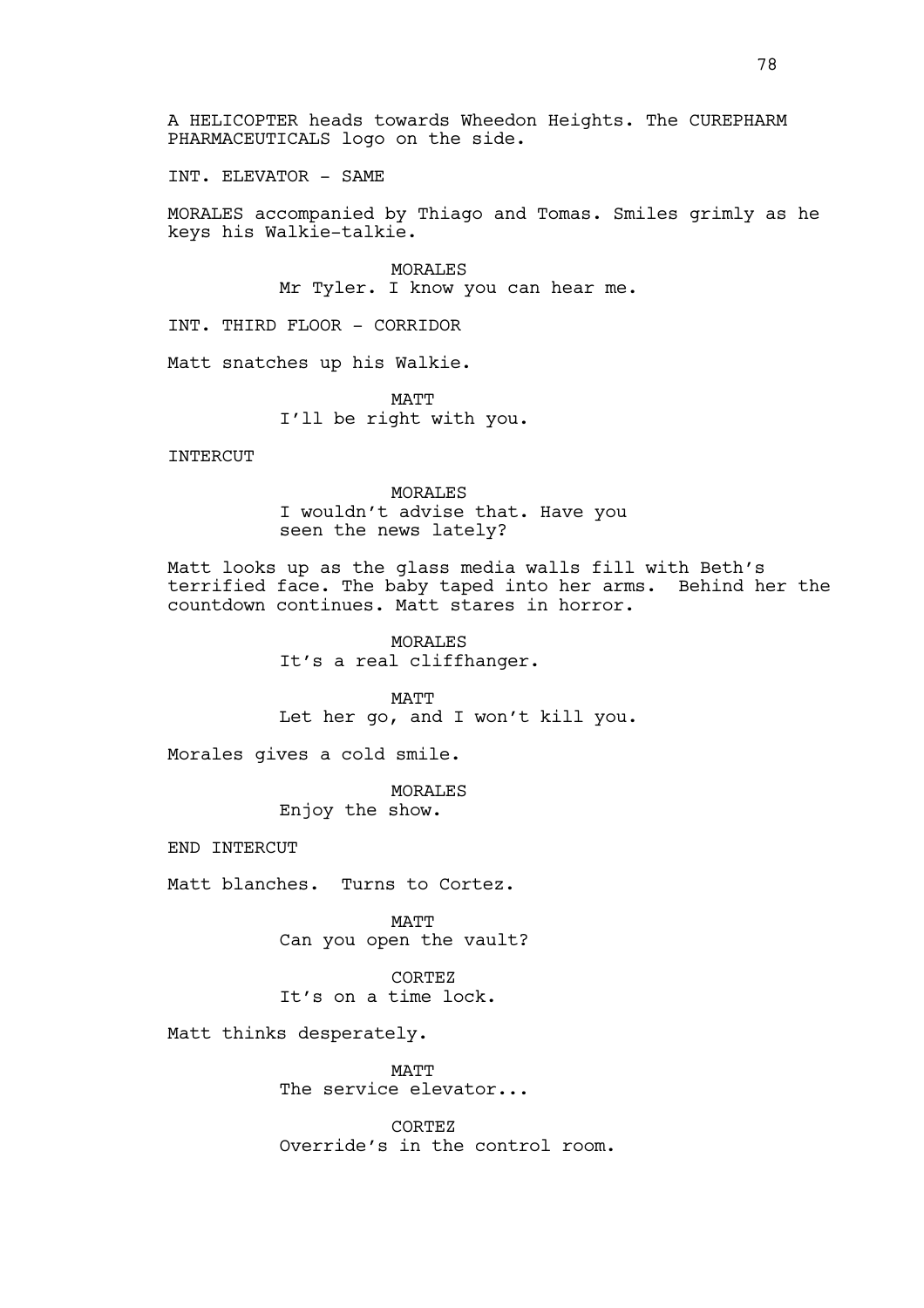INT. ELEVATOR - SAME

MORALES accompanied by Thiago and Tomas. Smiles grimly as he keys his Walkie-talkie.

> MORALES Mr Tyler. I know you can hear me.

INT. THIRD FLOOR - CORRIDOR

Matt snatches up his Walkie.

MATT I'll be right with you.

**INTERCUT** 

MORALES I wouldn't advise that. Have you seen the news lately?

Matt looks up as the glass media walls fill with Beth's terrified face. The baby taped into her arms. Behind her the countdown continues. Matt stares in horror.

> **MORALES** It's a real cliffhanger.

MATT Let her go, and I won't kill you.

Morales gives a cold smile.

MORALES Enjoy the show.

END INTERCUT

Matt blanches. Turns to Cortez.

MATT Can you open the vault?

CORTEZ It's on a time lock.

Matt thinks desperately.

**MATT** The service elevator...

CORTEZ Override's in the control room.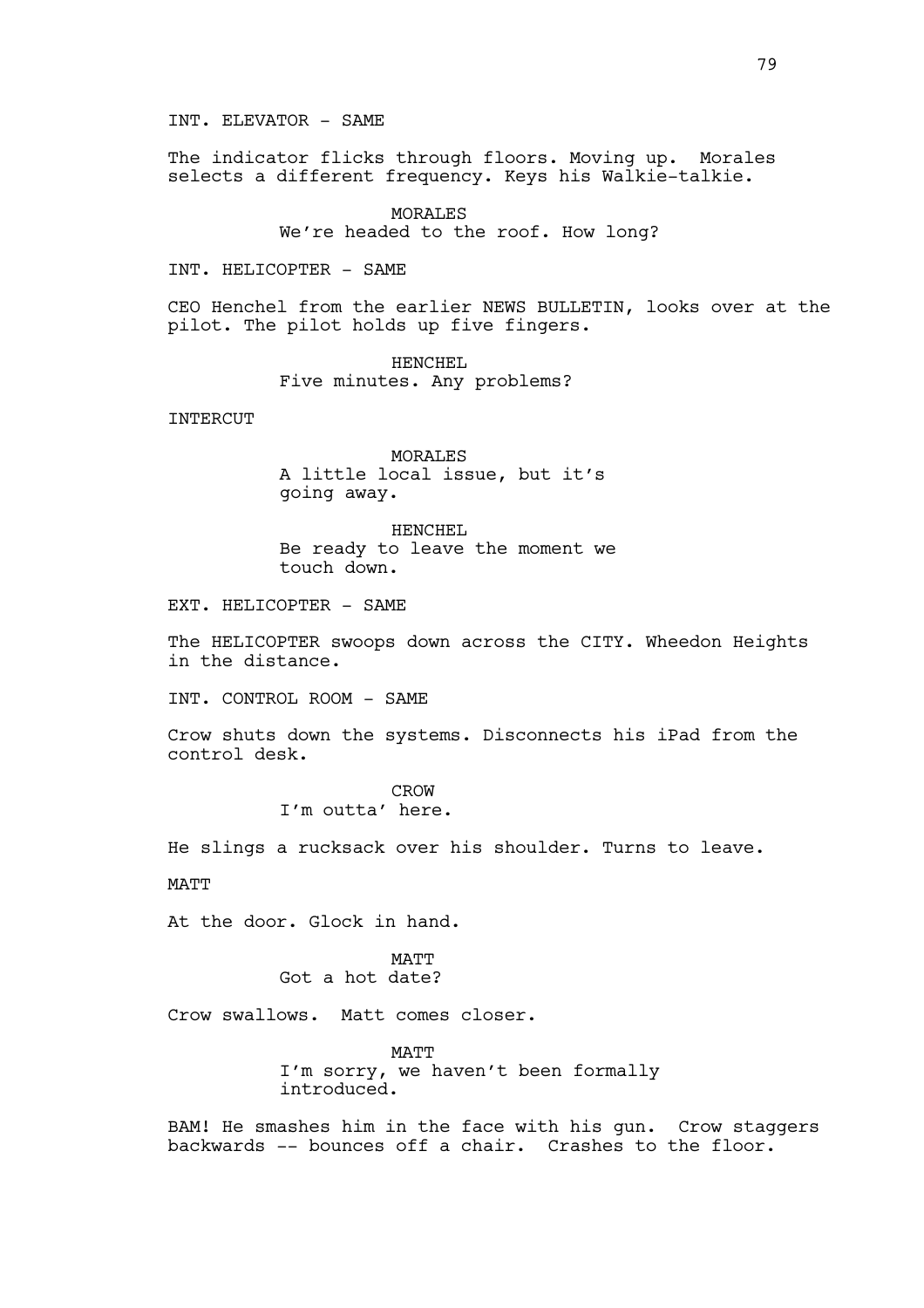INT. ELEVATOR - SAME

The indicator flicks through floors. Moving up. Morales selects a different frequency. Keys his Walkie-talkie.

> MORALES We're headed to the roof. How long?

INT. HELICOPTER - SAME

CEO Henchel from the earlier NEWS BULLETIN, looks over at the pilot. The pilot holds up five fingers.

> HENCHEL Five minutes. Any problems?

INTERCUT

MORALES A little local issue, but it's going away.

HENCHEL Be ready to leave the moment we touch down.

EXT. HELICOPTER - SAME

The HELICOPTER swoops down across the CITY. Wheedon Heights in the distance.

INT. CONTROL ROOM - SAME

Crow shuts down the systems. Disconnects his iPad from the control desk.

> CROW I'm outta' here.

He slings a rucksack over his shoulder. Turns to leave.

MATT

At the door. Glock in hand.

MATT Got a hot date?

Crow swallows. Matt comes closer.

**MATT** I'm sorry, we haven't been formally introduced.

BAM! He smashes him in the face with his gun. Crow staggers backwards -- bounces off a chair. Crashes to the floor.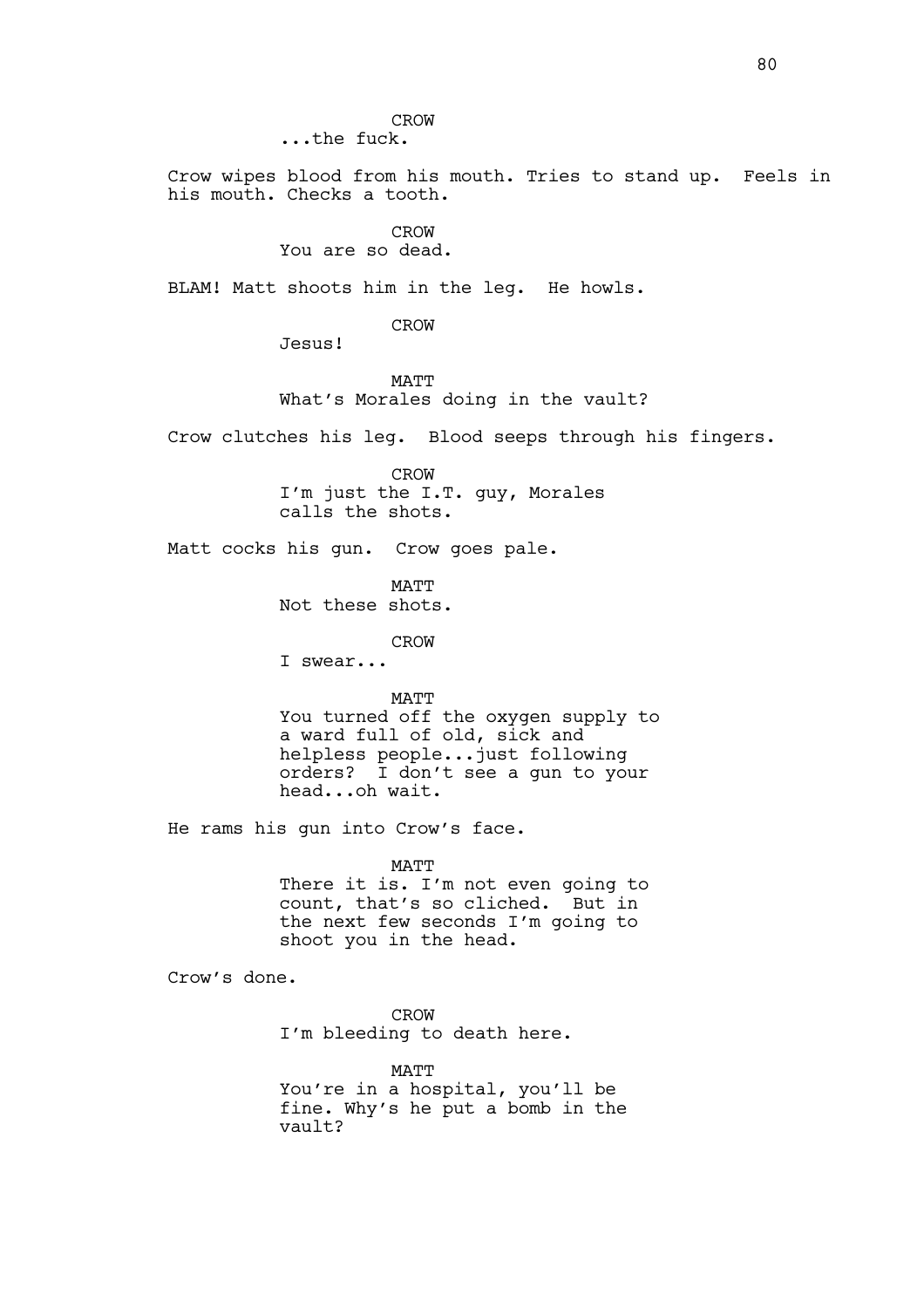CROW ...the fuck.

Crow wipes blood from his mouth. Tries to stand up. Feels in his mouth. Checks a tooth.

# CROW

You are so dead.

Jesus!

BLAM! Matt shoots him in the leg. He howls.

CROW

MATT What's Morales doing in the vault?

Crow clutches his leg. Blood seeps through his fingers.

CROW I'm just the I.T. guy, Morales calls the shots.

Matt cocks his gun. Crow goes pale.

MATT Not these shots.

CROW

I swear...

MATT

You turned off the oxygen supply to a ward full of old, sick and helpless people...just following orders? I don't see a gun to your head...oh wait.

He rams his gun into Crow's face.

MATT

There it is. I'm not even going to count, that's so cliched. But in the next few seconds I'm going to shoot you in the head.

Crow's done.

CROW I'm bleeding to death here.

MATT You're in a hospital, you'll be fine. Why's he put a bomb in the vault?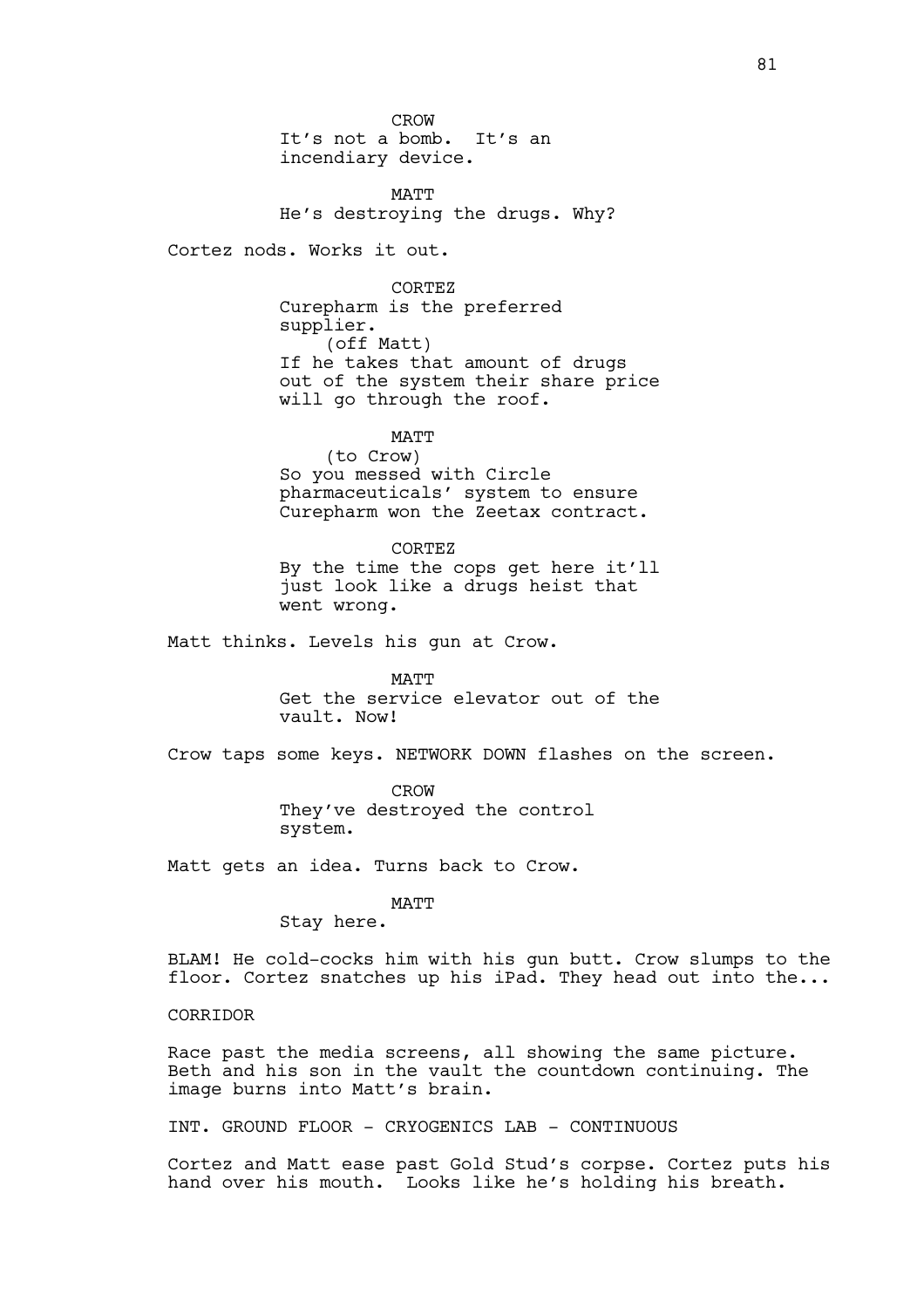CROW It's not a bomb. It's an incendiary device.

MATT He's destroying the drugs. Why?

Cortez nods. Works it out.

CORTEZ Curepharm is the preferred supplier. (off Matt) If he takes that amount of drugs out of the system their share price will go through the roof.

MATT

(to Crow) So you messed with Circle pharmaceuticals' system to ensure Curepharm won the Zeetax contract.

CORTEZ By the time the cops get here it'll just look like a drugs heist that went wrong.

Matt thinks. Levels his gun at Crow.

MATT Get the service elevator out of the vault. Now!

Crow taps some keys. NETWORK DOWN flashes on the screen.

CROW They've destroyed the control system.

Matt gets an idea. Turns back to Crow.

MATT

Stay here.

BLAM! He cold-cocks him with his gun butt. Crow slumps to the floor. Cortez snatches up his iPad. They head out into the...

CORRIDOR

Race past the media screens, all showing the same picture. Beth and his son in the vault the countdown continuing. The image burns into Matt's brain.

INT. GROUND FLOOR - CRYOGENICS LAB - CONTINUOUS

Cortez and Matt ease past Gold Stud's corpse. Cortez puts his hand over his mouth. Looks like he's holding his breath.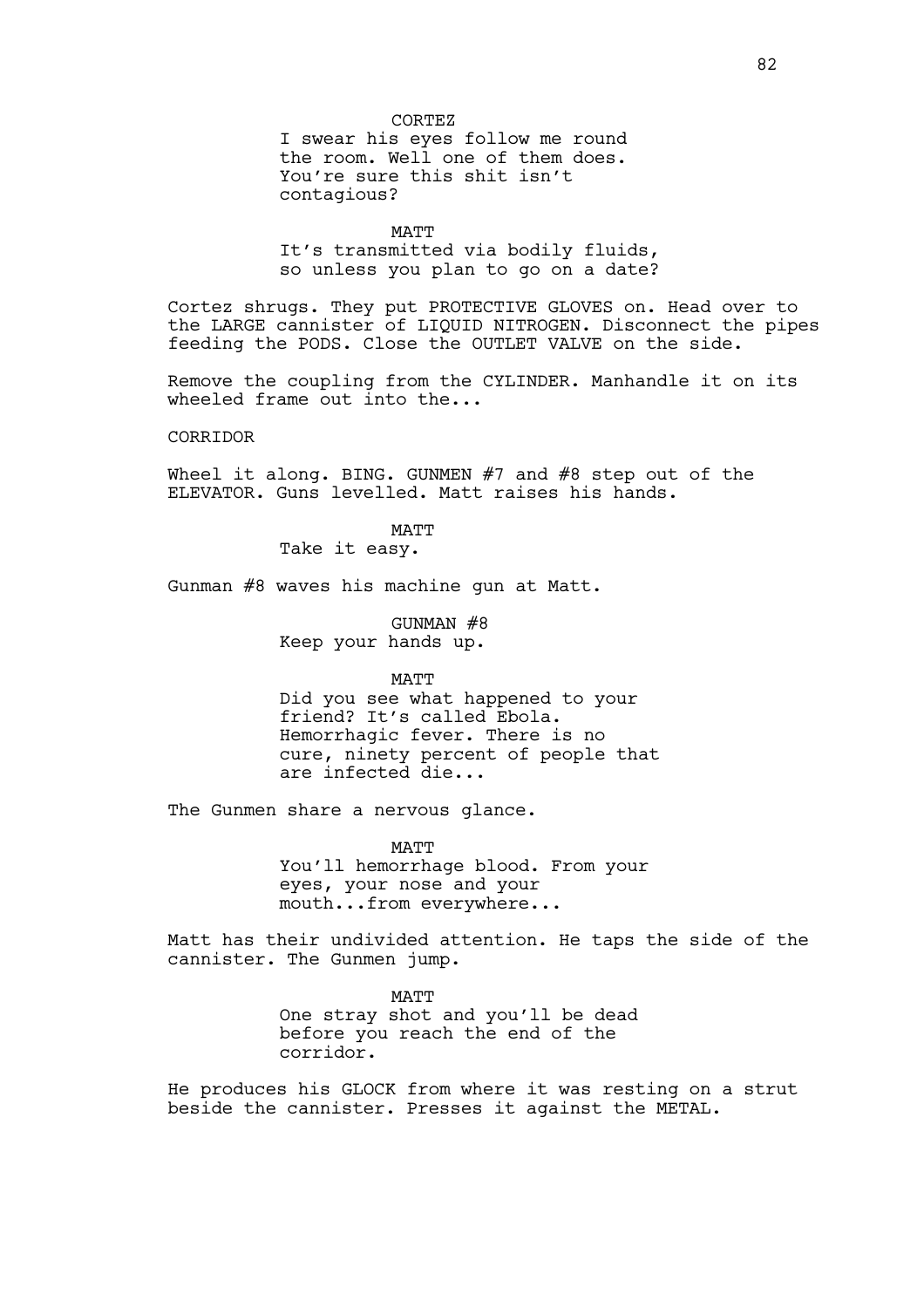#### CORTEZ

I swear his eyes follow me round the room. Well one of them does. You're sure this shit isn't contagious?

MATT It's transmitted via bodily fluids, so unless you plan to go on a date?

Cortez shrugs. They put PROTECTIVE GLOVES on. Head over to the LARGE cannister of LIQUID NITROGEN. Disconnect the pipes feeding the PODS. Close the OUTLET VALVE on the side.

Remove the coupling from the CYLINDER. Manhandle it on its wheeled frame out into the...

# **CORRIDOR**

Wheel it along. BING. GUNMEN  $#7$  and  $#8$  step out of the ELEVATOR. Guns levelled. Matt raises his hands.

MATT

Take it easy.

Gunman #8 waves his machine gun at Matt.

GUNMAN #8 Keep your hands up.

#### MATT

Did you see what happened to your friend? It's called Ebola. Hemorrhagic fever. There is no cure, ninety percent of people that are infected die...

The Gunmen share a nervous glance.

MATT

You'll hemorrhage blood. From your eyes, your nose and your mouth...from everywhere...

Matt has their undivided attention. He taps the side of the cannister. The Gunmen jump.

> **MATT** One stray shot and you'll be dead before you reach the end of the corridor.

He produces his GLOCK from where it was resting on a strut beside the cannister. Presses it against the METAL.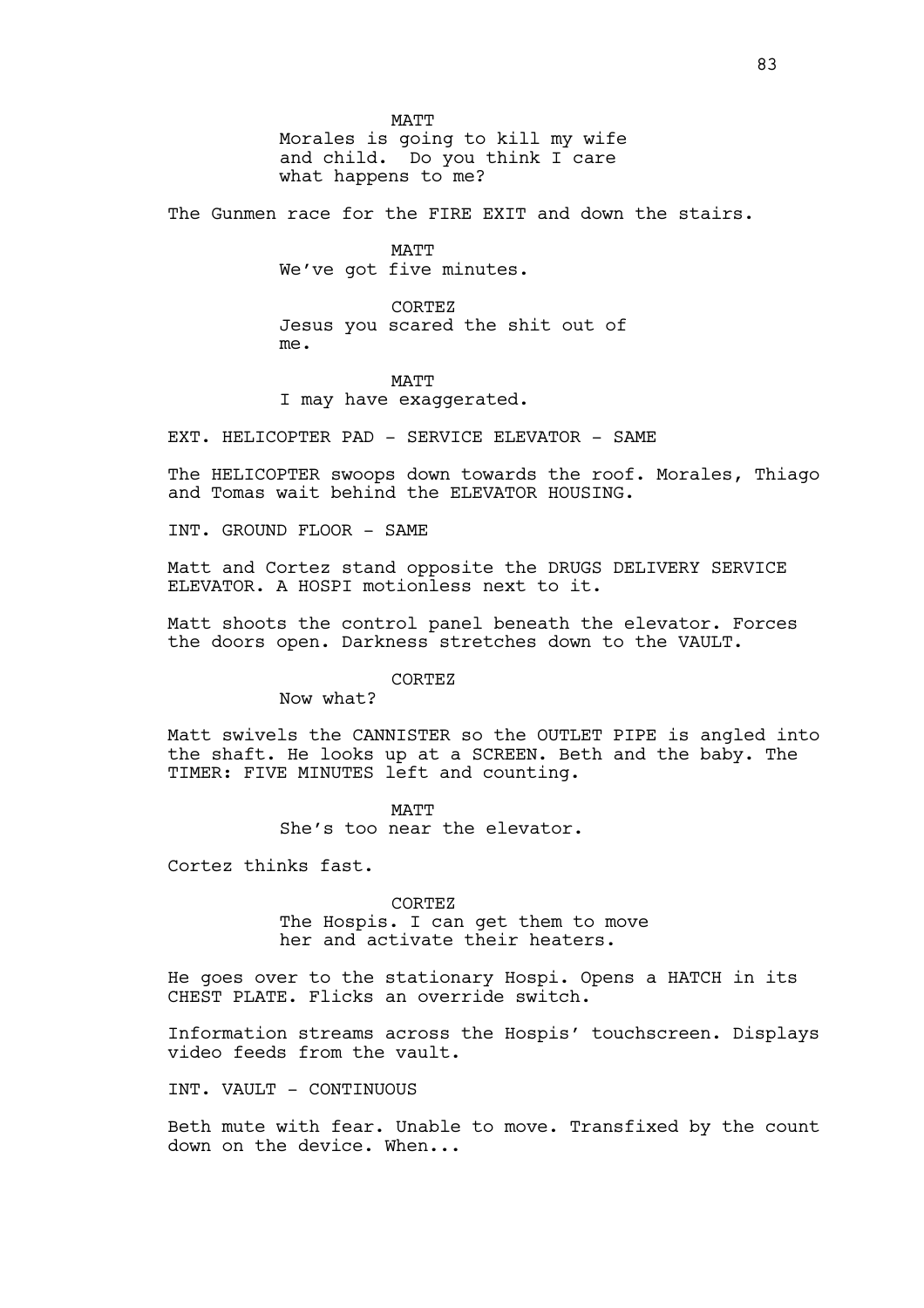MATT Morales is going to kill my wife and child. Do you think I care what happens to me?

The Gunmen race for the FIRE EXIT and down the stairs.

**MATT** We've got five minutes.

CORTEZ Jesus you scared the shit out of me.

# MATT

I may have exaggerated.

EXT. HELICOPTER PAD - SERVICE ELEVATOR - SAME

The HELICOPTER swoops down towards the roof. Morales, Thiago and Tomas wait behind the ELEVATOR HOUSING.

INT. GROUND FLOOR - SAME

Matt and Cortez stand opposite the DRUGS DELIVERY SERVICE ELEVATOR. A HOSPI motionless next to it.

Matt shoots the control panel beneath the elevator. Forces the doors open. Darkness stretches down to the VAULT.

### CORTEZ

Now what?

Matt swivels the CANNISTER so the OUTLET PIPE is angled into the shaft. He looks up at a SCREEN. Beth and the baby. The TIMER: FIVE MINUTES left and counting.

> MATT She's too near the elevator.

Cortez thinks fast.

CORTEZ The Hospis. I can get them to move her and activate their heaters.

He goes over to the stationary Hospi. Opens a HATCH in its CHEST PLATE. Flicks an override switch.

Information streams across the Hospis' touchscreen. Displays video feeds from the vault.

INT. VAULT - CONTINUOUS

Beth mute with fear. Unable to move. Transfixed by the count down on the device. When...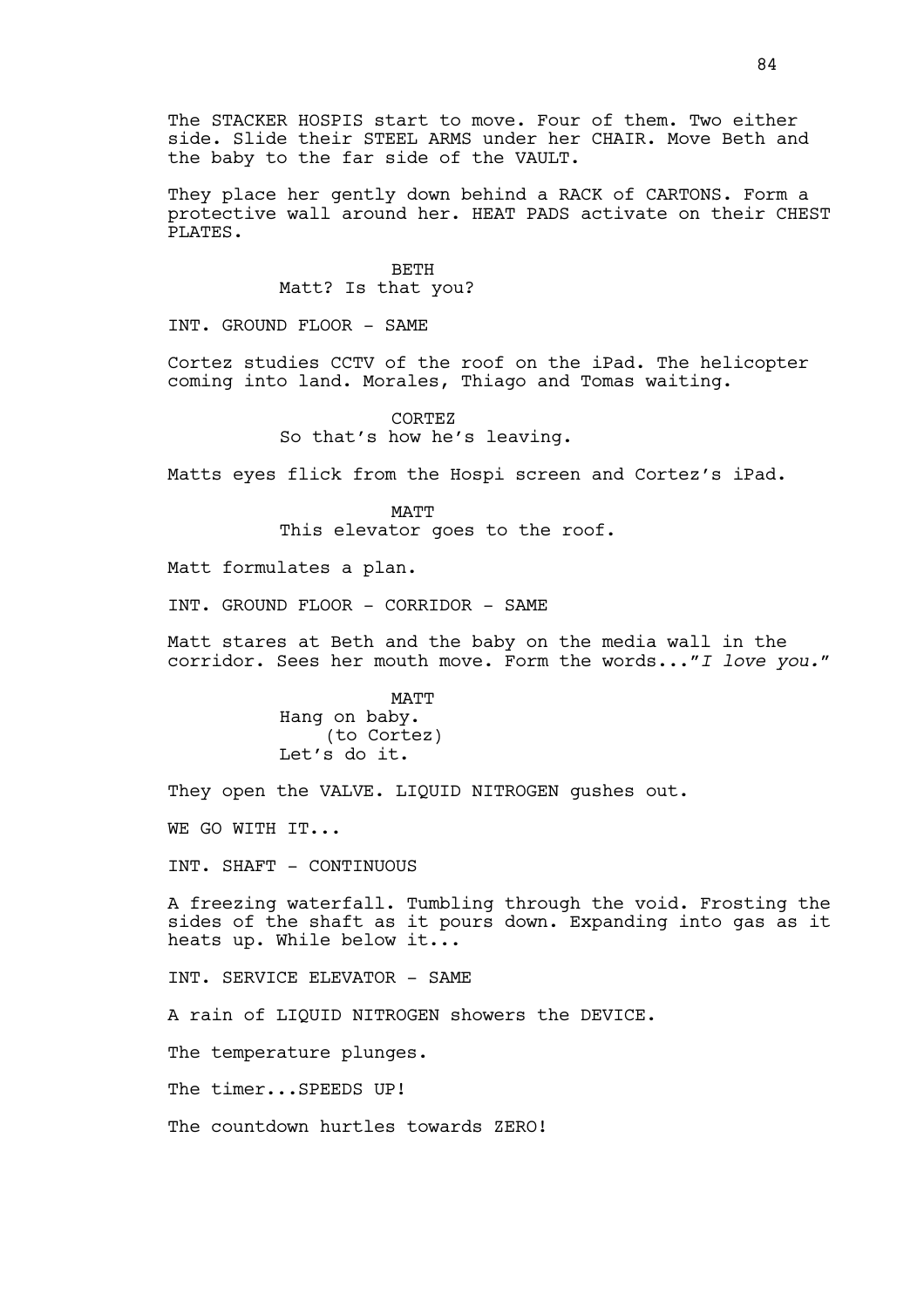The STACKER HOSPIS start to move. Four of them. Two either side. Slide their STEEL ARMS under her CHAIR. Move Beth and the baby to the far side of the VAULT.

They place her gently down behind a RACK of CARTONS. Form a protective wall around her. HEAT PADS activate on their CHEST PLATES.

> BETH Matt? Is that you?

INT. GROUND FLOOR - SAME

Cortez studies CCTV of the roof on the iPad. The helicopter coming into land. Morales, Thiago and Tomas waiting.

> CORTEZ So that's how he's leaving.

Matts eyes flick from the Hospi screen and Cortez's iPad.

MATT This elevator goes to the roof.

Matt formulates a plan.

INT. GROUND FLOOR - CORRIDOR - SAME

Matt stares at Beth and the baby on the media wall in the corridor. Sees her mouth move. Form the words...*"I love you."*

> MATT Hang on baby. (to Cortez) Let's do it.

They open the VALVE. LIQUID NITROGEN qushes out.

WE GO WITH IT...

INT. SHAFT - CONTINUOUS

A freezing waterfall. Tumbling through the void. Frosting the sides of the shaft as it pours down. Expanding into gas as it heats up. While below it...

INT. SERVICE ELEVATOR - SAME

A rain of LIQUID NITROGEN showers the DEVICE.

The temperature plunges.

The timer...SPEEDS UP!

The countdown hurtles towards ZERO!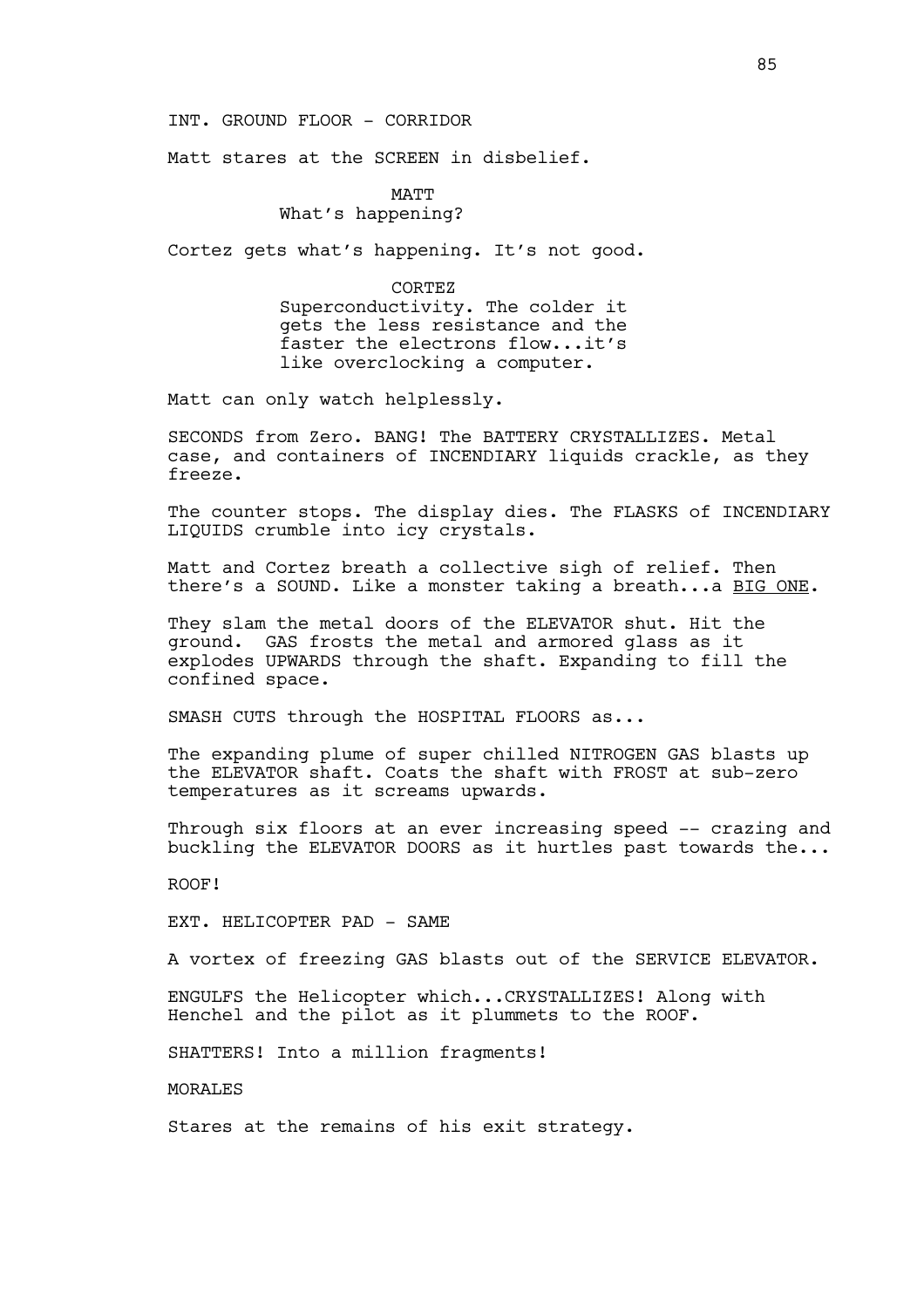INT. GROUND FLOOR - CORRIDOR

Matt stares at the SCREEN in disbelief.

MATT What's happening?

Cortez gets what's happening. It's not good.

CORTEZ

Superconductivity. The colder it gets the less resistance and the faster the electrons flow...it's like overclocking a computer.

Matt can only watch helplessly.

SECONDS from Zero. BANG! The BATTERY CRYSTALLIZES. Metal case, and containers of INCENDIARY liquids crackle, as they freeze.

The counter stops. The display dies. The FLASKS of INCENDIARY LIQUIDS crumble into icy crystals.

Matt and Cortez breath a collective sigh of relief. Then there's a SOUND. Like a monster taking a breath...a BIG ONE.

They slam the metal doors of the ELEVATOR shut. Hit the ground. GAS frosts the metal and armored glass as it explodes UPWARDS through the shaft. Expanding to fill the confined space.

SMASH CUTS through the HOSPITAL FLOORS as...

The expanding plume of super chilled NITROGEN GAS blasts up the ELEVATOR shaft. Coats the shaft with FROST at sub-zero temperatures as it screams upwards.

Through six floors at an ever increasing speed -- crazing and buckling the ELEVATOR DOORS as it hurtles past towards the...

ROOF!

EXT. HELICOPTER PAD - SAME

A vortex of freezing GAS blasts out of the SERVICE ELEVATOR.

ENGULFS the Helicopter which...CRYSTALLIZES! Along with Henchel and the pilot as it plummets to the ROOF.

SHATTERS! Into a million fragments!

**MORALES** 

Stares at the remains of his exit strategy.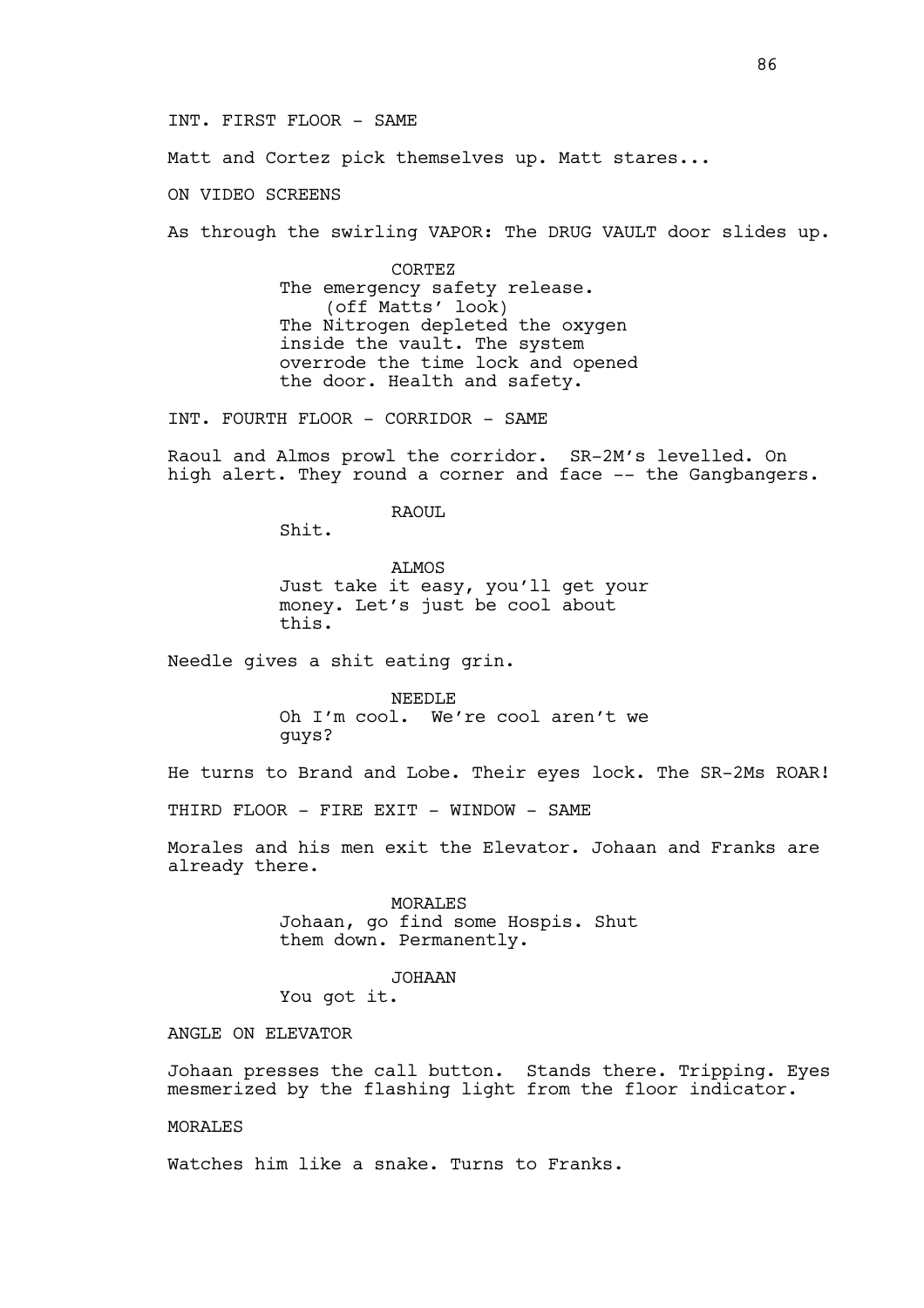INT. FIRST FLOOR - SAME

Matt and Cortez pick themselves up. Matt stares...

ON VIDEO SCREENS

As through the swirling VAPOR: The DRUG VAULT door slides up.

CORTEZ The emergency safety release. (off Matts' look) The Nitrogen depleted the oxygen inside the vault. The system overrode the time lock and opened the door. Health and safety.

INT. FOURTH FLOOR - CORRIDOR - SAME

Raoul and Almos prowl the corridor. SR-2M's levelled. On high alert. They round a corner and face -- the Gangbangers.

RAOUL

Shit.

ALMOS Just take it easy, you'll get your money. Let's just be cool about this.

Needle gives a shit eating grin.

NEEDLE Oh I'm cool. We're cool aren't we guys?

He turns to Brand and Lobe. Their eyes lock. The SR-2Ms ROAR!

THIRD FLOOR - FIRE EXIT - WINDOW - SAME

Morales and his men exit the Elevator. Johaan and Franks are already there.

> MORALES Johaan, go find some Hospis. Shut them down. Permanently.

### JOHAAN

You got it.

ANGLE ON ELEVATOR

Johaan presses the call button. Stands there. Tripping. Eyes mesmerized by the flashing light from the floor indicator.

MORALES

Watches him like a snake. Turns to Franks.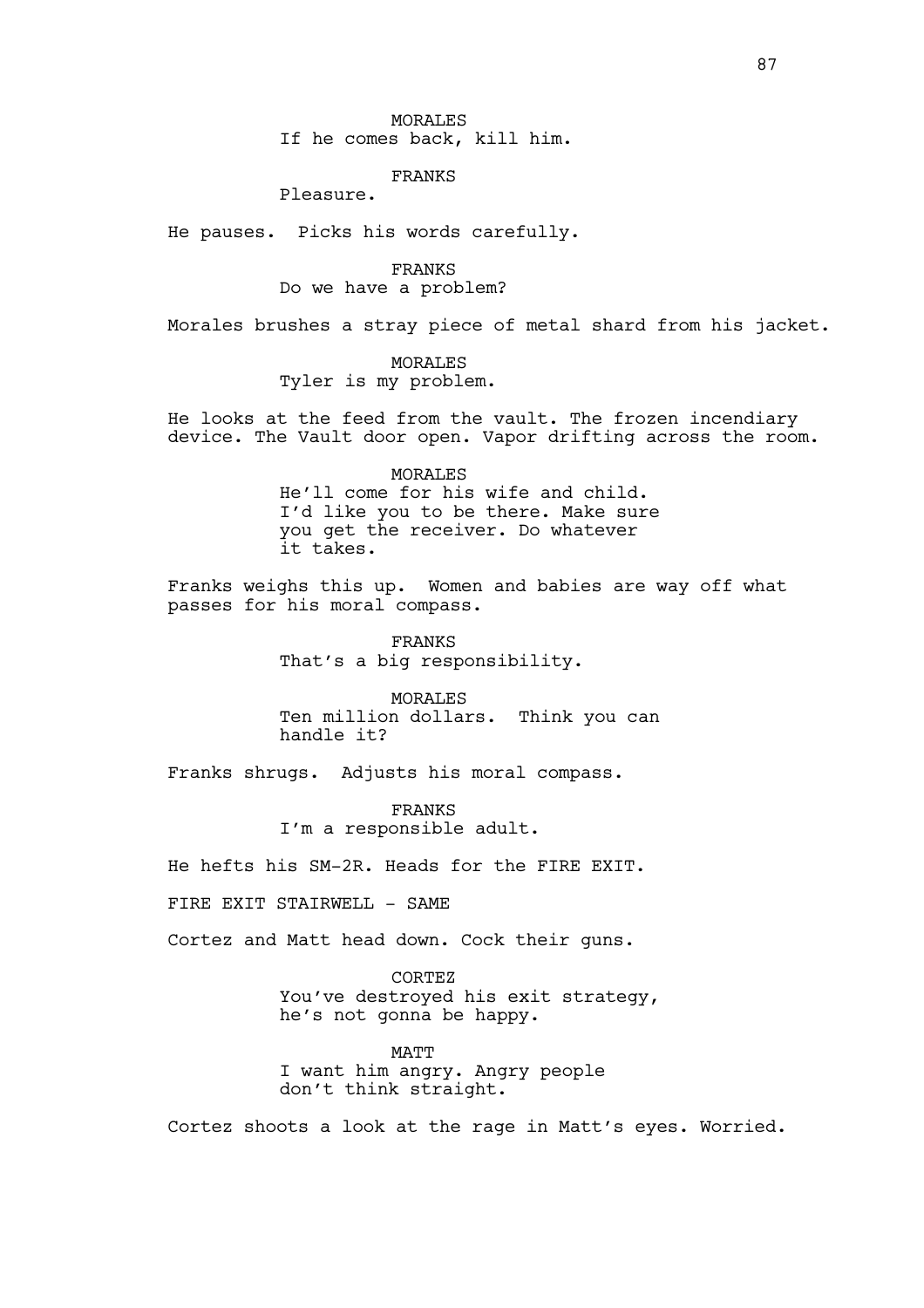### FRANKS

Pleasure.

He pauses. Picks his words carefully.

FRANKS Do we have a problem?

Morales brushes a stray piece of metal shard from his jacket.

MORALES Tyler is my problem.

He looks at the feed from the vault. The frozen incendiary device. The Vault door open. Vapor drifting across the room.

# MORALES He'll come for his wife and child. I'd like you to be there. Make sure you get the receiver. Do whatever it takes.

Franks weighs this up. Women and babies are way off what passes for his moral compass.

> FRANKS That's a big responsibility.

MORALES Ten million dollars. Think you can handle it?

Franks shrugs. Adjusts his moral compass.

FRANKS I'm a responsible adult.

He hefts his SM-2R. Heads for the FIRE EXIT.

FIRE EXIT STAIRWELL - SAME

Cortez and Matt head down. Cock their guns.

CORTEZ You've destroyed his exit strategy, he's not gonna be happy.

**MATT** I want him angry. Angry people don't think straight.

Cortez shoots a look at the rage in Matt's eyes. Worried.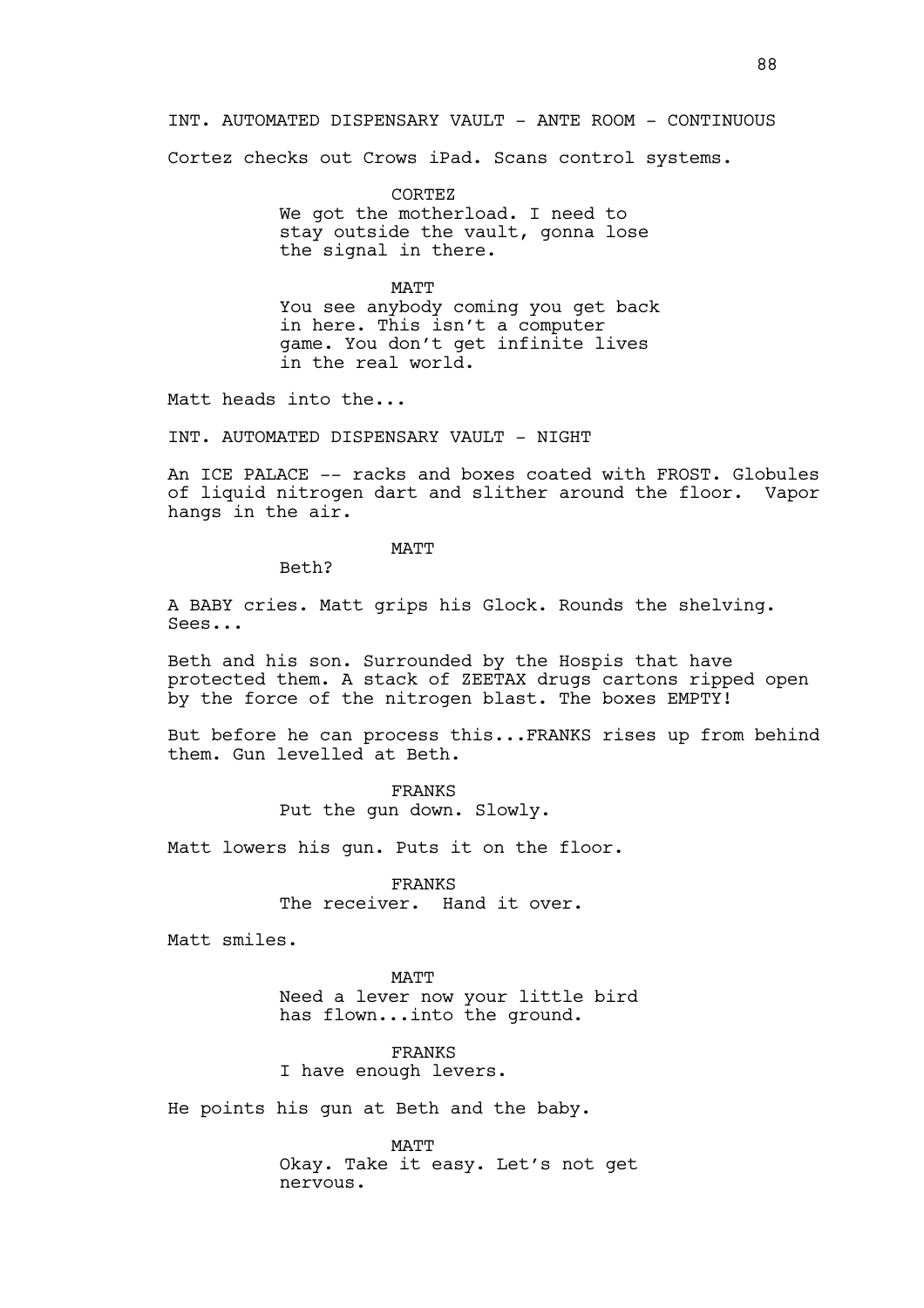INT. AUTOMATED DISPENSARY VAULT - ANTE ROOM - CONTINUOUS

Cortez checks out Crows iPad. Scans control systems.

CORTEZ We got the motherload. I need to stay outside the vault, gonna lose the signal in there.

MATT You see anybody coming you get back in here. This isn't a computer game. You don't get infinite lives in the real world.

Matt heads into the...

INT. AUTOMATED DISPENSARY VAULT - NIGHT

An ICE PALACE -- racks and boxes coated with FROST. Globules of liquid nitrogen dart and slither around the floor. Vapor hangs in the air.

MATT

Beth?

A BABY cries. Matt grips his Glock. Rounds the shelving. Sees...

Beth and his son. Surrounded by the Hospis that have protected them. A stack of ZEETAX drugs cartons ripped open by the force of the nitrogen blast. The boxes EMPTY!

But before he can process this...FRANKS rises up from behind them. Gun levelled at Beth.

> FRANKS Put the gun down. Slowly.

Matt lowers his gun. Puts it on the floor.

FRANKS The receiver. Hand it over.

Matt smiles.

**MATT** Need a lever now your little bird has flown...into the ground.

FRANKS I have enough levers.

He points his gun at Beth and the baby.

MATT Okay. Take it easy. Let's not get nervous.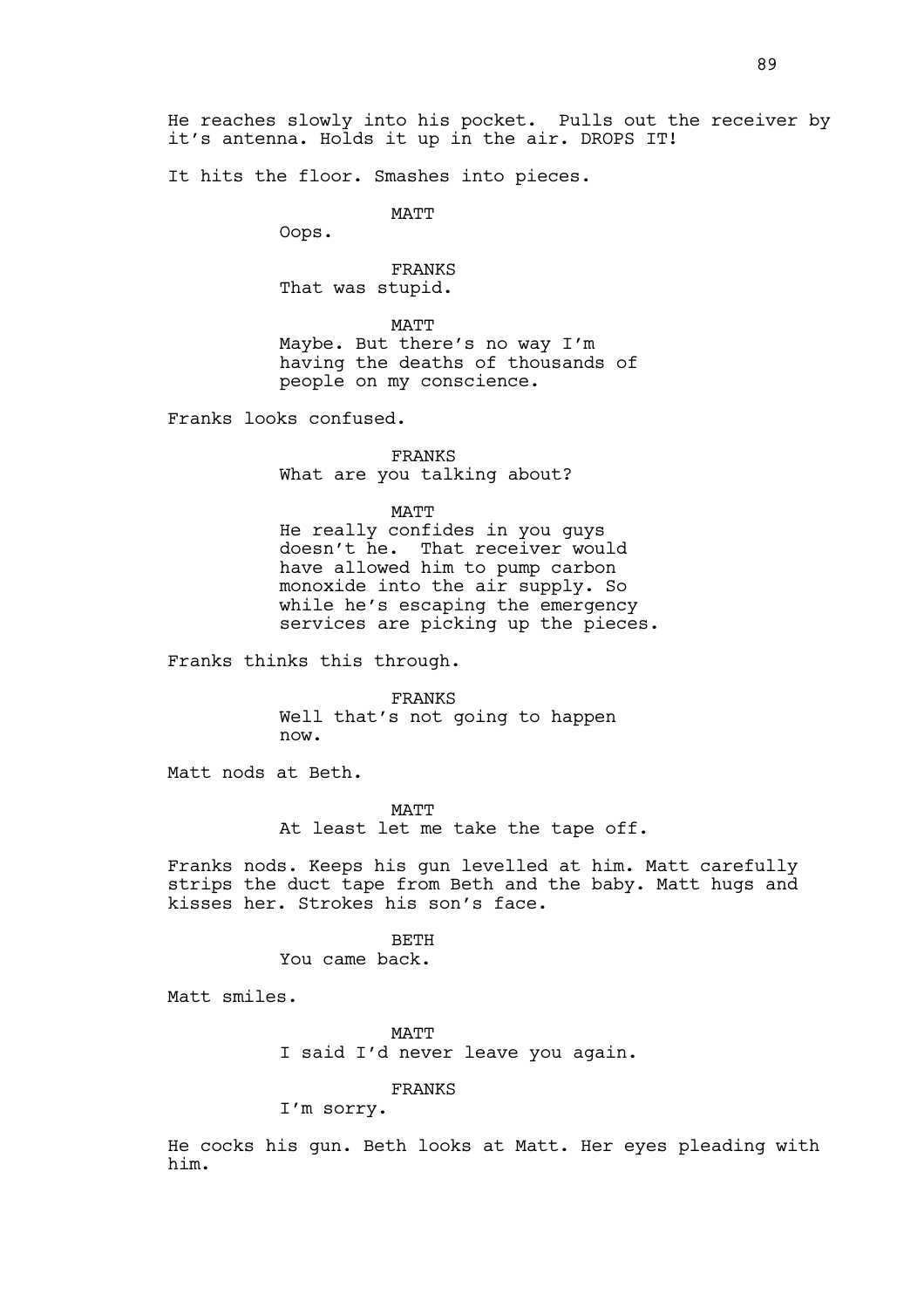It hits the floor. Smashes into pieces.

MATT

Oops.

FRANKS That was stupid.

MATT Maybe. But there's no way I'm having the deaths of thousands of people on my conscience.

Franks looks confused.

FRANKS What are you talking about?

MATT

He really confides in you guys doesn't he. That receiver would have allowed him to pump carbon monoxide into the air supply. So while he's escaping the emergency services are picking up the pieces.

Franks thinks this through.

FRANKS Well that's not going to happen now.

Matt nods at Beth.

MATT At least let me take the tape off.

Franks nods. Keeps his gun levelled at him. Matt carefully strips the duct tape from Beth and the baby. Matt hugs and kisses her. Strokes his son's face.

BETH

You came back.

Matt smiles.

**MATT** I said I'd never leave you again.

FRANKS

I'm sorry.

He cocks his gun. Beth looks at Matt. Her eyes pleading with him.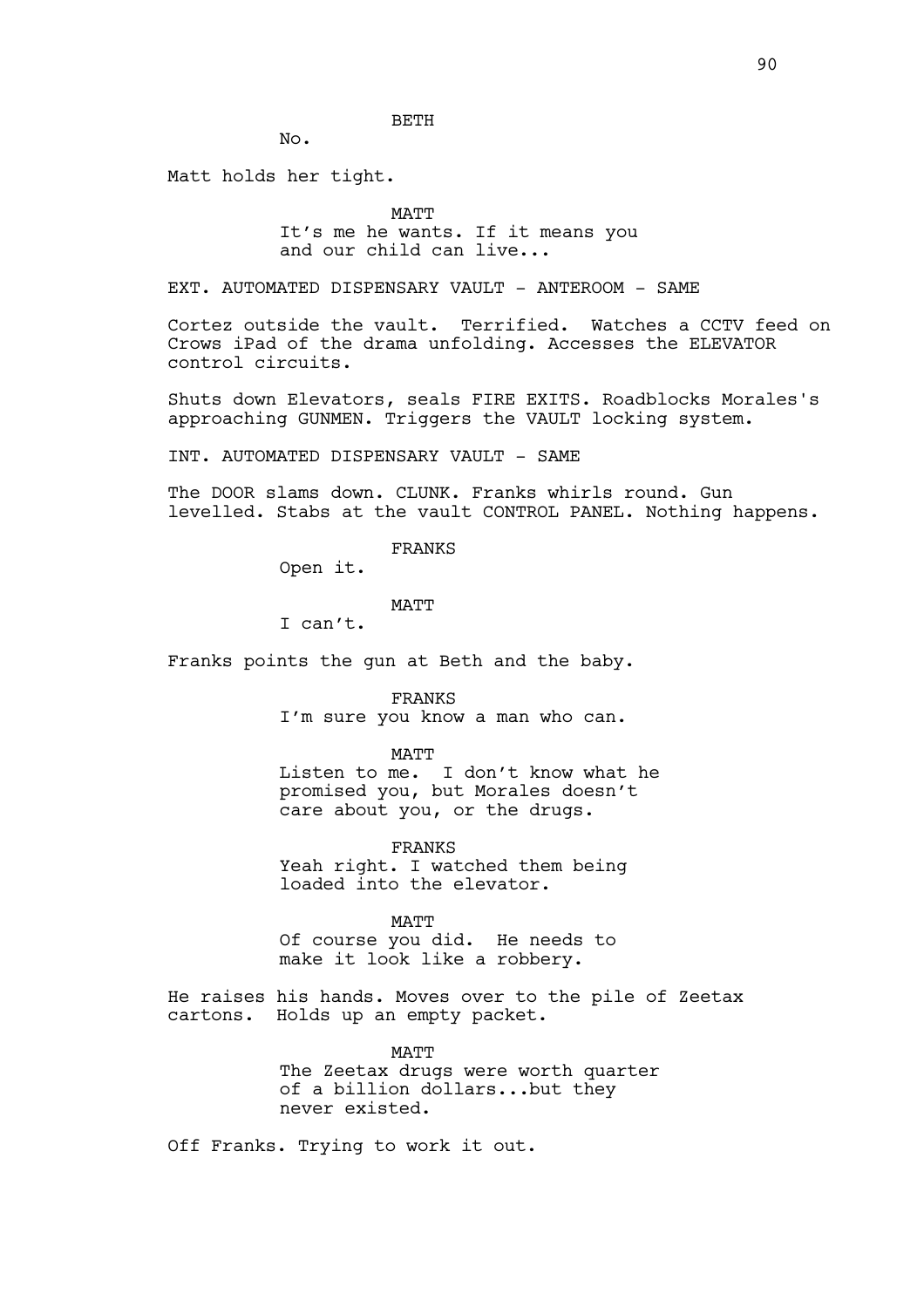BETH

No.

Matt holds her tight.

MATT

It's me he wants. If it means you and our child can live...

EXT. AUTOMATED DISPENSARY VAULT - ANTEROOM - SAME

Cortez outside the vault. Terrified. Watches a CCTV feed on Crows iPad of the drama unfolding. Accesses the ELEVATOR control circuits.

Shuts down Elevators, seals FIRE EXITS. Roadblocks Morales's approaching GUNMEN. Triggers the VAULT locking system.

INT. AUTOMATED DISPENSARY VAULT - SAME

The DOOR slams down. CLUNK. Franks whirls round. Gun levelled. Stabs at the vault CONTROL PANEL. Nothing happens.

FRANKS

Open it.

MATT

I can't.

Franks points the gun at Beth and the baby.

FRANKS I'm sure you know a man who can.

MATT

Listen to me. I don't know what he promised you, but Morales doesn't care about you, or the drugs.

FRANKS

Yeah right. I watched them being loaded into the elevator.

MATT

Of course you did. He needs to make it look like a robbery.

He raises his hands. Moves over to the pile of Zeetax cartons. Holds up an empty packet.

> **MATT** The Zeetax drugs were worth quarter of a billion dollars...but they never existed.

Off Franks. Trying to work it out.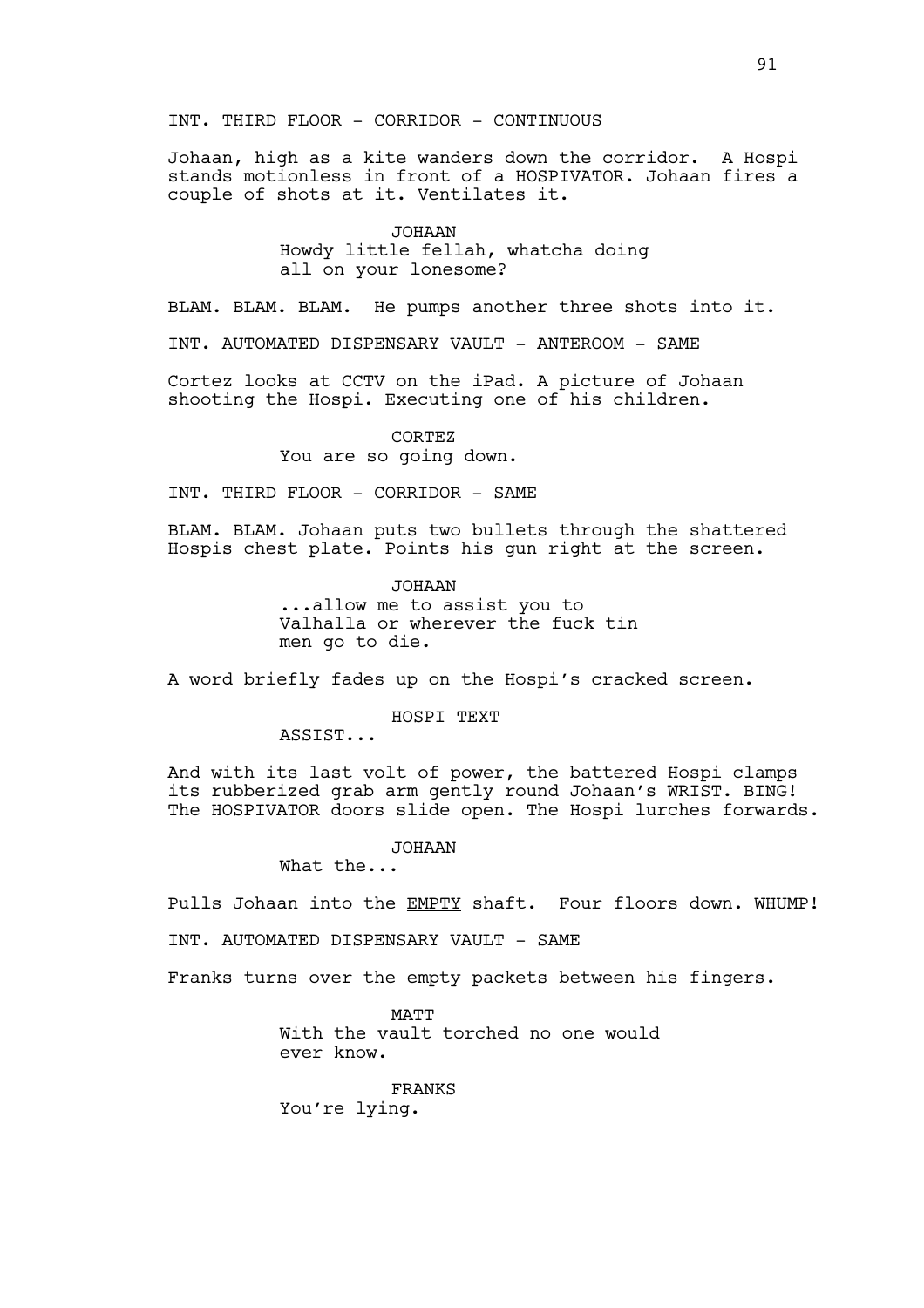Johaan, high as a kite wanders down the corridor. A Hospi stands motionless in front of a HOSPIVATOR. Johaan fires a couple of shots at it. Ventilates it.

> JOHAAN Howdy little fellah, whatcha doing all on your lonesome?

BLAM. BLAM. BLAM. He pumps another three shots into it.

INT. AUTOMATED DISPENSARY VAULT - ANTEROOM - SAME

Cortez looks at CCTV on the iPad. A picture of Johaan shooting the Hospi. Executing one of his children.

> CORTEZ You are so going down.

INT. THIRD FLOOR - CORRIDOR - SAME

BLAM. BLAM. Johaan puts two bullets through the shattered Hospis chest plate. Points his gun right at the screen.

> JOHAAN ...allow me to assist you to Valhalla or wherever the fuck tin men go to die.

A word briefly fades up on the Hospi's cracked screen.

HOSPI TEXT

ASSIST...

And with its last volt of power, the battered Hospi clamps its rubberized grab arm gently round Johaan's WRIST. BING! The HOSPIVATOR doors slide open. The Hospi lurches forwards.

JOHAAN

What the...

Pulls Johaan into the EMPTY shaft. Four floors down. WHUMP!

INT. AUTOMATED DISPENSARY VAULT - SAME

Franks turns over the empty packets between his fingers.

MATT With the vault torched no one would ever know.

FRANKS You're lying.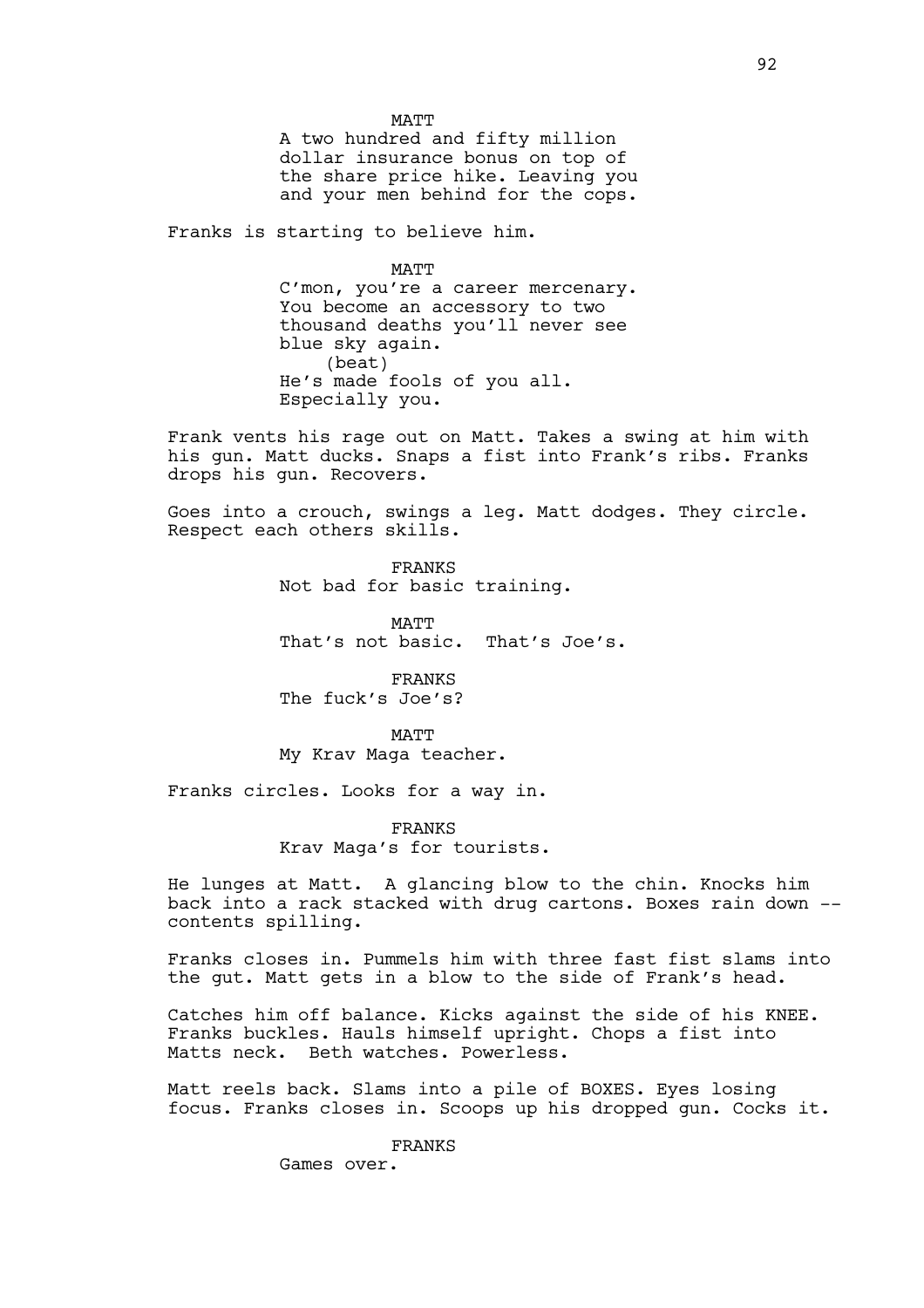MATT A two hundred and fifty million dollar insurance bonus on top of the share price hike. Leaving you and your men behind for the cops.

Franks is starting to believe him.

MATT

C'mon, you're a career mercenary. You become an accessory to two thousand deaths you'll never see blue sky again. (beat) He's made fools of you all. Especially you.

Frank vents his rage out on Matt. Takes a swing at him with his gun. Matt ducks. Snaps a fist into Frank's ribs. Franks drops his gun. Recovers.

Goes into a crouch, swings a leg. Matt dodges. They circle. Respect each others skills.

> FRANKS Not bad for basic training.

MATT That's not basic. That's Joe's.

FRANKS The fuck's Joe's?

MATT My Krav Maga teacher.

Franks circles. Looks for a way in.

FRANKS Krav Maga's for tourists.

He lunges at Matt. A glancing blow to the chin. Knocks him back into a rack stacked with drug cartons. Boxes rain down - contents spilling.

Franks closes in. Pummels him with three fast fist slams into the gut. Matt gets in a blow to the side of Frank's head.

Catches him off balance. Kicks against the side of his KNEE. Franks buckles. Hauls himself upright. Chops a fist into Matts neck. Beth watches. Powerless.

Matt reels back. Slams into a pile of BOXES. Eyes losing focus. Franks closes in. Scoops up his dropped gun. Cocks it.

FRANKS

Games over.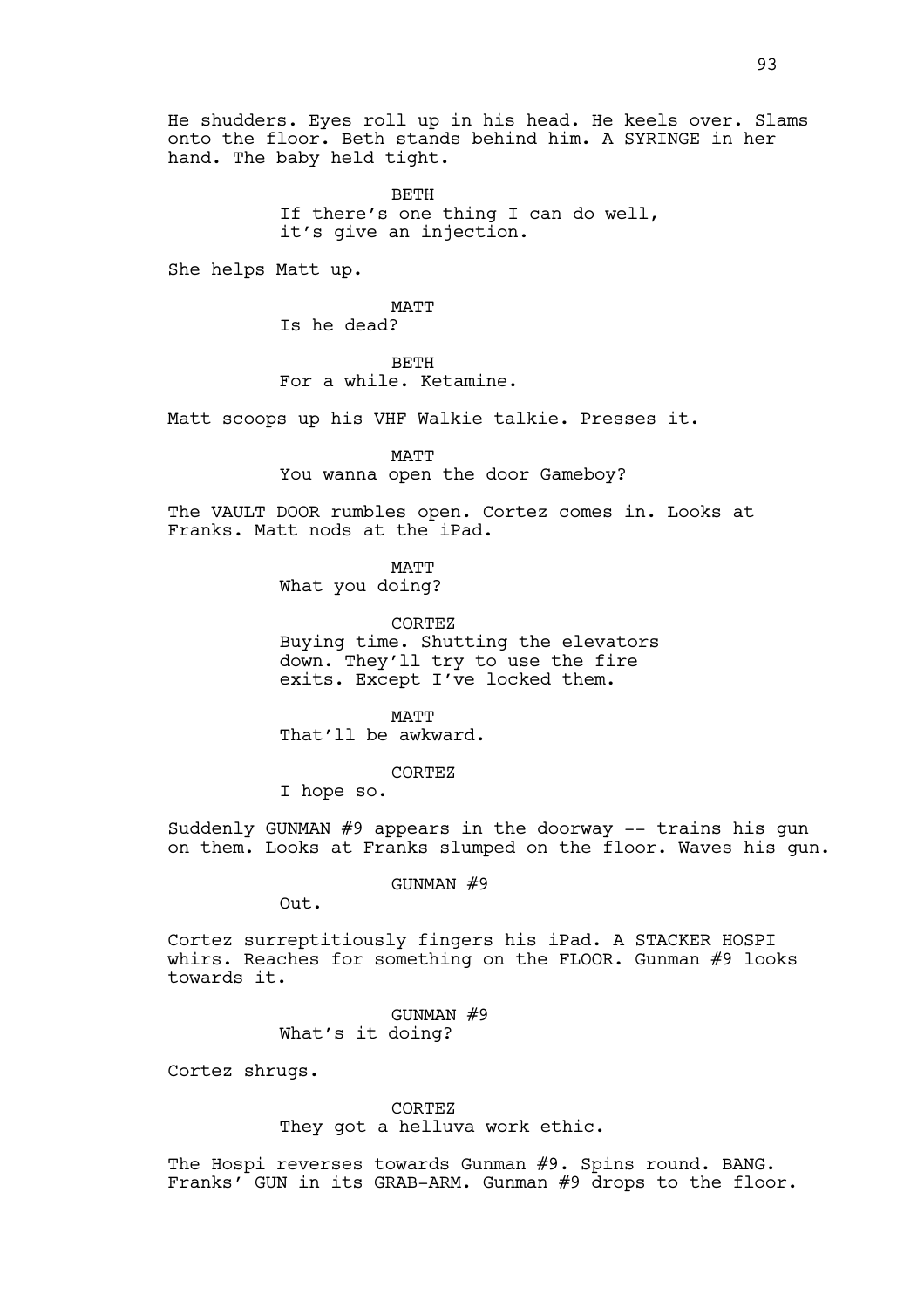He shudders. Eyes roll up in his head. He keels over. Slams onto the floor. Beth stands behind him. A SYRINGE in her hand. The baby held tight.

> BETH If there's one thing I can do well, it's give an injection.

She helps Matt up.

MATT Is he dead?

BETH For a while. Ketamine.

Matt scoops up his VHF Walkie talkie. Presses it.

MATT

You wanna open the door Gameboy?

The VAULT DOOR rumbles open. Cortez comes in. Looks at Franks. Matt nods at the iPad.

MATT

What you doing?

CORTEZ Buying time. Shutting the elevators down. They'll try to use the fire exits. Except I've locked them.

MATT That'll be awkward.

CORTEZ

I hope so.

Suddenly GUNMAN #9 appears in the doorway -- trains his gun on them. Looks at Franks slumped on the floor. Waves his gun.

GUNMAN #9

Out.

Cortez surreptitiously fingers his iPad. A STACKER HOSPI whirs. Reaches for something on the FLOOR. Gunman #9 looks towards it.

> GUNMAN #9 What's it doing?

Cortez shrugs.

CORTEZ They got a helluva work ethic.

The Hospi reverses towards Gunman #9. Spins round. BANG. Franks' GUN in its GRAB-ARM. Gunman #9 drops to the floor.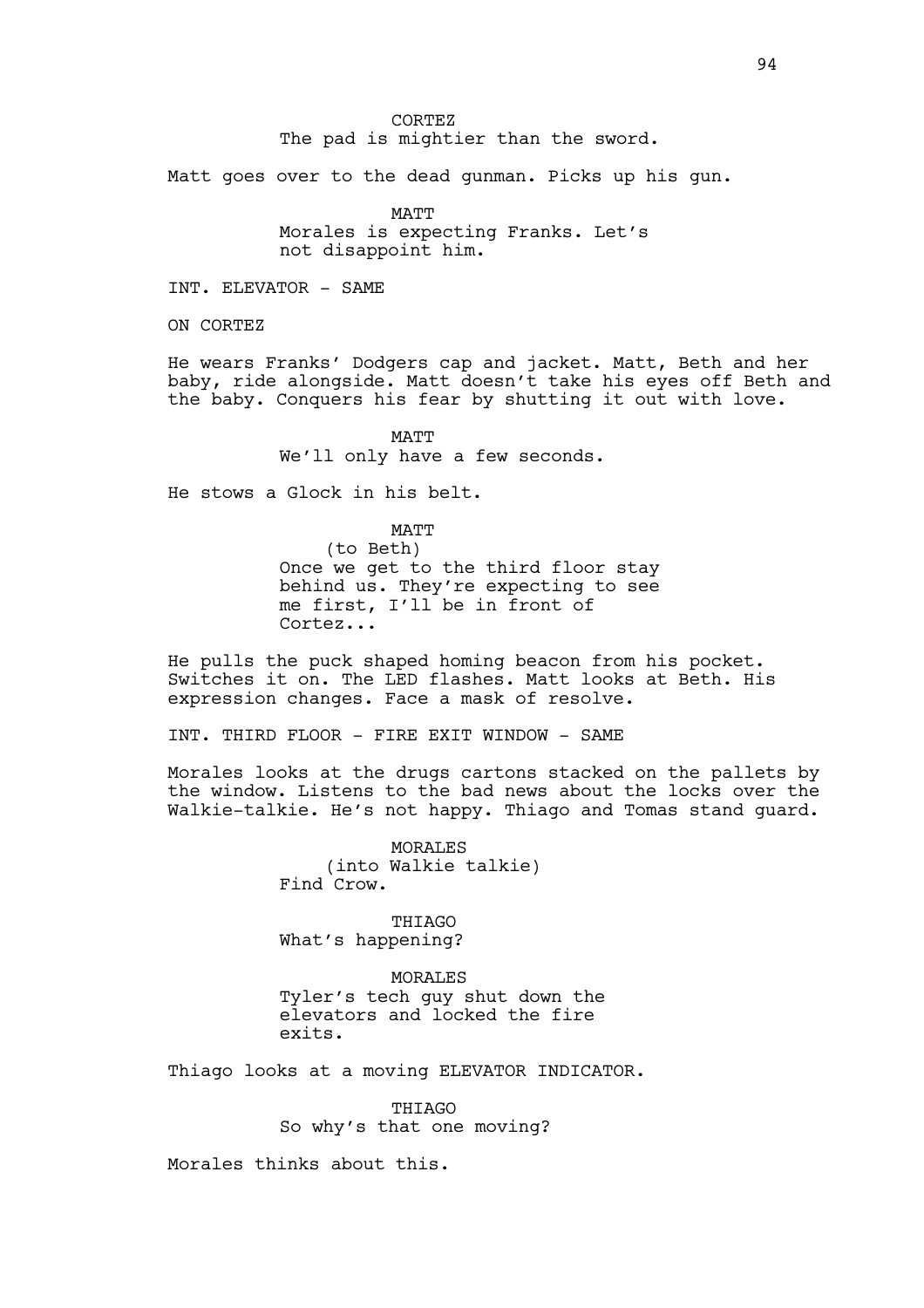CORTEZ The pad is mightier than the sword.

Matt goes over to the dead gunman. Picks up his gun.

MATT Morales is expecting Franks. Let's not disappoint him.

INT. ELEVATOR - SAME

ON CORTEZ

He wears Franks' Dodgers cap and jacket. Matt, Beth and her baby, ride alongside. Matt doesn't take his eyes off Beth and the baby. Conquers his fear by shutting it out with love.

> MATT We'll only have a few seconds.

He stows a Glock in his belt.

MATT (to Beth) Once we get to the third floor stay behind us. They're expecting to see me first, I'll be in front of Cortez...

He pulls the puck shaped homing beacon from his pocket. Switches it on. The LED flashes. Matt looks at Beth. His expression changes. Face a mask of resolve.

INT. THIRD FLOOR - FIRE EXIT WINDOW - SAME

Morales looks at the drugs cartons stacked on the pallets by the window. Listens to the bad news about the locks over the Walkie-talkie. He's not happy. Thiago and Tomas stand guard.

> MORALES (into Walkie talkie) Find Crow.

THIAGO What's happening?

**MORALES** Tyler's tech guy shut down the elevators and locked the fire exits.

Thiago looks at a moving ELEVATOR INDICATOR.

**THIAGO** So why's that one moving?

Morales thinks about this.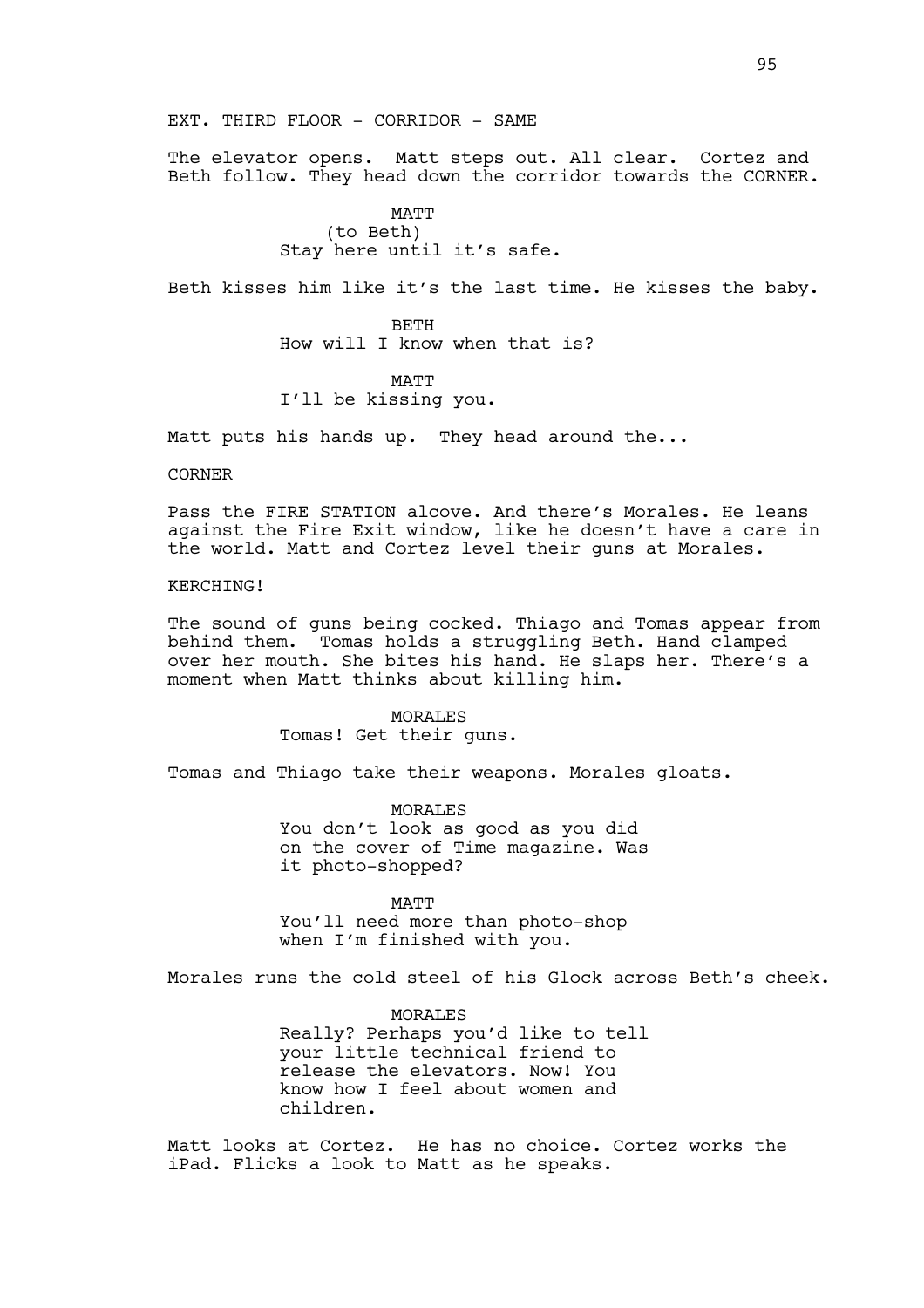### EXT. THIRD FLOOR - CORRIDOR - SAME

The elevator opens. Matt steps out. All clear. Cortez and Beth follow. They head down the corridor towards the CORNER.

# MATT (to Beth) Stay here until it's safe.

Beth kisses him like it's the last time. He kisses the baby.

BETH How will I know when that is?

# MATT I'll be kissing you.

Matt puts his hands up. They head around the...

CORNER

Pass the FIRE STATION alcove. And there's Morales. He leans against the Fire Exit window, like he doesn't have a care in the world. Matt and Cortez level their guns at Morales.

# KERCHING!

The sound of guns being cocked. Thiago and Tomas appear from behind them. Tomas holds a struggling Beth. Hand clamped over her mouth. She bites his hand. He slaps her. There's a moment when Matt thinks about killing him.

> MORALES Tomas! Get their guns.

Tomas and Thiago take their weapons. Morales gloats.

MORALES You don't look as good as you did on the cover of Time magazine. Was it photo-shopped?

MATT

You'll need more than photo-shop when I'm finished with you.

Morales runs the cold steel of his Glock across Beth's cheek.

MORALES Really? Perhaps you'd like to tell your little technical friend to release the elevators. Now! You know how I feel about women and children.

Matt looks at Cortez. He has no choice. Cortez works the iPad. Flicks a look to Matt as he speaks.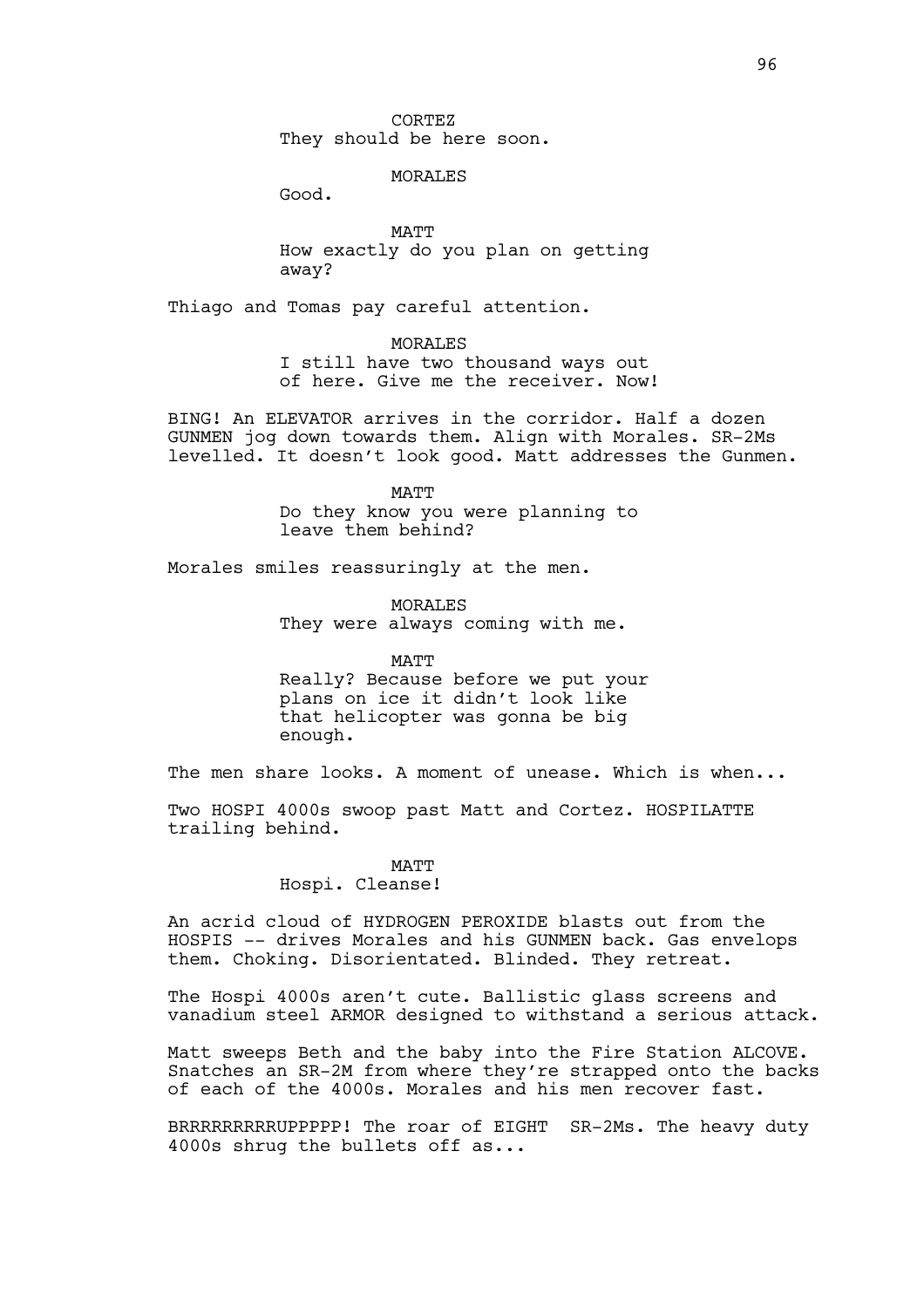### MORALES

Good.

MATT How exactly do you plan on getting away?

Thiago and Tomas pay careful attention.

MORALES I still have two thousand ways out of here. Give me the receiver. Now!

BING! An ELEVATOR arrives in the corridor. Half a dozen GUNMEN jog down towards them. Align with Morales. SR-2Ms levelled. It doesn't look good. Matt addresses the Gunmen.

MATT

Do they know you were planning to leave them behind?

Morales smiles reassuringly at the men.

MORALES They were always coming with me.

MATT

Really? Because before we put your plans on ice it didn't look like that helicopter was gonna be big enough.

The men share looks. A moment of unease. Which is when...

Two HOSPI 4000s swoop past Matt and Cortez. HOSPILATTE trailing behind.

### MATT

Hospi. Cleanse!

An acrid cloud of HYDROGEN PEROXIDE blasts out from the HOSPIS -- drives Morales and his GUNMEN back. Gas envelops them. Choking. Disorientated. Blinded. They retreat.

The Hospi 4000s aren't cute. Ballistic glass screens and vanadium steel ARMOR designed to withstand a serious attack.

Matt sweeps Beth and the baby into the Fire Station ALCOVE. Snatches an SR-2M from where they're strapped onto the backs of each of the 4000s. Morales and his men recover fast.

BRRRRRRRRRUPPPPP! The roar of EIGHT SR-2Ms. The heavy duty 4000s shrug the bullets off as...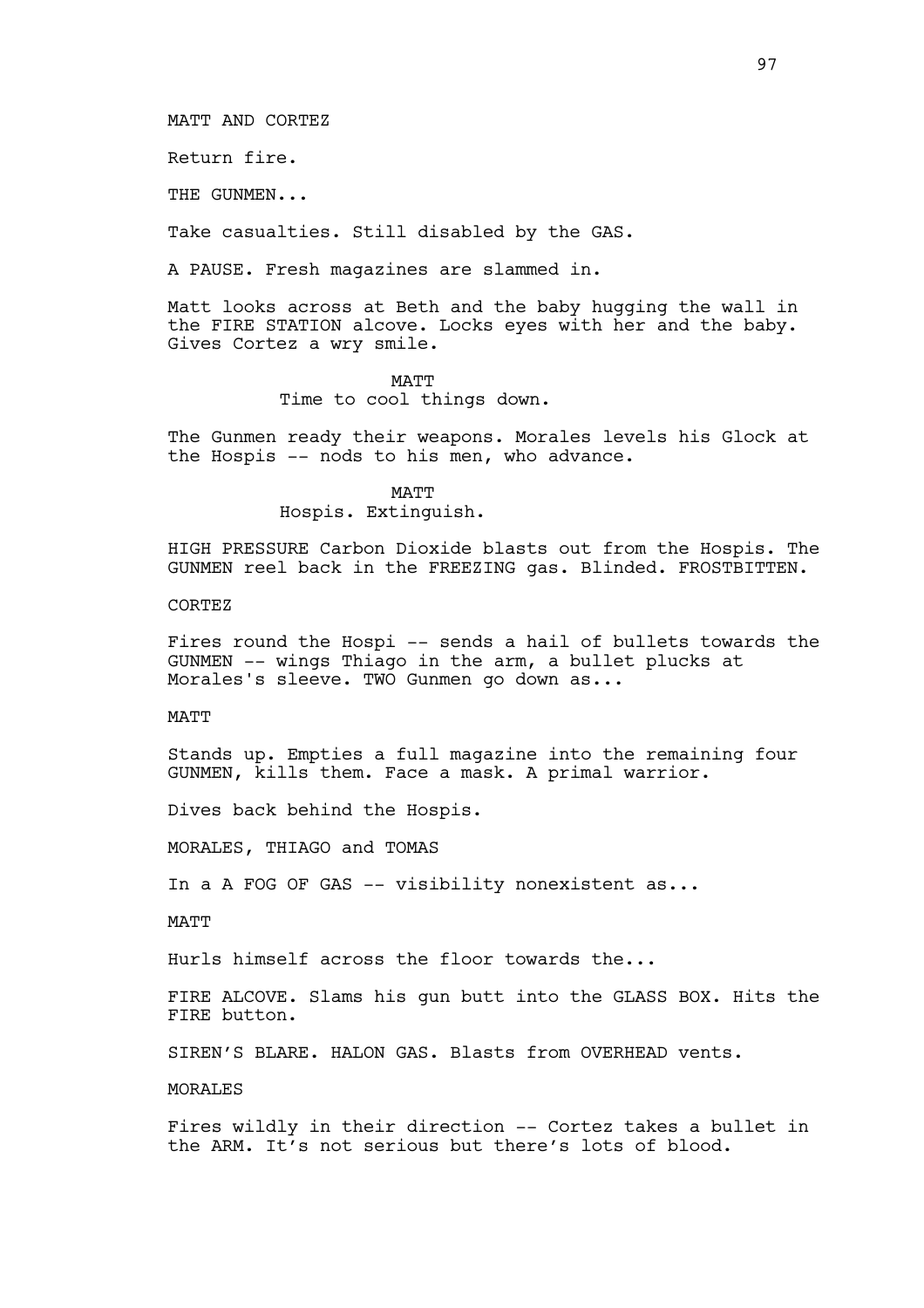MATT AND CORTEZ

Return fire.

THE GUNMEN...

Take casualties. Still disabled by the GAS.

A PAUSE. Fresh magazines are slammed in.

Matt looks across at Beth and the baby hugging the wall in the FIRE STATION alcove. Locks eyes with her and the baby. Gives Cortez a wry smile.

#### MATT

Time to cool things down.

The Gunmen ready their weapons. Morales levels his Glock at the Hospis -- nods to his men, who advance.

> MATT Hospis. Extinguish.

HIGH PRESSURE Carbon Dioxide blasts out from the Hospis. The GUNMEN reel back in the FREEZING gas. Blinded. FROSTBITTEN.

**CORTEZ** 

Fires round the Hospi -- sends a hail of bullets towards the GUNMEN -- wings Thiago in the arm, a bullet plucks at Morales's sleeve. TWO Gunmen go down as...

MATT

Stands up. Empties a full magazine into the remaining four GUNMEN, kills them. Face a mask. A primal warrior.

Dives back behind the Hospis.

MORALES, THIAGO and TOMAS

In a A FOG OF GAS -- visibility nonexistent as...

**MATT** 

Hurls himself across the floor towards the...

FIRE ALCOVE. Slams his gun butt into the GLASS BOX. Hits the FIRE button.

SIREN'S BLARE. HALON GAS. Blasts from OVERHEAD vents.

MORALES

Fires wildly in their direction -- Cortez takes a bullet in the ARM. It's not serious but there's lots of blood.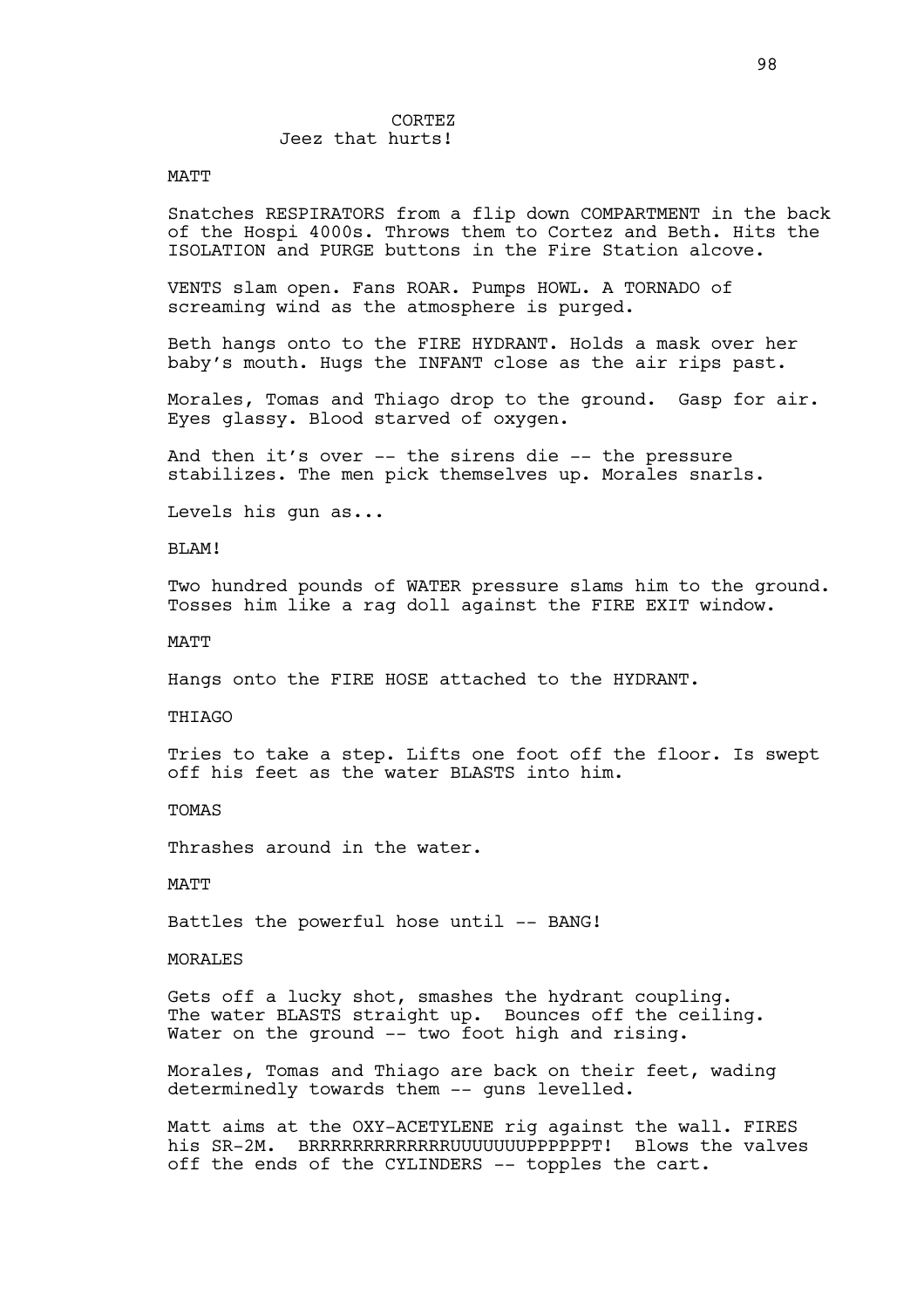### CORTEZ Jeez that hurts!

### MATT

Snatches RESPIRATORS from a flip down COMPARTMENT in the back of the Hospi 4000s. Throws them to Cortez and Beth. Hits the ISOLATION and PURGE buttons in the Fire Station alcove.

VENTS slam open. Fans ROAR. Pumps HOWL. A TORNADO of screaming wind as the atmosphere is purged.

Beth hangs onto to the FIRE HYDRANT. Holds a mask over her baby's mouth. Hugs the INFANT close as the air rips past.

Morales, Tomas and Thiago drop to the ground. Gasp for air. Eyes glassy. Blood starved of oxygen.

And then it's over -- the sirens die -- the pressure stabilizes. The men pick themselves up. Morales snarls.

Levels his gun as...

BLAM!

Two hundred pounds of WATER pressure slams him to the ground. Tosses him like a rag doll against the FIRE EXIT window.

**MATT** 

Hangs onto the FIRE HOSE attached to the HYDRANT.

THIAGO

Tries to take a step. Lifts one foot off the floor. Is swept off his feet as the water BLASTS into him.

TOMAS

Thrashes around in the water.

MATT

Battles the powerful hose until -- BANG!

MORALES

Gets off a lucky shot, smashes the hydrant coupling. The water BLASTS straight up. Bounces off the ceiling. Water on the ground -- two foot high and rising.

Morales, Tomas and Thiago are back on their feet, wading determinedly towards them -- quns levelled.

Matt aims at the OXY-ACETYLENE rig against the wall. FIRES his SR-2M. BRRRRRRRRRRRRRUUUUUUUPPPPPPT! Blows the valves off the ends of the CYLINDERS -- topples the cart.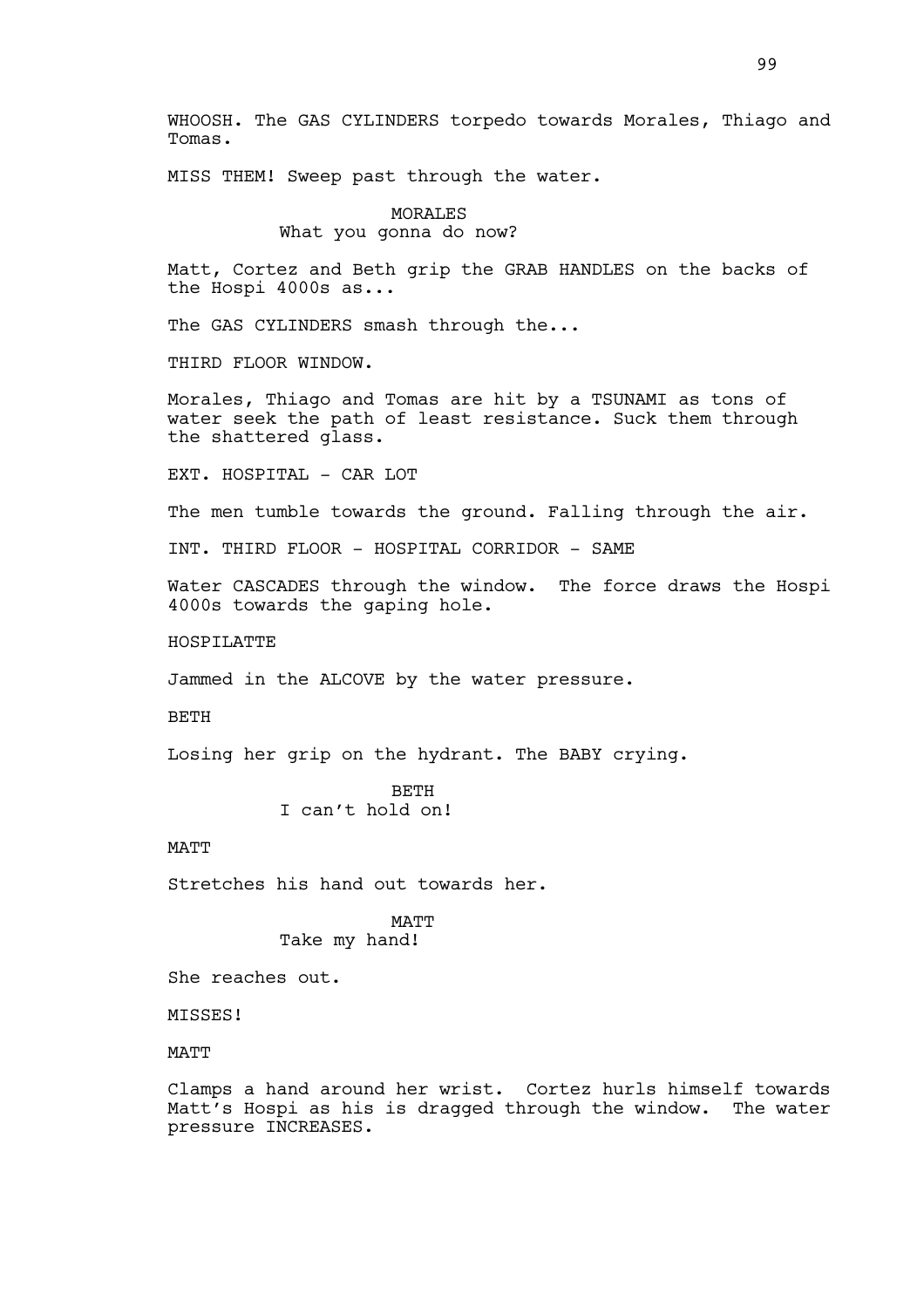WHOOSH. The GAS CYLINDERS torpedo towards Morales, Thiago and Tomas.

MISS THEM! Sweep past through the water.

MORALES What you gonna do now?

Matt, Cortez and Beth grip the GRAB HANDLES on the backs of the Hospi 4000s as...

The GAS CYLINDERS smash through the...

THIRD FLOOR WINDOW.

Morales, Thiago and Tomas are hit by a TSUNAMI as tons of water seek the path of least resistance. Suck them through the shattered glass.

EXT. HOSPITAL - CAR LOT

The men tumble towards the ground. Falling through the air.

INT. THIRD FLOOR - HOSPITAL CORRIDOR - SAME

Water CASCADES through the window. The force draws the Hospi 4000s towards the gaping hole.

**HOSPILATTE** 

Jammed in the ALCOVE by the water pressure.

BETH

Losing her grip on the hydrant. The BABY crying.

**BETH** I can't hold on!

**MATT** 

Stretches his hand out towards her.

MATT Take my hand!

She reaches out.

MISSES!

**MATT** 

Clamps a hand around her wrist. Cortez hurls himself towards Matt's Hospi as his is dragged through the window. The water pressure INCREASES.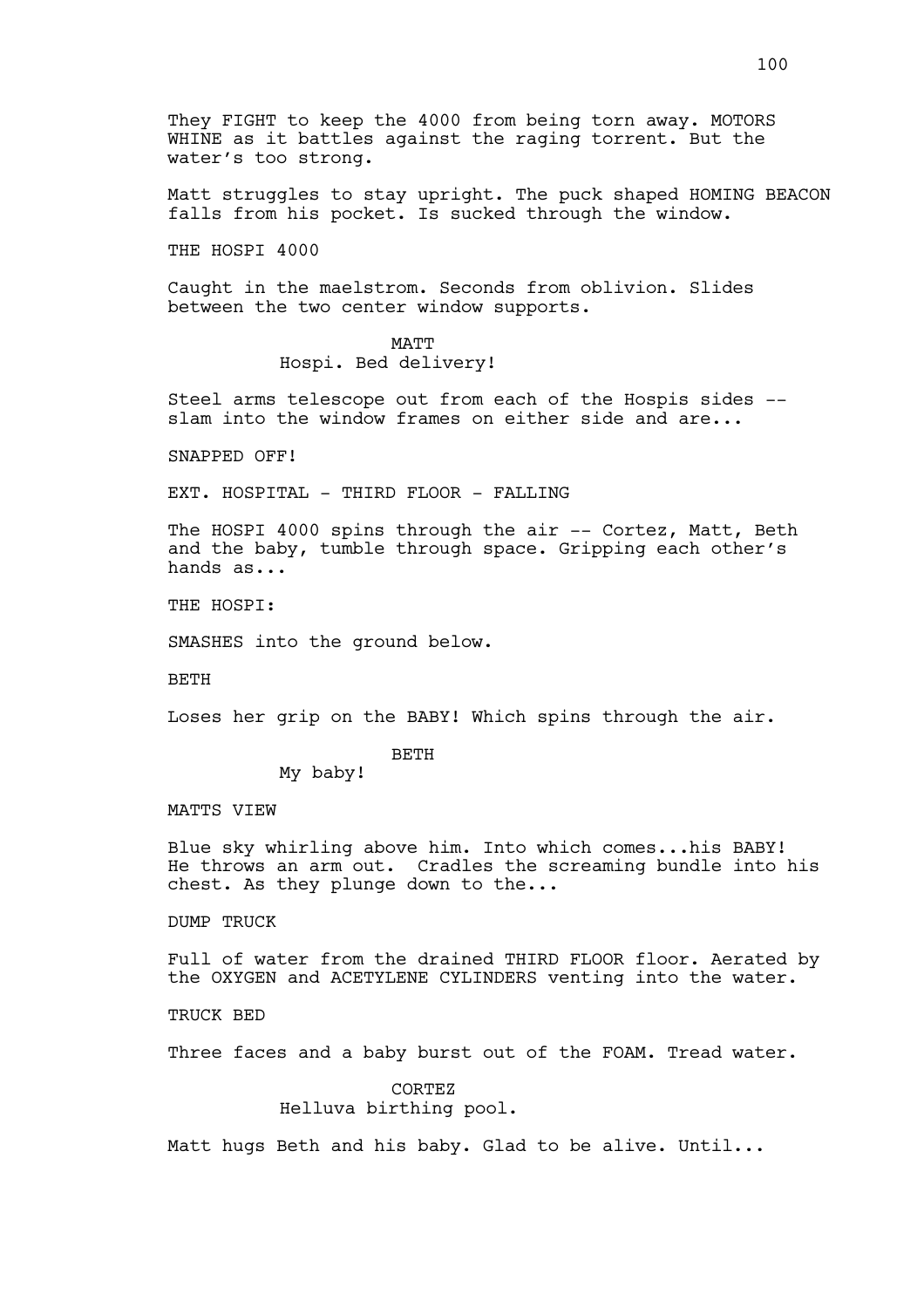They FIGHT to keep the 4000 from being torn away. MOTORS WHINE as it battles against the raging torrent. But the water's too strong.

Matt struggles to stay upright. The puck shaped HOMING BEACON falls from his pocket. Is sucked through the window.

THE HOSPI 4000

Caught in the maelstrom. Seconds from oblivion. Slides between the two center window supports.

> MATT Hospi. Bed delivery!

Steel arms telescope out from each of the Hospis sides - slam into the window frames on either side and are...

SNAPPED OFF!

EXT. HOSPITAL - THIRD FLOOR - FALLING

The HOSPI 4000 spins through the air -- Cortez, Matt, Beth and the baby, tumble through space. Gripping each other's hands as...

THE HOSPI:

SMASHES into the ground below.

BETH

Loses her grip on the BABY! Which spins through the air.

### BETH

My baby!

MATTS VIEW

Blue sky whirling above him. Into which comes...his BABY! He throws an arm out. Cradles the screaming bundle into his chest. As they plunge down to the...

DUMP TRUCK

Full of water from the drained THIRD FLOOR floor. Aerated by the OXYGEN and ACETYLENE CYLINDERS venting into the water.

TRUCK BED

Three faces and a baby burst out of the FOAM. Tread water.

CORTEZ Helluva birthing pool.

Matt hugs Beth and his baby. Glad to be alive. Until...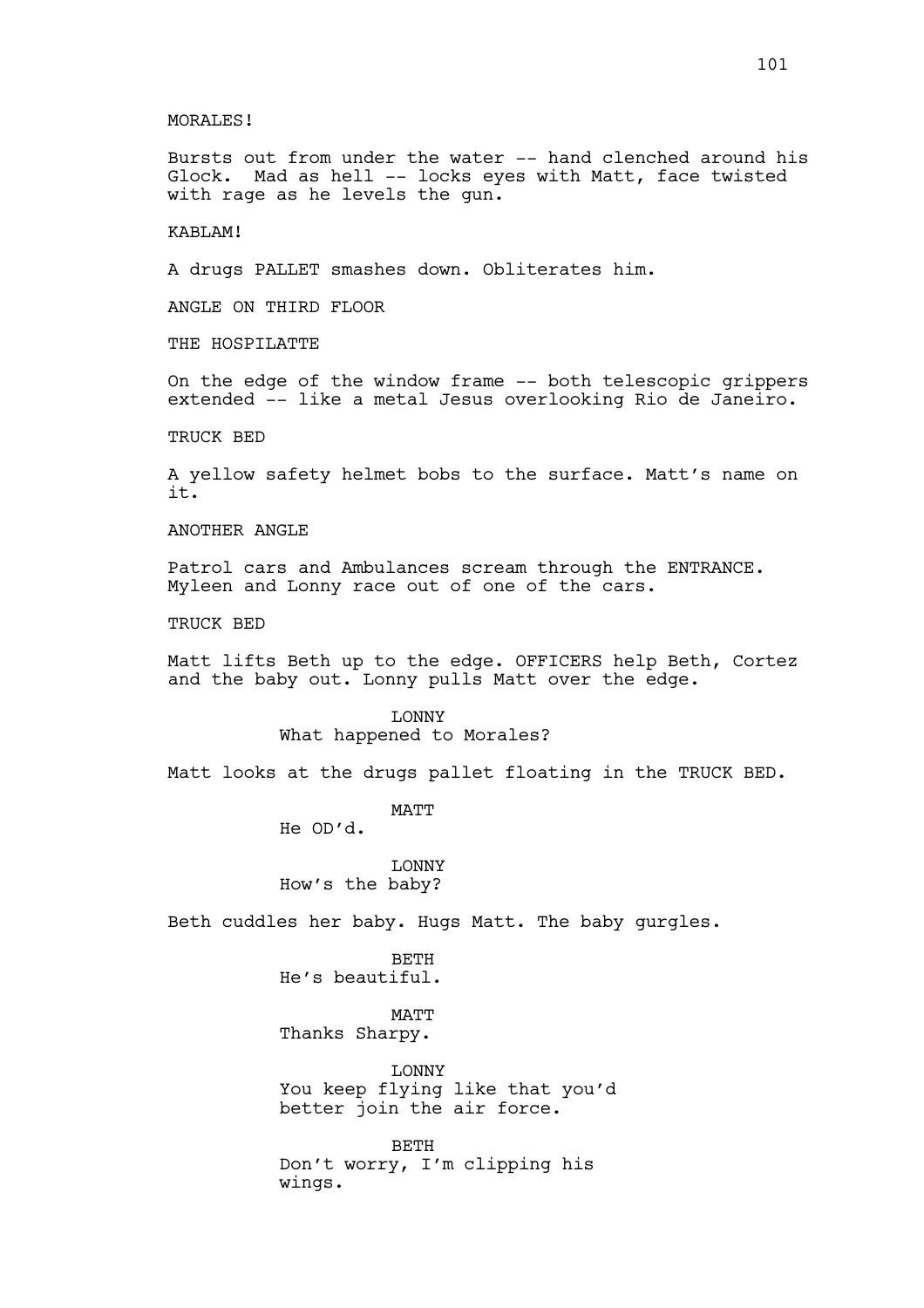### MORALES!

Bursts out from under the water -- hand clenched around his Glock. Mad as hell -- locks eyes with Matt, face twisted with rage as he levels the gun.

# KABLAM!

A drugs PALLET smashes down. Obliterates him.

ANGLE ON THIRD FLOOR

THE HOSPILATTE

On the edge of the window frame -- both telescopic grippers extended -- like a metal Jesus overlooking Rio de Janeiro.

TRUCK BED

A yellow safety helmet bobs to the surface. Matt's name on it.

ANOTHER ANGLE

Patrol cars and Ambulances scream through the ENTRANCE. Myleen and Lonny race out of one of the cars.

TRUCK BED

Matt lifts Beth up to the edge. OFFICERS help Beth, Cortez and the baby out. Lonny pulls Matt over the edge.

> LONNY What happened to Morales?

Matt looks at the drugs pallet floating in the TRUCK BED.

MATT

He OD'd.

LONNY How's the baby?

Beth cuddles her baby. Hugs Matt. The baby gurgles.

BETH He's beautiful.

MATT Thanks Sharpy.

LONNY You keep flying like that you'd better join the air force.

BETH Don't worry, I'm clipping his wings.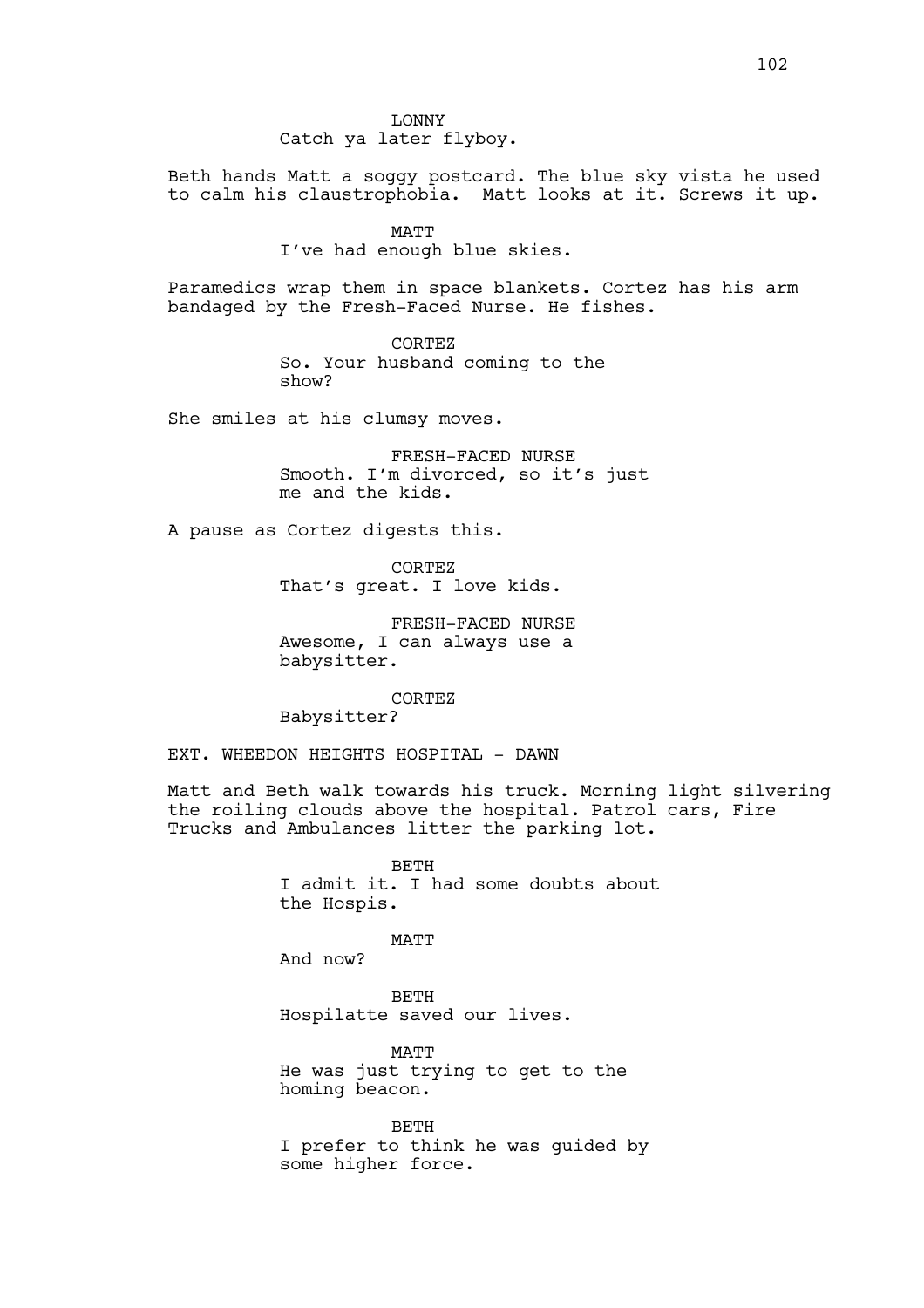LONNY Catch ya later flyboy.

Beth hands Matt a soggy postcard. The blue sky vista he used to calm his claustrophobia. Matt looks at it. Screws it up.

MATT

I've had enough blue skies.

Paramedics wrap them in space blankets. Cortez has his arm bandaged by the Fresh-Faced Nurse. He fishes.

> CORTEZ So. Your husband coming to the show?

She smiles at his clumsy moves.

FRESH-FACED NURSE Smooth. I'm divorced, so it's just me and the kids.

A pause as Cortez digests this.

CORTEZ That's great. I love kids.

FRESH-FACED NURSE Awesome, I can always use a babysitter.

CORTEZ

Babysitter?

EXT. WHEEDON HEIGHTS HOSPITAL - DAWN

Matt and Beth walk towards his truck. Morning light silvering the roiling clouds above the hospital. Patrol cars, Fire Trucks and Ambulances litter the parking lot.

> **BETH** I admit it. I had some doubts about the Hospis.

> > MATT

And now?

BETH Hospilatte saved our lives.

**MATT** He was just trying to get to the homing beacon.

BETH I prefer to think he was guided by some higher force.